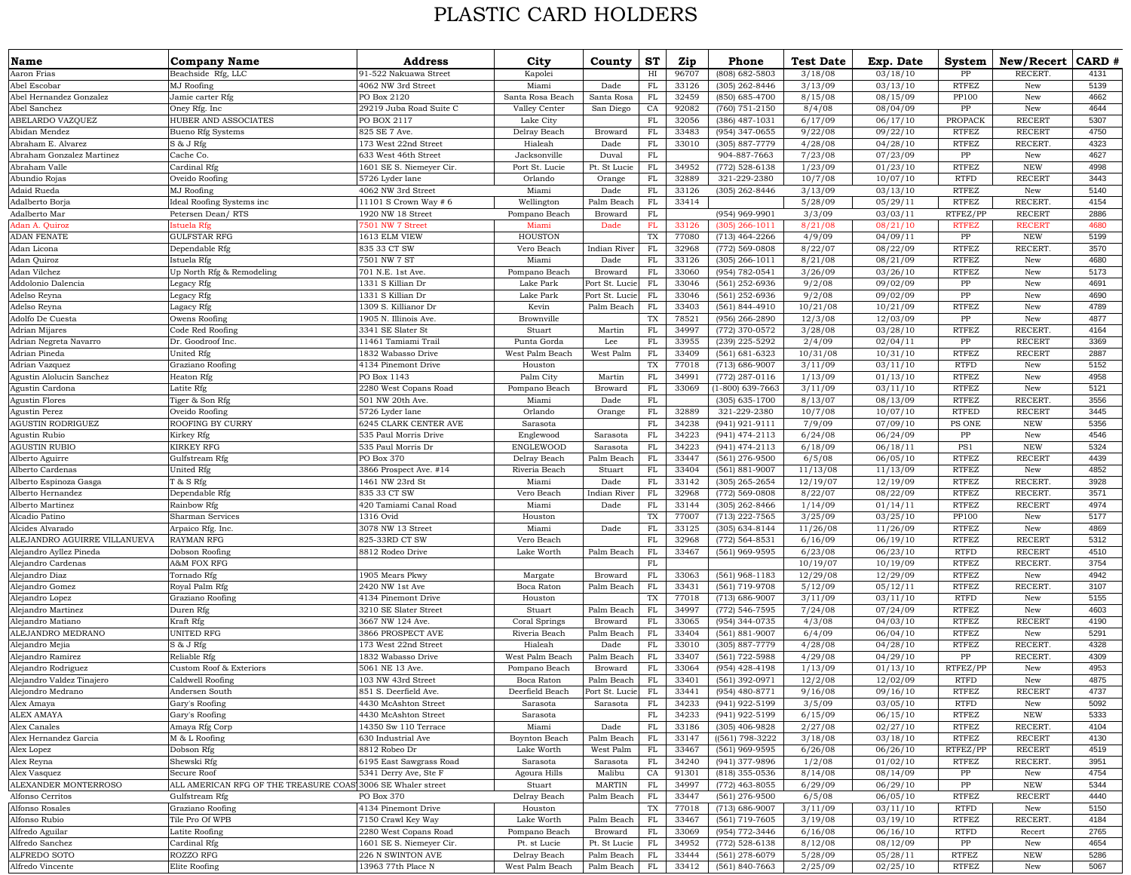## PLASTIC CARD HOLDERS

| Name                               | <b>Company Name</b>                                         | Address                                     | City                | County             | ST             | Zip            | Phone                            | <b>Test Date</b>   | Exp. Date                     |                              | System   New/Recert   CARD # |              |
|------------------------------------|-------------------------------------------------------------|---------------------------------------------|---------------------|--------------------|----------------|----------------|----------------------------------|--------------------|-------------------------------|------------------------------|------------------------------|--------------|
| Aaron Frias                        | Beachside Rfg, LLC                                          | 91-522 Nakuawa Street                       | Kapolei             |                    | HI             | 96707          | (808) 682-5803                   | 3/18/08            | 03/18/10                      | PP                           | <b>RECERT</b>                | 4131         |
| Abel Escobar                       | MJ Roofing                                                  | 4062 NW 3rd Street                          | Miami               | Dade               | ${\rm FL}$     | 33126          | (305) 262-8446                   | 3/13/09            | 03/13/10                      | <b>RTFEZ</b>                 | New                          | 5139         |
| Abel Hernandez Gonzalez            | Jamie carter Rfg                                            | PO Box 2120                                 | Santa Rosa Beach    | Santa Rosa         | $\rm FL$       | 32459          | (850) 685-4700                   | 8/15/08            | 08/15/09                      | PP100                        | New                          | 4662         |
| Abel Sanchez                       | Oney Rfg. Inc                                               | 29219 Juba Road Suite C                     | Valley Center       | San Diego          | CA             | 92082          | (760) 751-2150                   | 8/4/08             | 08/04/09                      | PP                           | New                          | 4644         |
| ABELARDO VAZQUEZ                   | HUBER AND ASSOCIATES                                        | PO BOX 2117                                 | Lake City           |                    | FL             | 32056          | (386) 487-1031                   | 6/17/09            | 06/17/10                      | PROPACK                      | <b>RECERT</b>                | 5307         |
| Abidan Mendez                      | <b>Bueno Rfg Systems</b>                                    | 825 SE 7 Ave.                               | Delray Beach        | Broward            | ${\rm FL}$     | 33483          | (954) 347-0655                   | 9/22/08            | 09/22/10                      | <b>RTFEZ</b>                 | <b>RECERT</b>                | 4750         |
| Abraham E. Alvarez                 | S & J Rfg                                                   | 173 West 22nd Street                        | Hialeah             | Dade               | $\rm FL$       | 33010          | (305) 887-7779                   | 4/28/08            | 04/28/10                      | <b>RTFEZ</b>                 | <b>RECERT</b>                | 4323         |
| Abraham Gonzalez Martinez          | Cache Co.                                                   | 633 West 46th Street                        | Jacksonville        | Duval              | $\rm FL$       |                | 904-887-7663                     | 7/23/08            | 07/23/09                      | PP                           | New                          | 4627         |
| Abraham Valle                      | Cardinal Rfg                                                | 1601 SE S. Niemeyer Cir.                    | Port St. Lucie      | Pt. St Lucie       | $\rm FL$       | 34952          | (772) 528-6138                   | 1/23/09            | 01/23/10                      | <b>RTFEZ</b>                 | <b>NEW</b>                   | 4998         |
| Abundio Rojas                      | Oveido Roofing<br>MJ Roofing                                | 5726 Lyder lane                             | Orlando             | Orange             | $\rm FL$       | 32889          | 321-229-2380                     | 10/7/08            | 10/07/10                      | <b>RTFD</b><br><b>RTFEZ</b>  | <b>RECERT</b>                | 3443<br>5140 |
| Adaid Rueda<br>Adalberto Borja     | Ideal Roofing Systems inc                                   | 4062 NW 3rd Street<br>11101 S Crown Way # 6 | Miami<br>Wellington | Dade<br>Palm Beach | FL<br>$\rm FL$ | 33126<br>33414 | (305) 262-8446                   | 3/13/09<br>5/28/09 | 03/13/10<br>05/29/11          | <b>RTFEZ</b>                 | New<br><b>RECERT</b>         | 4154         |
| Adalberto Mar                      | Petersen Dean/RTS                                           | 1920 NW 18 Street                           | Pompano Beach       | Broward            | ${\rm FL}$     |                | (954) 969-9901                   | 3/3/09             | 03/03/11                      | RTFEZ/PP                     | <b>RECERT</b>                | 2886         |
| Adan A. Quiroz                     | Istuela Rf                                                  | 7501 NW 7 Street                            | Miami               | Dade               | FL             | 33126          | $(305)$ 266-1011                 | 8/21/08            | 08/21/10                      | <b>RTFEZ</b>                 | <b>RECERT</b>                | 4680         |
| <b>ADAN FENATE</b>                 | <b>GULFSTAR RFG</b>                                         | 1613 ELM VIEW                               | HOUSTON             |                    | TX             | 77080          | $(713)$ 464-2266                 | 4/9/09             | 04/09/11                      | PP                           | <b>NEW</b>                   | 5199         |
| Adan Licona                        | Dependable Rfg                                              | 835 33 CT SW                                | Vero Beach          | Indian River       | $\rm FL$       | 32968          | (772) 569-0808                   | 8/22/07            | 08/22/09                      | <b>RTFEZ</b>                 | RECERT.                      | 3570         |
| Adan Quiroz                        | Istuela Rfg                                                 | 7501 NW 7 ST                                | Miami               | Dade               | $\rm FL$       | 33126          | $(305)$ 266-1011                 | 8/21/08            | 08/21/09                      | <b>RTFEZ</b>                 | New                          | 4680         |
| Adan Vilchez                       | Up North Rfg & Remodeling                                   | 701 N.E. 1st Ave.                           | Pompano Beach       | Broward            | FL             | 33060          | (954) 782-0541                   | 3/26/09            | 03/26/10                      | <b>RTFEZ</b>                 | New                          | 5173         |
| Addolonio Dalencia                 | Legacy Rfg                                                  | 1331 S Killian Dr                           | Lake Park           | Port St. Lucie     | $\rm FL$       | 33046          | (561) 252-6936                   | 9/2/08             | 09/02/09                      | ${\rm PP}$                   | New                          | 4691         |
| Adelso Reyna                       | Legacy Rfg                                                  | 1331 S Killian Dr                           | Lake Park           | Port St. Luci      | $\rm FL$       | 33046          | (561) 252-6936                   | 9/2/08             | 09/02/09                      | ${\rm PP}$                   | New                          | 4690         |
| Adelso Reyna                       | Lagacy Rfg                                                  | 1309 S. Killianor Dr                        | Kevin               | Palm Beach         | $\rm FL$       | 33403          | (561) 844-4910                   | 10/21/08           | 10/21/09                      | <b>RTFEZ</b>                 | New                          | 4789         |
| Adolfo De Cuesta                   | Owens Roofing                                               | 1905 N. Illinois Ave.                       | Brownville          |                    | TX             | 78521          | (956) 266-2890                   | 12/3/08            | 12/03/09                      | PP                           | New                          | 4877         |
| Adrian Mijares                     | Code Red Roofing                                            | 3341 SE Slater St                           | Stuart              | Martin             | $\rm FL$       | 34997          | (772) 370-0572                   | 3/28/08            | 03/28/10                      | <b>RTFEZ</b>                 | RECERT.                      | 4164         |
| Adrian Negreta Navarro             | Dr. Goodroof Inc.                                           | 11461 Tamiami Trail                         | Punta Gorda         | Lee                | $\rm FL$       | 33955          | (239) 225-5292                   | 2/4/09             | 02/04/11                      | ${\rm PP}$                   | <b>RECERT</b>                | 3369         |
| Adrian Pineda                      | United Rfg                                                  | 1832 Wabasso Drive                          | West Palm Beach     | West Palm          | $\rm FL$       | 33409          | (561) 681-6323                   | 10/31/08           | 10/31/10                      | <b>RTFEZ</b>                 | <b>RECERT</b>                | 2887         |
| Adrian Vazquez                     | Graziano Roofing                                            | 4134 Pinemont Drive                         | Houston             |                    | TX             | 77018          | (713) 686-9007                   | 3/11/09            | 03/11/10                      | <b>RTFD</b>                  | New                          | 5152         |
| Agustin Alolucin Sanchez           | Heaton Rfg                                                  | PO Box 1143                                 | Palm City           | Martin             | $\rm FL$       | 34991          | (772) 287-0116                   | 1/13/09            | 01/13/10                      | <b>RTFEZ</b>                 | New                          | 4958         |
| Agustin Cardona                    | Latite Rfg                                                  | 2280 West Copans Road                       | Pompano Beach       | Broward            | FL             | 33069          | (1-800) 639-7663                 | 3/11/09            | 03/11/10                      | <b>RTFEZ</b>                 | New                          | 5121         |
| <b>Agustin Flores</b>              | Tiger & Son Rfg                                             | 501 NW 20th Ave.                            | Miami               | Dade               | $\rm FL$       |                | (305) 635-1700                   | 8/13/07            | 08/13/09                      | <b>RTFEZ</b>                 | RECERT.                      | 3556         |
| Agustin Perez                      | Oveido Roofing                                              | 5726 Lyder lane                             | Orlando             | Orange             | $\rm FL$       | 32889          | 321-229-2380                     | 10/7/08            | 10/07/10                      | <b>RTFED</b>                 | <b>RECERT</b>                | 3445         |
| AGUSTIN RODRIGUEZ                  | ROOFING BY CURRY                                            | 6245 CLARK CENTER AVE                       | Sarasota            |                    | ${\rm FL}$     | 34238          | (941) 921-9111                   | 7/9/09             | 07/09/10                      | PS ONE                       | <b>NEW</b>                   | 5356         |
| Agustin Rubio                      | Kirkey Rfg                                                  | 535 Paul Morris Drive                       | Englewood           | Sarasota           | FL             | 34223          | (941) 474-2113                   | 6/24/08            | 06/24/09                      | PP                           | New                          | 4546         |
| <b>AGUSTIN RUBIO</b>               | KIRKEY RFG                                                  | 535 Paul Morris Dr                          | ENGLEWOOD           | Sarasota           | $\rm FL$       | 34223          | (941) 474-2113                   | 6/18/09            | 06/18/11                      | PS1                          | <b>NEW</b>                   | 5324         |
| Alberto Aguirre                    | Gulfstream Rfg                                              | PO Box 370                                  | Delray Beach        | Palm Beach         | ${\rm FL}$     | 33447          | (561) 276-9500                   | 6/5/08             | 06/05/10                      | <b>RTFEZ</b>                 | <b>RECERT</b>                | 4439         |
| Alberto Cardenas                   | United Rfg                                                  | 3866 Prospect Ave. #14                      | Riveria Beach       | Stuart             | $\rm FL$       | 33404          | (561) 881-9007                   | 11/13/08           | 11/13/09                      | <b>RTFEZ</b>                 | New                          | 4852         |
| Alberto Espinoza Gasga             | T & S Rfg                                                   | 1461 NW 23rd St                             | Miami               | Dade               | FL             | 33142          | (305) 265-2654                   | 12/19/07           | 12/19/09                      | <b>RTFEZ</b>                 | <b>RECERT</b>                | 3928         |
| Alberto Hernandez                  | Dependable Rfg                                              | 835 33 CT SW<br>420 Tamiami Canal Road      | Vero Beach<br>Miami | Indian River       | $\rm FL$       | 32968          | (772) 569-0808                   | 8/22/07            | 08/22/09                      | <b>RTFEZ</b><br><b>RTFEZ</b> | RECERT.<br><b>RECERT</b>     | 3571<br>4974 |
| Alberto Martinez<br>Alcadio Patino | Rainbow Rfg                                                 | 1316 Ovid                                   | Houston             | Dade               | $\rm FL$<br>TX | 33144<br>77007 | (305) 262-8466                   | 1/14/09<br>3/25/09 | 01/14/11<br>$\sqrt{03}/25/10$ | PP100                        |                              | 5177         |
| Alcides Alvarado                   | Sharman Services<br>Arpaico Rfg. Inc.                       | 3078 NW 13 Street                           | Miami               | Dade               | $\rm FL$       | 33125          | (713) 222-7565<br>(305) 634-8144 | 11/26/08           | 11/26/09                      | <b>RTFEZ</b>                 | New<br>New                   | 4869         |
| ALEJANDRO AGUIRRE VILLANUEVA       | <b>RAYMAN RFG</b>                                           | 825-33RD CT SW                              | Vero Beach          |                    | $\rm FL$       | 32968          | (772) 564-8531                   | 6/16/09            | 06/19/10                      | <b>RTFEZ</b>                 | <b>RECERT</b>                | 5312         |
| Alejandro Ayllez Pineda            | Dobson Roofing                                              | 8812 Rodeo Drive                            | Lake Worth          | Palm Beach         | $\rm FL$       | 33467          | (561) 969-9595                   | 6/23/08            | 06/23/10                      | <b>RTFD</b>                  | <b>RECERT</b>                | 4510         |
| Alejandro Cardenas                 | A&M FOX RFG                                                 |                                             |                     |                    | FL             |                |                                  | 10/19/07           | 10/19/09                      | <b>RTFEZ</b>                 | RECERT.                      | 3754         |
| Alejandro Diaz                     | <b>Fornado</b> Rfg                                          | 1905 Mears Pkwy                             | Margate             | Broward            | $\rm FL$       | 33063          | (561) 968-1183                   | 12/29/08           | 12/29/09                      | <b>RTFEZ</b>                 | New                          | 4942         |
| Alejandro Gomez                    | Royal Palm Rfg                                              | 2420 NW 1st Ave                             | Boca Raton          | Palm Beach         | $\rm FL$       | 33431          | (561) 719-9708                   | 5/12/09            | 05/12/11                      | <b>RTFEZ</b>                 | <b>RECERT</b>                | 3107         |
| Alejandro Lopez                    | Graziano Roofing                                            | 4134 Pinemont Drive                         | Houston             |                    | TX             | 77018          | (713) 686-9007                   | 3/11/09            | 03/11/10                      | <b>RTFD</b>                  | New                          | 5155         |
| Alejandro Martinez                 | Duren Rfg                                                   | 3210 SE Slater Street                       | Stuart              | Palm Beach         | FL             | 34997          | (772) 546-7595                   | 7/24/08            | 07/24/09                      | <b>RTFEZ</b>                 | New                          | 4603         |
| Alejandro Matiano                  | Kraft Rfg                                                   | 3667 NW 124 Ave.                            | Coral Springs       | Broward            | ${\rm FL}$     | 33065          | (954) 344-0735                   | 4/3/08             | 04/03/10                      | <b>RTFEZ</b>                 | <b>RECERT</b>                | 4190         |
| ALEJANDRO MEDRANO                  | UNITED RFG                                                  | 3866 PROSPECT AVE                           | Riveria Beach       | Palm Beach         | $\rm FL$       | 33404          | (561) 881-9007                   | 6/4/09             | 06/04/10                      | <b>RTFEZ</b>                 | New                          | 5291         |
| Alejandro Mejia                    | S & J Rfg                                                   | 173 West 22nd Street                        | Hialeah             | Dade               | FL             | 33010          | (305) 887-7779                   | 4/28/08            | 04/28/10                      | <b>RTFEZ</b>                 | <b>RECERT</b>                | 4328         |
| Alejandro Ramirez                  | Reliable Rfg                                                | 1832 Wabasso Drive                          | West Palm Beach     | Palm Beach         | $\rm FL$       | 33407          | (561) 722-5988                   | 4/29/08            | 04/29/10                      | ${\rm PP}$                   | RECERT.                      | 4309         |
| Alejandro Rodriguez                | Custom Roof & Exteriors                                     | 5061 NE 13 Ave.                             | Pompano Beach       | Broward            | $\rm FL$       | 33064          | (954) 428-4198                   | 1/13/09            | 01/13/10                      | RTFEZ/PP                     | New                          | 4953         |
| Alejandro Valdez Tinajero          | Caldwell Roofing                                            | 103 NW 43rd Street                          | Boca Raton          | Palm Beach         | $\rm FL$       | 33401          | (561) 392-0971                   | 12/2/08            | 12/02/09                      | <b>RTFD</b>                  | New                          | 4875         |
| Aleiondro Medrano                  | Andersen South                                              | 851 S. Deerfield Ave.                       | Deerfield Beach     | Port St. Lucie     | FL             | 33441          | (954) 480-8771                   | 9/16/08            | 09/16/10                      | <b>RTFEZ</b>                 | <b>RECERT</b>                | 4737         |
| Alex Amaya                         | Gary's Roofing                                              | 4430 McAshton Street                        | Sarasota            | Sarasota           | FL             | 34233          | (941) 922-5199                   | 3/5/09             | 03/05/10                      | <b>RTFD</b>                  | New                          | 5092         |
| ALEX AMAYA                         | Gary's Roofing                                              | 4430 McAshton Street                        | Sarasota            |                    | ${\rm FL}$     | 34233          | (941) 922-5199                   | 6/15/09            | 06/15/10                      | <b>RTFEZ</b>                 | <b>NEW</b>                   | 5333         |
| Alex Canales                       | Amaya Rfg Corp                                              | 14350 Sw 110 Terrace                        | Miami               | Dade               | FL             | 33186          | (305) 406-9828                   | 2/27/08            | 02/27/10                      | <b>RTFEZ</b>                 | RECERT.                      | 4104         |
| Alex Hernandez Garcia              | M & L Roofing                                               | 630 Industrial Ave                          | Boynton Beach       | Palm Beach         | FL             | 33147          | ((561) 798-3222                  | 3/18/08            | 03/18/10                      | <b>RTFEZ</b>                 | <b>RECERT</b>                | 4130         |
| Alex Lopez                         | Dobson Rfg                                                  | 8812 Robeo Dr                               | Lake Worth          | West Palm          | FL             | 33467          | (561) 969-9595                   | 6/26/08            | 06/26/10                      | RTFEZ/PP                     | <b>RECERT</b>                | 4519         |
| Alex Reyna                         | Shewski Rfg                                                 | 6195 East Sawgrass Road                     | Sarasota            | Sarasota           | $\rm FL$       | 34240          | (941) 377-9896                   | 1/2/08             | 01/02/10                      | <b>RTFEZ</b>                 | <b>RECERT</b>                | 3951         |
| Alex Vasquez                       | Secure Roof                                                 | 5341 Derry Ave, Ste F                       | Agoura Hills        | Malibu             | CA             | 91301          | (818) 355-0536                   | 8/14/08            | 08/14/09                      | PP                           | New                          | 4754         |
| ALEXANDER MONTERROSO               | ALL AMERICAN RFG OF THE TREASURE COAS 3006 SE Whaler street |                                             | Stuart              | <b>MARTIN</b>      | FL             | 34997          | (772) 463-8055                   | 6/29/09            | 06/29/10                      | PP                           | <b>NEW</b>                   | 5344         |
| Alfonso Cerritos                   | Gulfstream Rfg                                              | PO Box 370                                  | Delray Beach        | Palm Beach         | FL             | 33447          | (561) 276-9500                   | 6/5/08             | 06/05/10                      | <b>RTFEZ</b>                 | <b>RECERT</b>                | 4440         |
| Alfonso Rosales                    | Graziano Roofing                                            | 4134 Pinemont Drive                         | Houston             |                    | TX             | 77018          | $(713)$ 686-9007                 | 3/11/09            | 03/11/10                      | <b>RTFD</b>                  | New                          | 5150         |
| Alfonso Rubio                      | Tile Pro Of WPB                                             | 7150 Crawl Key Way                          | Lake Worth          | Palm Beach         | FL             | 33467          | (561) 719-7605                   | 3/19/08            | 03/19/10                      | <b>RTFEZ</b>                 | <b>RECERT</b>                | 4184         |
| Alfredo Aguilar                    | Latite Roofing                                              | 2280 West Copans Road                       | Pompano Beach       | Broward            | FL             | 33069          | (954) 772-3446                   | 6/16/08            | 06/16/10                      | RTFD                         | Recert                       | 2765         |
| Alfredo Sanchez                    | Cardinal Rfg                                                | 1601 SE S. Niemeyer Cir.                    | Pt. st Lucie        | Pt. St Lucie       | FL             | 34952          | (772) 528-6138                   | 8/12/08            | 08/12/09                      | ${\rm PP}$                   | New                          | 4654         |
| ALFREDO SOTO                       | ROZZO RFG                                                   | 226 N SWINTON AVE                           | Delray Beach        | Palm Beach         | FL             | 33444          | (561) 278-6079                   | 5/28/09            | 05/28/11                      | <b>RTFEZ</b>                 | NEW                          | 5286         |
| Alfredo Vincente                   | Elite Roofing                                               | 13963 77th Place N                          | West Palm Beach     | Palm Beach         | FL             | 33412          | (561) 840-7663                   | 2/25/09            | 02/25/10                      | RTFEZ                        | New                          | 5067         |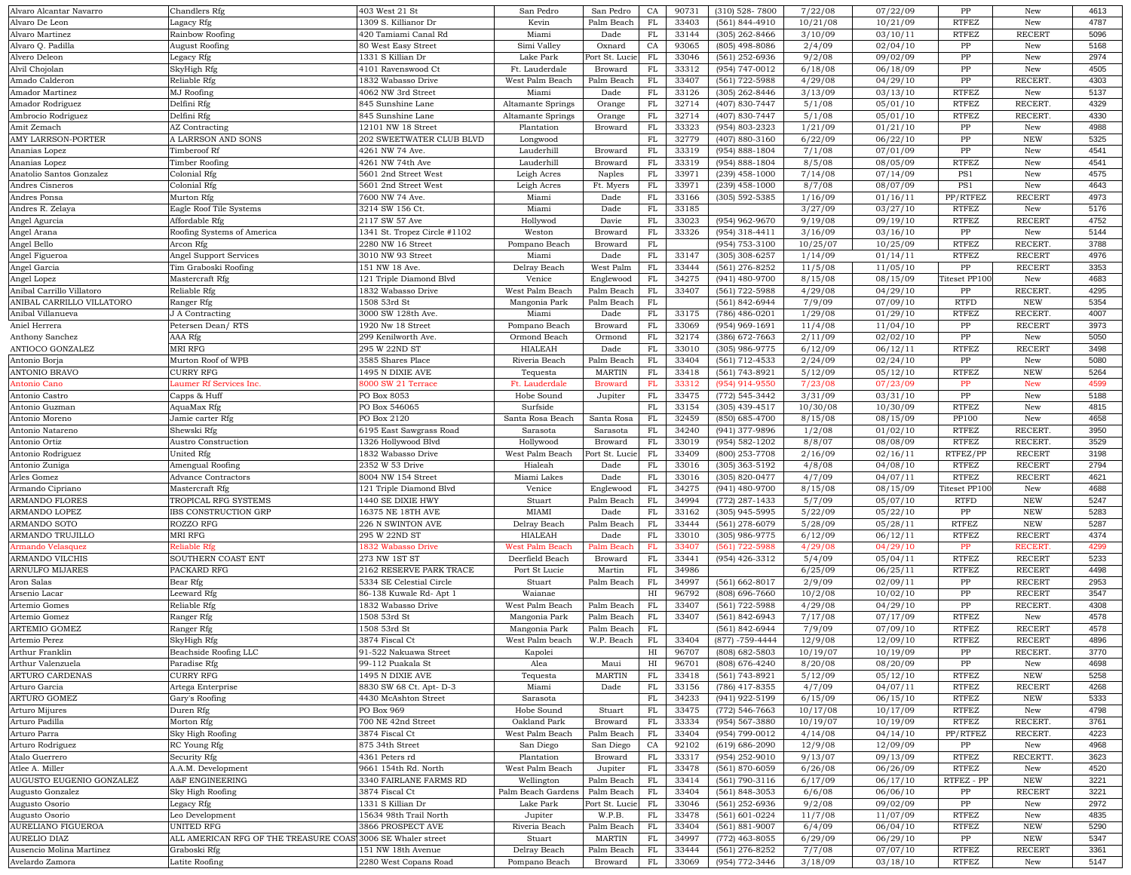| Alvaro Alcantar Navarro                     | Chandlers Rfg                                               | 403 West 21 St                              | San Pedro                     | San Pedro             | CA               | 90731          | $(310)$ 528-7800                 | 7/22/08           | 07/22/09             | PP                           | New                  | 4613         |
|---------------------------------------------|-------------------------------------------------------------|---------------------------------------------|-------------------------------|-----------------------|------------------|----------------|----------------------------------|-------------------|----------------------|------------------------------|----------------------|--------------|
| Alvaro De Leon                              | Lagacy Rfg                                                  | 1309 S. Killianor Dr                        | Kevin                         | Palm Beach            | FL               | 33403          | (561) 844-4910                   | 10/21/08          | 10/21/09             | <b>RTFEZ</b>                 | New                  | 4787         |
| Alvaro Martinez                             | Rainbow Roofing                                             | 420 Tamiami Canal Rd                        | Miami                         | Dade                  | FL               | 33144          | (305) 262-8466                   | 3/10/09           | 03/10/11             | <b>RTFEZ</b>                 | <b>RECERT</b>        | 5096         |
| Alvaro Q. Padilla                           | August Roofing                                              | 80 West Easy Street                         | Simi Valley                   | Oxnard                | CA               | 93065          | (805) 498-8086                   | 2/4/09            | 02/04/10             | PP                           | New                  | 5168         |
| Alvero Deleon                               | Legacy Rfg                                                  | 1331 S Killian Dr                           | Lake Park                     | Port St. Lucie        | FL               | 33046          | (561) 252-6936                   | 9/2/08            | 09/02/09             | ${\rm PP}$                   | New                  | 2974         |
| Alvil Chojolan                              | SkyHigh Rfg                                                 | 4101 Ravenswood Ct                          | Ft. Lauderdale                | Broward               | FL               | 33312          | (954) 747-0012                   | 6/18/08           | 06/18/09             | ${\rm PP}$                   | New                  | 4505         |
| Amado Calderon                              | Reliable Rfg                                                | 1832 Wabasso Drive                          | West Palm Beach               | Palm Beach            | FL               | 33407          | (561) 722-5988                   | 4/29/08           | 04/29/10             | ${\rm PP}$                   | <b>RECERT</b>        | 4303         |
| Amador Martinez                             | MJ Roofing                                                  | 4062 NW 3rd Street                          | Miami                         | Dade                  | FL               | 33126          | (305) 262-8446                   | 3/13/09           | 03/13/10             | <b>RTFEZ</b>                 | New                  | 5137         |
| Amador Rodriguez                            | Delfini Rfg                                                 | 845 Sunshine Lane                           | Altamante Springs             | Orange                | FL               | 32714          | (407) 830-7447                   | 5/1/08            | 05/01/10             | <b>RTFEZ</b>                 | <b>RECERT</b>        | 4329         |
| Ambrocio Rodriguez                          | Delfini Rfg                                                 | 845 Sunshine Lane                           | Altamante Springs             | Orange                | FL               | 32714          | (407) 830-7447                   | 5/1/08            | 05/01/10             | <b>RTFEZ</b>                 | RECERT.              | 4330         |
| Amit Zemach                                 | <b>AZ Contracting</b>                                       | 12101 NW 18 Street                          | Plantation                    | Broward               | ${\rm FL}$       | 33323          | (954) 803-2323                   | 1/21/09           | 01/21/10             | PP                           | New                  | 4988         |
| AMY LARRSON-PORTER                          | A LARRSON AND SONS                                          | 202 SWEETWATER CLUB BLVD                    | Longwood                      |                       | FL               | 32779          | (407) 880-3160                   | 6/22/09           | 06/22/10             | ${\rm PP}$                   | <b>NEW</b>           | 5325         |
| Ananias Lopez                               | Timberoof Rf                                                | 4261 NW 74 Ave.                             | Lauderhill                    | Broward               | FL               | 33319          | (954) 888-1804                   | 7/1/08            | 07/01/09             | ${\rm PP}$                   | New                  | 4541         |
| Ananias Lopez                               | Timber Roofing                                              | 4261 NW 74th Ave                            | Lauderhill                    | Broward               | FL               | 33319          | (954) 888-1804                   | 8/5/08            | 08/05/09             | <b>RTFEZ</b>                 | New                  | 4541         |
| Anatolio Santos Gonzalez                    | Colonial Rfg                                                | 5601 2nd Street West                        | Leigh Acres                   | Naples                | FL               | 33971          | $(239)$ 458-1000                 |                   | 07/14/09             | PS1                          | New                  | 4575         |
|                                             |                                                             |                                             |                               |                       |                  |                |                                  | 7/14/08           |                      |                              |                      | 4643         |
| Andres Cisneros                             | Colonial Rfg                                                | 5601 2nd Street West                        | Leigh Acres                   | Ft. Myers             | FL               | 33971          | $(239)$ 458-1000                 | 8/7/08            | 08/07/09             | PS1                          | New                  |              |
| Andres Ponsa                                | Murton Rfg                                                  | 7600 NW 74 Ave.                             | Miami                         | Dade                  | FL               | 33166          | (305) 592-5385                   | 1/16/09           | 01/16/11             | PP/RTFEZ                     | <b>RECERT</b>        | 4973         |
| Andres R. Zelaya                            | Eagle Roof Tile Systems                                     | 3214 SW 156 Ct.                             | Miami                         | Dade                  | ${\rm FL}$       | 33185          |                                  | 3/27/09           | 03/27/10             | <b>RTFEZ</b>                 | New                  | 5176         |
| Angel Agurcia                               | Affordable Rfg                                              | 2117 SW 57 Ave                              | Hollywod                      | Davie                 | FL               | 33023          | (954) 962-9670                   | 9/19/08           | 09/19/10             | <b>RTFEZ</b>                 | <b>RECERT</b>        | 4752         |
| Angel Arana                                 | Roofing Systems of America                                  | 1341 St. Tropez Circle #1102                | Weston                        | Broward               | FL               | 33326          | (954) 318-4411                   | 3/16/09           | 03/16/10             | PP                           | New                  | 5144         |
| Angel Bello                                 | Arcon Rfg                                                   | 2280 NW 16 Street                           | Pompano Beach                 | Broward               | $\rm FL$         |                | (954) 753-3100                   | 10/25/07          | 10/25/09             | <b>RTFEZ</b>                 | RECERT.              | 3788         |
| Angel Figueroa                              | Angel Support Services                                      | 3010 NW 93 Street                           | Miami                         | Dade                  | FL               | 33147          | (305) 308-6257                   | 1/14/09           | 01/14/11             | <b>RTFEZ</b>                 | <b>RECERT</b>        | 4976         |
| Angel Garcia                                | Tim Graboski Roofing                                        | 151 NW 18 Ave.                              | Delray Beach                  | West Palm             | FL               | 33444          | (561) 276-8252                   | 11/5/08           | 11/05/10             | PP                           | <b>RECERT</b>        | 3353         |
| Angel Lopez                                 | Mastercraft Rfg                                             | 121 Triple Diamond Blvd                     | Venice                        | Englewood             | ${\rm FL}$       | 34275          | (941) 480-9700                   | 8/15/08           | 08/15/09             | Titeset PP100                | New                  | 4683         |
| Anibal Carrillo Villatoro                   | Reliable Rfg                                                | 1832 Wabasso Drive                          | West Palm Beach               | Palm Beach            | $\rm FL$         | 33407          | (561) 722-5988                   | 4/29/08           | 04/29/10             | PP                           | <b>RECERT</b>        | 4295         |
| ANIBAL CARRILLO VILLATORO                   | Ranger Rfg                                                  | 1508 53rd St                                | Mangonia Park                 | Palm Beach            | FL               |                | (561) 842-6944                   | 7/9/09            | 07/09/10             | <b>RTFD</b>                  | <b>NEW</b>           | 5354         |
| Anibal Villanueva                           | J A Contracting                                             | 3000 SW 128th Ave.                          | Miami                         | Dade                  | FL               | 33175          | (786) 486-0201                   | 1/29/08           | 01/29/10             | <b>RTFEZ</b>                 | <b>RECERT</b>        | 4007         |
| Aniel Herrera                               | Petersen Dean/RTS                                           | 1920 Nw 18 Street                           | Pompano Beach                 | Broward               | FL               | 33069          | (954) 969-1691                   | 11/4/08           | 11/04/10             | ${\rm PP}$                   | <b>RECERT</b>        | 3973         |
| Anthony Sanchez                             | AAA Rfg                                                     | 299 Kenilworth Ave.                         | Ormond Beach                  | Ormond                | FL               | 32174          | (386) 672-7663                   | 2/11/09           | 02/02/10             | PP                           | New                  | 5050         |
|                                             | <b>MRI RFG</b>                                              | 295 W 22ND ST                               |                               |                       |                  | 33010          |                                  |                   |                      |                              |                      | 3498         |
| ANTIOCO GONZALEZ                            |                                                             |                                             | HIALEAH                       | Dade                  | FL               |                | (305) 986-9775                   | 6/12/09           | 06/12/11             | <b>RTFEZ</b>                 | <b>RECERT</b>        |              |
| Antonio Borja                               | Murton Roof of WPB                                          | 3585 Shares Place                           | Riveria Beach                 | Palm Beach            | FL               | 33404          | (561) 712-4533                   | 2/24/09           | 02/24/10             | PP                           | New                  | 5080         |
| <b>ANTONIO BRAVO</b>                        | <b>CURRY RFG</b>                                            | 1495 N DIXIE AVE                            | Tequesta                      | <b>MARTIN</b>         | FL               | 33418          | (561) 743-8921                   | 5/12/09           | 05/12/10             | <b>RTFEZ</b>                 | <b>NEW</b>           | 5264         |
| <b>Intonio Cano</b>                         | aumer Rf Services Inc.                                      | <b>8000 SW 21 Terrace</b>                   | Ft. Lauderdale                | <b>Broward</b>        | FL               | 33312          | (954) 914-9550                   | 7/23/08           | 07/23/09             | PP                           | New                  | 4599         |
| Antonio Castro                              | Capps & Huff                                                | PO Box 8053                                 | Hobe Sound                    | Jupiter               | $\rm FL$         | 33475          | (772) 545-3442                   | 3/31/09           | 03/31/10             | ${\rm PP}$                   | New                  | 5188         |
| Antonio Guzman                              | AquaMax Rfg                                                 | PO Box 546065                               | Surfside                      |                       | FL               | 33154          | (305) 439-4517                   | 10/30/08          | 10/30/09             | <b>RTFEZ</b>                 | New                  | 4815         |
| Antonio Moreno                              | Jamie carter Rfg                                            | PO Box 2120                                 | Santa Rosa Beach              | Santa Rosa            | $\rm FL$         | 32459          | (850) 685-4700                   | 8/15/08           | 08/15/09             | PP100                        | New                  | 4658         |
| Antonio Natareno                            | Shewski Rfg                                                 | 6195 East Sawgrass Road                     | Sarasota                      | Sarasota              | FL               | 34240          | (941) 377-9896                   | 1/2/08            | 01/02/10             | <b>RTFEZ</b>                 | <b>RECERT</b>        | 3950         |
| Antonio Ortiz                               | <b>Austro Construction</b>                                  | 1326 Hollywood Blvd                         | Hollywood                     | Broward               | FL               | 33019          | (954) 582-1202                   | 8/8/07            | 08/08/09             | <b>RTFEZ</b>                 | <b>RECERT</b>        | 3529         |
| Antonio Rodriguez                           | United Rfg                                                  | 1832 Wabasso Drive                          | West Palm Beach               | Port St. Lucie        | FL               | 33409          | (800) 253-7708                   | 2/16/09           | 02/16/11             | RTFEZ/PP                     | <b>RECERT</b>        | 3198         |
| Antonio Zuniga                              | Amengual Roofing                                            | 2352 W 53 Drive                             | Hialeah                       | Dade                  | FL               | 33016          | (305) 363-5192                   | 4/8/08            | 04/08/10             | <b>RTFEZ</b>                 | <b>RECERT</b>        | 2794         |
| Arles Gomez                                 | <b>Advance Contractors</b>                                  | 8004 NW 154 Street                          | Miami Lakes                   | Dade                  | FL               | 33016          | (305) 820-0477                   | 4/7/09            | 04/07/11             | <b>RTFEZ</b>                 | <b>RECERT</b>        | 4621         |
| Armando Cipriano                            | Mastercraft Rfg                                             | 121 Triple Diamond Blvd                     | Venice                        | Englewood             | FL               | 34275          | (941) 480-9700                   | 8/15/08           | 08/15/09             | liteset PP100                | New                  | 4688         |
| <b>ARMANDO FLORES</b>                       | TROPICAL RFG SYSTEMS                                        | 1440 SE DIXIE HWY                           | Stuart                        | Palm Beach            | ${\rm FL}$       | 34994          | (772) 287-1433                   | 5/7/09            | 05/07/10             | <b>RTFD</b>                  | <b>NEW</b>           | 5247         |
| ARMANDO LOPEZ                               | <b>IBS CONSTRUCTION GRP</b>                                 | 16375 NE 18TH AVE                           | MIAMI                         | Dade                  | FL               | 33162          | (305) 945-5995                   | 5/22/09           | 05/22/10             | PP                           | <b>NEW</b>           | 5283         |
| ARMANDO SOTO                                | ROZZO RFG                                                   | 226 N SWINTON AVE                           | Delray Beach                  | Palm Beach            | FL               | 33444          | (561) 278-6079                   | 5/28/09           | 05/28/11             | <b>RTFEZ</b>                 | ${\rm NEW}$          | 5287         |
| ARMANDO TRUJILLO                            | MRI RFG                                                     | 295 W 22ND ST                               | HIALEAH                       | Dade                  | FL               | 33010          | (305) 986-9775                   | 6/12/09           | 06/12/11             | <b>RTFEZ</b>                 | <b>RECERT</b>        | 4374         |
|                                             |                                                             |                                             |                               |                       |                  |                |                                  |                   |                      |                              |                      |              |
| Armando Velasquez                           | Reliable Rfg                                                | 832 Wabasso Drive                           | West Palm Beach               | Palm Beac             | <b>FL</b>        | 33407          | (561) 722-5988                   | 4/29/08           | 04/29/10             | PP                           | <b>RECERT</b>        | 4299         |
| ARMANDO VILCHIS                             | SOUTHERN COAST ENT                                          | 273 NW 1ST ST                               | Deerfield Beach               | Broward               | FL               | 33441          | (954) 426-3312                   | 5/4/09            | 05/04/11             | <b>RTFEZ</b>                 | <b>RECERT</b>        | 5233         |
| <b>ARNULFO MIJARES</b>                      | PACKARD RFG                                                 | 2162 RESERVE PARK TRACE                     | Port St Lucie                 | Martin                | FL               | 34986          |                                  | 6/25/09           | 06/25/11             | <b>RTFEZ</b>                 | <b>RECERT</b>        | 4498         |
| Aron Salas                                  | Bear Rfg                                                    | 5334 SE Celestial Circle                    | Stuart                        | Palm Beach            | FL               | 34997          | $(561) 662 - 8017$               | 2/9/09            | 02/09/11             | PP                           | <b>RECERT</b>        | 2953         |
| Arsenio Lacar                               | Leeward Rfg                                                 | 86-138 Kuwale Rd- Apt 1                     | Waianae                       |                       | $_{\rm HI}$      | 96792          | (808) 696-7660                   | 10/2/08           | 10/02/10             | ${\rm PP}$                   | <b>RECERT</b>        | 3547         |
| Artemio Gomes                               | Reliable Rfg                                                | 1832 Wabasso Drive                          | West Palm Beach               | Palm Beach            | FL               | 33407          | (561) 722-5988                   | 4/29/08           | 04/29/10             | PP                           | RECERT.              | 4308         |
| Artemio Gomez                               | Ranger Rfg                                                  | 1508 53rd St                                | Mangonia Park                 | Palm Beach            | FL               | 33407          | (561) 842-6943                   | 7/17/08           | 07/17/09             | <b>RTFEZ</b>                 | New                  | 4578         |
| ARTEMIO GOMEZ                               | Ranger Rfg                                                  | 1508 53rd St                                | Mangonia Park                 | Palm Beach            | ${\rm FL}$       |                | (561) 842-6944                   | 7/9/09            | 07/09/10             | <b>RTFEZ</b>                 | <b>RECERT</b>        | 4578         |
| Artemio Perez                               | SkyHigh Rfg                                                 | 3874 Fiscal Ct                              | West Palm beach               | W.P. Beach            | FL               | 33404          | $(877) - 759 - 4444$             | 12/9/08           | 12/09/10             | <b>RTFEZ</b>                 | <b>RECERT</b>        | 4896         |
| Arthur Franklin                             | Beachside Roofing LLC                                       | 91-522 Nakuawa Street                       | Kapolei                       |                       | НI               | 96707          | (808) 682-5803                   | 10/19/07          | 10/19/09             | PP.                          | RECERT.              | 3770         |
| Arthur Valenzuela                           | Paradise Rfg                                                | 99-112 Puakala St                           | Alea                          | Maui                  | HI               | 96701          | (808) 676-4240                   | 8/20/08           | 08/20/09             | ${\rm PP}$                   | New                  | 4698         |
| <b>ARTURO CARDENAS</b>                      | CURRY RFG                                                   | 1495 N DIXIE AVE                            | Tequesta                      | <b>MARTIN</b>         | FL               | 33418          | (561) 743-8921                   | 5/12/09           | 05/12/10             | <b>RTFEZ</b>                 | <b>NEW</b>           | 5258         |
| Arturo Garcia                               | Artega Enterprise                                           | 8830 SW 68 Ct. Apt- D-3                     | Miami                         | Dade                  | FL               | 33156          | (786) 417-8355                   | 4/7/09            | 04/07/11             | <b>RTFEZ</b>                 | <b>RECERT</b>        | 4268         |
| ARTURO GOMEZ                                | Gary's Roofing                                              | 4430 McAshton Street                        | Sarasota                      |                       | $\rm FL$         | 34233          | (941) 922-5199                   | 6/15/09           | 06/15/10             | <b>RTFEZ</b>                 | <b>NEW</b>           | 5333         |
|                                             |                                                             |                                             |                               |                       |                  |                |                                  |                   |                      |                              |                      |              |
| Arturo Mijures                              | Duren Rfg                                                   | PO Box 969                                  | Hobe Sound                    | Stuart                | $\rm FL$         | 33475          | (772) 546-7663                   | 10/17/08          | 10/17/09             | <b>RTFEZ</b>                 | New                  | 4798         |
| Arturo Padilla                              | Morton Rfg                                                  | 700 NE 42nd Street                          | Oakland Park                  | Broward               | FL               | 33334          | (954) 567-3880                   | 10/19/07          | 10/19/09             | <b>RTFEZ</b>                 | <b>RECERT</b>        | 3761         |
| Arturo Parra                                | Sky High Roofing                                            | 3874 Fiscal Ct                              | West Palm Beach               | Palm Beach            | $\rm FL$         | 33404          | (954) 799-0012                   | 4/14/08           | 04/14/10             | PP/RTFEZ                     | RECERT.              | 4223         |
| Arturo Rodriguez                            | RC Young Rfg                                                | 875 34th Street                             | San Diego                     | San Diego             | CA               | 92102          | $(619) 686 - 2090$               | 12/9/08           | 12/09/09             | PP                           | ${\hbox{New}}$       | 4968         |
| Atalo Guerrero                              | Security Rfg                                                | 4361 Peters rd                              | Plantation                    | Broward               | FL               | 33317          | (954) 252-9010                   | 9/13/07           | 09/13/09             | <b>RTFEZ</b>                 | <b>RECERTT</b>       | 3623         |
| Atlee A. Miller                             | A.A.M. Development                                          | 9661 154th Rd. North                        | West Palm Beach               | Jupiter               | $\rm FL$         | 33478          | (561) 870-6059                   | 6/26/08           | 06/26/09             | <b>RTFEZ</b>                 | New                  | 4520         |
| AUGUSTO EUGENIO GONZALEZ                    | A&F ENGINEERING                                             | 3340 FAIRLANE FARMS RD                      | Wellington                    | Palm Beach            | $\rm FL$         | 33414          | (561) 790-3116                   | 6/17/09           | 06/17/10             | RTFEZ - PP                   | ${\rm NEW}$          | 3221         |
| Augusto Gonzalez                            | Sky High Roofing                                            | 3874 Fiscal Ct                              | Palm Beach Gardens            | Palm Beach            | ${\rm FL}$       | 33404          | (561) 848-3053                   | 6/6/08            | 06/06/10             | PP                           | <b>RECERT</b>        | 3221         |
| Augusto Osorio                              | Legacy Rfg                                                  | 1331 S Killian Dr                           | Lake Park                     | Port St. Lucie        | FL               | 33046          | (561) 252-6936                   | 9/2/08            | 09/02/09             | PP                           | New                  | 2972         |
| Augusto Osorio                              | Leo Development                                             | 15634 98th Trail North                      | Jupiter                       | W.P.B.                | FL               | 33478          | (561) 601-0224                   | 11/7/08           | 11/07/09             | <b>RTFEZ</b>                 | New                  | 4835         |
| AURELIANO FIGUEROA                          | UNITED RFG                                                  | 3866 PROSPECT AVE                           | Riveria Beach                 | Palm Beach            | $\rm FL$         | 33404          | (561) 881-9007                   | 6/4/09            | 06/04/10             | <b>RTFEZ</b>                 | ${\tt NEW}$          | 5290         |
| AURELIO DIAZ                                |                                                             |                                             | Stuart                        | MARTIN                | FL               | 34997          | (772) 463-8055                   |                   |                      |                              |                      | 5347         |
|                                             |                                                             |                                             |                               |                       |                  |                |                                  |                   |                      |                              |                      |              |
|                                             | ALL AMERICAN RFG OF THE TREASURE COAS 3006 SE Whaler street |                                             |                               |                       |                  |                |                                  | 6/29/09           | 06/29/10             | PP                           | <b>NEW</b>           |              |
| Ausencio Molina Martinez<br>Avelardo Zamora | Graboski Rfg<br>Latite Roofing                              | 151 NW 18th Avenue<br>2280 West Copans Road | Delray Beach<br>Pompano Beach | Palm Beach<br>Broward | FL<br>${\rm FL}$ | 33444<br>33069 | (561) 276-8252<br>(954) 772-3446 | 7/7/08<br>3/18/09 | 07/07/10<br>03/18/10 | <b>RTFEZ</b><br><b>RTFEZ</b> | <b>RECERT</b><br>New | 3361<br>5147 |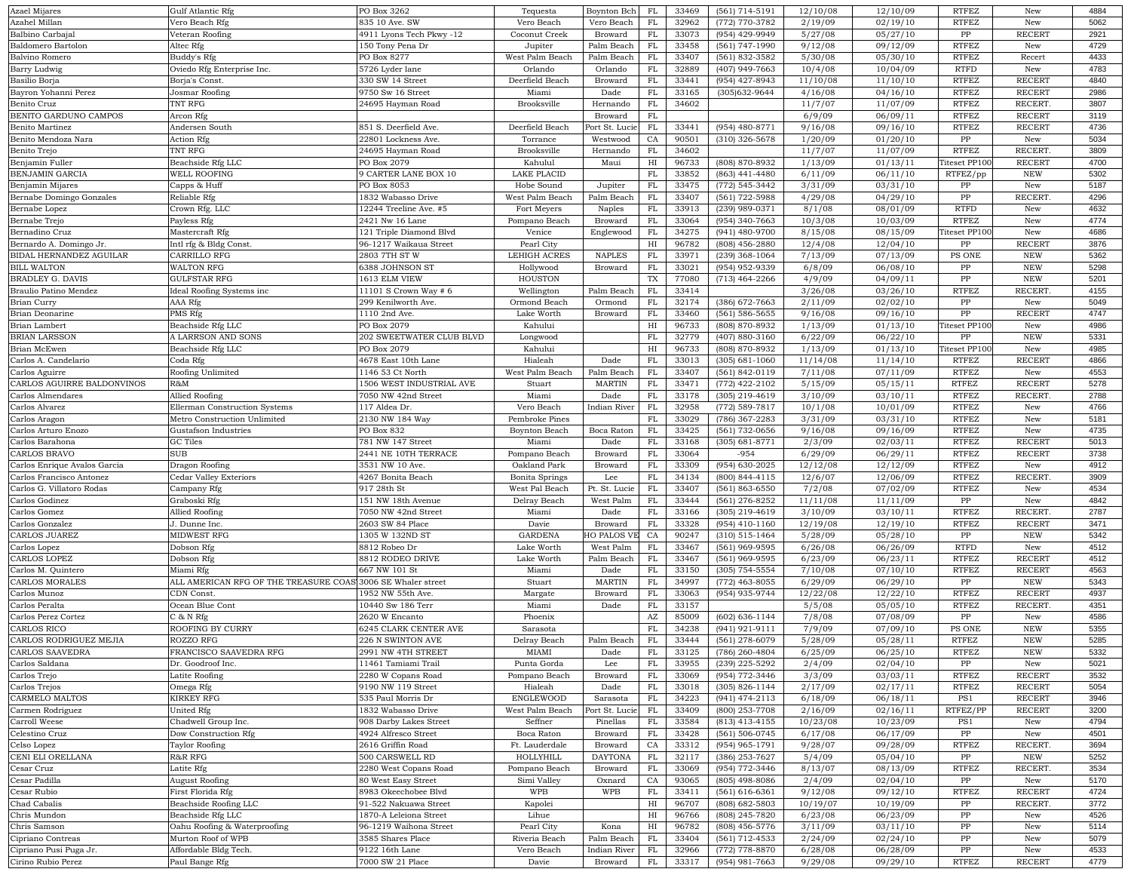| Azael Mijares                                | Gulf Atlantic Rfg                       | PO Box 3262                        | Tequesta            | Boynton Bch             | FL         | 33469          | (561) 714-5191                   | 12/10/08           | 12/10/09             | RTFEZ                               | New                  | 4884         |
|----------------------------------------------|-----------------------------------------|------------------------------------|---------------------|-------------------------|------------|----------------|----------------------------------|--------------------|----------------------|-------------------------------------|----------------------|--------------|
| Azahel Millan                                | Vero Beach Rfg                          | 835 10 Ave. SW                     | Vero Beach          | Vero Beach              | FL         | 32962          | (772) 770-3782                   | 2/19/09            | 02/19/10             | <b>RTFEZ</b>                        | New                  | 5062         |
| Balbino Carbajal                             | Veteran Roofing                         | 4911 Lyons Tech Pkwy -12           | Coconut Creek       | Broward                 | FL         | 33073          | (954) 429-9949                   | 5/27/08            | 05/27/10             | PP                                  | <b>RECERT</b>        | 2921         |
| Baldomero Bartolon                           | Altec Rfg                               | 150 Tony Pena Dr                   | Jupiter             | Palm Beach              | ${\rm FL}$ | 33458          | (561) 747-1990                   | 9/12/08            | 09/12/09             | <b>RTFEZ</b>                        | New                  | 4729         |
| Balvino Romero                               | Buddy's Rfg                             | PO Box 8277                        | West Palm Beach     | Palm Beach              | ${\rm FL}$ | 33407          | (561) 832-3582                   | 5/30/08            | 05/30/10             | <b>RTFEZ</b>                        | Recert               | 4433         |
| Barry Ludwig                                 | Oviedo Rfg Enterprise Inc.              | 5726 Lyder lane                    | Orlando             | Orlando                 | $\rm FL$   | 32889          | (407) 949-7663                   | 10/4/08            | 10/04/09             | <b>RTFD</b>                         | New                  | 4783         |
| Basilio Borja                                | Borja's Const.                          | 330 SW 14 Street                   | Deerfield Beach     | Broward                 | ${\rm FL}$ | 33441          | (954) 427-8943                   | 11/10/08           | 11/10/10             | <b>RTFEZ</b>                        | <b>RECERT</b>        | 4840         |
|                                              |                                         |                                    |                     |                         |            |                |                                  |                    |                      |                                     |                      |              |
| Bayron Yohanni Perez                         | Josmar Roofing                          | 9750 Sw 16 Street                  | Miami               | Dade                    | $\rm FL$   | 33165          | (305) 632-9644                   | 4/16/08            | 04/16/10             | <b>RTFEZ</b>                        | <b>RECERT</b>        | 2986         |
| Benito Cruz                                  | TNT RFG                                 | 24695 Hayman Road                  | Brooksville         | Hernando                | FL         | 34602          |                                  | 11/7/07            | 11/07/09             | <b>RTFEZ</b>                        | RECERT               | 3807         |
| BENITO GARDUNO CAMPOS                        | Arcon Rfg                               |                                    |                     | Broward                 | $\rm FL$   |                |                                  | 6/9/09             | 06/09/11             | <b>RTFEZ</b>                        | <b>RECERT</b>        | 3119         |
| Benito Martinez                              | Andersen South                          | 851 S. Deerfield Ave.              | Deerfield Beach     | Port St. Luci           | FL         | 33441          | (954) 480-8771                   | 9/16/08            | 09/16/10             | <b>RTFEZ</b>                        | <b>RECERT</b>        | 4736         |
| Benito Mendoza Nara                          | Action Rfg                              | 22801 Lockness Ave.                | Torrance            | Westwood                | CA         | 90501          | (310) 326-5678                   | 1/20/09            | 01/20/10             | PP                                  | New                  | 5034         |
| Benito Trejo                                 | TNT RFG                                 | 24695 Hayman Road                  | Brooksville         | Hernando                | $\rm FL$   | 34602          |                                  | 11/7/07            | 11/07/09             | <b>RTFEZ</b>                        | RECERT.              | 3809         |
| Benjamin Fuller                              | Beachside Rfg LLC                       | PO Box 2079                        | Kahulul             | Maui                    | HI         | 96733          | (808) 870-8932                   | 1/13/09            | 01/13/11             | Titeset PP10                        | <b>RECERT</b>        | 4700         |
|                                              |                                         |                                    |                     |                         |            |                |                                  |                    |                      |                                     |                      |              |
| <b>BENJAMIN GARCIA</b>                       | WELL ROOFING                            | <b>O CARTER LANE BOX 10</b>        | LAKE PLACID         |                         | $\rm FL$   | 33852          | (863) 441-4480                   | 6/11/09            | 06/11/10             | RTFEZ/pp                            | <b>NEW</b>           | 5302         |
| Benjamin Mijares                             | Capps & Huff                            | PO Box 8053                        | Hobe Sound          | Jupiter                 | FL         | 33475          | (772) 545-3442                   | 3/31/09            | 03/31/10             | PP                                  | New                  | 5187         |
| Bernabe Domingo Gonzales                     | Reliable Rfg                            | 1832 Wabasso Drive                 | West Palm Beach     | Palm Beach              | $\rm FL$   | 33407          | (561) 722-5988                   | 4/29/08            | 04/29/10             | PP                                  | <b>RECERT</b>        | 4296         |
| Bernabe Lopez                                | Crown Rfg. LLC                          | 12244 Treeline Ave. #5             | Fort Meyers         | Naples                  | $\rm FL$   | 33913          | (239) 989-0371                   | 8/1/08             | 08/01/09             | <b>RTFD</b>                         | New                  | 4632         |
| Bernabe Trejo                                | Payless Rfg                             | 2421 Nw 16 Lane                    | Pompano Beach       | Broward                 | FL         | 33064          | (954) 340-7663                   | 10/3/08            | 10/03/09             | <b>RTFEZ</b>                        | New                  | 4774         |
| Bernadino Cruz                               | Mastercraft Rfg                         | 121 Triple Diamond Blvd            | Venice              | Englewood               | FL         | 34275          | (941) 480-9700                   | 8/15/08            | 08/15/09             | Titeset PP10                        | New                  | 4686         |
| Bernardo A. Domingo Jr.                      | Intl rfg & Bldg Const.                  | 96-1217 Waikaua Street             | Pearl City          |                         | HI         | 96782          | (808) 456-2880                   | 12/4/08            | 12/04/10             | PP                                  | <b>RECERT</b>        | 3876         |
| BIDAL HERNANDEZ AGUILAR                      | CARRILLO RFG                            | 2803 7TH ST W                      | LEHIGH ACRES        | <b>NAPLES</b>           | FL         | 33971          | (239) 368-1064                   | 7/13/09            | 07/13/09             | PS ONE                              | <b>NEW</b>           | 5362         |
|                                              |                                         |                                    |                     |                         |            |                |                                  |                    |                      |                                     |                      |              |
| <b>BILL WALTON</b>                           | <b>WALTON RFG</b>                       | 6388 JOHNSON ST                    | Hollywood           | Broward                 | FL         | 33021          | (954) 952-9339                   | 6/8/09             | 06/08/10             | PP                                  | <b>NEW</b>           | 5298         |
| BRADLEY G. DAVIS                             | GULFSTAR RFG                            | 1613 ELM VIEW                      | <b>HOUSTON</b>      |                         | TX         | 77080          | (713) 464-2266                   | 4/9/09             | 04/09/11             | PP                                  | <b>NEW</b>           | 5201         |
| Braulio Patino Mendez                        | deal Roofing Systems inc                | 11101 S Crown Way # 6              | Wellington          | Palm Beach              | $\rm FL$   | 33414          |                                  | 3/26/08            | 03/26/10             | <b>RTFEZ</b>                        | <b>RECERT</b>        | 4155         |
| <b>Brian Curry</b>                           | AAA Rfg                                 | 299 Kenilworth Ave.                | Ormond Beach        | Ormond                  | $\rm FL$   | 32174          | (386) 672-7663                   | 2/11/09            | 02/02/10             | PP                                  | New                  | 5049         |
| Brian Deonarine                              | PMS Rfg                                 | 1110 2nd Ave.                      | Lake Worth          | Broward                 | $\rm FL$   | 33460          | (561) 586-5655                   | 9/16/08            | 09/16/10             | PP                                  | <b>RECERT</b>        | 4747         |
| Brian Lambert                                | Beachside Rfg LLC                       | PO Box 2079                        | Kahului             |                         | HI         | 96733          | (808) 870-8932                   | 1/13/09            | 01/13/10             | Titeset PP10                        | New                  | 4986         |
|                                              |                                         |                                    |                     |                         |            |                |                                  |                    |                      |                                     |                      |              |
| <b>BRIAN LARSSON</b>                         | A LARRSON AND SONS                      | 202 SWEETWATER CLUB BLVD           | Longwood            |                         | ${\rm FL}$ | 32779          | (407) 880-3160                   | 6/22/09            | 06/22/10             | PP                                  | <b>NEW</b>           | 5331         |
| Brian McEwen                                 | Beachside Rfg LLC                       | PO Box 2079                        | Kahului             |                         | HI         | 96733          | (808) 870-8932                   | 1/13/09            | 01/13/10             | Titeset PP1                         | New                  | 4985         |
| Carlos A. Candelario                         | Coda Rfg                                | 4678 East 10th Lane                | Hialeah             | Dade                    | FL         | 33013          | $(305) 681 - 1060$               | 11/14/08           | 11/14/10             | <b>RTFEZ</b>                        | <b>RECERT</b>        | 4866         |
| Carlos Aguirre                               | Roofing Unlimited                       | 1146 53 Ct North                   | West Palm Beach     | Palm Beach              | ${\rm FL}$ | 33407          | (561) 842-0119                   | 7/11/08            | 07/11/09             | <b>RTFEZ</b>                        | New                  | 4553         |
| CARLOS AGUIRRE BALDONVINOS                   | R&M                                     | 1506 WEST INDUSTRIAL AVE           | Stuart              | <b>MARTIN</b>           | FL         | 33471          | (772) 422-2102                   | 5/15/09            | 05/15/11             | <b>RTFEZ</b>                        | <b>RECERT</b>        | 5278         |
| Carlos Almendares                            | Allied Roofing                          | 7050 NW 42nd Street                | Miami               | Dade                    | FL         | 33178          | (305) 219-4619                   | 3/10/09            | 03/10/11             | <b>RTFEZ</b>                        | RECERT.              | 2788         |
| Carlos Alvarez                               |                                         | 117 Aldea Dr.                      | Vero Beach          | Indian River            | $\rm FL$   | 32958          | (772) 589-7817                   | 10/1/08            | 10/01/09             | <b>RTFEZ</b>                        | New                  | 4766         |
|                                              | Ellerman Construction Systems           |                                    |                     |                         |            |                |                                  |                    |                      |                                     |                      |              |
| Carlos Aragon                                | Metro Construction Unlimited            | 2130 NW 184 Way                    | Pembroke Pines      |                         | ${\rm FL}$ | 33029          | (786) 367-2283                   | 3/31/09            | 03/31/10             | <b>RTFEZ</b>                        | New                  | 5181         |
| Carlos Arturo Enozo                          | Gustafson Industries                    | PO Box 832                         | Boynton Beach       | Boca Raton              | FL         | 33425          | (561) 732-0656                   | 9/16/08            | 09/16/09             | <b>RTFEZ</b>                        | New                  | 4735         |
|                                              |                                         |                                    |                     |                         |            |                |                                  |                    |                      |                                     |                      |              |
| Carlos Barahona                              | GC Tiles                                | 781 NW 147 Street                  | Miami               | Dade                    | FL         | 33168          | (305) 681-8771                   | 2/3/09             | 02/03/11             | <b>RTFEZ</b>                        | <b>RECERT</b>        | 5013         |
| CARLOS BRAVO                                 | <b>SUB</b>                              | 2441 NE 10TH TERRACE               | Pompano Beach       | Broward                 | $\rm FL$   | 33064          | $-954$                           | 6/29/09            | 06/29/11             | <b>RTFEZ</b>                        | <b>RECERT</b>        | 3738         |
|                                              |                                         |                                    |                     |                         |            |                |                                  |                    |                      | <b>RTFEZ</b>                        |                      | 4912         |
| Carlos Enrique Avalos Garcia                 | Dragon Roofing                          | 3531 NW 10 Ave.                    | Oakland Park        | Broward                 | FL         | 33309          | (954) 630-2025                   | 12/12/08           | 12/12/09             |                                     | New                  |              |
| Carlos Francisco Antonez                     | Cedar Valley Exteriors                  | 4267 Bonita Beach                  | Bonita Springs      | Lee                     | FL         | 34134          | (800) 844-4115                   | 12/6/07            | 12/06/09             | <b>RTFEZ</b>                        | RECERT.              | 3909         |
| Carlos G. Villatoro Rodas                    | Campany Rfg                             | 917 28th St                        | West Pal Beach      | Pt. St. Lucie           | FL         | 33407          | (561) 863-6550                   | 7/2/08             | 07/02/09             | <b>RTFEZ</b>                        | New                  | 4534         |
| Carlos Godinez                               | Graboski Rfg                            | 151 NW 18th Avenue                 | Delray Beach        | West Palm               | ${\rm FL}$ | 33444          | (561) 276-8252                   | 11/11/08           | 11/11/09             | PP                                  | New                  | 4842         |
| Carlos Gomez                                 | Allied Roofing                          | 7050 NW 42nd Street                | Miami               | Dade                    | FL         | 33166          | (305) 219-4619                   | 3/10/09            | 03/10/11             | <b>RTFEZ</b>                        | RECERT               | 2787         |
| Carlos Gonzalez                              | J. Dunne Inc.                           | 2603 SW 84 Place                   | Davie               | Broward                 | FL         | 33328          | (954) 410-1160                   | 12/19/08           | 12/19/10             | <b>RTFEZ</b>                        | <b>RECERT</b>        | 3471         |
| CARLOS JUAREZ                                | MIDWEST RFG                             | 1305 W 132ND ST                    | <b>GARDENA</b>      | <b>IO PALOS VE</b>      | CA         | 90247          | $(310) 515 - 1464$               | 5/28/09            | 05/28/10             | PP                                  | <b>NEW</b>           | 5342         |
|                                              |                                         |                                    |                     |                         |            |                |                                  |                    |                      |                                     |                      |              |
| Carlos Lopez                                 | Dobson Rfg                              | 8812 Robeo Dr                      | Lake Worth          | West Palm               | $\rm FL$   | 33467          | (561) 969-9595                   | 6/26/08            | 06/26/09             | <b>RTFD</b>                         | New                  | 4512         |
| CARLOS LOPEZ                                 | Dobson Rfg                              | 8812 RODEO DRIVE                   | Lake Worth          | Palm Beach              | FL         | 33467          | (561) 969-9595                   | 6/23/09            | 06/23/11             | <b>RTFEZ</b>                        | <b>RECERT</b>        | 4512         |
| Carlos M. Quintero                           | Miami Rfg                               | 667 NW 101 St                      | Miami               | Dade                    | FL         | 33150          | (305) 754-5554                   | 7/10/08            | 07/10/10             | <b>RTFEZ</b>                        | <b>RECERT</b>        | 4563         |
| CARLOS MORALES                               | ALL AMERICAN RFG OF THE TREASURE COAS   | 3006 SE Whaler street              | Stuart              | <b>MARTIN</b>           | $\rm FL$   | 34997          | (772) 463-8055                   | 6/29/09            | 06/29/10             | PP                                  | <b>NEW</b>           | 5343         |
| Carlos Munoz                                 | CDN Const                               | 1952 NW 55th Ave.                  | Margate             | Broward                 | FL         | 33063          | (954) 935-9744                   | 12/22/08           | 12/22/10             | <b>RTFEZ</b>                        | <b>RECERT</b>        | 4937         |
| Carlos Peralta                               | Ocean Blue Cont                         | 10440 Sw 186 Terr                  | Miami               | Dade                    | FL         | 33157          |                                  | 5/5/08             | 05/05/10             | <b>RTFEZ</b>                        | <b>RECERT</b>        | 4351         |
| Carlos Perez Cortez                          | C & N Rfg                               | 2620 W Encanto                     | Phoenix             |                         | AZ         | 85009          | (602) 636-1144                   | 7/8/08             | 07/08/09             | PP                                  | New                  | 4586         |
| CARLOS RICO                                  | ROOFING BY CURRY                        | 6245 CLARK CENTER AVE              | Sarasota            |                         | <b>FL</b>  | 34238          | (941) 921-9111                   | 7/9/09             | 07/09/10             | PS ONE                              | <b>NEW</b>           | 5355         |
|                                              |                                         |                                    |                     |                         |            |                |                                  |                    |                      |                                     |                      |              |
| CARLOS RODRIGUEZ MEJIA                       | ROZZO RFG                               | 226 N SWINTON AVE                  | Delray Beach        | Palm Beach              | FL         | 33444          | (561) 278-6079                   | 5/28/09            | 05/28/11             | <b>RTFEZ</b>                        | <b>NEW</b>           | 5285         |
| CARLOS SAAVEDRA                              | FRANCISCO SAAVEDRA RFG                  | 2991 NW 4TH STREET                 | MIAMI               | Dade                    | FL.        | 33125          | (786) 260-4804                   | 6/25/09            | 06/25/10             | <b>KIFEZ</b>                        | <b>NEW</b>           | 5332         |
| Carlos Saldana                               | Dr. Goodroof Inc.                       | 11461 Tamiami Trail                | Punta Gorda         | Lee                     | ${\rm FL}$ | 33955          | (239) 225-5292                   | 2/4/09             | 02/04/10             | PP                                  | New                  | 5021         |
| Carlos Trejo                                 | Latite Roofing                          | 2280 W Copans Road                 | Pompano Beach       | Broward                 | ${\rm FL}$ | 33069          | (954) 772-3446                   | 3/3/09             | 03/03/11             | <b>RTFEZ</b>                        | <b>RECERT</b>        | 3532         |
| Carlos Trejos                                | Omega Rfg                               | 9190 NW 119 Street                 | Hialeah             | Dade                    | FL         | 33018          | (305) 826-1144                   | 2/17/09            | 02/17/11             | <b>RTFEZ</b>                        | <b>RECERT</b>        | 5054         |
| CARMELO MALTOS                               | KIRKEY RFG                              | 535 Paul Morris Dr                 | ENGLEWOOD           | Sarasota                | FL         | 34223          | (941) 474-2113                   | 6/18/09            | 06/18/11             | PS1                                 | <b>RECERT</b>        | 3946         |
| Carmen Rodriguez                             | United Rfg                              | 1832 Wabasso Drive                 | West Palm Beach     | ort St. Luci            | $\rm FL$   | 33409          | (800) 253-7708                   | 2/16/09            | 02/16/11             | RTFEZ/PP                            | <b>RECERT</b>        | 3200         |
| Carroll Weese                                |                                         | 908 Darby Lakes Street             | Seffner             | Pinellas                | FL         | 33584          |                                  |                    |                      |                                     | New                  | 4794         |
|                                              | Chadwell Group Inc.                     |                                    |                     |                         |            |                | (813) 413-4155                   | 10/23/08           | 10/23/09             | PS1                                 |                      |              |
| Celestino Cruz                               | Dow Construction Rfg                    | 4924 Alfresco Street               | Boca Raton          | Broward                 | FL         | 33428          | (561) 506-0745                   | 6/17/08            | 06/17/09             | PP                                  | New                  | 4501         |
| Celso Lopez                                  | Taylor Roofing                          | 2616 Griffin Road                  | Ft. Lauderdale      | Broward                 | CA         | 33312          | (954) 965-1791                   | 9/28/07            | 09/28/09             | <b>RTFEZ</b>                        | RECERT.              | 3694         |
| CENI ELI ORELLANA                            | R&R RFG                                 | 500 CARSWELL RD                    | HOLLYHILL           | <b>DAYTONA</b>          | FL         | 32117          | $(386)$ 253-7627                 | 5/4/09             | 05/04/10             | ${\rm PP}$                          | <b>NEW</b>           | 5252         |
| Cesar Cruz                                   | Latite Rfg                              | 2280 West Copans Road              | Pompano Beach       | Broward                 | FL         | 33069          | (954) 772-3446                   | 8/13/07            | 08/13/09             | <b>RTFEZ</b>                        | RECERT.              | 3534         |
| Cesar Padilla                                | August Roofing                          | 80 West Easy Street                | Simi Valley         | Oxnard                  | CA         | 93065          | (805) 498-8086                   | 2/4/09             | 02/04/10             | PP                                  | New                  | 5170         |
| Cesar Rubio                                  | First Florida Rfg                       | 8983 Okeechobee Blvd               | <b>WPB</b>          | WPB                     | FL         | 33411          | $(561) 616 - 6361$               | 9/12/08            | 09/12/10             | <b>RTFEZ</b>                        | <b>RECERT</b>        | 4724         |
|                                              |                                         |                                    |                     |                         |            |                |                                  |                    |                      |                                     |                      |              |
| Chad Cabalis                                 | Beachside Roofing LLC                   | 91-522 Nakuawa Street              | Kapolei             |                         | HI         | 96707          | (808) 682-5803                   | 10/19/07           | 10/19/09             | PP                                  | RECERT.              | 3772         |
| Chris Mundon                                 | Beachside Rfg LLC                       | 1870-A Leleiona Street             | Lihue               |                         | HI         | 96766          | (808) 245-7820                   | 6/23/08            | 06/23/09             | PP                                  | New                  | 4526         |
| Chris Samson                                 | Oahu Roofing & Waterproofing            | 96-1219 Waihona Street             | Pearl City          | Kona                    | HI         | 96782          | (808) 456-5776                   | 3/11/09            | 03/11/10             | PP                                  | New                  | 5114         |
| Cipriano Contreas                            | Murton Roof of WPB                      | 3585 Shares Place                  | Riveria Beach       | Palm Beach              | ${\rm FL}$ | 33404          | (561) 712-4533                   | 2/24/09            | 02/24/10             | ${\rm PP}$                          | New                  | 5079         |
| Cipriano Pusi Puga Jr.<br>Cirino Rubio Perez | Affordable Bldg Tech.<br>Paul Bange Rfg | 9122 16th Lane<br>7000 SW 21 Place | Vero Beach<br>Davie | Indian River<br>Broward | FL<br>FL   | 32966<br>33317 | (772) 778-8870<br>(954) 981-7663 | 6/28/08<br>9/29/08 | 06/28/09<br>09/29/10 | PP<br>$\ensuremath{\mathsf{RTFEZ}}$ | New<br><b>RECERT</b> | 4533<br>4779 |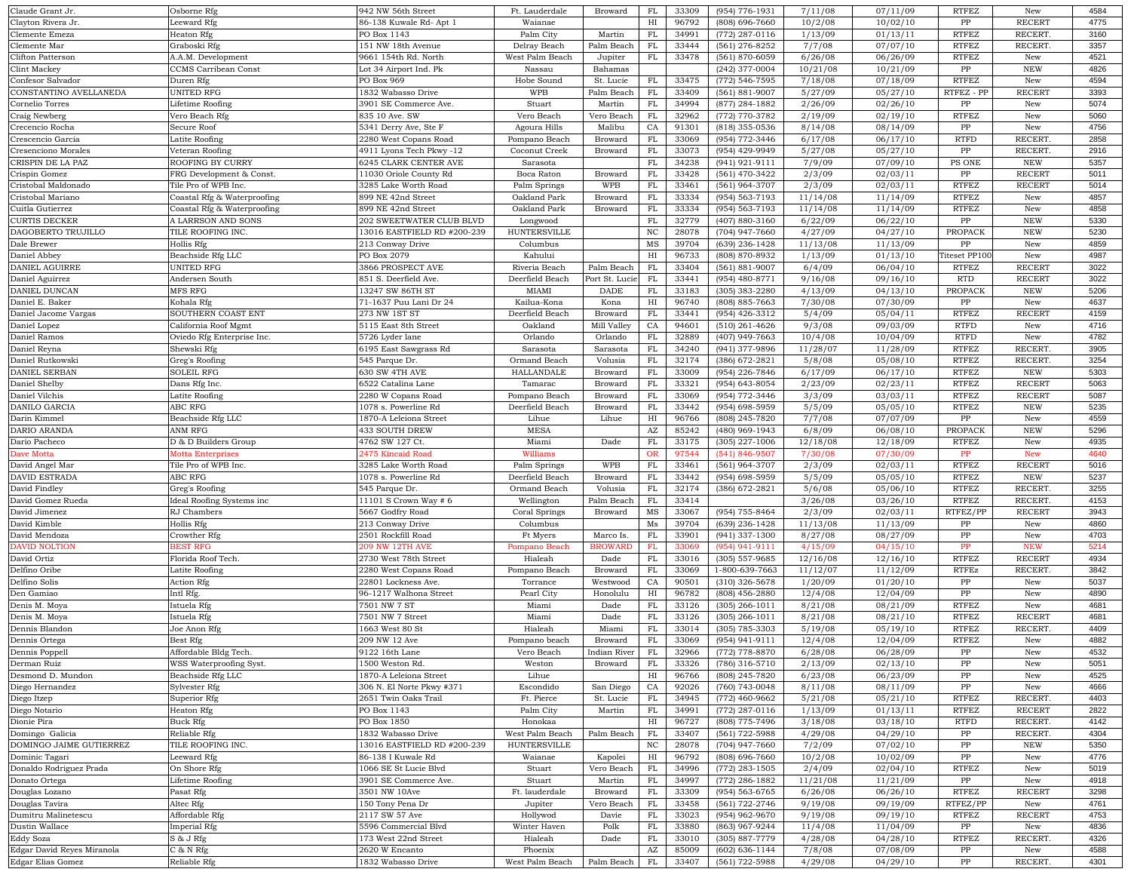| Claude Grant Jr.                                       | Osborne Rfg                 | 942 NW 56th Street                   | Ft. Lauderdale             | Broward        | FL                         | 33309          | (954) 776-1931                   | 7/11/08           | 07/11/09                      | <b>RTFEZ</b> | New            | 4584         |
|--------------------------------------------------------|-----------------------------|--------------------------------------|----------------------------|----------------|----------------------------|----------------|----------------------------------|-------------------|-------------------------------|--------------|----------------|--------------|
| Clayton Rivera Jr.                                     | Leeward Rfg                 | 86-138 Kuwale Rd- Apt 1              | Waianae                    |                | HI                         | 96792          | (808) 696-7660                   | 10/2/08           | 10/02/10                      | PP           | <b>RECERT</b>  | 4775         |
| Clemente Emeza                                         | Heaton Rfg                  | PO Box 1143                          | Palm City                  | Martin         | FL                         | 34991          | (772) 287-0116                   | 1/13/09           | 01/13/11                      | <b>RTFEZ</b> | RECERT.        | 3160         |
| Clemente Mar                                           | Graboski Rfg                | 151 NW 18th Avenue                   | Delray Beach               | Palm Beach     | FL                         | 33444          | (561) 276-8252                   | 7/7/08            | 07/07/10                      | <b>RTFEZ</b> | <b>RECERT</b>  | 3357         |
| Clifton Patterson                                      | A.A.M. Development          | 9661 154th Rd. North                 | West Palm Beach            | Jupiter        | FL                         | 33478          | (561) 870-6059                   | 6/26/08           | 06/26/09                      | <b>RTFEZ</b> | New            | 4521         |
| Clint Mackey                                           | <b>CCMS</b> Carribean Const | Lot 34 Airport Ind. Pk               | Nassau                     | Bahamas        |                            |                | (242) 377-0004                   | 10/21/08          | 10/21/09                      | PP           | <b>NEW</b>     | 4826         |
| Confesor Salvador                                      | Duren Rfg                   | PO Box 969                           | Hobe Sound                 | St. Lucie      | $\rm FL$                   | 33475          | (772) 546-7595                   | 7/18/08           | 07/18/09                      | <b>RTFEZ</b> | New            | 4594         |
| CONSTANTINO AVELLANEDA                                 | <b>UNITED RFG</b>           |                                      | <b>WPB</b>                 |                |                            | 33409          |                                  |                   |                               | RTFEZ - PF   | <b>RECERT</b>  | 3393         |
|                                                        |                             | 1832 Wabasso Drive                   |                            | Palm Beach     | ${\rm FL}$                 |                | (561) 881-9007                   | 5/27/09           | 05/27/10                      |              |                |              |
| Cornelio Torres                                        | Lifetime Roofing            | 3901 SE Commerce Ave.                | Stuart                     | Martin         | ${\rm FL}$                 | 34994          | (877) 284-1882                   | 2/26/09           | 02/26/10                      | PP           | New            | 5074         |
| Craig Newberg                                          | Vero Beach Rfg              | 835 10 Ave. SW                       | Vero Beach                 | Vero Beach     | $\rm FL$                   | 32962          | (772) 770-3782                   | 2/19/09           | 02/19/10                      | <b>RTFEZ</b> | New            | 5060         |
| Crecencio Rocha                                        | Secure Roof                 | 5341 Derry Ave, Ste F                | Agoura Hills               | Malibu         | CA                         | 91301          | (818) 355-0536                   | 8/14/08           | 08/14/09                      | ${\rm PP}$   | New            | 4756         |
| Crescencio Garcia                                      | Latite Roofing              | 2280 West Copans Road                | Pompano Beach              | Broward        | FL                         | 33069          | (954) 772-3446                   | 6/17/08           | 06/17/10                      | <b>RTFD</b>  | <b>RECERT</b>  | 2858         |
| Cresenciono Morales                                    | Veteran Roofing             | 4911 Lyons Tech Pkwy -12             | Coconut Creek              | Broward        | FL                         | 33073          | (954) 429-9949                   | 5/27/08           | 05/27/10                      | ${\rm PP}$   | RECERT.        | 2916         |
| CRISPIN DE LA PAZ                                      | ROOFING BY CURRY            | 6245 CLARK CENTER AVE                | Sarasota                   |                | FL                         | 34238          | (941) 921-9111                   | 7/9/09            | 07/09/10                      | PS ONE       | <b>NEW</b>     | 5357         |
| Crispin Gomez                                          | FRG Development & Const.    | 11030 Oriole County Rd               | Boca Raton                 | Broward        | ${\rm FL}$                 | 33428          | (561) 470-3422                   | 2/3/09            | 02/03/11                      | ${\rm PP}$   | <b>RECERT</b>  | 5011         |
| Cristobal Maldonado                                    | Tile Pro of WPB Inc.        | 3285 Lake Worth Road                 | Palm Springs               | <b>WPB</b>     | FL                         | 33461          | (561) 964-3707                   | 2/3/09            | 02/03/11                      | <b>RTFEZ</b> | <b>RECERT</b>  | 5014         |
| Cristobal Mariano                                      | Coastal Rfg & Waterproofing | 899 NE 42nd Street                   | Oakland Park               | Broward        | FL                         | 33334          | (954) 563-7193                   | 11/14/08          | 11/14/09                      | <b>RTFEZ</b> | New            | 4857         |
| Cuitla Gutierrez                                       | Coastal Rfg & Waterproofing | 899 NE 42nd Street                   | Oakland Park               | Broward        | ${\rm FL}$                 | 33334          | (954) 563-7193                   | 11/14/08          | 11/14/09                      | <b>RTFEZ</b> | New            | 4858         |
|                                                        |                             |                                      |                            |                |                            |                |                                  |                   |                               |              |                |              |
| <b>CURTIS DECKER</b>                                   | A LARRSON AND SONS          | 202 SWEETWATER CLUB BLVD             | Longwood                   |                | FL                         | 32779          | (407) 880-3160                   | 6/22/09           | 06/22/10                      | PP           | <b>NEW</b>     | 5330         |
| DAGOBERTO TRUJILLO                                     | TILE ROOFING INC            | 13016 EASTFIELD RD #200-239          | <b>HUNTERSVILLE</b>        |                | NC                         | 28078          | (704) 947-7660                   | 4/27/09           | $\sqrt{04}/27/10$             | PROPACK      | <b>NEW</b>     | 5230         |
| Dale Brewer                                            | Hollis Rfg                  | 213 Conway Drive                     | Columbus                   |                | $_{\rm MS}$                | 39704          | (639) 236-1428                   | 11/13/08          | 11/13/09                      | PP           | New            | 4859         |
| Daniel Abbey                                           | Beachside Rfg LLC           | PO Box 2079                          | Kahului                    |                | HI                         | 96733          | (808) 870-8932                   | 1/13/09           | 01/13/10                      | Titeset PP10 | New            | 4987         |
| DANIEL AGUIRRE                                         | UNITED RFG                  | 3866 PROSPECT AVE                    | Riveria Beach              | Palm Beach     | FL                         | 33404          | (561) 881-9007                   | 6/4/09            | 06/04/10                      | <b>RTFEZ</b> | <b>RECERT</b>  | 3022         |
| Daniel Aguirrez                                        | Andersen South              | 851 S. Deerfield Ave.                | Deerfield Beach            | Port St. Lucie | ${\rm FL}$                 | 33441          | (954) 480-8771                   | 9/16/08           | 09/16/10                      | <b>RTD</b>   | <b>RECERT</b>  | 3022         |
| DANIEL DUNCAN                                          | MFS RFG                     | 13247 SW 86TH ST                     | MIAMI                      | <b>DADE</b>    | $\mathop{\rm FL}\nolimits$ | 33183          | (305) 383-2280                   | 4/13/09           | 04/13/10                      | PROPACK      | <b>NEW</b>     | 5206         |
| Daniel E. Baker                                        | Kohala Rfg                  | 71-1637 Puu Lani Dr 24               | Kailua-Kona                | Kona           | $\mathop{\rm HI}\nolimits$ | 96740          | (808) 885-7663                   | 7/30/08           | 07/30/09                      | PP           | New            | 4637         |
| Daniel Jacome Vargas                                   | SOUTHERN COAST ENT          | 273 NW 1ST ST                        | Deerfield Beach            | Broward        | FL                         | 33441          | (954) 426-3312                   | 5/4/09            | 05/04/11                      | <b>RTFEZ</b> | <b>RECERT</b>  | 4159         |
| Daniel Lopez                                           | California Roof Mgmt        | 5115 East 8th Street                 | Oakland                    | Mill Valley    | CA                         | 94601          | (510) 261-4626                   | 9/3/08            | 09/03/09                      | <b>RTFD</b>  | New            | 4716         |
|                                                        |                             |                                      |                            |                |                            |                |                                  |                   |                               |              |                | 4782         |
| Daniel Ramos                                           | Oviedo Rfg Enterprise Inc.  | 5726 Lyder lane                      | Orlando                    | Orlando        | ${\rm FL}$                 | 32889          | (407) 949-7663                   | 10/4/08           | 10/04/09                      | <b>RTFD</b>  | New            |              |
| Daniel Reyna                                           | Shewski Rfg                 | 6195 East Sawgrass Rd                | Sarasota                   | Sarasota       | FL                         | 34240          | (941) 377-9896                   | 11/28/07          | 11/28/09                      | <b>RTFEZ</b> | RECERT.        | 3905         |
| Daniel Rutkowski                                       | Greg's Roofing              | 545 Parque Dr.                       | Ormand Beach               | Volusia        | FL                         | 32174          | (386) 672-2821                   | 5/8/08            | $\frac{0.5}{0.08}{10}$        | <b>RTFEZ</b> | RECERT.        | 3254         |
| DANIEL SERBAN                                          | <b>SOLEIL RFG</b>           | 630 SW 4TH AVE                       | HALLANDALE                 | Broward        | ${\rm FL}$                 | 33009          | (954) 226-7846                   | 6/17/09           | 06/17/10                      | <b>RTFEZ</b> | <b>NEW</b>     | 5303         |
| Daniel Shelby                                          | Dans Rfg Inc.               | 5522 Catalina Lane                   | Tamarac                    | Broward        | ${\rm FL}$                 | 33321          | (954) 643-8054                   | 2/23/09           | 02/23/11                      | <b>RTFEZ</b> | <b>RECERT</b>  | 5063         |
| Daniel Vilchis                                         | Latite Roofing              | 2280 W Copans Road                   | Pompano Beach              | Broward        | ${\rm FL}$                 | 33069          | (954) 772-3446                   | 3/3/09            | 03/03/11                      | <b>RTFEZ</b> | <b>RECERT</b>  | 5087         |
| DANILO GARCIA                                          | ABC RFG                     | 1078 s. Powerline Rd                 | Deerfield Beach            | Broward        | $\rm FL$                   | 33442          | (954) 698-5959                   | 5/5/09            | 05/05/10                      | <b>RTFEZ</b> | <b>NEW</b>     | 5235         |
| Darin Kimmel                                           | Beachside Rfg LLC           | 1870-A Leleiona Street               | Lihue                      | Lihue          | HI                         | 96766          | (808) 245-7820                   | 7/7/08            | 07/07/09                      | PP           | New            | 4559         |
| DARIO ARANDA                                           | <b>ANM RFG</b>              | 433 SOUTH DREW                       | <b>MESA</b>                |                | AZ                         | 85242          | (480) 969-1943                   | 6/8/09            | 06/08/10                      | PROPACK      | <b>NEW</b>     | 5296         |
| Dario Pacheco                                          | D & D Builders Group        | 4762 SW 127 Ct.                      | Miami                      | Dade           | ${\rm FL}$                 | 33175          | (305) 227-1006                   | 12/18/08          | 12/18/09                      | <b>RTFEZ</b> | New            | 4935         |
|                                                        |                             |                                      |                            |                |                            |                |                                  |                   |                               |              |                |              |
|                                                        |                             |                                      |                            |                |                            |                |                                  |                   |                               |              |                |              |
| Dave Motta                                             | <b>Motta Enterprises</b>    | 475 Kincaid Road                     | Williams                   |                | OR                         | 97544          | (541) 846-9507                   | 7/30/08           | 07/30/09                      | PP           | New            | 4640         |
| David Angel Mar                                        | Tile Pro of WPB Inc.        | 3285 Lake Worth Road                 | Palm Springs               | WPB            | FL                         | 33461          | (561) 964-3707                   | 2/3/09            | 02/03/11                      | <b>RTFEZ</b> | <b>RECERT</b>  | 5016         |
| DAVID ESTRADA                                          | ABC RFG                     | 1078 s. Powerline Rd                 | Deerfield Beach            | Broward        | ${\rm FL}$                 | 33442          | (954) 698-5959                   | 5/5/09            | $\frac{0.5}{0.5}$ / 0.5 / 1.0 | <b>RTFEZ</b> | <b>NEW</b>     | 5237         |
| David Findley                                          | Greg's Roofing              | 545 Parque Dr.                       | Ormand Beach               | Volusia        | $\rm FL$                   | 32174          | (386) 672-2821                   | 5/6/08            | 05/06/10                      | <b>RTFEZ</b> | RECERT.        | 3255         |
| David Gomez Rueda                                      | Ideal Roofing Systems inc   | 11101 S Crown Way # 6                | Wellington                 | Palm Beach     | ${\rm FL}$                 | 33414          |                                  | 3/26/08           | 03/26/10                      | <b>RTFEZ</b> | RECERT.        | 4153         |
| David Jimenez                                          | RJ Chambers                 | 5667 Godfry Road                     | Coral Springs              | Broward        | $_{\rm MS}$                | 33067          | (954) 755-8464                   | 2/3/09            | 02/03/11                      | RTFEZ/PP     | <b>RECERT</b>  | 3943         |
| David Kimble                                           | Hollis Rfg                  | 213 Conway Drive                     | Columbus                   |                | Ms                         | 39704          | (639) 236-1428                   | 11/13/08          | 11/13/09                      | PP           | New            | 4860         |
|                                                        |                             |                                      |                            |                |                            |                |                                  |                   |                               | PP           |                | 4703         |
| David Mendoza                                          | Crowther Rfg                | 2501 Rockfill Road                   | Ft Myers                   | Marco Is.      | $\rm FL$                   | 33901          | (941) 337-1300                   | 8/27/08           | 08/27/09                      |              | New            |              |
| <b>DAVID NOLTION</b>                                   | <b>EST RFG</b>              | 09 NW 12TH AVE                       | Pompano Beach              | <b>BROWAR</b>  | FL                         | 3306           | (954) 941-9111                   | 4/15/09           | 04/15/10                      | PP           | <b>NEW</b>     | 5214         |
| David Ortiz                                            | Florida Roof Tech.          | 2730 West 78th Street                | Hialeah                    | Dade           | ${\rm FL}$                 | 33016          | (305) 557-9685                   | 12/16/08          | 12/16/10                      | <b>RTFEZ</b> | <b>RECERT</b>  | 4934         |
| Delfino Oribe                                          | Latite Roofing              | 2280 West Copans Road                | Pompano Beach              | Broward        | FL                         | 33069          | 1-800-639-7663                   | 11/12/07          | 11/12/09                      | <b>RTFEz</b> | RECERT.        | 3842         |
| Delfino Solis                                          | <b>Action Rfg</b>           | 22801 Lockness Ave.                  | Torrance                   | Westwood       | CA                         | 90501          | (310) 326-5678                   | 1/20/09           | 01/20/10                      | PP           | New            | 5037         |
| Den Gamiao                                             | Intl Rfg.                   | 96-1217 Walhona Street               | Pearl City                 | Honolulu       | HI                         | 96782          | (808) 456-2880                   | 12/4/08           | $\frac{12}{12}$ /04/09        | ${\rm PP}$   | New            | 4890         |
| Denis M. Moya                                          | Istuela Rfg                 | 7501 NW 7 ST                         | Miami                      | Dade           | FL                         | 33126          | $(305)$ 266-1011                 | 8/21/08           | 08/21/09                      | <b>RTFEZ</b> | New            | 4681         |
| Denis M. Moya                                          | stuela Rfg                  | 7501 NW 7 Street                     | Miami                      | Dade           | $\rm FL$                   | 33126          | $(305)$ 266-1011                 | 8/21/08           | 08/21/10                      | <b>RTFEZ</b> | <b>RECERT</b>  | 4681         |
| Dennis Blandon                                         | Joe Anon Rfg                | 1663 West 80 St                      | Hialeah                    | Miami          | FL                         | 33014          | (305) 785-3303                   | 5/19/08           | 05/19/10                      | <b>RTFEZ</b> | <b>RECERT</b>  | 4409         |
| Dennis Ortega                                          | <b>Best Rfg</b>             | 209 NW 12 Ave                        | Pompano beach              | Broward        | $\rm FL$                   | 33069          | (954) 941-9111                   | 12/4/08           | 12/04/09                      | <b>RTFEZ</b> | New            | 4882         |
| Dennis Poppell                                         | Affordable Bldg Tech.       | 9122 16th Lane                       | Vero Beach                 | Indian River   | FL                         | 32966          | (772) 778-8870                   | 6/28/08           | 06/28/09                      | PP.          | New            | 4532         |
| Derman Ruiz                                            | WSS Waterproofing Syst.     | 1500 Weston Rd.                      | Weston                     | Broward        | FL                         | 33326          | (786) 316-5710                   | 2/13/09           | 02/13/10                      | PP           | New            | 5051         |
|                                                        |                             |                                      |                            |                |                            |                |                                  |                   |                               |              |                | 4525         |
| Desmond D. Mundon                                      | Beachside Rfg LLC           | 1870-A Leleiona Street               | Lihue                      |                | HI                         | 96766          | (808) 245-7820                   | 6/23/08           | 06/23/09                      | PP           | New            |              |
| Diego Hernandez                                        | Sylvester Rfg               | 306 N. El Norte Pkwy #371            | Escondido                  | San Diego      | CA                         | 92026          | (760) 743-0048                   | 8/11/08           | 08/11/09                      | PP           | New            | 4666         |
| Diego Itzep                                            | Superior Rfg                | 2651 Twin Oaks Trail                 | Ft. Pierce                 | St. Lucie      | FL                         | 34945          | (772) 460-9662                   | 5/21/08           | 05/21/10                      | <b>RTFEZ</b> | RECERT.        | 4403         |
| Diego Notario                                          | Heaton Rfg                  | PO Box 1143                          | Palm City                  | Martin         | FL                         | 34991          | (772) 287-0116                   | 1/13/09           | 01/13/11                      | <b>RTFEZ</b> | <b>RECERT</b>  | 2822         |
| Dionie Pira                                            | <b>Buck Rfg</b>             | PO Box 1850                          | Honokaa                    |                | HI                         | 96727          | (808) 775-7496                   | 3/18/08           | 03/18/10                      | <b>RTFD</b>  | <b>RECERT</b>  | 4142         |
| Domingo Galicia                                        | Reliable Rfg                | 1832 Wabasso Drive                   | West Palm Beach            | Palm Beach     | FL                         | 33407          | (561) 722-5988                   | 4/29/08           | 04/29/10                      | PP           | RECERT.        | 4304         |
| DOMINGO JAIME GUTIERREZ                                | TILE ROOFING INC.           | 13016 EASTFIELD RD #200-239          | HUNTERSVILLE               |                | $_{\mathrm{NC}}$           | 28078          | (704) 947-7660                   | 7/2/09            | 07/02/10                      | PP           | <b>NEW</b>     | 5350         |
| Dominic Tagari                                         | Leeward Rfg                 | 86-138 I Kuwale Rd                   | Waianae                    | Kapolei        | HI                         | 96792          | (808) 696-7660                   | 10/2/08           | 10/02/09                      | PP           | New            | 4776         |
| Donaldo Rodriguez Prada                                | On Shore Rfg                | 1066 SE St Lucie Blvd                | Stuart                     | Vero Beach     | ${\rm FL}$                 | 34996          | (772) 283-1505                   | 2/4/09            | 02/04/10                      | <b>RTFEZ</b> | New            | 5019         |
| Donato Ortega                                          | Lifetime Roofing            | 3901 SE Commerce Ave.                | Stuart                     | Martin         | FL                         | 34997          | (772) 286-1882                   | 11/21/08          | 11/21/09                      | PP           | New            | 4918         |
| Douglas Lozano                                         | Pasat Rfg                   | 3501 NW 10Ave                        | Ft. lauderdale             | Broward        | FL                         | 33309          | (954) 563-6765                   | 6/26/08           | 06/26/10                      | <b>RTFEZ</b> | <b>RECERT</b>  | 3298         |
| Douglas Tavira                                         | Altec Rfg                   | 150 Tony Pena Dr                     | Jupiter                    | Vero Beach     | $\rm FL$                   | 33458          | (561) 722-2746                   | 9/19/08           | 09/19/09                      | RTFEZ/PP     | New            | 4761         |
|                                                        |                             |                                      |                            |                |                            |                |                                  |                   |                               |              |                |              |
| Dumitru Malinetescu                                    | Affordable Rfg              | 2117 SW 57 Ave                       | Hollywod                   | Davie          | FL                         | 33023          | (954) 962-9670                   | 9/19/08           | 09/19/10                      | <b>RTFEZ</b> | <b>RECERT</b>  | 4753         |
| Dustin Wallace                                         | <b>Imperial Rfg</b>         | 5596 Commercial Blvd                 | Winter Haven               | Polk           | FL                         | 33880          | (863) 967-9244                   | 11/4/08           | 11/04/09                      | PP           | New            | 4836         |
| Eddy Soza                                              | S & J Rfg                   | 173 West 22nd Street                 | Hialeah                    | Dade           | FL                         | 33010          | (305) 887-7779                   | 4/28/08           | 04/28/10                      | <b>RTFEZ</b> | RECERT.        | 4326         |
| Edgar David Reyes Miranola<br><b>Edgar Elias Gomez</b> | C & N Rfg<br>Reliable Rfg   | 2620 W Encanto<br>1832 Wabasso Drive | Phoenix<br>West Palm Beach | Palm Beach     | AZ<br>${\rm FL}$           | 85009<br>33407 | (602) 636-1144<br>(561) 722-5988 | 7/8/08<br>4/29/08 | 07/08/09<br>04/29/10          | PP<br>PP     | New<br>RECERT. | 4588<br>4301 |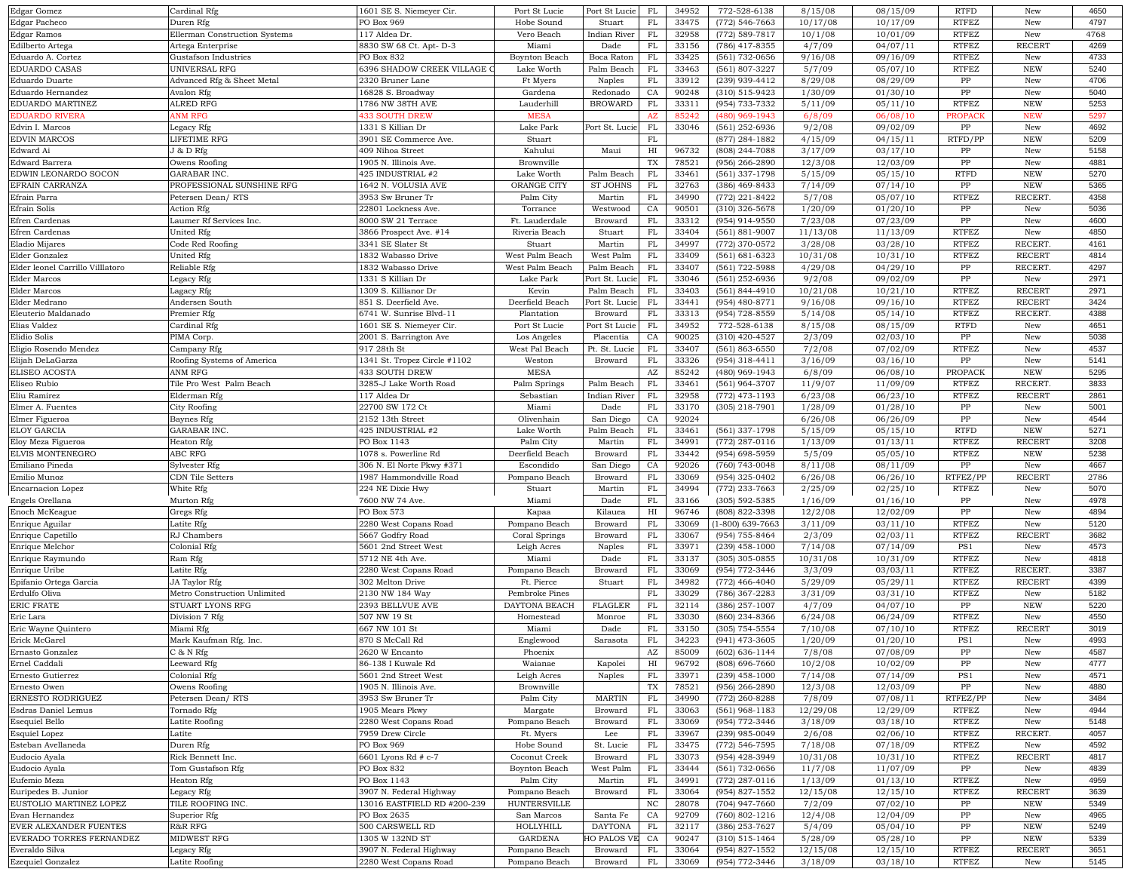|                                            | Cardinal Rfg                  | 1601 SE S. Niemeyer Cir.                   | Port St Lucie                | Port St Lucie                 | FL                         | 34952          | 772-528-6138                       | 8/15/08             | 08/15/09             | <b>RTFD</b>        | New                         | 4650         |
|--------------------------------------------|-------------------------------|--------------------------------------------|------------------------------|-------------------------------|----------------------------|----------------|------------------------------------|---------------------|----------------------|--------------------|-----------------------------|--------------|
| Edgar Pacheco                              | Duren Rfg                     | PO Box 969                                 | Hobe Sound                   | Stuart                        | FL                         | 33475          | (772) 546-7663                     | 10/17/08            | 10/17/09             | <b>RTFEZ</b>       | New                         | 4797         |
| Edgar Ramos                                | Ellerman Construction Systems | 117 Aldea Dr.                              | Vero Beach                   | <b>Indian River</b>           | FL                         | 32958          | (772) 589-7817                     | 10/1/08             | 10/01/09             | <b>RTFEZ</b>       | New                         | 4768         |
| Edilberto Artega                           | Artega Enterprise             | 8830 SW 68 Ct. Apt- D-3                    | Miami                        | Dade                          | $\rm FL$                   | 33156          | (786) 417-8355                     | 4/7/09              | 04/07/11             | <b>RTFEZ</b>       | <b>RECERT</b>               | 4269         |
| Eduardo A. Cortez                          | Gustafson Industries          | PO Box 832                                 | Boynton Beach                | Boca Raton                    | $\rm FL$                   | 33425          | (561) 732-0656                     | 9/16/08             | 09/16/09             | <b>RTFEZ</b>       | New                         | 4733         |
| <b>EDUARDO CASAS</b>                       | UNIVERSAL RFG                 | 6396 SHADOW CREEK VILLAGE                  | Lake Worth                   | Palm Beach                    | $\rm FL$                   | 33463          | (561) 807-3227                     | 5/7/09              | 05/07/10             | <b>RTFEZ</b>       | <b>NEW</b>                  | 5240         |
| Eduardo Duarte                             | Advanced Rfg & Sheet Metal    | 2320 Bruner Lane                           | Ft Myers                     | Naples                        | $\rm FL$                   | 33912          | (239) 939-4412                     | 8/29/08             | 08/29/09             | PP                 | New                         | 4706         |
| Eduardo Hernandez                          | Avalon Rfg                    | 16828 S. Broadway                          | Gardena                      | Redonado                      | CA                         | 90248          | (310) 515-9423                     | 1/30/09             | 01/30/10             | PP                 | New                         | 5040         |
| EDUARDO MARTINEZ                           | ALRED RFG                     | 1786 NW 38TH AVE                           | Lauderhill                   | <b>BROWARD</b>                | $\rm FL$                   | 33311          | (954) 733-7332                     | 5/11/09             | 05/11/10             | <b>RTFEZ</b>       | <b>NEW</b>                  | 5253         |
| <b>EDUARDO RIVERA</b>                      | <b>ANM RFG</b>                | 433 SOUTH DREW                             | <b>MESA</b>                  |                               | AZ                         | 85242          | (480) 969-1943                     | 6/8/09              | 06/08/10             | <b>PROPACE</b>     | <b>NEW</b>                  | 5297         |
| Edvin I. Marcos                            | Legacy Rfg                    | 1331 S Killian Dr                          | Lake Park                    | Port St. Lucie                | $\rm FL$                   | 33046          | (561) 252-6936                     | 9/2/08              | 09/02/09             | PP                 | New                         | 4692         |
| <b>EDVIN MARCOS</b>                        | LIFETIME RFG                  | 3901 SE Commerce Ave.                      | Stuart                       |                               | ${\rm FL}$                 |                | (877) 284-1882                     | 4/15/09             | 04/15/11             | RTFD/PP            | <b>NEW</b>                  | 5209         |
| Edward Ai                                  | J & D Rfg                     | 409 Nihoa Street                           | Kahului                      | Maui                          | HI                         | 96732          | (808) 244-7088                     | 3/17/09             | 03/17/10             | PP                 | New                         | 5158         |
| Edward Barrera                             | Owens Roofing                 | 1905 N. Illinois Ave.                      | Brownville                   |                               | TX                         | 78521          | (956) 266-2890                     | 12/3/08             | 12/03/09             | PP                 | New                         | 4881         |
| EDWIN LEONARDO SOCON                       | <b>GARABAR INC</b>            | 425 INDUSTRIAL #2                          | Lake Worth                   | Palm Beach                    | ${\rm FL}$                 | 33461          | (561) 337-1798                     | 5/15/09             | 05/15/10             | <b>RTFD</b>        | <b>NEW</b>                  | 5270         |
| EFRAIN CARRANZA                            | PROFESSIONAL SUNSHINE RFG     | 1642 N. VOLUSIA AVE                        | ORANGE CITY                  | <b>ST JOHNS</b>               | $\rm FL$                   | 32763          | (386) 469-8433                     | 7/14/09             | 07/14/10             | PP                 | <b>NEW</b>                  | 5365         |
| Efrain Parra                               | Petersen Dean/RTS             | 3953 Sw Bruner Tr                          | Palm City                    | Martin                        | FL                         | 34990          | (772) 221-8422                     | 5/7/08              | 05/07/10             | <b>RTFEZ</b>       | <b>RECERT</b>               | 4358         |
| Efrain Solis                               | <b>Action Rfg</b>             | 22801 Lockness Ave.                        | Torrance                     | Westwood                      | CA                         | 90501          | $(310)$ 326-5678                   | 1/20/09             | 01/20/10             | PP                 | New                         | 5036         |
| Efren Cardenas                             | aumer Rf Services Inc.        | 8000 SW 21 Terrace                         | Ft. Lauderdale               | Broward                       | ${\rm FL}$                 | 33312          | (954) 914-9550                     | 7/23/08             | 07/23/09             | ${\rm PP}$         | New                         | 4600         |
| Efren Cardenas                             | United Rfg                    | 3866 Prospect Ave. #14                     | Riveria Beach                | Stuart                        | FL                         | 33404          | (561) 881-9007                     | 11/13/08            | 11/13/09             | <b>RTFEZ</b>       | New                         | 4850         |
| Eladio Mijares                             | Code Red Roofing              | 3341 SE Slater St                          | Stuart                       | Martin                        | $\rm FL$                   | 34997          | (772) 370-0572                     | 3/28/08             | 03/28/10             | <b>RTFEZ</b>       | RECERT.                     | 4161         |
| Elder Gonzalez                             | United Rfg                    | 1832 Wabasso Drive                         | West Palm Beach              | West Palm                     | ${\rm FL}$                 | 33409          | (561) 681-6323                     | 10/31/08            | 10/31/10             | <b>RTFEZ</b>       | <b>RECERT</b>               | 4814         |
| Elder leonel Carrillo Villlatoro           | Reliable Rfg                  | 1832 Wabasso Drive                         | West Palm Beach              | Palm Beach                    | $\rm FL$                   | 33407          | (561) 722-5988                     | 4/29/08             | 04/29/10             | PP                 | <b>RECERT</b>               | 4297         |
| Elder Marcos                               | Legacy Rfg                    | 1331 S Killian Dr                          | Lake Park                    | Port St. Lucie                | $\rm FL$                   | 33046          | (561) 252-6936                     | 9/2/08              | 09/02/09             | PP                 | New                         | 2971         |
| Elder Marcos                               | Lagacy Rfg                    | 1309 S. Killianor Dr                       | Kevin                        | Palm Beach                    | $\rm FL$                   | 33403          | (561) 844-4910                     | 10/21/08            | 10/21/10             | <b>RTFEZ</b>       | <b>RECERT</b>               | 2971         |
| Elder Medrano                              | Andersen South                | 851 S. Deerfield Ave.                      | Deerfield Beach              | Port St. Lucie                | ${\rm FL}$                 | 33441          | (954) 480-8771                     | 9/16/08             | 09/16/10             | <b>RTFEZ</b>       | <b>RECERT</b>               | 3424         |
| Eleuterio Maldanado                        | Premier Rfg                   | 6741 W. Sunrise Blvd-11                    | Plantation                   | Broward                       | $\rm FL$                   | 33313          | (954) 728-8559                     | 5/14/08             | 05/14/10             | <b>RTFEZ</b>       | <b>RECERT</b>               | 4388         |
| Elias Valdez                               | Cardinal Rfg                  | 1601 SE S. Niemeyer Cir.                   | Port St Lucie                | Port St Lucie                 | $\rm FL$                   | 34952          | 772-528-6138                       | 8/15/08             | 08/15/09             | <b>RTFD</b>        | New                         | 4651         |
| Elidio Solis                               | PIMA Corp.                    | 2001 S. Barrington Ave                     | Los Angeles                  | Placentia                     | CA                         | 90025          | (310) 420-4527                     | 2/3/09              | 02/03/10             | PP                 | New                         | 5038         |
| Eligio Rosendo Mendez                      | Campany Rfg                   | 917 28th St                                | West Pal Beach               | Pt. St. Lucie                 | ${\rm FL}$                 | 33407          | (561) 863-6550                     | 7/2/08              | 07/02/09             | <b>RTFEZ</b>       | New                         | 4537         |
| Elijah DeLaGarza                           | Roofing Systems of America    | 1341 St. Tropez Circle #1102               | Weston                       | Broward                       | FL                         | 33326          | (954) 318-4411                     | 3/16/09             | 03/16/10             | PP                 | New                         | 5141         |
| ELISEO ACOSTA                              | ANM RFG                       | 433 SOUTH DREW                             | <b>MESA</b>                  |                               | $\mathbf{A}\mathbf{Z}$     | 85242          | (480) 969-1943                     | 6/8/09              | 06/08/10             | PROPACK            | <b>NEW</b>                  | 5295         |
| Eliseo Rubio                               | Tile Pro West Palm Beach      | 3285-J Lake Worth Road                     | Palm Springs                 | Palm Beach                    | $\rm FL$                   | 33461          | (561) 964-3707                     | 11/9/07             | 11/09/09             | <b>RTFEZ</b>       | <b>RECERT</b>               | 3833         |
| Eliu Ramirez                               | Elderman Rfg<br>City Roofing  | 117 Aldea Dr                               | Sebastian<br>Miami           | Indian River                  | $\rm FL$<br>$\rm FL$       | 32958<br>33170 | (772) 473-1193                     | 6/23/08             | 06/23/10<br>01/28/10 | <b>RTFEZ</b><br>PP | <b>RECERT</b>               | 2861<br>5001 |
| Elmer A. Fuentes<br>Elmer Figueroa         | Baynes Rfg                    | 22700 SW 172 Ct<br>$2152$ 13th Street      | Olivenhain                   | Dade<br>San Diego             | CA                         | 92024          | (305) 218-7901                     | 1/28/09<br>6/26/08  | 06/26/09             | PP                 | New<br>New                  | 4544         |
| ELOY GARCIA                                | <b>GARABAR INC</b>            | 425 INDUSTRIAL #2                          | Lake Worth                   | Palm Beach                    | ${\rm FL}$                 | 33461          | (561) 337-1798                     | 5/15/09             | 05/15/10             | <b>RTFD</b>        | <b>NEW</b>                  | 5271         |
| Eloy Meza Figueroa                         | Heaton Rfg                    | PO Box 1143                                | Palm City                    | Martin                        | $\rm FL$                   | 34991          | (772) 287-0116                     | 1/13/09             | 01/13/11             | <b>RTFEZ</b>       | <b>RECERT</b>               | 3208         |
| ELVIS MONTENEGRO                           | ABC RFG                       | 1078 s. Powerline Rd                       | Deerfield Beach              | Broward                       | $\rm FL$                   | 33442          | (954) 698-5959                     | 5/5/09              | 05/05/10             | <b>RTFEZ</b>       | <b>NEW</b>                  | 5238         |
| Emiliano Pineda                            | Sylvester Rfg                 | 306 N. El Norte Pkwy #371                  | Escondido                    | San Diego                     | CA                         | 92026          | (760) 743-0048                     | 8/11/08             | 08/11/09             | PP                 | New                         | 4667         |
| Emilio Munoz                               | <b>CDN</b> Tile Setters       | 1987 Hammondville Road                     | Pompano Beach                | Broward                       | $\rm FL$                   | 33069          | (954) 325-0402                     | 6/26/08             | 06/26/10             | RTFEZ/PF           | <b>RECERT</b>               | 2786         |
| Encarnacion Lopez                          | White Rfg                     | 224 NE Dixie Hwy                           | Stuart                       | Martin                        | FL                         | 34994          | (772) 233-7663                     | 2/25/09             | 02/25/10             | <b>RTFEZ</b>       | New                         | 5070         |
| Engels Orellana                            | Murton Rfg                    | 7600 NW 74 Ave.                            | Miami                        | Dade                          | $\rm FL$                   | 33166          | (305) 592-5385                     | 1/16/09             | 01/16/10             | PP                 | New                         | 4978         |
| Enoch McKeague                             | Gregs Rfg                     | PO Box 573                                 | Kapaa                        | Kilauea                       | HI                         | 96746          | (808) 822-3398                     | 12/2/08             | 12/02/09             | ${\rm PP}$         | New                         | 4894         |
| Enrique Aguilar                            | Latite Rfg                    | 2280 West Copans Road                      | Pompano Beach                | Broward                       | FL                         | 33069          | (1-800) 639-7663                   | 3/11/09             | 03/11/10             |                    |                             |              |
| Enrique Capetillo                          | RJ Chambers                   | 5667 Godfry Road                           |                              |                               |                            |                |                                    |                     |                      | <b>RTFEZ</b>       | New                         | 5120         |
|                                            |                               |                                            |                              | Broward                       | $\rm FL$                   |                | (954) 755-8464                     | 2/3/09              | 02/03/11             | <b>RTFEZ</b>       | <b>RECERT</b>               | 3682         |
| Enrique Melchor                            | Colonial Rfg                  | 5601 2nd Street West                       | Coral Springs<br>Leigh Acres | Naples                        | ${\rm FL}$                 | 33067<br>33971 | $(239)$ 458-1000                   | 7/14/08             | 07/14/09             | PS1                | New                         | 4573         |
| Enrique Raymundo                           | Ram Rfg                       | 5712 NE 4th Ave.                           | Miami                        | Dade                          | $\rm FL$                   | 33137          | (305) 305-0855                     | 10/31/08            | 10/31/09             | <b>RTFEZ</b>       | New                         | 4818         |
| Enrique Uribe                              | Latite Rfg                    | 2280 West Copans Road                      | Pompano Beach                | Broward                       | $\rm FL$                   | 33069          | (954) 772-3446                     | 3/3/09              | 03/03/11             | <b>RTFEZ</b>       | RECERT.                     | 3387         |
| Epifanio Ortega Garcia                     | JA Taylor Rfg                 | 302 Melton Drive                           | Ft. Pierce                   | Stuart                        | $\rm FL$                   | 34982          | (772) 466-4040                     | 5/29/09             | 05/29/11             | <b>RTFEZ</b>       | <b>RECERT</b>               | 4399         |
| Erdulfo Oliva                              | Metro Construction Unlimited  | 2130 NW 184 Way                            | Pembroke Pines               |                               | $\rm FL$                   | 33029          | (786) 367-2283                     | 3/31/09             | 03/31/10             | <b>RTFEZ</b>       | New                         | 5182         |
| <b>ERIC FRATE</b>                          | STUART LYONS RFG              | 2393 BELLVUE AVE                           | DAYTONA BEACH                | FLAGLER                       | $\rm FL$                   | 32114          | (386) 257-1007                     | 4/7/09              | 04/07/10             | PP                 | <b>NEW</b>                  | 5220         |
| Eric Lara                                  | Division 7 Rfg                | 507 NW 19 St                               | Homestead                    | Monroe                        | $\rm FL$                   | 33030          | (860) 234-8366                     | 6/24/08             | 06/24/09             | <b>RTFEZ</b>       | New                         | 4550         |
| Eric Wayne Quintero                        | Miami Rfg                     | 667 NW 101 St                              | Miami                        | Dade                          | $\rm FL$                   | 33150          | (305) 754-5554                     | 7/10/08             | 07/10/10             | <b>RTFEZ</b>       | <b>RECERT</b>               | 3019         |
| Erick McGarel                              | Mark Kaufman Rfg. Inc.        | 870 S McCall Rd                            | Englewood                    | Sarasota                      | $\rm FL$                   | 34223          | (941) 473-3605                     | 1/20/09             | 01/20/10             | PS1                | New                         | 4993         |
| Ernasto Gonzalez                           | C & N Rfg                     | 2620 W Encanto                             | Phoenix                      |                               | AZ                         | 85009          | $(602) 636 - 1144$                 | 7/8/08              | 07/08/09             | PP                 | New                         | 4587         |
| Ernel Caddali                              | Leeward Rfg                   | 86-138 I Kuwale Rd                         | Waianae                      | Kapolei                       | HI                         | 96792          | (808) 696-7660                     | 10/2/08             | 10/02/09             | PP                 | New                         | 4777         |
| Ernesto Gutierrez                          | Colonial Rfg                  | 5601 2nd Street West                       | Leigh Acres                  | Naples                        | $\rm FL$                   | 33971          | $(239)$ 458-1000                   | 7/14/08             | 07/14/09             | PS1                | New                         | 4571         |
| Ernesto Owen                               | Owens Roofing                 | 1905 N. Illinois Ave.                      | Brownville                   |                               | TX                         | 78521          | (956) 266-2890                     | 12/3/08             | 12/03/09             | PP                 | New                         | 4880         |
| ERNESTO RODRIGUEZ                          | Petersen Dean/RTS             | 3953 Sw Bruner Tr                          | Palm City                    | <b>MARTIN</b>                 | ${\rm FL}$                 | 34990          | (772) 260-8288                     | 7/8/09              | 07/08/11             | RTFEZ/PP           | New                         | 3484         |
| Esdras Daniel Lemus                        | Tornado Rfg                   | 1905 Mears Pkwy                            | Margate                      | Broward                       | $\mathop{\rm FL}\nolimits$ | 33063          | $(561)$ 968-1183                   | 12/29/08            | 12/29/09             | <b>RTFEZ</b>       | New                         | 4944         |
| Esequiel Bello                             | Latite Roofing                | 2280 West Copans Road                      | Pompano Beach                | Broward                       | $\rm FL$                   | 33069          | (954) 772-3446                     | 3/18/09             | 03/18/10             | <b>RTFEZ</b>       | New                         | 5148         |
| Esquiel Lopez                              | Latite                        | 7959 Drew Circle                           | Ft. Myers                    | Lee                           | $\rm FL$                   | 33967          | (239) 985-0049                     | 2/6/08              | 02/06/10             | <b>RTFEZ</b>       | <b>RECERT</b>               | 4057         |
| Esteban Avellaneda                         | Duren Rfg                     | PO Box 969                                 | Hobe Sound                   | St. Lucie                     | $\rm FL$                   | 33475          | (772) 546-7595                     | 7/18/08             | 07/18/09             | <b>RTFEZ</b>       | New                         | 4592         |
| Eudocio Ayala                              | Rick Bennett Inc.             | 6601 Lyons Rd # c-7                        | Coconut Creek                | Broward                       | $\mathop{\rm FL}\nolimits$ | 33073          | (954) 428-3949                     | 10/31/08            | 10/31/10             | <b>RTFEZ</b>       | <b>RECERT</b>               | 4817         |
| Eudocio Ayala                              | Tom Gustafson Rfg             | PO Box 832                                 | Boynton Beach                | West Palm                     | $\rm FL$                   | 33444          | (561) 732-0656                     | 11/7/08             | 11/07/09             | PP                 | New                         | 4839         |
| Eufemio Meza                               | Heaton Rfg                    | PO Box 1143                                | Palm City                    | Martin                        | $\mathop{\rm FL}\nolimits$ | 34991          | (772) 287-0116                     | 1/13/09             | 01/13/10             | <b>RTFEZ</b>       | New                         | 4959         |
| Euripedes B. Junior                        | Legacy Rfg                    | 3907 N. Federal Highway                    | Pompano Beach                | Broward                       | $\rm FL$                   | 33064          | (954) 827-1552                     | 12/15/08            | 12/15/10             | <b>RTFEZ</b>       | <b>RECERT</b>               | 3639         |
| EUSTOLIO MARTINEZ LOPEZ                    | TILE ROOFING INC.             | 13016 EASTFIELD RD #200-239                | <b>HUNTERSVILLE</b>          |                               | NC                         | 28078          | (704) 947-7660                     | 7/2/09              | 07/02/10             | ${\rm PP}$         | <b>NEW</b>                  | 5349         |
| Evan Hernandez                             | Superior Rfg                  | PO Box 2635                                | San Marcos                   | Santa Fe                      | CA                         | 92709          | (760) 802-1216                     | 12/4/08             | 12/04/09             | PP                 | New                         | 4965         |
| EVER ALEXANDER FUENTES                     | R&R RFG<br>MIDWEST RFG        | 500 CARSWELL RD                            | HOLLYHILL<br><b>GARDENA</b>  | <b>DAYTONA</b>                | $\mathop{\rm FL}\nolimits$ | 32117          | (386) 253-7627                     | 5/4/09              | 05/04/10             | PP                 | <b>NEW</b>                  | 5249         |
| EVERADO TORRES FERNANDEZ<br>Everaldo Silva | Legacy Rfg                    | 1305 W 132ND ST<br>3907 N. Federal Highway | Pompano Beach                | <b>TO PALOS VE</b><br>Broward | CA<br>$\rm FL$             | 90247<br>33064 | $(310)$ 515-1464<br>(954) 827-1552 | 5/28/09<br>12/15/08 | 05/28/10<br>12/15/10 | PP<br><b>RTFEZ</b> | <b>NEW</b><br><b>RECERT</b> | 5339<br>3651 |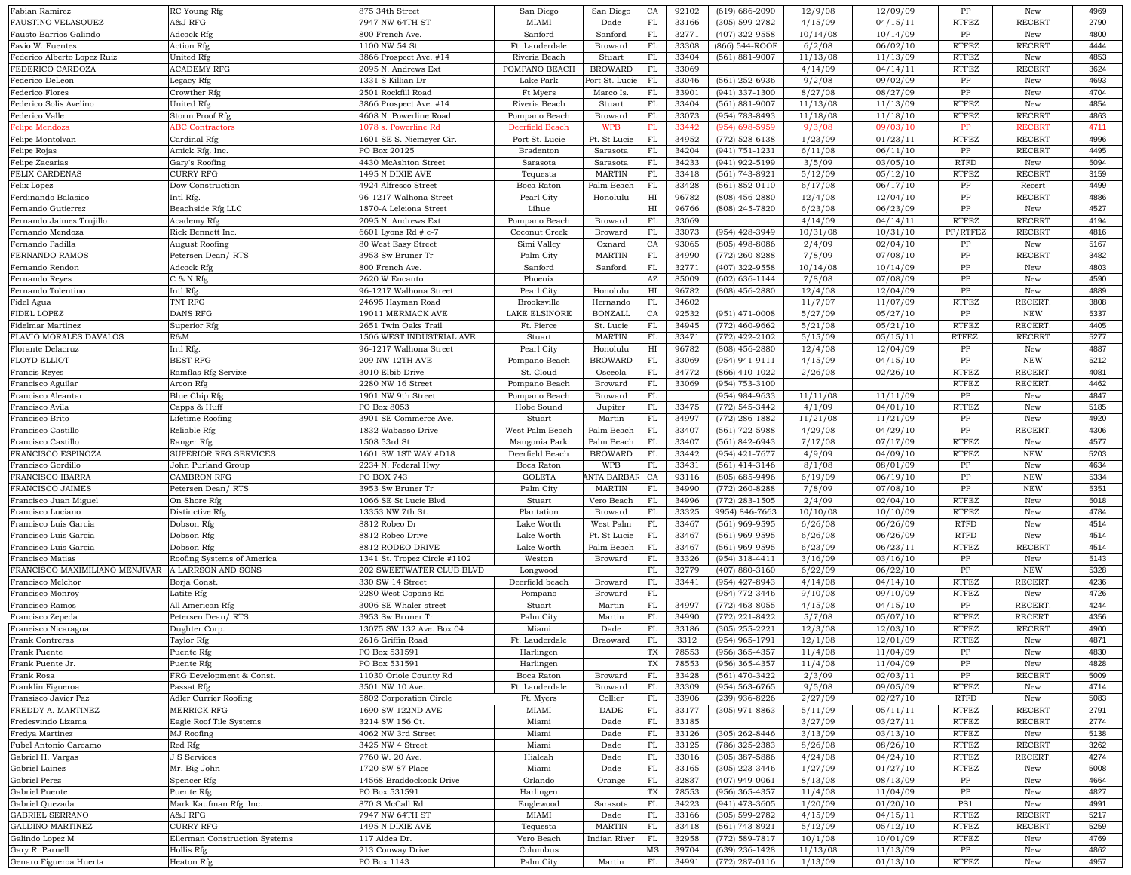| Fabian Ramirez                       | RC Young Rfg                  | 875 34th Street              | San Diego              | San Diego         | CA                         | 92102 | $(619) 686 - 2090$ | 12/9/08                      | 12/09/09 | PP           | New           | 4969 |
|--------------------------------------|-------------------------------|------------------------------|------------------------|-------------------|----------------------------|-------|--------------------|------------------------------|----------|--------------|---------------|------|
| FAUSTINO VELASQUEZ                   | A&J RFG                       | 7947 NW 64TH ST              | MIAMI                  | Dade              | FL                         | 33166 | (305) 599-2782     | 4/15/09                      | 04/15/11 | <b>RTFEZ</b> | <b>RECERT</b> | 2790 |
| austo Barrios Galindo                | Adcock Rfg                    | 800 French Ave.              | Sanford                | Sanford           | ${\rm FL}$                 | 32771 | (407) 322-9558     | 10/14/08                     | 10/14/09 | PP           | New           | 4800 |
| avio W. Fuentes                      | Action Rfg                    | 1100 NW 54 St                | Ft. Lauderdale         | Broward           | FL                         | 33308 | (866) 544-ROOF     | 6/2/08                       | 06/02/10 | <b>RTFEZ</b> | <b>RECERT</b> | 4444 |
| Federico Alberto Lopez Ruiz          | United Rfg                    | 3866 Prospect Ave. #14       | Riveria Beach          | Stuart            | $\rm FL$                   | 33404 | (561) 881-9007     | $\frac{1}{11}/\frac{13}{08}$ | 11/13/09 | <b>RTFEZ</b> | New           | 4853 |
|                                      |                               |                              |                        | <b>BROWARD</b>    |                            |       |                    |                              |          |              | <b>RECERT</b> | 3624 |
| FEDERICO CARDOZA                     | <b>ACADEMY RFG</b>            | 2095 N. Andrews Ext          | POMPANO BEACH          |                   | FL                         | 33069 |                    | 4/14/09                      | 04/14/11 | <b>RTFEZ</b> |               |      |
| Federico DeLeon                      | Legacy Rfg                    | 1331 S Killian Dr            | Lake Park              | Port St. Lucie    | $\rm FL$                   | 33046 | (561) 252-6936     | 9/2/08                       | 09/02/09 | ${\rm PP}$   | New           | 4693 |
| ederico Flores                       | Crowther Rfg                  | 2501 Rockfill Road           | Ft Myers               | Marco Is.         | $\rm FL$                   | 33901 | (941) 337-1300     | 8/27/08                      | 08/27/09 | ${\rm PP}$   | New           | 4704 |
| Federico Solis Avelino               | United Rfg                    | 3866 Prospect Ave. #14       | Riveria Beach          | Stuart            | $\rm FL$                   | 33404 | (561) 881-9007     | 11/13/08                     | 11/13/09 | <b>RTFEZ</b> | New           | 4854 |
| Federico Valle                       | Storm Proof Rfg               | 4608 N. Powerline Road       | Pompano Beach          | Broward           | $\rm FL$                   | 33073 | (954) 783-8493     | 11/18/08                     | 11/18/10 | <b>RTFEZ</b> | <b>RECERT</b> | 4863 |
| elipe Mendoza                        | <b>ABC</b> Contractors        | 078 s. Powerline Rd          | <b>Deerfield Beach</b> | <b>WPB</b>        | FL                         | 33442 | (954) 698-5959     | 9/3/08                       | 09/03/10 | PP           | <b>RECER</b>  | 4711 |
| Felipe Montolvan                     | Cardinal Rfg                  | 1601 SE S. Niemeyer Cir      | Port St. Lucie         | Pt. St Lucie      | $\rm FL$                   | 34952 | (772) 528-6138     | 1/23/09                      | 01/23/11 | <b>RTFEZ</b> | <b>RECERT</b> | 4996 |
|                                      |                               |                              | Bradenton              |                   |                            |       |                    |                              |          |              |               |      |
| Felipe Rojas                         | Amick Rfg. Inc.               | PO Box 20125                 |                        | Sarasota          | FL                         | 34204 | (941) 751-1231     | 6/11/08                      | 06/11/10 | PP           | <b>RECERT</b> | 4495 |
| Felipe Zacarias                      | Gary's Roofing                | 4430 McAshton Street         | Sarasota               | Sarasota          | $\rm FL$                   | 34233 | (941) 922-5199     | 3/5/09                       | 03/05/10 | <b>RTFD</b>  | New           | 5094 |
| FELIX CARDENAS                       | <b>CURRY RFG</b>              | 1495 N DIXIE AVE             | Tequesta               | <b>MARTIN</b>     | ${\rm FL}$                 | 33418 | (561) 743-8921     | 5/12/09                      | 05/12/10 | <b>RTFEZ</b> | <b>RECERT</b> | 3159 |
| Felix Lopez                          | Dow Construction              | 4924 Alfresco Street         | Boca Raton             | Palm Beach        | FL                         | 33428 | (561) 852-0110     | 6/17/08                      | 06/17/10 | PP           | Recert        | 4499 |
| <sup>c</sup> erdinando Balasico      | Intl Rfg.                     | 96-1217 Walhona Street       | Pearl City             | Honolulu          | HI                         | 96782 | (808) 456-2880     | 12/4/08                      | 12/04/10 | ${\rm PP}$   | <b>RECERT</b> | 4886 |
| <sup>r</sup> ernando Gutierrez       | Beachside Rfg LLC             | 1870-A Leleiona Street       | Lihue                  |                   | HI                         | 96766 | (808) 245-7820     | 6/23/08                      | 06/23/09 | ${\rm PP}$   | New           | 4527 |
|                                      |                               | 2095 N. Andrews Ext          |                        |                   | $\rm FL$                   | 33069 |                    | $\frac{1}{4}$ /14/09         | 04/14/11 | <b>RTFEZ</b> | <b>RECERT</b> | 4194 |
| <sup>r</sup> ernando Jaimes Trujillo | Academy Rfg                   |                              | Pompano Beach          | Broward           |                            |       |                    |                              |          |              |               |      |
| Fernando Mendoza                     | Rick Bennett Inc.             | 6601 Lyons Rd # c-7          | Coconut Creek          | Broward           | ${\rm FL}$                 | 33073 | (954) 428-3949     | 10/31/08                     | 10/31/10 | PP/RTFEZ     | <b>RECERT</b> | 4816 |
| Fernando Padilla                     | August Roofing                | 80 West Easy Street          | Simi Valley            | Oxnard            | CA                         | 93065 | (805) 498-8086     | 2/4/09                       | 02/04/10 | ${\rm PP}$   | New           | 5167 |
| <b>ERNANDO RAMOS</b>                 | Petersen Dean/RTS             | 3953 Sw Bruner Tr            | Palm City              | <b>MARTIN</b>     | $\rm FL$                   | 34990 | (772) 260-8288     | 7/8/09                       | 07/08/10 | PP           | <b>RECERT</b> | 3482 |
| Fernando Rendon                      | Adcock Rfg                    | 800 French Ave.              | Sanford                | Sanford           | $\rm FL$                   | 32771 | (407) 322-9558     | 10/14/08                     | 10/14/09 | ${\rm PP}$   | New           | 4803 |
| <sup>r</sup> ernando Reyes           | C & N Rfg                     | 2620 W Encanto               | Phoenix                |                   | $\mathbf{A}\mathbf{Z}$     | 85009 | $(602) 636 - 1144$ | 7/8/08                       | 07/08/09 | ${\rm PP}$   | New           | 4590 |
| ernando Tolentino                    | Intl Rfg.                     | 96-1217 Walhona Street       | Pearl City             | Honolulu          | HI                         | 96782 | (808) 456-2880     | 12/4/08                      | 12/04/09 | PP           | New           | 4889 |
|                                      |                               |                              |                        |                   |                            |       |                    |                              |          |              |               |      |
| 'idel Agua                           | TNT RFG                       | 24695 Hayman Road            | Brooksville            | Hernando          | ${\rm FL}$                 | 34602 |                    | 11/7/07                      | 11/07/09 | <b>RTFEZ</b> | <b>RECERT</b> | 3808 |
| FIDEL LOPEZ                          | <b>DANS RFG</b>               | 19011 MERMACK AVE            | LAKE ELSINORE          | <b>BONZALL</b>    | CA                         | 92532 | $(951)$ 471-0008   | 5/27/09                      | 05/27/10 | PP           | <b>NEW</b>    | 5337 |
| idelmar Martinez                     | Superior Rfg                  | 2651 Twin Oaks Trail         | Ft. Pierce             | St. Lucie         | $\rm FL$                   | 34945 | (772) 460-9662     | 5/21/08                      | 05/21/10 | <b>RTFEZ</b> | <b>RECERT</b> | 4405 |
| FLAVIO MORALES DAVALOS               | R&M                           | 1506 WEST INDUSTRIAL AVE     | Stuart                 | <b>MARTIN</b>     | ${\rm FL}$                 | 33471 | (772) 422-2102     | 5/15/09                      | 05/15/11 | <b>RTFEZ</b> | <b>RECERT</b> | 5277 |
| Florante Delacruz                    | Intl Rfg.                     | 96-1217 Walhona Street       | Pearl City             | Honolulu          | $_{\rm HI}$                | 96782 | (808) 456-2880     | 12/4/08                      | 12/04/09 | PP           | New           | 4887 |
| FLOYD ELLIOT                         | <b>BEST RFG</b>               | 209 NW 12TH AVE              | Pompano Beach          | <b>BROWARD</b>    | FL                         | 33069 | (954) 941-9111     | 4/15/09                      | 04/15/10 | PP           | <b>NEW</b>    | 5212 |
|                                      |                               |                              | St. Cloud              |                   |                            | 34772 | (866) 410-1022     |                              |          | <b>RTFEZ</b> | RECERT.       | 4081 |
| Francis Reyes                        | Ramflas Rfg Servixe           | 3010 Elbib Drive             |                        | Osceola           | $\rm FL$                   |       |                    | 2/26/08                      | 02/26/10 |              |               |      |
| rancisco Aguilar                     | Arcon Rfg                     | 2280 NW 16 Street            | Pompano Beach          | Broward           | $\rm FL$                   | 33069 | (954) 753-3100     |                              |          | <b>RTFEZ</b> | <b>RECERT</b> | 4462 |
| Francisco Aleantai                   | Blue Chip Rfg                 | 1901 NW 9th Street           | Pompano Beach          | Broward           | ${\rm FL}$                 |       | (954) 984-9633     | 11/11/08                     | 11/11/09 | PP           | New           | 4847 |
| rancisco Avila                       | Capps & Huff                  | PO Box 8053                  | Hobe Sound             | Jupiter           | ${\rm FL}$                 | 33475 | (772) 545-3442     | 4/1/09                       | 04/01/10 | <b>RTFEZ</b> | New           | 5185 |
| rancisco Brito                       | Lifetime Roofing              | 3901 SE Commerce Ave.        | Stuart                 | Martin            | $\rm FL$                   | 34997 | (772) 286-1882     | 11/21/08                     | 11/21/09 | ${\rm PP}$   | New           | 4920 |
| Francisco Castillo                   | Reliable Rfg                  | 1832 Wabasso Drive           | West Palm Beach        | Palm Beach        | $\rm FL$                   | 33407 | (561) 722-5988     | 4/29/08                      | 04/29/10 | ${\rm PP}$   | <b>RECERT</b> | 4306 |
| Francisco Castillo                   | Ranger Rfg                    | 1508 53rd St                 | Mangonia Park          | Palm Beach        | ${\rm FL}$                 | 33407 | (561) 842-6943     | 7/17/08                      | 07/17/09 | <b>RTFEZ</b> | New           | 4577 |
|                                      |                               |                              |                        |                   |                            |       |                    |                              |          | <b>RTFEZ</b> | <b>NEW</b>    | 5203 |
| FRANCISCO ESPINOZA                   | SUPERIOR RFG SERVICES         | 1601 SW 1ST WAY #D18         | Deerfield Beach        | <b>BROWARD</b>    | $\rm FL$                   | 33442 | (954) 421-7677     | 4/9/09                       | 04/09/10 |              |               |      |
| Francisco Gordillo                   | John Purland Group            | 2234 N. Federal Hwy          | Boca Raton             | <b>WPB</b>        | ${\rm FL}$                 | 33431 | (561) 414-3146     | 8/1/08                       | 08/01/09 | PP           | New           | 4634 |
| FRANCISCO IBARRA                     | <b>CAMBRON RFG</b>            | <b>PO BOX 743</b>            | <b>GOLETA</b>          | <b>NNTA BARBA</b> | CA                         | 93116 | (805) 685-9496     | $\frac{6}{19}$ /09           | 06/19/10 | ${\rm PP}$   | <b>NEW</b>    | 5334 |
| <b>FRANCISCO JAIMES</b>              | Petersen Dean/RTS             | 3953 Sw Bruner Tr            | Palm City              | <b>MARTIN</b>     | $\rm FL$                   | 34990 | (772) 260-8288     | 7/8/09                       | 07/08/10 | ${\rm PP}$   | <b>NEW</b>    | 5351 |
| rancisco Juan Miguel                 |                               |                              |                        | Vero Beach        | ${\rm FL}$                 | 34996 | (772) 283-1505     | 2/4/09                       | 02/04/10 | <b>RTFEZ</b> | New           | 5018 |
|                                      |                               |                              |                        |                   |                            |       |                    |                              |          |              |               |      |
|                                      | On Shore Rfg                  | 1066 SE St Lucie Blvd        | Stuart                 |                   |                            |       |                    |                              |          |              |               |      |
| rancisco Luciano                     | Distinctive Rfg               | 13353 NW 7th St              | Plantation             | Broward           | $\rm FL$                   | 33325 | 9954) 846-7663     | 10/10/08                     | 10/10/09 | <b>RTFEZ</b> | New           | 4784 |
| Francisco Luis Garcia                | Dobson Rfg                    | 8812 Robeo Dr                | Lake Worth             | West Palm         | ${\rm FL}$                 | 33467 | (561) 969-9595     | 6/26/08                      | 06/26/09 | <b>RTFD</b>  | New           | 4514 |
| Francisco Luis Garcia                | Dobson Rfg                    | 8812 Robeo Drive             | Lake Worth             | Pt. St Lucie      | $\rm FL$                   | 33467 | (561) 969-9595     | 6/26/08                      | 06/26/09 | <b>RTFD</b>  | New           | 4514 |
| rancisco Luis Garcia                 | Dobson Rfg                    | 8812 RODEO DRIVE             | Lake Worth             | Palm Beach        | ${\rm FL}$                 | 33467 | (561) 969-9595     | 6/23/09                      | 06/23/11 | <b>RTFEZ</b> | <b>RECERT</b> | 4514 |
| Trancisco Matias                     | Roofing Systems of America    | 1341 St. Tropez Circle #1102 | Weston                 | Broward           | $\rm FL$                   | 33326 | (954) 318-4411     | 3/16/09                      | 03/16/10 | PP           | New           | 5143 |
| FRANCISCO MAXIMILIANO MENJIVAR       | A LARRSON AND SONS            | 202 SWEETWATER CLUB BLVD     | Longwood               |                   | ${\rm FL}$                 | 32779 | (407) 880-3160     | 6/22/09                      |          | ${\rm PP}$   | <b>NEW</b>    | 5328 |
|                                      |                               |                              |                        |                   |                            |       |                    |                              | 06/22/10 |              |               |      |
| rancisco Melchor                     | Borja Const.                  | 330 SW 14 Street             | Deerfield beach        | Broward           | ${\rm FL}$                 | 33441 | (954) 427-8943     | 4/14/08                      | 04/14/10 | <b>RTFEZ</b> | <b>RECERT</b> | 4236 |
| Francisco Monroy                     | Latite Rfg                    | 2280 West Copans Rd          | Pompano                | Broward           | ${\rm FL}$                 |       | (954) 772-3446     | 9/10/08                      | 09/10/09 | <b>RTFEZ</b> | New           | 4726 |
| Francisco Ramos                      | All American Rfg              | 3006 SE Whaler street        | Stuart                 | Martin            | FL                         | 34997 | (772) 463-8055     | 4/15/08                      | 04/15/10 | PP           | <b>RECERT</b> | 4244 |
| Francisco Zepeda                     | Petersen Dean/RTS             | 3953 Sw Bruner Tr            | Palm City              | Martin            | FL                         | 34990 | (772) 221-8422     | 5/7/08                       | 05/07/10 | <b>RTFEZ</b> | <b>RECERT</b> | 4356 |
| Franeisco Nicaragua                  | Dughter Corp.                 | 13075 SW 132 Ave. Box 04     | Miami                  | Dade              | ${\rm FL}$                 | 33186 | (305) 255-2221     | 12/3/08                      | 12/03/10 | <b>RTFEZ</b> | <b>RECERT</b> | 4900 |
| Frank Contreras                      | Taylor Rfg                    | 2616 Griffin Road            | Ft. Lauderdale         | Braoward          | $\rm FL$                   | 3312  | (954) 965-1791     | 12/1/08                      | 12/01/09 | <b>RTFEZ</b> | New           | 4871 |
| Frank Puente                         |                               | PO Box 531591                |                        |                   |                            | 78553 | (956) 365-4357     |                              |          | $_{\rm PP}$  | New           | 4830 |
|                                      | Puente Rfg                    |                              | Harlingen              |                   | TX                         |       |                    | 11/4/08                      | 11/04/09 |              |               |      |
| Frank Puente Jr.                     | Puente Rfg                    | PO Box 531591                | Harlingen              |                   | TX                         | 78553 | (956) 365-4357     | 11/4/08                      | 11/04/09 | PP           | New           | 4828 |
| Frank Rosa                           | FRG Development & Const.      | 11030 Oriole County Rd       | Boca Raton             | Broward           | ${\rm FL}$                 | 33428 | (561) 470-3422     | 2/3/09                       | 02/03/11 | PP           | <b>RECERT</b> | 5009 |
| Franklin Figueroa                    | Passat Rfg                    | 3501 NW 10 Ave.              | Ft. Lauderdale         | Broward           | $\rm FL$                   | 33309 | (954) 563-6765     | 9/5/08                       | 09/05/09 | <b>RTFEZ</b> | New           | 4714 |
| Fransisco Javier Paz                 | Adler Currier Roofing         | 5802 Corporation Circle      | Ft. Myers              | Collier           | $\rm FL$                   | 33906 | (239) 936-8226     | 2/27/09                      | 02/27/10 | <b>RTFD</b>  | New           | 5083 |
| FREDDY A. MARTINEZ                   | MERRICK RFG                   | 1690 SW 122ND AVE            | MIAMI                  | <b>DADE</b>       | ${\rm FL}$                 | 33177 | (305) 971-8863     | 5/11/09                      | 05/11/11 | <b>RTFEZ</b> | <b>RECERT</b> | 2791 |
| Fredesvindo Lizama                   |                               |                              | Miami                  | Dade              | $\rm FL$                   | 33185 |                    |                              |          | <b>RTFEZ</b> | <b>RECERT</b> | 2774 |
|                                      | Eagle Roof Tile Systems       | 3214 SW 156 Ct.              |                        |                   |                            |       |                    | 3/27/09                      | 03/27/11 |              |               |      |
| Fredya Martinez                      | MJ Roofing                    | 4062 NW 3rd Street           | Miami                  | Dade              | ${\rm FL}$                 | 33126 | (305) 262-8446     | 3/13/09                      | 03/13/10 | <b>RTFEZ</b> | New           | 5138 |
| Fubel Antonio Carcamo                | Red Rfg                       | 3425 NW 4 Street             | Miami                  | Dade              | $\rm FL$                   | 33125 | (786) 325-2383     | 8/26/08                      | 08/26/10 | <b>RTFEZ</b> | <b>RECERT</b> | 3262 |
| Gabriel H. Vargas                    | J S Services                  | 7760 W. 20 Ave.              | Hialeah                | Dade              | ${\rm FL}$                 | 33016 | (305) 387-5886     | 4/24/08                      | 04/24/10 | <b>RTFEZ</b> | RECERT.       | 4274 |
| Gabriel Lainez                       | Mr. Big John                  | 1720 SW 87 Place             | Miami                  | Dade              | ${\rm FL}$                 | 33165 | (305) 223-3446     | 1/27/09                      | 01/27/10 | <b>RTFEZ</b> | New           | 5008 |
| Gabriel Perez                        | Spencer Rfg                   | 14568 Braddockoak Drive      | Orlando                | Orange            | ${\rm FL}$                 | 32837 | (407) 949-0061     | 8/13/08                      | 08/13/09 | PP           | New           | 4664 |
| Gabriel Puente                       | Puente Rfg                    | PO Box 531591                | Harlingen              |                   | TX                         | 78553 | (956) 365-4357     | 11/4/08                      | 11/04/09 | PP           | New           | 4827 |
|                                      |                               |                              |                        |                   |                            |       |                    |                              |          |              |               |      |
| Gabriel Quezada                      | Mark Kaufman Rfg. Inc.        | 870 S McCall Rd              | Englewood              | Sarasota          | $\mathop{\rm FL}\nolimits$ | 34223 | (941) 473-3605     | 1/20/09                      | 01/20/10 | PS1          | New           | 4991 |
| GABRIEL SERRANO                      | A&J RFG                       | 7947 NW 64TH ST              | MIAMI                  | Dade              | FL                         | 33166 | (305) 599-2782     | 4/15/09                      | 04/15/11 | <b>RTFEZ</b> | <b>RECERT</b> | 5217 |
| GALDINO MARTINEZ                     | <b>CURRY RFG</b>              | 1495 N DIXIE AVE             | Tequesta               | <b>MARTIN</b>     | ${\rm FL}$                 | 33418 | (561) 743-8921     | 5/12/09                      | 05/12/10 | <b>RTFEZ</b> | <b>RECERT</b> | 5259 |
| Galindo Lopez M                      | Ellerman Construction Systems | 117 Aldea Dr.                | Vero Beach             | Indian River      | ${\rm FL}$                 | 32958 | (772) 589-7817     | 10/1/08                      | 10/01/09 | <b>RTFEZ</b> | New           | 4769 |
| Gary R. Parnell                      | Hollis Rfg                    | 213 Conway Drive             | Columbus               |                   | $_{\rm MS}$                | 39704 | (639) 236-1428     | 11/13/08                     | 11/13/09 | PP           | New           | 4862 |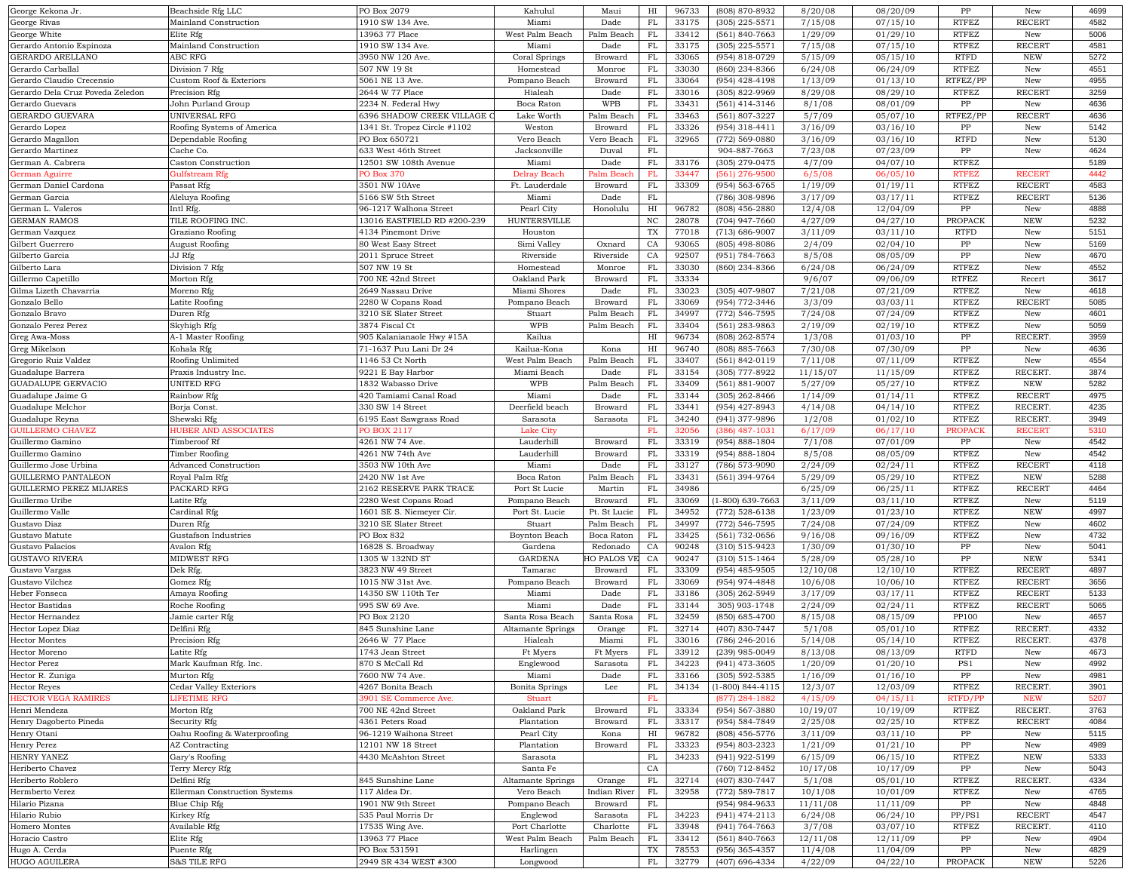| George Kekona Jr.                 | Beachside Rfg LLC             | PO Box 2079                            | Kahulul                  | Maui                | HI                         | 96733          | (808) 870-8932                   | 8/20/08            | 08/20/09             | PP            | New           | 4699         |
|-----------------------------------|-------------------------------|----------------------------------------|--------------------------|---------------------|----------------------------|----------------|----------------------------------|--------------------|----------------------|---------------|---------------|--------------|
| George Rivas                      | Mainland Construction         | 1910 SW 134 Ave.                       | Miami                    | Dade                | ${\rm FL}$                 | 33175          | (305) 225-5571                   | 7/15/08            | 07/15/10             | <b>RTFEZ</b>  | <b>RECERT</b> | 4582         |
| George White                      | Elite Rfg                     | 13963 77 Place                         | West Palm Beach          | Palm Beach          | $\rm FL$                   | 33412          | (561) 840-7663                   | 1/29/09            | 01/29/10             | <b>RTFEZ</b>  | New           | 5006         |
| Gerardo Antonio Espinoza          | Mainland Construction         | 1910 SW 134 Ave.                       | Miami                    | Dade                | ${\rm FL}$                 | 33175          | (305) 225-5571                   | 7/15/08            | 07/15/10             | <b>RTFEZ</b>  | <b>RECERT</b> | 4581         |
| GERARDO ARELLANO                  | ABC RFG                       | 3950 NW 120 Ave.                       | Coral Springs            | Broward             | $\rm FL$                   | 33065          | (954) 818-0729                   | 5/15/09            | 05/15/10             | <b>RTFD</b>   | <b>NEW</b>    | 5272         |
| Gerardo Carballal                 | Division 7 Rfg                | 507 NW 19 St                           | Homestead                | Monroe              | FL                         | 33030          | (860) 234-8366                   | 6/24/08            | 06/24/09             | <b>RTFEZ</b>  | New           | 4551         |
| Gerardo Claudio Crecensio         | Custom Roof & Exteriors       | 5061 NE 13 Ave.                        | Pompano Beach            | Broward             | $\rm FL$                   | 33064          | (954) 428-4198                   | 1/13/09            | 01/13/10             | RTFEZ/PF      | New           | 4955         |
| Gerardo Dela Cruz Poveda Zeledon  | Precision Rfg                 | 2644 W 77 Place                        | Hialeah                  | Dade                | $\rm FL$                   | 33016          | (305) 822-9969                   | 8/29/08            | 08/29/10             | <b>RTFEZ</b>  | <b>RECERT</b> | 3259         |
| Gerardo Guevara                   | John Purland Group            | 2234 N. Federal Hwy                    | Boca Raton               | <b>WPB</b>          | FL                         | 33431          | (561) 414-3146                   | 8/1/08             | 08/01/09             | PP            | New           | 4636         |
| GERARDO GUEVARA                   | UNIVERSAL RFG                 | 6396 SHADOW CREEK VILLAGE              | Lake Worth               | Palm Beach          | $\rm FL$                   | 33463          |                                  |                    | 05/07/10             | RTFEZ/PP      | <b>RECERT</b> | 4636         |
|                                   |                               |                                        |                          |                     |                            |                | (561) 807-3227                   | 5/7/09             |                      |               |               |              |
| Gerardo Lopez                     | Roofing Systems of America    | 1341 St. Tropez Circle #1102           | Weston                   | Broward             | ${\rm FL}$                 | 33326          | (954) 318-4411                   | 3/16/09            | 03/16/10             | PP            | New           | 5142         |
| Gerardo Magallon                  | Dependable Roofing            | PO Box 650721                          | Vero Beach               | Vero Beach          | $\rm FL$                   | 32965          | (772) 569-0880                   | 3/16/09            | 03/16/10             | <b>RTFD</b>   | New           | 5130         |
| Gerardo Martinez                  | Cache Co.                     | 633 West 46th Street                   | Jacksonville             | Duval               | ${\rm FL}$                 |                | 904-887-7663                     | 7/23/08            | 07/23/09             | PP            | New           | 4624         |
| German A. Cabrera                 | Caston Construction           | 12501 SW 108th Avenue                  | Miami                    | Dade                | $\rm FL$                   | 33176          | (305) 279-0475                   | 4/7/09             | 04/07/10             | <b>RTFEZ</b>  |               | 5189         |
| German Aguirre                    | <b>Julfstream Rf</b>          | PO Box 370                             | <b>Delray Beach</b>      | Palm Bea            | FL                         | 33447          | (561) 276-9500                   | 6/5/08             | 06/05/10             | <b>RTFEZ</b>  | <b>RECERT</b> | 4442         |
| German Daniel Cardona             | Passat Rfg                    | 3501 NW 10Ave                          | Ft. Lauderdale           | Broward             | $\rm FL$                   | 33309          | (954) 563-6765                   | 1/19/09            | 01/19/11             | <b>RTFEZ</b>  | <b>RECERT</b> | 4583         |
| German Garcia                     | Aleluya Roofing               | 5166 SW 5th Street                     | Miami                    | Dade                | $\rm FL$                   |                | (786) 308-9896                   | 3/17/09            | 03/17/11             | <b>RTFEZ</b>  | <b>RECERT</b> | 5136         |
| German L. Valeros                 | Intl Rfg.                     | 96-1217 Walhona Street                 | Pearl City               | Honolulu            | $\mathop{\rm HI}\nolimits$ | 96782          | (808) 456-2880                   | $\frac{12}{4}$ /08 | 12/04/09             | PP            | New           | 4888         |
| <b>GERMAN RAMOS</b>               | TILE ROOFING INC.             | 13016 EASTFIELD RD #200-239            | <b>HUNTERSVILLE</b>      |                     | $_{\mathrm{NC}}$           | 28078          | (704) 947-7660                   | 4/27/09            | 04/27/10             | PROPACK       | <b>NEW</b>    | 5232         |
| German Vazquez                    | Graziano Roofing              | 4134 Pinemont Drive                    | Houston                  |                     | TX                         | 77018          | (713) 686-9007                   | 3/11/09            | 03/11/10             | <b>RTFD</b>   | New           | 5151         |
| Gilbert Guerrero                  | August Roofing                | 80 West Easy Street                    | Simi Valley              | Oxnard              | CA                         | 93065          | (805) 498-8086                   | 2/4/09             | 02/04/10             | PP            | New           | 5169         |
|                                   |                               |                                        |                          |                     |                            |                |                                  |                    |                      | ${\rm PP}$    |               |              |
| Gilberto Garcia                   | JJ Rfg                        | 2011 Spruce Street                     | Riverside                | Riverside<br>Monroe | CA                         | 92507<br>33030 | (951) 784-7663                   | 8/5/08             | 08/05/09             | <b>RTFEZ</b>  | New<br>New    | 4670<br>4552 |
| Gilberto Lara                     | Division 7 Rfg                | 507 NW 19 St                           | Homestead                |                     | FL                         |                | (860) 234-8366                   | 6/24/08            | 06/24/09             |               |               |              |
| Gillermo Capetillo                | Morton Rfg                    | 700 NE 42nd Street                     | Oakland Park             | Broward             | $\rm FL$                   | 33334          |                                  | 9/6/07             | 09/06/09             | <b>RTFEZ</b>  | Recert        | 3617         |
| Gilma Lizeth Chavarria            | Moreno Rfg                    | 2649 Nassau Drive                      | Miami Shores             | Dade                | ${\rm FL}$                 | 33023          | (305) 407-9807                   | 7/21/08            | 07/21/09             | <b>RTFEZ</b>  | New           | 4618         |
| Gonzalo Bello                     | Latite Roofing                | 2280 W Copans Road                     | Pompano Beach            | Broward             | ${\rm FL}$                 | 33069          | (954) 772-3446                   | 3/3/09             | 03/03/11             | <b>RTFEZ</b>  | <b>RECERT</b> | 5085         |
| Gonzalo Bravo                     | Duren Rfg                     | 3210 SE Slater Street                  | Stuart                   | Palm Beach          | ${\rm FL}$                 | 34997          | (772) 546-7595                   | 7/24/08            | 07/24/09             | <b>RTFEZ</b>  | New           | 4601         |
| Gonzalo Perez Perez               | Skyhigh Rfg                   | 3874 Fiscal Ct                         | <b>WPB</b>               | Palm Beach          | $\rm FL$                   | 33404          | (561) 283-9863                   | 2/19/09            | 02/19/10             | <b>RTFEZ</b>  | New           | 5059         |
| Greg Awa-Moss                     | A-1 Master Roofing            | 905 Kalanianaole Hwy #15A              | Kailua                   |                     | HI                         | 96734          | (808) 262-8574                   | 1/3/08             | 01/03/10             | PP            | <b>RECERT</b> | 3959         |
| Greg Mikelson                     | Kohala Rfg                    | 71-1637 Puu Lani Dr 24                 | Kailua-Kona              | Kona                | HI                         | 96740          | (808) 885-7663                   | 7/30/08            | 07/30/09             | ${\rm PP}$    | New           | 4636         |
| Gregorio Ruiz Valdez              | Roofing Unlimited             | 1146 53 Ct North                       | West Palm Beach          | Palm Beach          | FL                         | 33407          | (561) 842-0119                   | 7/11/08            | 07/11/09             | <b>RTFEZ</b>  | New           | 4554         |
| Guadalupe Barrera                 | Praxis Industry Inc.          | 9221 E Bay Harbor                      | Miami Beach              | Dade                | $\rm FL$                   | 33154          | (305) 777-8922                   | $\frac{11}{15/07}$ | 11/15/09             | <b>RTFEZ</b>  | RECERT.       | 3874         |
| GUADALUPE GERVACIO                | UNITED RFG                    | 1832 Wabasso Drive                     | <b>WPB</b>               | Palm Beach          | $\rm FL$                   | 33409          | (561) 881-9007                   | 5/27/09            | 05/27/10             | <b>RTFEZ</b>  | <b>NEW</b>    | 5282         |
| Guadalupe Jaime G                 | Rainbow Rfg                   | 420 Tamiami Canal Road                 | Miami                    | Dade                | $\rm FL$                   | 33144          | (305) 262-8466                   | 1/14/09            | 01/14/11             | <b>RTFEZ</b>  | <b>RECERT</b> | 4975         |
| Guadalupe Melchor                 | Borja Const                   | 330 SW 14 Street                       | Deerfield beach          | Broward             | $\rm FL$                   | 33441          | (954) 427-8943                   | 4/14/08            | 04/14/10             | <b>RTFEZ</b>  | RECERT.       | 4235         |
| Guadalupe Reyna                   | Shewski Rfg                   | 6195 East Sawgrass Road                | Sarasota                 | Sarasota            | ${\rm FL}$                 | 34240          | (941) 377-9896                   | $\frac{1}{2}$ /08  | 01/02/10             | <b>RTFEZ</b>  | RECERT.       | 3949         |
| <b>GUILLERMO CHAVEZ</b>           | <b>IUBER AND ASSOCIATES</b>   | PO BOX 2117                            | Lake City                |                     | FL                         | 32056          | (386) 487-103                    | 6/17/09            | 06/17/10             | PROPACI       | <b>RECERT</b> | 5310         |
| Guillermo Gamino                  | Timberoof Rf                  | 4261 NW 74 Ave.                        | Lauderhill               | Broward             | ${\rm FL}$                 | 33319          | (954) 888-1804                   | 7/1/08             | 07/01/09             | PP            | New           | 4542         |
| Guillermo Gamino                  | Timber Roofing                | 4261 NW 74th Ave                       | Lauderhill               | Broward             | $\rm FL$                   | 33319          | (954) 888-1804                   | 8/5/08             | 08/05/09             | <b>RTFEZ</b>  | New           | 4542         |
| Guillermo Jose Urbina             | <b>Advanced Construction</b>  | 3503 NW 10th Ave                       | Miami                    | Dade                | ${\rm FL}$                 | 33127          | (786) 573-9090                   | 2/24/09            | 02/24/11             | <b>RTFEZ</b>  | <b>RECERT</b> | 4118         |
| GUILLERMO PANTALEON               | Royal Palm Rfg                | 2420 NW 1st Ave                        | Boca Raton               | Palm Beach          | $\rm FL$                   | 33431          | (561) 394-9764                   | 5/29/09            | 05/29/10             | <b>RTFEZ</b>  | <b>NEW</b>    | 5288         |
| <b>GUILLERMO PEREZ MIJARES</b>    | PACKARD RFG                   | 2162 RESERVE PARK TRACE                | Port St Lucie            | Martin              |                            | 34986          |                                  | 6/25/09            | 06/25/11             | <b>RTFEZ</b>  | <b>RECERT</b> | 4464         |
| Guillermo Uribe                   | Latite Rfg                    | 2280 West Copans Road                  | Pompano Beach            | Broward             | FL<br>${\rm FL}$           | 33069          | (1-800) 639-7663                 | 3/11/09            | 03/11/10             | <b>RTFEZ</b>  | New           | 5119         |
|                                   |                               |                                        |                          |                     |                            | 34952          |                                  |                    |                      |               | <b>NEW</b>    | 4997         |
| Guillermo Valle                   | Cardinal Rfg                  | 1601 SE S. Niemeyer Cir.               | Port St. Lucie           | Pt. St Lucie        | $\rm FL$                   |                | (772) 528-6138                   | 1/23/09            | 01/23/10             | <b>RTFEZ</b>  |               |              |
| Gustavo Diaz                      | Duren Rfg                     | 3210 SE Slater Street                  | Stuart                   | Palm Beach          | FL                         | 34997          | (772) 546-7595                   | 7/24/08            | 07/24/09             | <b>RTFEZ</b>  | New           | 4602         |
| Gustavo Matute                    | Gustafson Industries          | PO Box 832                             | Boynton Beach            | Boca Raton          | $\mathop{\rm FL}\nolimits$ | 33425          | (561) 732-0656                   | 9/16/08            | 09/16/09             | <b>RTFEZ</b>  | New           | 4732         |
| Gustavo Palacios                  | Avalon Rfg                    | 16828 S. Broadway                      | Gardena                  | Redonado            | CA                         | 90248          | (310) 515-9423                   | 1/30/09            | 01/30/10             | PP            | New           | 5041         |
| <b>GUSTAVO RIVERA</b>             | MIDWEST RFG                   | 1305 W 132ND ST                        | <b>GARDENA</b>           | HO PALOS V          | CA                         | 90247          | $(310) 515 - 1464$               | 5/28/09            | 05/28/10             | PP            | <b>NEW</b>    | 5341         |
| Gustavo Vargas                    | Dek Rfg.                      | 3823 NW 49 Street                      | Tamarac                  | Broward             | $\rm FL$                   | 33309          | (954) 485-9505                   | 12/10/08           | 12/10/10             | <b>RTFEZ</b>  | <b>RECERT</b> | 4897         |
| Gustavo Vilchez                   | Gomez Rfg                     | 1015 NW 31st Ave.                      | Pompano Beach            | Broward             | $\rm FL$                   | 33069          | (954) 974-4848                   | 10/6/08            | 10/06/10             | <b>RTFEZ</b>  | <b>RECERT</b> | 3656         |
| Heber Fonseca                     | Amaya Roofing                 | 14350 SW 110th Ter                     | Miami                    | Dade                | ${\rm FL}$                 | 33186          | (305) 262-5949                   | 3/17/09            | 03/17/11             | <b>RTFEZ</b>  | <b>RECERT</b> | 5133         |
| <b>Hector Bastidas</b>            | Roche Roofing                 | 995 SW 69 Ave.                         | Miami                    | Dade                | ${\rm FL}$                 | 33144          | 305) 903-1748                    | 2/24/09            | 02/24/11             | <b>RTFEZ</b>  | <b>RECERT</b> | 5065         |
| Hector Hernandez                  | Jamie carter Rfg              | PO Box 2120                            | Santa Rosa Beach         | Santa Rosa          | $\rm FL$                   | 32459          | (850) 685-4700                   | 8/15/08            | 08/15/09             | PP100         | New           | 4657         |
| Hector Lopez Diaz                 | Delfini Rfg                   | 845 Sunshine Lane                      | <b>Altamante Springs</b> | Orange              | $\rm FL$                   | 32714          | (407) 830-7447                   | 5/1/08             | 05/01/10             | <b>RTFEZ</b>  | RECERT.       | 4332         |
| <b>Hector Montes</b>              | Precision Rfg                 | 2646 W 77 Place                        | Hialeah                  | Miami               | $\rm FL$                   | 33016          | (786) 246-2016                   | 5/14/08            | 05/14/10             | <b>RTFEZ</b>  | <b>RECERT</b> | 4378         |
| Hector Moreno                     | Latite Rfg                    | 1743 Jean Street                       | Ft Myers                 | Ft Myers            | FL.                        | 33912          | (239) 985-0049                   | 8/13/08            | 08/13/09             | RTFD          | New           | 4673         |
| Hector Perez                      | Mark Kaufman Rfg. Inc.        | 870 S McCall Rd                        | Englewood                | Sarasota            | FL                         | 34223          | (941) 473-3605                   | 1/20/09            | 01/20/10             | PS1           | New           | 4992         |
| Hector R. Zuniga                  | Murton Rfg                    | 7600 NW 74 Ave.                        | Miami                    | Dade                | $\rm FL$                   | 33166          | (305) 592-5385                   | 1/16/09            | 01/16/10             | PP            | New           | 4981         |
| <b>Hector Reyes</b>               | Cedar Valley Exteriors        | 4267 Bonita Beach                      | Bonita Springs           | Lee                 | $\rm{FL}$                  | 34134          | $(1 - 800) 844 - 4115$           | 12/3/07            | 12/03/09             | <b>RTFEZ</b>  | <b>RECERT</b> | 3901         |
| HECTOR VEGA RAMIRES               | LIFETIME RFG                  | 3901 SE Commerce Ave.                  | <b>Stuart</b>            |                     | FL                         |                | (877) 284-1882                   | 4/15/09            | 04/15/11             | RTFD/PP       | <b>NEW</b>    | 5207         |
| Henri Mendeza                     | Morton Rfg                    | 700 NE 42nd Street                     | Oakland Park             | Broward             | FL                         | 33334          | (954) 567-3880                   | 10/19/07           | 10/19/09             | <b>RTFEZ</b>  | RECERT.       | 3763         |
| Henry Dagoberto Pineda            | Security Rfg                  | 4361 Peters Road                       | Plantation               | Broward             | $\rm FL$                   | 33317          | (954) 584-7849                   | 2/25/08            | 02/25/10             | <b>RTFEZ</b>  | <b>RECERT</b> | 4084         |
| Henry Otani                       | Oahu Roofing & Waterproofing  | 96-1219 Waihona Street                 | Pearl City               | Kona                | HI                         | 96782          | (808) 456-5776                   | 3/11/09            | 03/11/10             | PP            | New           | 5115         |
|                                   |                               |                                        |                          |                     |                            | 33323          |                                  | 1/21/09            | 01/21/10             |               |               | 4989         |
| Henry Perez                       |                               | 12101 NW 18 Street                     | Plantation               | Broward             | $\rm FL$                   |                |                                  |                    |                      | PP            | New           |              |
|                                   | AZ Contracting                |                                        |                          |                     |                            |                | (954) 803-2323                   |                    |                      |               |               |              |
| <b>HENRY YANEZ</b>                | Gary's Roofing                | 4430 McAshton Street                   | Sarasota                 |                     | $\rm FL$                   | 34233          | (941) 922-5199                   | 6/15/09            | 06/15/10             | <b>RTFEZ</b>  | <b>NEW</b>    | 5333         |
| Heriberto Chavez                  | Terry Mercy Rfg               |                                        | Santa Fe                 |                     | CA                         |                | (760) 712-8452                   | 10/17/08           | 10/17/09             | PP            | New           | 5043         |
| Heriberto Roblero                 | Delfini Rfg                   | 845 Sunshine Lane                      | Altamante Springs        | Orange              | $\rm FL$                   | 32714          | (407) 830-7447                   | 5/1/08             | 05/01/10             | <b>RTFEZ</b>  | <b>RECERT</b> | 4334         |
|                                   | Ellerman Construction Systems | 117 Aldea Dr.                          | Vero Beach               | Indian River        | FL                         | 32958          | (772) 589-7817                   | 10/1/08            | 10/01/09             | <b>RTFEZ</b>  | New           | 4765         |
| Hermberto Verez<br>Hilario Pizana | Blue Chip Rfg                 | 1901 NW 9th Street                     | Pompano Beach            | Broward             | $\rm FL$                   |                | (954) 984-9633                   | 11/11/08           | 11/11/09             | PP            | New           | 4848         |
|                                   | Kirkey Rfg                    | 535 Paul Morris Dr                     | Englewod                 | Sarasota            | FL                         | 34223          | (941) 474-2113                   | 6/24/08            | 06/24/10             | PP/PS1        | <b>RECERT</b> | 4547         |
| Hilario Rubio<br>Homero Montes    | Available Rfg                 | 17535 Wing Ave.                        | Port Charlotte           | Charlotte           | $\rm FL$                   | 33948          | (941) 764-7663                   | 3/7/08             | 03/07/10             | <b>RTFEZ</b>  | RECERT.       | 4110         |
| Horacio Castro                    | Elite Rfg                     | 13963 77 Place                         | West Palm Beach          | Palm Beach          | $\rm FL$                   | 33412          | (561) 840-7663                   | 12/11/08           | 12/11/09             | PP            | New           | 4904         |
| Hugo A. Cerda<br>HUGO AGUILERA    | Puente Rfg<br>S&S TILE RFG    | PO Box 531591<br>2949 SR 434 WEST #300 | Harlingen<br>Longwood    |                     | TX<br>FL                   | 78553<br>32779 | (956) 365-4357<br>(407) 696-4334 | 11/4/08<br>4/22/09 | 11/04/09<br>04/22/10 | PP<br>PROPACK | New<br>NEW    | 4829<br>5226 |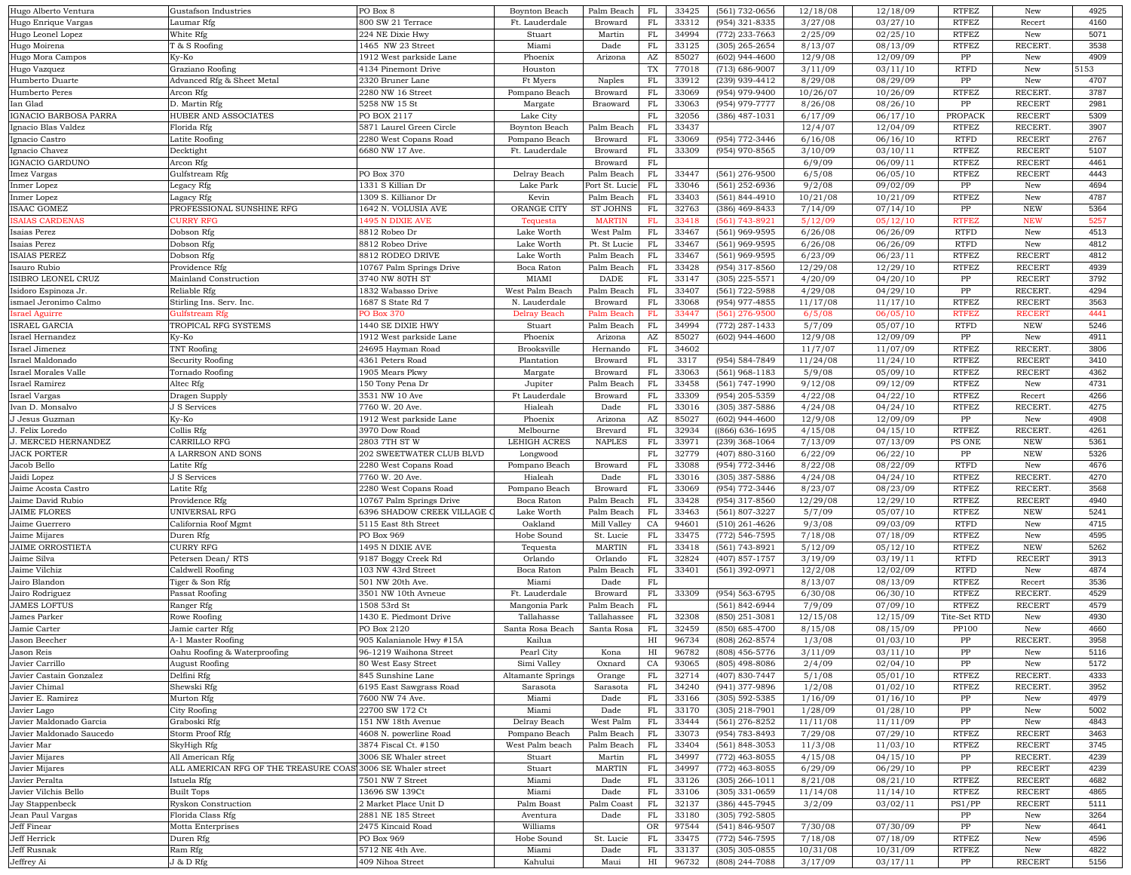| Hugo Alberto Ventura             | Gustafson Industries                                        | PO Box 8                  | Boynton Beach       | Palm Beach        | FL                     | 33425 | (561) 732-0656   | 12/18/08             | 12/18/09                     | RTFEZ        | New           | 4925 |
|----------------------------------|-------------------------------------------------------------|---------------------------|---------------------|-------------------|------------------------|-------|------------------|----------------------|------------------------------|--------------|---------------|------|
| Hugo Enrique Vargas              | Laumar Rfg                                                  | 800 SW 21 Terrace         | Ft. Lauderdale      | Broward           | FL                     | 33312 | (954) 321-8335   | 3/27/08              | 03/27/10                     | <b>RTFEZ</b> | Recert        | 4160 |
| Hugo Leonel Lopez                | White Rfg                                                   | 224 NE Dixie Hwy          | Stuart              | Martin            | $\rm FL$               | 34994 | (772) 233-7663   | 2/25/09              | 02/25/10                     | <b>RTFEZ</b> | New           | 5071 |
| Hugo Moirena                     | T & S Roofing                                               | 1465 NW 23 Street         | Miami               | Dade              | ${\rm FL}$             | 33125 | (305) 265-2654   | 8/13/07              | 08/13/09                     | <b>RTFEZ</b> | <b>RECERT</b> | 3538 |
| Hugo Mora Campos                 | Ky-Ko                                                       | 1912 West parkside Lane   | Phoenix             | Arizona           | $\mathbf{A}\mathbf{Z}$ | 85027 | (602) 944-4600   | 12/9/08              | 12/09/09                     | ${\rm PP}$   | New           | 4909 |
|                                  | Graziano Roofing                                            |                           | Houston             |                   | TX                     | 77018 | (713) 686-9007   |                      |                              | <b>RTFD</b>  | New           |      |
| Hugo Vazquez                     |                                                             | 4134 Pinemont Drive       |                     |                   |                        |       |                  | 3/11/09              | 03/11/10                     |              |               | 153  |
| Humberto Duarte                  | Advanced Rfg & Sheet Metal                                  | 2320 Bruner Lane          | Ft Myers            | Naples            | FL                     | 33912 | (239) 939-4412   | 8/29/08              | 08/29/09                     | ${\rm PP}$   | New           | 4707 |
| Humberto Peres                   | Arcon Rfg                                                   | 2280 NW 16 Street         | Pompano Beach       | Broward           | ${\rm FL}$             | 33069 | (954) 979-9400   | 10/26/07             | 10/26/09                     | <b>RTFEZ</b> | <b>RECERT</b> | 3787 |
| Ian Glad                         | D. Martin Rfg                                               | 5258 NW 15 St             | Margate             | Braoward          | $\rm FL$               | 33063 | (954) 979-7777   | 8/26/08              | 08/26/10                     | PP           | <b>RECERT</b> | 2981 |
| IGNACIO BARBOSA PARRA            | HUBER AND ASSOCIATES                                        | PO BOX 2117               | Lake City           |                   | FL                     | 32056 | (386) 487-1031   | 6/17/09              | 06/17/10                     | PROPACK      | <b>RECERT</b> | 5309 |
| Ignacio Blas Valdez              | Florida Rfg                                                 | 5871 Laurel Green Circle  | Boynton Beach       | Palm Beach        | ${\rm FL}$             | 33437 |                  | $\frac{12}{4}$ /07   | 12/04/09                     | <b>RTFEZ</b> | RECERT.       | 3907 |
| Ignacio Castro                   | Latite Roofing                                              | 2280 West Copans Road     | Pompano Beach       | Broward           | FL                     | 33069 | (954) 772-3446   | 6/16/08              | 06/16/10                     | <b>RTFD</b>  | <b>RECERT</b> | 2767 |
|                                  |                                                             |                           |                     |                   |                        |       |                  |                      |                              |              |               |      |
| Ignacio Chavez                   | Decktight                                                   | 6680 NW 17 Ave.           | Ft. Lauderdale      | Broward           | FL                     | 33309 | (954) 970-8565   | 3/10/09              | 03/10/11                     | <b>RTFEZ</b> | <b>RECERT</b> | 5107 |
| IGNACIO GARDUNO                  | Arcon Rfg                                                   |                           |                     | Broward           | ${\rm FL}$             |       |                  | 6/9/09               | 06/09/11                     | <b>RTFEZ</b> | <b>RECERT</b> | 4461 |
| Imez Vargas                      | Gulfstream Rfg                                              | PO Box 370                | Delray Beach        | Palm Beach        | ${\rm FL}$             | 33447 | (561) 276-9500   | 6/5/08               | 06/05/10                     | <b>RTFEZ</b> | <b>RECERT</b> | 4443 |
| Inmer Lopez                      | Legacy Rfg                                                  | 1331 S Killian Dr         | Lake Park           | Port St. Lucie    | $\rm FL$               | 33046 | (561) 252-6936   | 9/2/08               | 09/02/09                     | PP           | New           | 4694 |
| Inmer Lopez                      | Lagacy Rfg                                                  | 1309 S. Killianor Dr      | Kevin               | Palm Beach        | FL                     | 33403 | (561) 844-4910   | 10/21/08             | 10/21/09                     | <b>RTFEZ</b> | New           | 4787 |
| <b>ISAAC GOMEZ</b>               | PROFESSIONAL SUNSHINE RFG                                   | 1642 N. VOLUSIA AVE       | ORANGE CITY         | ST JOHNS          | ${\rm FL}$             | 32763 | (386) 469-8433   | $\frac{1}{7}$ /14/09 | 07/14/10                     | PP           | <b>NEW</b>    | 5364 |
| <b>ISAIAS CARDENAS</b>           | URRY RFG                                                    | 495 N DIXIE AVE           |                     | <b>MARTIN</b>     | <b>FL</b>              | 33418 | (561) 743-8921   |                      | 05/12/10                     | <b>RTFEZ</b> | <b>NEW</b>    | 5257 |
|                                  |                                                             |                           | Tequesta            |                   |                        |       |                  | 5/12/09              |                              |              |               |      |
| Isaias Perez                     | Dobson Rfg                                                  | 8812 Robeo Dr             | Lake Worth          | West Palm         | FL                     | 33467 | (561) 969-9595   | 6/26/08              | 06/26/09                     | <b>RTFD</b>  | New           | 4513 |
| Isaias Perez                     | Dobson Rfg                                                  | 8812 Robeo Drive          | Lake Worth          | Pt. St Lucie      | ${\rm FL}$             | 33467 | (561) 969-9595   | 6/26/08              | 06/26/09                     | <b>RTFD</b>  | New           | 4812 |
| <b>ISAIAS PEREZ</b>              | Dobson Rfg                                                  | 8812 RODEO DRIVE          | Lake Worth          | Palm Beach        | ${\rm FL}$             | 33467 | (561) 969-9595   | 6/23/09              | 06/23/11                     | <b>RTFEZ</b> | <b>RECERT</b> | 4812 |
| Isauro Rubio                     | Providence Rfg                                              | 10767 Palm Springs Drive  | Boca Raton          | Palm Beach        | FL                     | 33428 | (954) 317-8560   | 12/29/08             | 12/29/10                     | <b>RTFEZ</b> | <b>RECERT</b> | 4939 |
| ISIBRO LEONEL CRUZ               | Mainland Construction                                       | 3740 NW 80TH ST           | MIAMI               | <b>DADE</b>       | $\rm FL$               | 33147 | (305) 225-5571   | 4/20/09              | 04/20/10                     | ${\rm PP}$   | <b>RECERT</b> | 3792 |
| Isidoro Espinoza Jr.             | Reliable Rfg                                                | 1832 Wabasso Drive        | West Palm Beach     | Palm Beach        | $\rm FL$               | 33407 | (561) 722-5988   | 4/29/08              | 04/29/10                     | ${\rm PP}$   | RECERT.       | 4294 |
|                                  |                                                             |                           |                     |                   |                        |       |                  |                      |                              |              |               |      |
| ismael Jeronimo Calmo            | Stirling Ins. Serv. Inc.                                    | 1687 S State Rd 7         | N. Lauderdale       | Broward           | ${\rm FL}$             | 33068 | (954) 977-4855   | 11/17/08             | 11/17/10                     | <b>RTFEZ</b> | <b>RECERT</b> | 3563 |
| <b>Israel Aguirre</b>            | <b>Gulfstream Rfg</b>                                       | <b>PO Box 370</b>         | <b>Delray Beach</b> | <b>Palm Beach</b> | FL                     | 33447 | (561) 276-9500   | 6/5/08               | 06/05/10                     | <b>RTFEZ</b> | <b>RECERT</b> | 4441 |
| ISRAEL GARCIA                    | TROPICAL RFG SYSTEMS                                        | 1440 SE DIXIE HWY         | Stuart              | Palm Beach        | $\rm FL$               | 34994 | (772) 287-1433   | 5/7/09               | 05/07/10                     | <b>RTFD</b>  | <b>NEW</b>    | 5246 |
| Israel Hernandez                 | Ky-Ko                                                       | 1912 West parkside Lane   | Phoenix             | Arizona           | AZ                     | 85027 | (602) 944-4600   | 12/9/08              | 12/09/09                     | PP           | New           | 4911 |
| Israel Jimenez                   | <b>TNT Roofing</b>                                          | 24695 Hayman Road         | Brooksville         | Hernando          | FL                     | 34602 |                  | 11/7/07              | 11/07/09                     | <b>RTFEZ</b> | RECERT.       | 3806 |
| Israel Maldonado                 | Security Roofing                                            | 4361 Peters Road          | Plantation          | Broward           | FL                     | 3317  | (954) 584-7849   | 11/24/08             | 11/24/10                     | <b>RTFEZ</b> | <b>RECERT</b> | 3410 |
|                                  |                                                             |                           |                     |                   |                        | 33063 |                  |                      |                              | <b>RTFEZ</b> |               | 4362 |
| Israel Morales Valle             | <b>Tornado Roofing</b>                                      | 1905 Mears Pkwy           | Margate             | Broward           | FL                     |       | (561) 968-1183   | 5/9/08               | 05/09/10                     |              | <b>RECERT</b> |      |
| <b>Israel Ramirez</b>            | Altec Rfg                                                   | 150 Tony Pena Dr          | Jupiter             | Palm Beach        | ${\rm FL}$             | 33458 | (561) 747-1990   | 9/12/08              | 09/12/09                     | <b>RTFEZ</b> | New           | 4731 |
| <b>Israel Vargas</b>             | Dragen Supply                                               | 3531 NW 10 Ave            | Ft Lauderdale       | Broward           | FL                     | 33309 | (954) 205-5359   | 4/22/08              | 04/22/10                     | <b>RTFEZ</b> | Recert        | 4266 |
| Ivan D. Monsalvo                 | J S Services                                                | 7760 W. 20 Ave.           | Hialeah             | Dade              | FL                     | 33016 | (305) 387-5886   | 4/24/08              | 04/24/10                     | <b>RTFEZ</b> | RECERT.       | 4275 |
| Jesus Guzman                     | Ky-Ko                                                       | 1912 West parkside Lane   | Phoenix             | Arizona           | AZ                     | 85027 | (602) 944-4600   | 12/9/08              | 12/09/09                     | PP           | New           | 4908 |
| . Felix Loredo                   | Collis Rfg                                                  | 3970 Dow Road             | Melbourne           | Brevard           | FL                     | 32934 | ((866) 636-1695  | 4/15/08              | 04/15/10                     | <b>RTFEZ</b> | RECERT        | 4261 |
| . MERCED HERNANDEZ               | CARRILLO RFG                                                | 2803 7TH ST W             | LEHIGH ACRES        | <b>NAPLES</b>     | $\rm FL$               | 33971 | (239) 368-1064   | 7/13/09              | 07/13/09                     | PS ONE       | <b>NEW</b>    | 5361 |
|                                  |                                                             |                           |                     |                   |                        |       |                  |                      |                              |              |               |      |
| <b>JACK PORTER</b>               | A LARRSON AND SONS                                          | 202 SWEETWATER CLUB BLVD  | Longwood            |                   | FL                     | 32779 | (407) 880-3160   | 6/22/09              | 06/22/10                     | PP           | <b>NEW</b>    | 5326 |
| Jacob Bello                      | Latite Rfg                                                  | 2280 West Copans Road     | Pompano Beach       | Broward           | ${\rm FL}$             | 33088 | (954) 772-3446   | 8/22/08              | 08/22/09                     | <b>RTFD</b>  | New           | 4676 |
| Jaidi Lopez                      | J S Services                                                | 7760 W. 20 Ave.           | Hialeah             | Dade              | $\rm FL$               | 33016 | (305) 387-5886   | 4/24/08              | 04/24/10                     | <b>RTFEZ</b> | RECERT.       | 4270 |
| Jaime Acosta Castro              | Latite Rfg                                                  | 2280 West Copans Road     | Pompano Beach       | Broward           | FL                     | 33069 | (954) 772-3446   | 8/23/07              | 08/23/09                     | <b>RTFEZ</b> | RECERT.       | 3568 |
| Jaime David Rubio                | Providence Rfg                                              | 10767 Palm Springs Drive  | Boca Raton          | Palm Beach        | ${\rm FL}$             | 33428 | (954) 317-8560   | 12/29/08             | 12/29/10                     | <b>RTFEZ</b> | <b>RECERT</b> | 4940 |
| <b>JAIME FLORES</b>              | UNIVERSAL RFG                                               | 5396 SHADOW CREEK VILLAGE | Lake Worth          | Palm Beach        | $\rm FL$               | 33463 | (561) 807-3227   | 5/7/09               | 05/07/10                     | <b>RTFEZ</b> | <b>NEW</b>    | 5241 |
|                                  |                                                             |                           |                     |                   |                        |       |                  |                      |                              |              |               |      |
| Jaime Guerrero                   | California Roof Mgmt                                        | 5115 East 8th Street      | Oakland             | Mill Valley       | CA                     | 94601 | $(510)$ 261-4626 | 9/3/08               | 09/03/09                     | <b>RTFD</b>  | New           | 4715 |
| Jaime Mijares                    | Duren Rfg                                                   | PO Box 969                | Hobe Sound          | St. Lucie         | FL                     | 33475 | (772) 546-7595   | 7/18/08              | 07/18/09                     | <b>RTFEZ</b> | New           | 4595 |
| JAIME ORROSTIETA                 | <b>CURRY RFG</b>                                            | 1495 N DIXIE AVE          | Tequesta            | <b>MARTIN</b>     | ${\rm FL}$             | 33418 | (561) 743-8921   | 5/12/09              | 05/12/10                     | <b>RTFEZ</b> | <b>NEW</b>    | 5262 |
| Jaime Silva                      | Petersen Dean/RTS                                           | 9187 Boggy Creek Rd       | Orlando             | Orlando           | FL                     | 32824 | (407) 857-1757   | 3/19/09              | 03/19/11                     | <b>RTFD</b>  | <b>RECERT</b> | 3913 |
| Jaime Vilchiz                    | Caldwell Roofing                                            | 103 NW 43rd Street        | Boca Raton          | Palm Beach        | $\rm FL$               | 33401 | (561) 392-0971   | 12/2/08              | 12/02/09                     | <b>RTFD</b>  | New           | 4874 |
| Jairo Blandon                    | Tiger & Son Rfg                                             | 501 NW 20th Ave.          | Miami               | Dade              | ${\rm FL}$             |       |                  | 8/13/07              | 08/13/09                     | <b>RTFEZ</b> | Recert        | 3536 |
|                                  |                                                             |                           |                     |                   |                        |       |                  |                      |                              |              |               |      |
| Jairo Rodriguez                  | Passat Roofing                                              | 3501 NW 10th Avneue       | Ft. Lauderdale      | Broward           | ${\rm FL}$             | 33309 | (954) 563-6795   | 6/30/08              | 06/30/10                     | <b>RTFEZ</b> | RECERT.       | 4529 |
| <b>JAMES LOFTUS</b>              | Ranger Rfg                                                  | 1508 53rd St              | Mangonia Park       | Palm Beach        | ${\rm FL}$             |       | (561) 842-6944   | 7/9/09               | $\frac{07}{07}$ / 09 / 10    | <b>RTFEZ</b> | <b>RECERT</b> | 4579 |
| James Parker                     | Rowe Roofing                                                | 1430 E. Piedmont Drive    | Tallahasse          | Tallahassee       | $\rm FL$               | 32308 | (850) 251-3081   | 12/15/08             | 12/15/09                     | Tite-Set RTE | New           | 4930 |
| Jamie Carter                     | Jamie carter Rfg                                            | PO Box 2120               | Santa Rosa Beach    | Santa Rosa        | ${\rm FL}$             | 32459 | (850) 685-4700   | 8/15/08              | 08/15/09                     | PP100        | New           | 4660 |
| Jason Beecher                    | A-1 Master Roofing                                          | 905 Kalanianole Hwy #15A  | Kailua              |                   | HI                     | 96734 | (808) 262-8574   | 1/3/08               | 01/03/10                     | PP           | <b>RECERT</b> | 3958 |
| Jason Reis                       | Oahu Roofing & Waterproofing                                | 96-1219 Waihona Street    | Pearl City          | Kona              | HI                     | 96782 | (808) 456-5776   | 3/11/09              | 03/11/10                     | PP           | New           | 5116 |
| Javier Carrillo                  | August Roofing                                              | 80 West Easy Street       | Simi Valley         | Oxnard            | CA                     | 93065 | (805) 498-8086   | 2/4/09               | 02/04/10                     | PP           | New           | 5172 |
|                                  |                                                             |                           |                     |                   |                        |       |                  |                      |                              |              |               |      |
| Javier Castain Gonzalez          |                                                             |                           |                     |                   |                        |       |                  |                      |                              |              |               |      |
|                                  | Delfini Rfg                                                 | 845 Sunshine Lane         | Altamante Springs   | Orange            | $\rm FL$               | 32714 | (407) 830-7447   | 5/1/08               | 05/01/10                     | <b>RTFEZ</b> | RECERT.       | 4333 |
| Javier Chimal                    | Shewski Rfg                                                 | 6195 East Sawgrass Road   | Sarasota            | Sarasota          | $\rm FL$               | 34240 | (941) 377-9896   | 1/2/08               | 01/02/10                     | <b>RTFEZ</b> | RECERT.       | 3952 |
| Javier E. Ramirez                | Murton Rfg                                                  | 7600 NW 74 Ave.           | Miami               | Dade              | $\rm FL$               | 33166 | (305) 592-5385   | 1/16/09              | 01/16/10                     | PP           | New           | 4979 |
| Javier Lago                      | City Roofing                                                | 22700 SW 172 Ct           | Miami               | Dade              | $\rm FL$               | 33170 | (305) 218-7901   | 1/28/09              | 01/28/10                     | PP           | New           | 5002 |
|                                  |                                                             |                           |                     |                   |                        |       |                  |                      |                              |              |               |      |
| Javier Maldonado Garcia          | Graboski Rfg                                                | 151 NW 18th Avenue        | Delray Beach        | West Palm         | FL                     | 33444 | (561) 276-8252   | 11/11/08             | $\frac{1}{11}/\frac{11}{09}$ | PP           | New           | 4843 |
| Javier Maldonado Saucedo         | Storm Proof Rfg                                             | 4608 N. powerline Road    | Pompano Beach       | Palm Beach        | $\rm FL$               | 33073 | (954) 783-8493   | 7/29/08              | 07/29/10                     | <b>RTFEZ</b> | <b>RECERT</b> | 3463 |
| Javier Mar                       | SkyHigh Rfg                                                 | 3874 Fiscal Ct. #150      | West Palm beach     | Palm Beach        | $\rm FL$               | 33404 | (561) 848-3053   | 11/3/08              | 11/03/10                     | <b>RTFEZ</b> | <b>RECERT</b> | 3745 |
| Javier Mijares                   | All American Rfg                                            | 3006 SE Whaler street     | Stuart              | Martin            | FL                     | 34997 | (772) 463-8055   | 4/15/08              | 04/15/10                     | PP           | RECERT.       | 4239 |
| Javier Mijares                   | ALL AMERICAN RFG OF THE TREASURE COAS 3006 SE Whaler street |                           | Stuart              | <b>MARTIN</b>     | FL                     | 34997 | $(772)$ 463-8055 | 6/29/09              | 06/29/10                     | PP           | <b>RECERT</b> | 4239 |
| Javier Peralta                   | Istuela Rfg                                                 | 7501 NW 7 Street          | Miami               | Dade              | $\rm FL$               | 33126 | $(305)$ 266-1011 | 8/21/08              | 08/21/10                     | <b>RTFEZ</b> | <b>RECERT</b> | 4682 |
| Javier Vilchis Bello             |                                                             | 13696 SW 139Ct            | Miami               | Dade              | $\rm FL$               | 33106 | (305) 331-0659   |                      | 11/14/10                     | <b>RTFEZ</b> | <b>RECERT</b> | 4865 |
|                                  | <b>Built Tops</b>                                           |                           |                     |                   |                        |       |                  | 11/14/08             |                              |              |               |      |
| Jay Stappenbeck                  | Ryskon Construction                                         | 2 Market Place Unit D     | Palm Boast          | Palm Coast        | $\rm FL$               | 32137 | (386) 445-7945   | 3/2/09               | 03/02/11                     | PS1/PP       | <b>RECERT</b> | 5111 |
| Jean Paul Vargas                 | Florida Class Rfg                                           | 2881 NE 185 Street        | Aventura            | Dade              | FL                     | 33180 | (305) 792-5805   |                      |                              | PP           | New           | 3264 |
| Jeff Finear                      | Motta Enterprises                                           | 2475 Kincaid Road         | Williams            |                   | OR                     | 97544 | (541) 846-9507   | 7/30/08              | 07/30/09                     | PP           | New           | 4641 |
| Jeff Herrick                     | Duren Rfg                                                   | PO Box 969                | Hobe Sound          | St. Lucie         | $\rm FL$               | 33475 | (772) 546-7595   | 7/18/08              | 07/18/09                     | <b>RTFEZ</b> | New           | 4596 |
| <b>Jeff Rusnak</b><br>Jeffrey Ai | Ram Rfg                                                     | 5712 NE 4th Ave.          | Miami               | Dade              | FL                     | 33137 | (305) 305-0855   | 10/31/08             | 10/31/09                     | <b>RTFEZ</b> | New           | 4822 |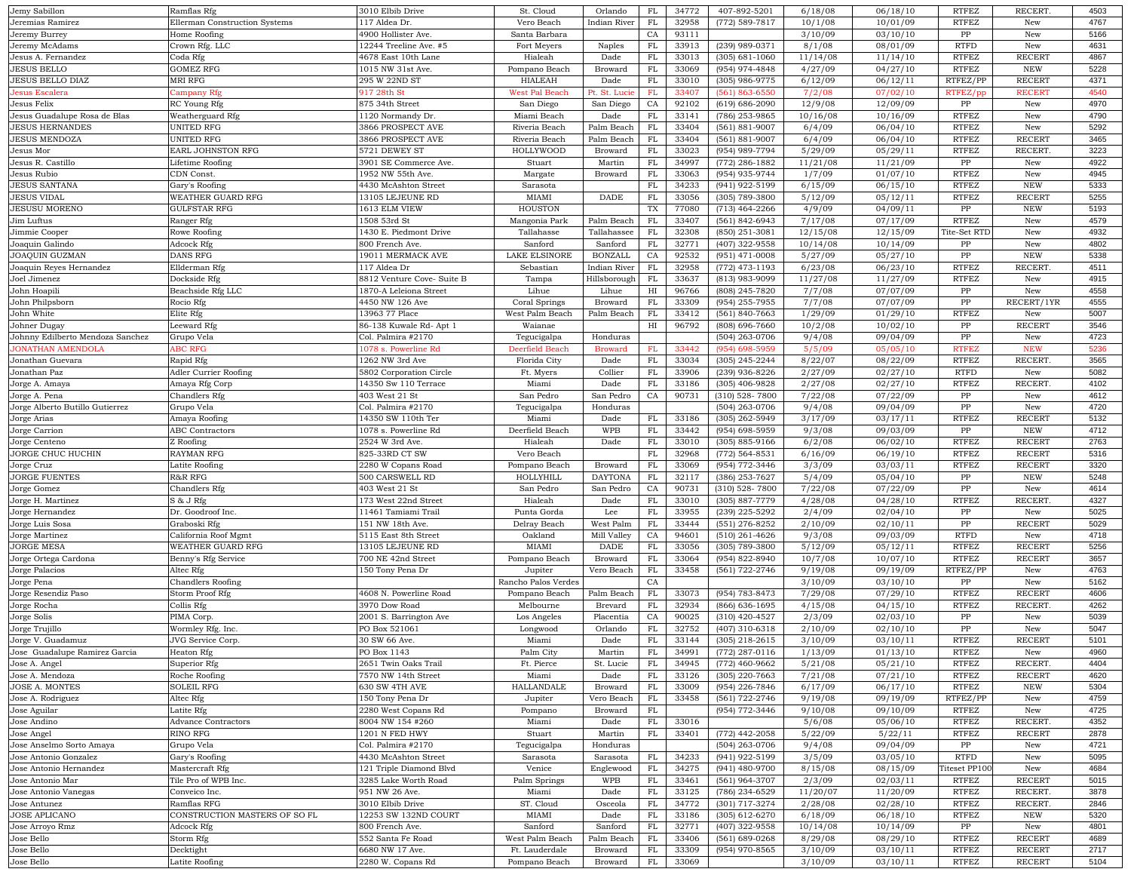| Jemy Sabillon                    | Ramflas Rfg                          | 3010 Elbib Drive                       | St. Cloud            | Orlando             | FL               | 34772          | 407-892-5201                     | 6/18/08                      | 06/18/10            | <b>RTFEZ</b>               | <b>RECERT</b>  | 4503 |
|----------------------------------|--------------------------------------|----------------------------------------|----------------------|---------------------|------------------|----------------|----------------------------------|------------------------------|---------------------|----------------------------|----------------|------|
| Jeremias Ramirez                 | <b>Ellerman Construction Systems</b> | 117 Aldea Dr.                          | Vero Beach           | <b>Indian River</b> | FL               | 32958          | (772) 589-7817                   | 10/1/08                      | 10/01/09            | <b>RTFEZ</b>               | New            | 4767 |
| Jeremy Burrey                    | Home Roofing                         | 4900 Hollister Ave.                    | Santa Barbara        |                     | CA               | 93111          |                                  | 3/10/09                      | 03/10/10            | PP                         | New            | 5166 |
| Jeremy McAdams                   | Crown Rfg. LLC                       | 12244 Treeline Ave. #5                 | Fort Meyers          | Naples              | FL               | 33913          | (239) 989-0371                   | 8/1/08                       | 08/01/09            | <b>RTFD</b>                | New            | 4631 |
| Jesus A. Fernandez               | Coda Rfg                             | 4678 East 10th Lane                    | Hialeah              | Dade                | FL               | 33013          | $(305) 681 - 1060$               | 11/14/08                     | 11/14/10            | <b>RTFEZ</b>               | <b>RECERT</b>  | 4867 |
| <b>JESUS BELLO</b>               | <b>GOMEZ RFG</b>                     | 1015 NW 31st Ave.                      | Pompano Beach        | Broward             | FL               | 33069          | (954) 974-4848                   | 4/27/09                      | 04/27/10            | <b>RTFEZ</b>               | <b>NEW</b>     | 5228 |
| <b>JESUS BELLO DIAZ</b>          | <b>MRI RFG</b>                       | 295 W 22ND ST                          | HIALEAH              | Dade                | FL               | 33010          | (305) 986-9775                   | 6/12/09                      | 06/12/11            | RTFEZ/PP                   | <b>RECERT</b>  | 4371 |
| <b>Tesus Escalera</b>            | lampany Rfg                          | 917 28th St                            | West Pal Beach       | Pt. St. Luci        | FL               | 33407          | (561) 863-6550                   | 7/2/08                       | 07/02/10            | RTFEZ/pp                   | <b>RECER</b>   | 4540 |
| Jesus Felix                      | RC Young Rfg                         | 875 34th Street                        | San Diego            | San Diego           | CA               | 92102          | $(619) 686 - 2090$               | 12/9/08                      | 12/09/09            | PP                         | New            | 4970 |
| Jesus Guadalupe Rosa de Blas     |                                      | 1120 Normandy Dr.                      | Miami Beach          | Dade                | FL               | 33141          | (786) 253-9865                   | 10/16/08                     | 10/16/09            | <b>RTFEZ</b>               | New            | 4790 |
|                                  | Weatherguard Rfg                     |                                        |                      |                     |                  |                |                                  |                              |                     |                            |                |      |
| <b>JESUS HERNANDES</b>           | UNITED RFG                           | 3866 PROSPECT AVE                      | Riveria Beach        | Palm Beach          | ${\rm FL}$       | 33404          | (561) 881-9007                   | 6/4/09                       | 06/04/10            | <b>RTFEZ</b>               | New            | 5292 |
| <b>JESUS MENDOZA</b>             | UNITED RFG                           | 3866 PROSPECT AVE                      | Riveria Beach        | Palm Beach          | FL               | 33404          | (561) 881-9007                   | 6/4/09                       | 06/04/10            | <b>RTFEZ</b>               | <b>RECERT</b>  | 3465 |
| Jesus Mor                        | EARL JOHNSTON RFG                    | 5721 DEWEY ST                          | HOLLYWOOD            | Broward             | FL               | 33023          | (954) 989-7794                   | 5/29/09                      | 05/29/11            | <b>RTFEZ</b>               | <b>RECERT</b>  | 3223 |
| Jesus R. Castillo                | Lifetime Roofing                     | 3901 SE Commerce Ave.                  | Stuart               | Martin              | FL               | 34997          | (772) 286-1882                   | 11/21/08                     | 11/21/09            | PP                         | New            | 4922 |
| Jesus Rubio                      | CDN Const                            | 1952 NW 55th Ave                       | Margate              | Broward             | FL               | 33063          | (954) 935-9744                   | 1/7/09                       | 01/07/10            | <b>RTFEZ</b>               | New            | 4945 |
| <b>JESUS SANTANA</b>             | Gary's Roofing                       | 4430 McAshton Street                   | Sarasota             |                     | FL               | 34233          | (941) 922-5199                   | 6/15/09                      | 06/15/10            | <b>RTFEZ</b>               | ${\tt NEW}$    | 5333 |
| <b>JESUS VIDAL</b>               | WEATHER GUARD RFG                    | 13105 LEJEUNE RD                       | MIAMI                | DADE                | FL               | 33056          | (305) 789-3800                   | 5/12/09                      | 05/12/11            | <b>RTFEZ</b>               | <b>RECERT</b>  | 5255 |
| <b>JESUSU MORENO</b>             | <b>GULFSTAR RFG</b>                  | 1613 ELM VIEW                          | <b>HOUSTON</b>       |                     | <b>TX</b>        | 77080          | (713) 464-2266                   | 4/9/09                       | 04/09/11            | ${\rm PP}$                 | ${\tt NEW}$    | 5193 |
| Jim Luftus                       | Ranger Rfg                           | 1508 53rd St                           | Mangonia Park        | Palm Beach          | FL               | 33407          | (561) 842-6943                   | 7/17/08                      | 07/17/09            | <b>RTFEZ</b>               | New            | 4579 |
| Jimmie Cooper                    | Rowe Roofing                         | 1430 E. Piedmont Drive                 | Tallahasse           | Tallahassee         | FL               | 32308          | (850) 251-3081                   | 12/15/08                     | 12/15/09            | Tite-Set RTD               | New            | 4932 |
| Joaquin Galindo                  | Adcock Rfg                           | 800 French Ave.                        | Sanford              | Sanford             | FL               | 32771          | (407) 322-9558                   | 10/14/08                     | 10/14/09            | ${\rm PP}$                 | New            | 4802 |
| JOAQUIN GUZMAN                   | <b>DANS RFG</b>                      | 19011 MERMACK AVE                      | <b>LAKE ELSINORE</b> | <b>BONZALL</b>      | CA               | 92532          | (951) 471-0008                   | 5/27/09                      | 05/27/10            | PP                         | <b>NEW</b>     | 5338 |
| Joaquin Reyes Hernandez          | Ellderman Rfg                        | 117 Aldea Dr                           | Sebastian            | Indian River        | FL               | 32958          | (772) 473-1193                   | 6/23/08                      | 06/23/10            | <b>RTFEZ</b>               | <b>RECERT</b>  | 4511 |
| Joel Jimenez                     | Dockside Rfg                         | 8812 Venture Cove- Suite B             | Tampa                | Hillsborough        | ${\rm FL}$       | 33637          | (813) 983-9099                   | 11/27/08                     | 11/27/09            | <b>RTFEZ</b>               | New            | 4915 |
| John Hoapili                     | Beachside Rfg LLC                    | 1870-A Leleiona Street                 | Lihue                | Lihue               | HI               | 96766          | (808) 245-7820                   | 7/7/08                       | 07/07/09            | PP                         | New            | 4558 |
| John Philpsborn                  | Rocio Rfg                            | 4450 NW 126 Ave                        | Coral Springs        | Broward             | ${\rm FL}$       | 33309          | (954) 255-7955                   | 7/7/08                       | 07/07/09            | ${\rm PP}$                 | RECERT/1YR     | 4555 |
| John White                       | Elite Rfg                            | 13963 77 Place                         | West Palm Beach      | Palm Beach          | FL               | 33412          | (561) 840-7663                   | 1/29/09                      | 01/29/10            | <b>RTFEZ</b>               | New            | 5007 |
| Johner Dugay                     | Leeward Rfg                          | 86-138 Kuwale Rd- Apt 1                | Waianae              |                     | HI               | 96792          | (808) 696-7660                   | 10/2/08                      | 10/02/10            | ${\rm PP}$                 | <b>RECERT</b>  | 3546 |
| Johnny Edilberto Mendoza Sanchez | Grupo Vela                           | Col. Palmira #2170                     | Tegucigalpa          | Honduras            |                  |                | (504) 263-0706                   | 9/4/08                       | $\frac{09}{04}$ /09 | PP                         | New            | 4723 |
| <b>JONATHAN AMENDOLA</b>         | <b>ABC RFG</b>                       | 1078 s. Powerline Rd                   | Deerfield Beach      | <b>Broward</b>      | FL               | 33442          | (954) 698-5959                   | 5/5/09                       | 05/05/10            | <b>RTFEZ</b>               | <b>NEW</b>     | 5236 |
| Jonathan Guevara                 | Rapid Rfg                            | 1262 NW 3rd Ave                        | Florida City         | Dade                | FL               | 33034          | (305) 245-2244                   | 8/22/07                      | 08/22/09            | <b>RTFEZ</b>               | <b>RECERT</b>  | 3565 |
| Jonathan Paz                     | Adler Currier Roofing                | 5802 Corporation Circle                | Ft. Myers            | Collier             | FL               | 33906          | (239) 936-8226                   | 2/27/09                      | 02/27/10            | <b>RTFD</b>                | New            | 5082 |
| Jorge A. Amaya                   | Amaya Rfg Corp                       | 14350 Sw 110 Terrace                   | Miami                | Dade                | FL               | 33186          | (305) 406-9828                   | 2/27/08                      | 02/27/10            | <b>RTFEZ</b>               | <b>RECERT</b>  | 4102 |
| Jorge A. Pena                    | Chandlers Rfg                        | 403 West 21 St                         | San Pedro            | San Pedro           | CA               | 90731          | (310) 528-7800                   | 7/22/08                      | 07/22/09            | ${\rm PP}$                 | New            | 4612 |
| Jorge Alberto Butillo Gutierrez  | Grupo Vela                           | Col. Palmira #2170                     | Tegucigalpa          | Honduras            |                  |                | (504) 263-0706                   | 9/4/08                       | 09/04/09            | PP                         | New            | 4720 |
| Jorge Arias                      | Amaya Roofing                        | 14350 SW 110th Ter                     | Miami                | Dade                | FL               | 33186          | (305) 262-5949                   | 3/17/09                      | 03/17/11            | <b>RTFEZ</b>               | <b>RECERT</b>  | 5132 |
| Jorge Carrion                    | <b>ABC</b> Contractors               | 1078 s. Powerline Rd                   | Deerfield Beach      | <b>WPB</b>          | FL               | 33442          | (954) 698-5959                   | 9/3/08                       |                     | PP                         | <b>NEW</b>     | 4712 |
| Jorge Centeno                    | Z Roofing                            | 2524 W 3rd Ave.                        | Hialeah              | Dade                | FL               | 33010          | (305) 885-9166                   | 6/2/08                       | 06/02/10            | <b>RTFEZ</b>               | <b>RECERT</b>  | 2763 |
| JORGE CHUC HUCHIN                | <b>RAYMAN RFG</b>                    | 825-33RD CT SW                         | Vero Beach           |                     | FL               | 32968          | (772) 564-8531                   | 6/16/09                      | 06/19/10            | <b>RTFEZ</b>               | <b>RECERT</b>  | 5316 |
| Jorge Cruz                       | Latite Roofing                       | 2280 W Copans Road                     | Pompano Beach        | Broward             | FL               | 33069          | (954) 772-3446                   | 3/3/09                       | 03/03/11            | <b>RTFEZ</b>               | <b>RECERT</b>  | 3320 |
| <b>JORGE FUENTES</b>             | R&R RFG                              | 500 CARSWELL RD                        | HOLLYHILL            | <b>DAYTONA</b>      | FL               | 32117          | (386) 253-7627                   |                              | 05/04/10            | PP                         | ${\tt NEW}$    | 5248 |
|                                  |                                      |                                        |                      |                     |                  |                |                                  | 5/4/09<br>7/22/08            | 07/22/09            |                            |                | 4614 |
| Jorge Gomez<br>Jorge H. Martinez | Chandlers Rfg<br>S & J Rfg           | 403 West 21 St<br>173 West 22nd Street | San Pedro<br>Hialeah | San Pedro<br>Dade   | CA<br>${\rm FL}$ | 90731<br>33010 | (310) 528-7800<br>(305) 887-7779 |                              | 04/28/10            | ${\rm PP}$<br><b>RTFEZ</b> | New<br>RECERT. | 4327 |
|                                  |                                      |                                        |                      |                     | ${\rm FL}$       | 33955          |                                  | 4/28/08                      | 02/04/10            | PP                         |                | 5025 |
| Jorge Hernandez                  | Dr. Goodroof Inc.                    | 11461 Tamiami Trail                    | Punta Gorda          | Lee                 |                  |                | (239) 225-5292                   | 2/4/09                       |                     |                            | New            |      |
| Jorge Luis Sosa                  | Graboski Rfg                         | 151 NW 18th Ave.                       | Delray Beach         | West Palm           | FL               | 33444          | (551) 276-8252                   | 2/10/09                      | 02/10/11            | PP                         | <b>RECERT</b>  | 5029 |
| Jorge Martinez                   | California Roof Mgmt                 | 5115 East 8th Street                   | Oakland              | Mill Valley         | CA               | 94601          | (510) 261-4626                   | 9/3/08                       | 09/03/09            | <b>RTFD</b>                | New            | 4718 |
| <b>JORGE MESA</b>                | WEATHER GUARD RFG                    | 13105 LEJEUNE RD                       | MIAMI                | DADE                | FL               | 33056          | (305) 789-3800                   | 5/12/09                      | 05/12/11            | <b>RTFEZ</b>               | <b>RECERT</b>  | 5256 |
| Jorge Ortega Cardona             | Benny's Rfg Service                  | 700 NE 42nd Street                     | Pompano Beach        | Broward             | FL               | 33064          | (954) 822-8940                   | 10/7/08                      | 10/07/10            | <b>RTFEZ</b>               | <b>RECERT</b>  | 3657 |
| Jorge Palacios                   | Altec Rfg                            | 150 Tony Pena Dr                       | Jupiter              | Vero Beach          | FL               | 33458          | (561) 722-2746                   | 9/19/08                      | 09/19/09            | RTFEZ/PP                   | New            | 4763 |
| Jorge Pena                       | Chandlers Roofing                    |                                        | Rancho Palos Verdes  |                     | CA               |                |                                  | 3/10/09                      | 03/10/10            | PP                         | New            | 5162 |
| Jorge Resendiz Paso              | Storm Proof Rfg                      | 4608 N. Powerline Road                 | Pompano Beach        | Palm Beach          | FL               | 33073          | (954) 783-8473                   | 7/29/08                      | 07/29/10            | <b>RTFEZ</b>               | <b>RECERT</b>  | 4606 |
| Jorge Rocha                      | Collis Rfg                           | 3970 Dow Road                          | Melbourne            | Brevard             | FL               | 32934          | (866) 636-1695                   | 4/15/08                      | 04/15/10            | <b>RTFEZ</b>               | <b>RECERT</b>  | 4262 |
| Jorge Solis                      | PIMA Corp.                           | 2001 S. Barrington Ave                 | Los Angeles          | Placentia           | CA               | 90025          | (310) 420-4527                   | 2/3/09                       | 02/03/10            | ${\rm PP}$                 | New            | 5039 |
| Jorge Trujillo                   | Wormley Rfg. Inc.                    | PO Box 521061                          | Longwood             | Orlando             | FL               | 32752          | (407) 310-6318                   | 2/10/09                      | 02/10/10            | PP                         | New            | 5047 |
| Jorge V. Guadamuz                | JVG Service Corp.                    | 30 SW 66 Ave.                          | Miami                | Dade                | FL               | 33144          | (305) 218-2615                   | 3/10/09                      | 03/10/11            | <b>RTFEZ</b>               | <b>RECERT</b>  | 5101 |
| Jose Guadalupe Ramirez Garcia    | Heaton Rfg                           | PO Box 1143                            | Palm City            | Martin              | FL               | 34991          | (772) 287-0116                   | 1/13/09                      | 01/13/10            | RTFEZ                      | New            | 4960 |
| Jose A. Angel                    | Superior Rfg                         | 2651 Twin Oaks Trail                   | Ft. Pierce           | St. Lucie           | ${\rm FL}$       | 34945          | (772) 460-9662                   | 5/21/08                      | 05/21/10            | <b>RTFEZ</b>               | RECERT.        | 4404 |
| Jose A. Mendoza                  | Roche Roofing                        | 7570 NW 14th Street                    | Miami                | Dade                | FL               | 33126          | (305) 220-7663                   | 7/21/08                      | 07/21/10            | <b>RTFEZ</b>               | <b>RECERT</b>  | 4620 |
| JOSE A. MONTES                   | <b>SOLEIL RFG</b>                    | 630 SW 4TH AVE                         | <b>HALLANDALE</b>    | Broward             | FL               | 33009          | (954) 226-7846                   | 6/17/09                      | 06/17/10            | <b>RTFEZ</b>               | <b>NEW</b>     | 5304 |
| Jose A. Rodriguez                | Altec Rfg                            | 150 Tony Pena Dr                       | Jupiter              | Vero Beach          | FL               | 33458          | (561) 722-2746                   | 9/19/08                      | 09/19/09            | RTFEZ/PP                   | New            | 4759 |
| Jose Aguilar                     | Latite Rfg                           | 2280 West Copans Rd                    | Pompano              | Broward             | FL               |                | (954) 772-3446                   | 9/10/08                      | 09/10/09            | <b>RTFEZ</b>               | New            | 4725 |
| Jose Andino                      | Advance Contractors                  | 8004 NW 154 #260                       | Miami                | Dade                | FL               | 33016          |                                  | 5/6/08                       | 05/06/10            | <b>RTFEZ</b>               | <b>RECERT</b>  | 4352 |
| Jose Angel                       | RINO RFG                             | 1201 N FED HWY                         | Stuart               | Martin              | FL               | 33401          | (772) 442-2058                   | 5/22/09                      | 5/22/11             | <b>RTFEZ</b>               | <b>RECERT</b>  | 2878 |
| Jose Anselmo Sorto Amaya         | Grupo Vela                           | Col. Palmira #2170                     | Tegucigalpa          | Honduras            |                  |                | (504) 263-0706                   | 9/4/08                       | 09/04/09            | PP                         | New            | 4721 |
| Jose Antonio Gonzalez            | Gary's Roofing                       | 4430 McAshton Street                   | Sarasota             | Sarasota            | FL               | 34233          | (941) 922-5199                   | 3/5/09                       | 03/05/10            | <b>RTFD</b>                | New            | 5095 |
| Jose Antonio Hernandez           | Mastercraft Rfg                      | 121 Triple Diamond Blvd                | Venice               | Englewood           | FL               | 34275          | (941) 480-9700                   | 8/15/08                      | 08/15/09            | Titeset PP10               | New            | 4684 |
| Jose Antonio Mar                 | Tile Pro of WPB Inc.                 | 3285 Lake Worth Road                   | Palm Springs         | WPB                 | FL               | 33461          | (561) 964-3707                   | 2/3/09                       | 02/03/11            | <b>RTFEZ</b>               | <b>RECERT</b>  | 5015 |
| Jose Antonio Vanegas             | Conveico Inc.                        | 951 NW 26 Ave.                         | Miami                | Dade                | ${\rm FL}$       | 33125          | (786) 234-6529                   | $\frac{1}{11}/\frac{20}{07}$ | 11/20/09            | <b>RTFEZ</b>               | RECERT.        | 3878 |
| Jose Antunez                     | Ramflas RFG                          | 3010 Elbib Drive                       | ST. Cloud            | Osceola             | FL               | 34772          | (301) 717-3274                   | 2/28/08                      | 02/28/10            | <b>RTFEZ</b>               | <b>RECERT</b>  | 2846 |
| <b>JOSE APLICANO</b>             | CONSTRUCTION MASTERS OF SO FL        | 12253 SW 132ND COURT                   | MIAMI                | Dade                | FL               | 33186          | (305) 612-6270                   | 6/18/09                      | 06/18/10            | <b>RTFEZ</b>               | <b>NEW</b>     | 5320 |
| Jose Arroyo Rmz                  | Adcock Rfg                           | 800 French Ave.                        | Sanford              | Sanford             | FL               | 32771          | (407) 322-9558                   | 10/14/08                     | 10/14/09            | ${\rm PP}$                 | ${\hbox{New}}$ | 4801 |
|                                  |                                      |                                        |                      |                     |                  |                |                                  |                              |                     |                            |                |      |
| Jose Bello                       | Storm Rfg                            | 552 Santa Fe Road                      | West Palm Beach      | Palm Beach          | FL               | 33406          | (561) 689-0268                   | 8/29/08                      | 08/29/10            | <b>RTFEZ</b>               | <b>RECERT</b>  | 4689 |
| Jose Bello                       | Decktight                            | 6680 NW 17 Ave.                        | Ft. Lauderdale       | Broward             | FL               | 33309          | (954) 970-8565                   | 3/10/09                      | 03/10/11            | <b>RTFEZ</b>               | <b>RECERT</b>  | 2717 |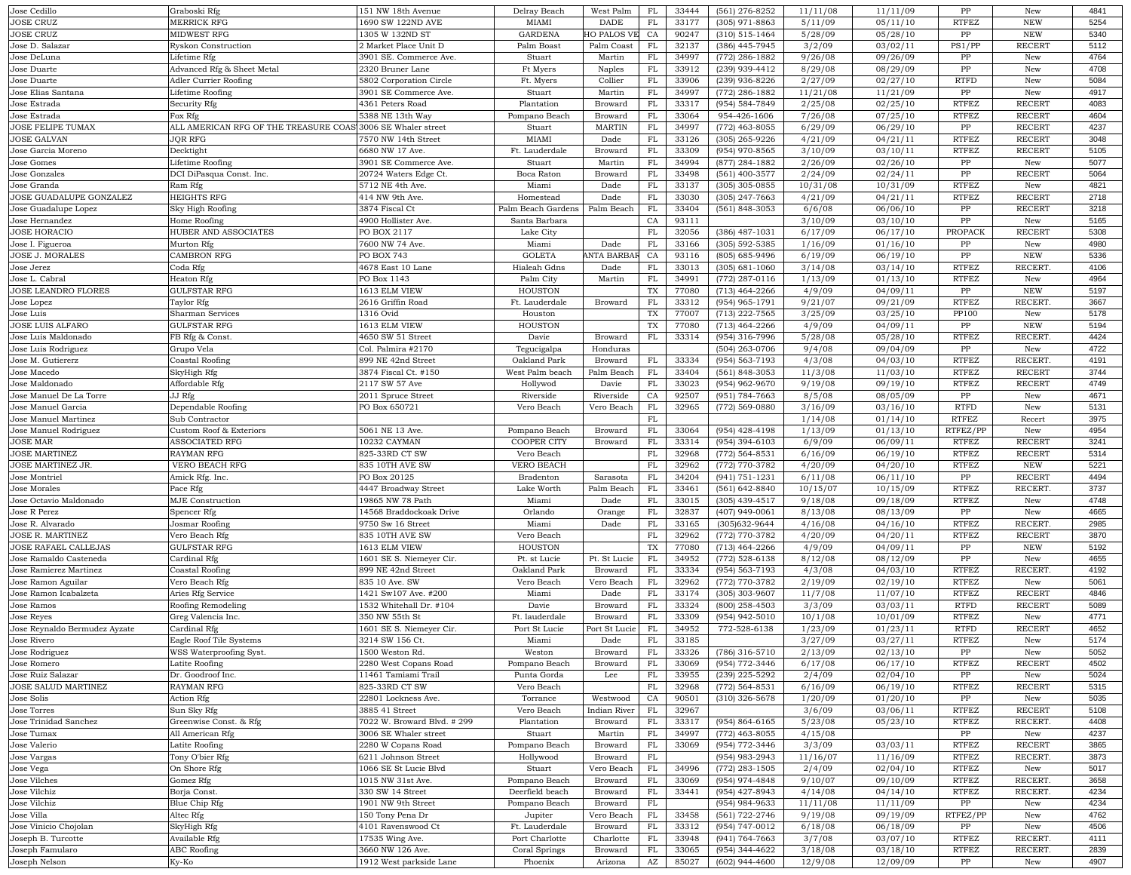| Jose Cedillo                                 | Graboski Rfg                                                | 151 NW 18th Avenue          | Delray Beach       | West Palm           | FL         | 33444 | (561) 276-8252     | 11/11/08            | 11/11/09          | PP           | New           | 4841 |
|----------------------------------------------|-------------------------------------------------------------|-----------------------------|--------------------|---------------------|------------|-------|--------------------|---------------------|-------------------|--------------|---------------|------|
| <b>JOSE CRUZ</b>                             | <b>MERRICK RFG</b>                                          | 1690 SW 122ND AVE           | MIAMI              | <b>DADE</b>         | FL         | 33177 | (305) 971-8863     | 5/11/09             | 05/11/10          | <b>RTFEZ</b> | <b>NEW</b>    | 5254 |
| <b>JOSE CRUZ</b>                             | MIDWEST RFG                                                 | 1305 W 132ND ST             | <b>GARDENA</b>     | HO PALOS VE         | CA         | 90247 | $(310) 515 - 1464$ | 5/28/09             | 05/28/10          | PP           | <b>NEW</b>    | 5340 |
| Jose D. Salazar                              | Ryskon Construction                                         | Market Place Unit D         | Palm Boast         | Palm Coast          | ${\rm FL}$ | 32137 | (386) 445-7945     | 3/2/09              | 03/02/11          | PS1/PP       | <b>RECERT</b> | 5112 |
| Jose DeLuna                                  | Lifetime Rfg                                                | 3901 SE. Commerce Ave.      | Stuart             | Martin              | FL         | 34997 | (772) 286-1882     | 9/26/08             | 09/26/09          | ${\rm PP}$   | New           | 4764 |
| Jose Duarte                                  | Advanced Rfg & Sheet Metal                                  | 2320 Bruner Lane            | Ft Myers           | Naples              | FL         | 33912 | (239) 939-4412     | 8/29/08             | 08/29/09          | PP           | New           | 4708 |
| Jose Duarte                                  | Adler Currier Roofing                                       | 5802 Corporation Circle     | Ft. Myers          | Collier             | FL         | 33906 | (239) 936-8226     | 2/27/09             | 02/27/10          | <b>RTFD</b>  | New           | 5084 |
| Jose Elias Santana                           | Lifetime Roofing                                            | 3901 SE Commerce Ave.       | Stuart             | Martin              | ${\rm FL}$ | 34997 | (772) 286-1882     | 11/21/08            | 11/21/09          | ${\rm PP}$   | New           | 4917 |
| Jose Estrada                                 | Security Rfg                                                | 4361 Peters Road            | Plantation         | Broward             | FL         | 33317 | (954) 584-7849     | 2/25/08             | 02/25/10          | <b>RTFEZ</b> | <b>RECERT</b> | 4083 |
| Jose Estrada                                 | Fox Rfg                                                     | 5388 NE 13th Way            | Pompano Beach      | Broward             | FL         | 33064 | 954-426-1606       | 7/26/08             | 07/25/10          | <b>RTFEZ</b> | <b>RECERT</b> | 4604 |
| <b>JOSE FELIPE TUMAX</b>                     | ALL AMERICAN RFG OF THE TREASURE COAS 3006 SE Whaler street |                             | Stuart             | <b>MARTIN</b>       | ${\rm FL}$ | 34997 | (772) 463-8055     | $\frac{6}{29}$ /09  | 06/29/10          | PP           | <b>RECERT</b> | 4237 |
| <b>JOSE GALVAN</b>                           | <b>JQR RFG</b>                                              | 7570 NW 14th Street         | <b>MIAMI</b>       | Dade                | FL         | 33126 | (305) 265-9226     | 4/21/09             | 04/21/11          | <b>RTFEZ</b> | <b>RECERT</b> | 3048 |
| Jose Garcia Moreno                           | Decktight                                                   | 6680 NW 17 Ave.             | Ft. Lauderdale     | Broward             | FL         | 33309 | (954) 970-8565     | 3/10/09             | 03/10/11          | <b>RTFEZ</b> | <b>RECERT</b> | 5105 |
| Jose Gomes                                   | Lifetime Roofing                                            | 3901 SE Commerce Ave.       | Stuart             | Martin              | FL         | 34994 | (877) 284-1882     | 2/26/09             | 02/26/10          | PP           | New           | 5077 |
| Jose Gonzales                                | DCI DiPasqua Const. Inc.                                    | 20724 Waters Edge Ct.       | Boca Raton         | Broward             | FL         | 33498 | (561) 400-3577     | 2/24/09             | 02/24/11          | ${\rm PP}$   | <b>RECERT</b> | 5064 |
| Jose Granda                                  | Ram Rfg                                                     | 5712 NE 4th Ave.            | Miami              | Dade                | FL         | 33137 | (305) 305-0855     | 10/31/08            | 10/31/09          | <b>RTFEZ</b> | New           | 4821 |
| JOSE GUADALUPE GONZALEZ                      | HEIGHTS RFG                                                 | 414 NW 9th Ave.             | Homestead          | Dade                | FL         | 33030 | (305) 247-7663     | 4/21/09             | 04/21/11          | <b>RTFEZ</b> | <b>RECERT</b> | 2718 |
| Jose Guadalupe Lopez                         | Sky High Roofing                                            | 3874 Fiscal Ct              | Palm Beach Gardens | Palm Beach          | ${\rm FL}$ | 33404 | (561) 848-3053     | 6/6/08              | 06/06/10          | ${\rm PP}$   | <b>RECERT</b> | 3218 |
| Jose Hernandez                               | Home Roofing                                                | 4900 Hollister Ave.         | Santa Barbara      |                     | CA         | 93111 |                    | $\frac{1}{3}/10/09$ | 03/10/10          | PP           | New           | 5165 |
| <b>JOSE HORACIO</b>                          | HUBER AND ASSOCIATES                                        | PO BOX 2117                 | Lake City          |                     | FL         | 32056 | (386) 487-1031     | 6/17/09             | 06/17/10          | PROPACK      | <b>RECERT</b> | 5308 |
| Jose I. Figueroa                             | Murton Rfg                                                  | 7600 NW 74 Ave.             | Miami              | Dade                | ${\rm FL}$ | 33166 | (305) 592-5385     | 1/16/09             | 01/16/10          | PP           | New           | 4980 |
| JOSE J. MORALES                              | CAMBRON RFG                                                 | PO BOX 743                  | <b>GOLETA</b>      | <b>NTA BARBA</b>    | CA         | 93116 | (805) 685-9496     | 6/19/09             | 06/19/10          | ${\rm PP}$   | <b>NEW</b>    | 5336 |
| Jose Jerez                                   | Coda Rfg                                                    | 4678 East 10 Lane           | Hialeah Gdns       | Dade                | FL         | 33013 | $(305) 681 - 1060$ | 3/14/08             | 03/14/10          | <b>RTFEZ</b> | <b>RECERT</b> | 4106 |
| Jose L. Cabral                               | Heaton Rfg                                                  | PO Box 1143                 | Palm City          | Martin              | $\rm FL$   | 34991 | (772) 287-0116     | 1/13/09             | 01/13/10          | <b>RTFEZ</b> | New           | 4964 |
| JOSE LEANDRO FLORES                          |                                                             | 1613 ELM VIEW               |                    |                     |            | 77080 |                    |                     |                   |              | <b>NEW</b>    | 5197 |
|                                              | GULFSTAR RFG                                                |                             | <b>HOUSTON</b>     |                     | TX         |       | $(713)$ 464-2266   | 4/9/09              | 04/09/11          | PP           |               |      |
| Jose Lopez                                   | Taylor Rfg                                                  | 2616 Griffin Road           | Ft. Lauderdale     | Broward             | ${\rm FL}$ | 33312 | (954) 965-1791     | 9/21/07             | 09/21/09          | <b>RTFEZ</b> | <b>RECERT</b> | 3667 |
| Jose Luis                                    | Sharman Services                                            | 1316 Ovid                   | Houston            |                     | TX         | 77007 | (713) 222-7565     | 3/25/09             | 03/25/10          | PP100        | New           | 5178 |
| JOSE LUIS ALFARO                             | GULFSTAR RFG                                                | 1613 ELM VIEW               | <b>HOUSTON</b>     |                     | TX         | 77080 | $(713)$ 464-2266   | 4/9/09              | 04/09/11          | PP           | <b>NEW</b>    | 5194 |
| Jose Luis Maldonado                          | FB Rfg & Const.                                             | 4650 SW 51 Street           | Davie              | Broward             | ${\rm FL}$ | 33314 | (954) 316-7996     | 5/28/08             | 05/28/10          | <b>RTFEZ</b> | RECERT.       | 4424 |
| Jose Luis Rodriguez                          | Grupo Vela                                                  | Col. Palmira #2170          | Tegucigalpa        | Honduras            |            |       | (504) 263-0706     | 9/4/08              | 09/04/09          | PP           | New           | 4722 |
| Jose M. Gutiererz                            | Coastal Roofing                                             | 899 NE 42nd Street          | Oakland Park       | Broward             | FL         | 33334 | (954) 563-7193     | 4/3/08              | 04/03/10          | <b>RTFEZ</b> | RECERT.       | 4191 |
| Jose Macedo                                  | SkyHigh Rfg                                                 | 3874 Fiscal Ct. #150        | West Palm beach    | Palm Beach          | ${\rm FL}$ | 33404 | (561) 848-3053     | 11/3/08             | 11/03/10          | <b>RTFEZ</b> | <b>RECERT</b> | 3744 |
| Jose Maldonado                               | Affordable Rfg                                              | 2117 SW 57 Ave              | Hollywod           | Davie               | FL         | 33023 | (954) 962-9670     | 9/19/08             | 09/19/10          | <b>RTFEZ</b> | <b>RECERT</b> | 4749 |
| Jose Manuel De La Torre                      | JJ Rfg                                                      | 2011 Spruce Street          | Riverside          | Riverside           | CA         | 92507 | (951) 784-7663     | 8/5/08              | 08/05/09          | PP           | New           | 4671 |
| Jose Manuel Garcia                           | Dependable Roofing                                          | PO Box 650721               | Vero Beach         | Vero Beach          | $\rm FL$   | 32965 | (772) 569-0880     | 3/16/09             | 03/16/10          | <b>RTFD</b>  | New           | 5131 |
| Jose Manuel Martinez                         | Sub Contractor                                              |                             |                    |                     | ${\rm FL}$ |       |                    | $\frac{1}{14/08}$   | 01/14/10          | <b>RTFEZ</b> | Recert        | 3975 |
| Jose Manuel Rodriguez                        | Custom Roof & Exteriors                                     | 5061 NE 13 Ave.             | Pompano Beach      | Broward             | FL         | 33064 | (954) 428-4198     | 1/13/09             | 01/13/10          | RTFEZ/PP     | New           | 4954 |
| <b>JOSE MAR</b>                              | ASSOCIATED RFG                                              | 10232 CAYMAN                | COOPER CITY        | Broward             | ${\rm FL}$ | 33314 | (954) 394-6103     | 6/9/09              | 06/09/11          | <b>RTFEZ</b> | <b>RECERT</b> | 3241 |
| <b>JOSE MARTINEZ</b>                         | RAYMAN RFG                                                  | 825-33RD CT SW              | Vero Beach         |                     | FL         | 32968 | (772) 564-8531     | 6/16/09             | 06/19/10          | <b>RTFEZ</b> | <b>RECERT</b> | 5314 |
| JOSE MARTINEZ JR.                            | VERO BEACH RFG                                              | 835 10TH AVE SW             | <b>VERO BEACH</b>  |                     | ${\rm FL}$ | 32962 | (772) 770-3782     | 4/20/09             | 04/20/10          | <b>RTFEZ</b> | <b>NEW</b>    | 5221 |
| Jose Montriel                                | Amick Rfg. Inc.                                             | PO Box 20125                | Bradenton          | Sarasota            | FL         | 34204 | (941) 751-1231     | 6/11/08             | 06/11/10          | PP           | <b>RECERT</b> | 4494 |
| Jose Morales                                 | Pace Rfg                                                    | 4447 Broadway Street        | Lake Worth         | Palm Beach          | FL         | 33461 | (561) 642-8840     | 10/15/07            | 10/15/09          | <b>RTFEZ</b> | RECERT.       | 3737 |
| Jose Octavio Maldonado                       | <b>MJE</b> Construction                                     | 19865 NW 78 Path            | Miami              | Dade                | ${\rm FL}$ | 33015 | (305) 439-4517     | 9/18/08             | 09/18/09          | <b>RTFEZ</b> | New           | 4748 |
| Jose R Perez                                 | Spencer Rfg                                                 | 14568 Braddockoak Drive     | Orlando            | Orange              | ${\rm FL}$ | 32837 | (407) 949-0061     | 8/13/08             | 08/13/09          | PP           | New           | 4665 |
| Jose R. Alvarado                             | Josmar Roofing                                              | 9750 Sw 16 Street           | Miami              | Dade                | FL         | 33165 | (305)632-9644      | 4/16/08             | 04/16/10          | <b>RTFEZ</b> | <b>RECERT</b> | 2985 |
| JOSE R. MARTINEZ                             | Vero Beach Rfg                                              | 835 10TH AVE SW             | Vero Beach         |                     | ${\rm FL}$ | 32962 | (772) 770-3782     | 4/20/09             | 04/20/11          | <b>RTFEZ</b> | <b>RECERT</b> | 3870 |
| JOSE RAFAEL CALLEJAS                         | GULFSTAR RFG                                                | 1613 ELM VIEW               | <b>HOUSTON</b>     |                     | TX         | 77080 | $(713)$ 464-2266   | 4/9/09              | 04/09/11          | PP           | <b>NEW</b>    | 5192 |
| Jose Ramaldo Casteneda                       | Cardinal Rfg                                                | 1601 SE S. Niemeyer Cir.    | Pt. st Lucie       | Pt. St Lucie        | FL         | 34952 | (772) 528-6138     | 8/12/08             | 08/12/09          | PP           | New           | 4655 |
| Jose Ramierez Martinez                       | Coastal Roofing                                             | 899 NE 42nd Street          | Oakland Park       | Broward             | ${\rm FL}$ | 33334 | (954) 563-7193     | 4/3/08              | 04/03/10          | <b>RTFEZ</b> | RECERT.       | 4192 |
| Jose Ramon Aguilar                           | Vero Beach Rfg                                              | 835 10 Ave. SW              | Vero Beach         | Vero Beach          | ${\rm FL}$ | 32962 | (772) 770-3782     | 2/19/09             | 02/19/10          | <b>RTFEZ</b> | New           | 5061 |
| Jose Ramon Icabalzeta                        | Aries Rfg Service                                           | 1421 Sw107 Ave. #200        | Miami              | Dade                | FL         | 33174 | (305) 303-9607     | 11/7/08             | 11/07/10          | <b>RTFEZ</b> | <b>RECERT</b> | 4846 |
| Jose Ramos                                   | Roofing Remodeling                                          |                             |                    | Broward             | $\rm FL$   | 33324 | (800) 258-4503     | 3/3/09              | 03/03/11          | <b>RTFD</b>  |               | 5089 |
|                                              |                                                             | 1532 Whitehall Dr. #104     | Davie              |                     |            |       |                    |                     |                   |              |               |      |
| Jose Reyes<br>Jose Reynaldo Bermudez Ayzate  |                                                             |                             |                    |                     |            |       |                    |                     |                   |              | <b>RECERT</b> |      |
|                                              | Greg Valencia Inc.                                          | 350 NW 55th St              | Ft. lauderdale     | Broward             | FL         | 33309 | (954) 942-5010     | 10/1/08             | 10/01/09          | <b>RTFEZ</b> | New           | 4771 |
|                                              | Cardinal Rfg                                                | 1601 SE S. Niemeyer Cir.    | Port St Lucie      | Port St Lucie       | FL         | 34952 | 772-528-6138       | 1/23/09             | 01/23/11          | <b>RTFD</b>  | <b>RECERT</b> | 4652 |
|                                              | Eagle Roof Tile Systems                                     | 3214 SW 156 Ct.             | Miami              | Dade                | FL         | 33185 |                    | 3/27/09             | 03/27/11          | <b>RTFEZ</b> | New           | 5174 |
|                                              | WSS Waterproofing Syst.                                     | 1500 Weston Rd.             | Weston             | Broward             | FL.        | 33326 | (786) 316-5710     | 2/13/09             | 02/13/10          | $_{\rm PP}$  | New           | 5052 |
| Jose Rivero<br>Jose Rodriguez<br>Jose Romero | Latite Roofing                                              | 2280 West Copans Road       | Pompano Beach      | Broward             | $\rm FL$   | 33069 | (954) 772-3446     | 6/17/08             | 06/17/10          | <b>RTFEZ</b> | <b>RECERT</b> | 4502 |
| Jose Ruiz Salazar                            | Dr. Goodroof Inc.                                           | 11461 Tamiami Trail         | Punta Gorda        | Lee                 | FL         | 33955 | (239) 225-5292     | 2/4/09              | 02/04/10          | PP           | New           | 5024 |
| <b>JOSE SALUD MARTINEZ</b>                   | <b>RAYMAN RFG</b>                                           | 825-33RD CT SW              | Vero Beach         |                     | FL         | 32968 | (772) 564-8531     | 6/16/09             | 06/19/10          | <b>RTFEZ</b> | <b>RECERT</b> | 5315 |
| Jose Solis                                   | <b>Action Rfg</b>                                           | 22801 Lockness Ave.         | Torrance           | Westwood            | CA         | 90501 | $(310)$ 326-5678   | 1/20/09             | 01/20/10          | PP           | New           | 5035 |
| Jose Torres                                  | Sun Sky Rfg                                                 | 3885 41 Street              | Vero Beach         | <b>Indian River</b> | $\rm FL$   | 32967 |                    | 3/6/09              | 03/06/11          | <b>RTFEZ</b> | <b>RECERT</b> | 5108 |
| Jose Trinidad Sanchez                        | Greenwise Const. & Rfg                                      | 7022 W. Broward Blvd. # 299 | Plantation         | Broward             | FL         | 33317 | (954) 864-6165     | 5/23/08             | 05/23/10          | <b>RTFEZ</b> | RECERT.       | 4408 |
| Jose Tumax                                   | All American Rfg                                            | 3006 SE Whaler street       | Stuart             | Martin              | $\rm FL$   | 34997 | (772) 463-8055     | 4/15/08             |                   | PP           | New           | 4237 |
| Jose Valerio                                 | Latite Roofing                                              | 2280 W Copans Road          | Pompano Beach      | Broward             | $\rm FL$   | 33069 | (954) 772-3446     | 3/3/09              | 03/03/11          | <b>RTFEZ</b> | <b>RECERT</b> | 3865 |
|                                              | Tony O'bier Rfg                                             | 6211 Johnson Street         | Hollywood          | Broward             | $\rm FL$   |       | (954) 983-2943     | 11/16/07            | 11/16/09          | <b>RTFEZ</b> | RECERT.       | 3873 |
| Jose Vargas<br>Jose Vega                     | On Shore Rfg                                                | 1066 SE St Lucie Blvd       | Stuart             | Vero Beach          | $\rm FL$   | 34996 | (772) 283-1505     | 2/4/09              | 02/04/10          | <b>RTFEZ</b> | New           | 5017 |
| Jose Vilches                                 | Gomez Rfg                                                   | 1015 NW 31st Ave.           | Pompano Beach      | Broward             | FL         | 33069 | (954) 974-4848     | 9/10/07             | 09/10/09          | <b>RTFEZ</b> | RECERT.       | 3658 |
| Jose Vilchiz                                 | Borja Const.                                                | 330 SW 14 Street            | Deerfield beach    | Broward             | $\rm FL$   | 33441 | (954) 427-8943     | 4/14/08             | $\sqrt{04}/14/10$ | <b>RTFEZ</b> | RECERT.       | 4234 |
| Jose Vilchiz                                 | Blue Chip Rfg                                               | 1901 NW 9th Street          | Pompano Beach      | Broward             | $\rm FL$   |       | (954) 984-9633     | 11/11/08            | 11/11/09          | PP           | New           | 4234 |
| Jose Villa                                   | Altec Rfg                                                   | 150 Tony Pena Dr            | Jupiter            | Vero Beach          | FL         | 33458 | (561) 722-2746     | 9/19/08             | 09/19/09          | RTFEZ/PP     | New           | 4762 |
| Jose Vinicio Chojolan                        | SkyHigh Rfg                                                 | 4101 Ravenswood Ct          | Ft. Lauderdale     | Broward             | $\rm FL$   | 33312 | (954) 747-0012     | 6/18/08             | 06/18/09          | PP           | New           | 4506 |
| Joseph B. Turcotte                           | Available Rfg                                               | 17535 Wing Ave.             | Port Charlotte     | Charlotte           | $\rm FL$   | 33948 | (941) 764-7663     | 3/7/08              | 03/07/10          | <b>RTFEZ</b> | RECERT.       | 4111 |
| Joseph Famularo                              | <b>ABC Roofing</b>                                          | 3660 NW 126 Ave.            | Coral Springs      | Broward             | $\rm FL$   | 33065 | (954) 344-4622     | 3/18/08             | 03/18/10          | <b>RTFEZ</b> | RECERT.       | 2839 |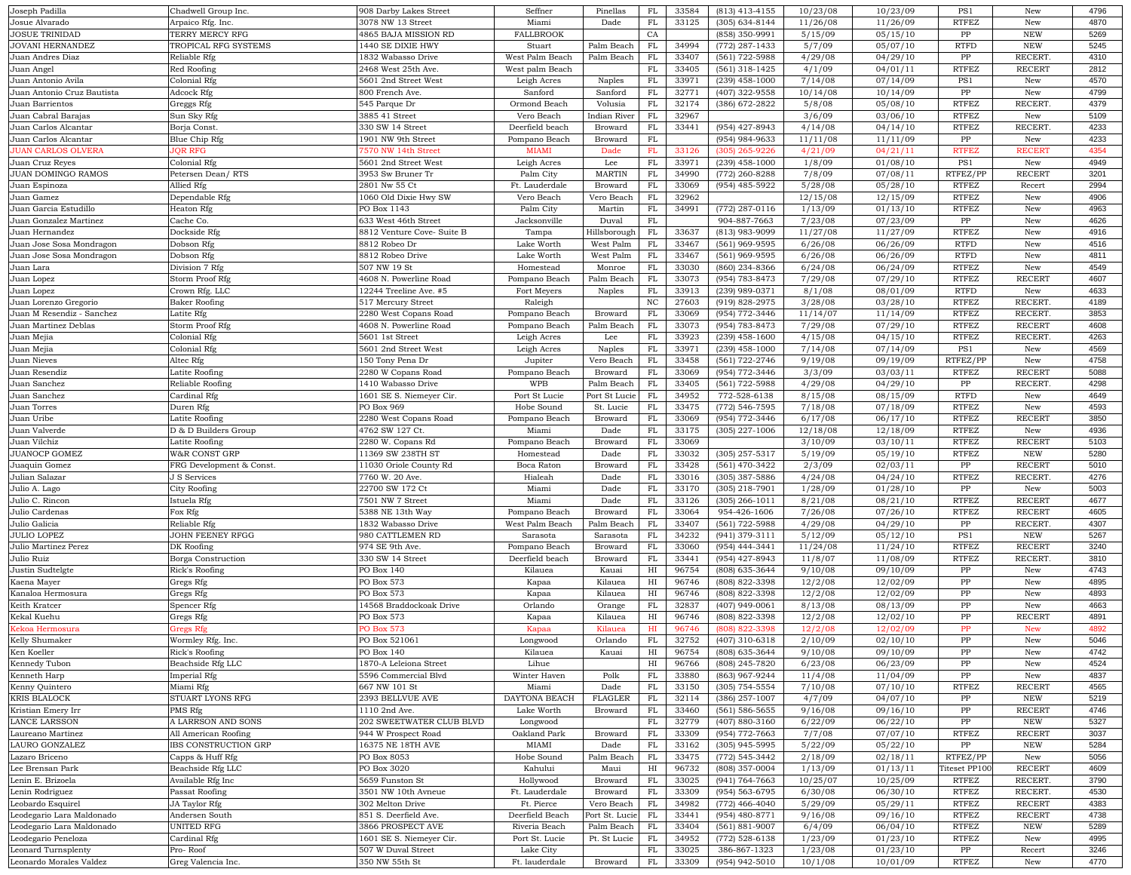| Joseph Padilla                                 | Chadwell Group Inc.             | 908 Darby Lakes Street                    | Seffner                      | Pinellas             | FL                     | 33584          | (813) 413-4155                     | 10/23/08           | 10/23/09               | PS1                          | New                      | 4796         |
|------------------------------------------------|---------------------------------|-------------------------------------------|------------------------------|----------------------|------------------------|----------------|------------------------------------|--------------------|------------------------|------------------------------|--------------------------|--------------|
| Josue Alvarado                                 | Arpaico Rfg. Inc.               | 3078 NW 13 Street                         | Miami                        | Dade                 | FL                     | 33125          | (305) 634-8144                     | 11/26/08           | 11/26/09               | <b>RTFEZ</b>                 | New                      | 4870         |
| <b>JOSUE TRINIDAD</b>                          | TERRY MERCY RFG                 | 4865 BAJA MISSION RD                      | <b>FALLBROOK</b>             |                      | CA                     |                | (858) 350-9991                     | 5/15/09            | 05/15/10               | PP                           | <b>NEW</b>               | 5269         |
| <b>JOVANI HERNANDEZ</b>                        | TROPICAL RFG SYSTEMS            | 1440 SE DIXIE HWY                         | Stuart                       | Palm Beach           | ${\rm FL}$             | 34994          | (772) 287-1433                     | 5/7/09             | 05/07/10               | <b>RTFD</b>                  | <b>NEW</b>               | 5245         |
| Juan Andres Diaz                               | Reliable Rfg                    | 1832 Wabasso Drive                        | West Palm Beach              | Palm Beach           | $\rm FL$               | 33407          | (561) 722-5988                     | 4/29/08            | 04/29/10               | ${\rm PP}$                   | <b>RECERT</b>            | 4310         |
| Juan Angel                                     | Red Roofing                     | 2468 West 25th Ave                        | West palm Beach              |                      | FL                     | 33405          | (561) 318-1425                     | 4/1/09             | 04/01/11               | <b>RTFEZ</b>                 | <b>RECERT</b>            | 2812         |
| Juan Antonio Avila                             | Colonial Rfg                    | 5601 2nd Street West                      | Leigh Acres                  | Naples               | $\rm FL$               | 33971          | (239) 458-1000                     | 7/14/08            | 07/14/09               | PS1                          | New                      | 4570         |
| Juan Antonio Cruz Bautista                     | Adcock Rfg                      | 800 French Ave.                           | Sanford                      | Sanford              | ${\rm FL}$             | 32771          | (407) 322-9558                     | 10/14/08           | 10/14/09               | ${\rm PP}$                   | New                      | 4799         |
| Juan Barrientos                                | Greggs Rfg                      | 545 Parque Dr                             | Ormond Beach                 | Volusia              | $\rm FL$               | 32174          | (386) 672-2822                     | 5/8/08             | 05/08/10               | <b>RTFEZ</b>                 | <b>RECERT</b>            | 4379         |
| Juan Cabral Barajas                            | Sun Sky Rfg                     | 3885 41 Street                            | Vero Beach                   | Indian River         | $\rm FL$               | 32967          |                                    | 3/6/09             | 03/06/10               | <b>RTFEZ</b>                 | New                      | 5109         |
| Juan Carlos Alcantar                           | Borja Const                     | 330 SW 14 Street                          | Deerfield beach              | Broward              | $\rm FL$               | 33441          | (954) 427-8943                     | 4/14/08            | 04/14/10               | <b>RTFEZ</b>                 | <b>RECERT</b>            | 4233         |
| Juan Carlos Alcantar                           | Blue Chip Rfg                   | 1901 NW 9th Street                        | Pompano Beach                | Broward              | FL                     |                | (954) 984-9633                     | 11/11/08           | 11/11/09               | PP                           | New                      | 4233         |
| <b>JUAN CARLOS OLVERA</b>                      | <b>JOR RFG</b>                  | 570 NW 14th Street                        | <b>MIAMI</b>                 | Dade                 | FL                     | 33126          | (305) 265-9226                     | 4/21/09            | 04/21/1                | <b>RTFEZ</b>                 | <b>RECERT</b>            | 4354         |
| Juan Cruz Reyes                                | Colonial Rfg                    | 5601 2nd Street West                      | Leigh Acres                  | Lee                  | $\rm FL$               | 33971          | (239) 458-1000                     | 1/8/09             | 01/08/10               | PS1                          | New                      | 4949         |
| JUAN DOMINGO RAMOS                             | Petersen Dean/RTS               | 3953 Sw Bruner Tr                         | Palm City                    | <b>MARTIN</b>        | ${\rm FL}$             | 34990          | (772) 260-8288                     | 7/8/09             | 07/08/11               | RTFEZ/PP                     | <b>RECERT</b>            | 3201         |
| Juan Espinoza                                  | Allied Rfg                      | 2801 Nw 55 Ct                             | Ft. Lauderdale               | Broward              | $\rm FL$               | 33069          | (954) 485-5922                     | 5/28/08            | 05/28/10               | <b>RTFEZ</b>                 | Recert                   | 2994         |
| Juan Gamez                                     | Dependable Rfg                  | 1060 Old Dixie Hwy SW                     | Vero Beach                   | Vero Beach           | FL                     | 32962          |                                    | 12/15/08           | 12/15/09               | <b>RTFEZ</b>                 | New                      | 4906         |
| Juan Garcia Estudillo                          | Heaton Rfg                      | <b>O</b> Box 1143                         | Palm City                    | Martin               | $\rm FL$               | 34991          | (772) 287-0116                     | 1/13/09            | 01/13/10               | <b>RTFEZ</b>                 | New                      | 4963         |
| Juan Gonzalez Martinez                         | Cache Co.                       | 533 West 46th Street                      | Jacksonville                 | Duval                | ${\rm FL}$             |                | 904-887-7663                       | 7/23/08            | 07/23/09               | PP                           | New                      | 4626         |
| Juan Hernandez                                 | Dockside Rfg                    | 8812 Venture Cove- Suite B                | Tampa                        | Hillsborough         | FL                     | 33637          | (813) 983-9099                     | 11/27/08           | 11/27/09               | <b>RTFEZ</b>                 | New                      | 4916         |
| Juan Jose Sosa Mondragon                       | Dobson Rfg                      | 8812 Robeo Dr                             | Lake Worth                   | West Palm            | $\rm FL$               | 33467          | (561) 969-9595                     | 6/26/08            | 06/26/09               | <b>RTFD</b>                  | New                      | 4516         |
| Juan Jose Sosa Mondragon                       | Dobson Rfg                      | 3812 Robeo Drive                          | Lake Worth                   | West Palm            | ${\rm FL}$             | 33467          | (561) 969-9595                     | 6/26/08            | 06/26/09               | <b>RTFD</b>                  | New                      | 4811         |
| Juan Lara                                      | Division 7 Rfg                  | 507 NW 19 St                              | Homestead                    | Monroe               | ${\rm FL}$             | 33030          | (860) 234-8366                     | 6/24/08            | 06/24/09               | <b>RTFEZ</b>                 | New                      | 4549         |
| Juan Lopez                                     | Storm Proof Rfg                 | 4608 N. Powerline Road                    | Pompano Beach                | Palm Beach           | FL                     | 33073          | (954) 783-8473                     | 7/29/08            | 07/29/10               | <b>RTFEZ</b>                 | <b>RECERT</b>            | 4607         |
| Juan Lopez                                     | Crown Rfg. LLC                  | 2244 Treeline Ave. #5                     | Fort Meyers                  | Naples               | $\rm FL$               | 33913          | (239) 989-0371                     | 8/1/08             | 08/01/09               | <b>RTFD</b>                  | New                      | 4633         |
| Juan Lorenzo Gregorio                          | <b>Baker Roofing</b>            | 517 Mercury Street                        | Raleigh                      |                      | NC                     | 27603          | (919) 828-2975                     | 3/28/08            | 03/28/10               | <b>RTFEZ</b>                 | <b>RECERT</b>            | 4189<br>3853 |
| Juan M Resendiz - Sanchez                      | Latite Rfg                      | 2280 West Copans Road                     | Pompano Beach                | Broward              | $\rm FL$               | 33069          | (954) 772-3446                     | 11/14/07           | 11/14/09               | <b>RTFEZ</b>                 | RECERT.                  |              |
| Juan Martinez Deblas<br>Juan Mejia             | Storm Proof Rfg<br>Colonial Rfg | 4608 N. Powerline Road<br>5601 1st Street | Pompano Beach<br>Leigh Acres | Palm Beach<br>Lee    | $\rm FL$<br>${\rm FL}$ | 33073<br>33923 | (954) 783-8473<br>$(239)$ 458-1600 | 7/29/08<br>4/15/08 | 07/29/10<br>04/15/10   | <b>RTFEZ</b><br><b>RTFEZ</b> | <b>RECERT</b><br>RECERT. | 4608<br>4263 |
|                                                |                                 |                                           | Leigh Acres                  |                      |                        |                |                                    |                    |                        |                              |                          | 4569         |
| Juan Mejia                                     | Colonial Rfg                    | 5601 2nd Street West                      |                              | Naples<br>Vero Beach | $\rm FL$               | 33971<br>33458 | (239) 458-1000<br>(561) 722-2746   | 7/14/08            | 07/14/09               | PS1<br>RTFEZ/PP              | New<br>New               | 4758         |
| Juan Nieves<br>Juan Resendiz                   | Altec Rfg<br>Latite Roofing     | 150 Tony Pena Dr<br>2280 W Copans Road    | Jupiter<br>Pompano Beach     | Broward              | FL<br>$\rm FL$         | 33069          | (954) 772-3446                     | 9/19/08            | 09/19/09<br>03/03/11   | <b>RTFEZ</b>                 | <b>RECERT</b>            | 5088         |
| Juan Sanchez                                   | Reliable Roofing                | 1410 Wabasso Drive                        | <b>WPB</b>                   | Palm Beach           | ${\rm FL}$             | 33405          | (561) 722-5988                     | 3/3/09<br>4/29/08  | 04/29/10               | PP                           | <b>RECERT</b>            | 4298         |
| Juan Sanchez                                   | Cardinal Rfg                    | 1601 SE S. Niemeyer Cir.                  | Port St Lucie                | Port St Lucie        | $\rm FL$               | 34952          | 772-528-6138                       | 8/15/08            | 08/15/09               | <b>RTFD</b>                  | New                      | 4649         |
| Juan Torres                                    | Duren Rfg                       | PO Box 969                                | Hobe Sound                   | St. Lucie            | FL                     | 33475          | (772) 546-7595                     | 7/18/08            | 07/18/09               | <b>RTFEZ</b>                 | New                      | 4593         |
| Juan Uribe                                     | Latite Roofing                  | 2280 West Copans Road                     | Pompano Beach                | Broward              | $\rm FL$               | 33069          | (954) 772-3446                     | 6/17/08            | $06/17/\overline{10}$  | <b>RTFEZ</b>                 | <b>RECERT</b>            | 3850         |
| Juan Valverde                                  | D & D Builders Group            | 4762 SW 127 Ct                            | Miami                        | Dade                 | FL                     | 33175          | (305) 227-1006                     | 12/18/08           | 12/18/09               | <b>RTFEZ</b>                 | New                      | 4936         |
| Juan Vilchiz                                   | Latite Roofing                  | 2280 W. Copans Rd                         | Pompano Beach                | Broward              | $\rm FL$               | 33069          |                                    | 3/10/09            | 03/10/11               | <b>RTFEZ</b>                 | <b>RECERT</b>            | 5103         |
| <b>JUANOCP GOMEZ</b>                           | <b>W&amp;R CONST GRP</b>        | 11369 SW 238TH ST                         | Homestead                    | Dade                 | FL                     | 33032          | (305) 257-5317                     | 5/19/09            | 05/19/10               | <b>RTFEZ</b>                 | <b>NEW</b>               | 5280         |
| Juaquin Gomez                                  | FRG Development & Const         | 11030 Oriole County Rd                    | Boca Raton                   | Broward              | ${\rm FL}$             | 33428          | (561) 470-3422                     | 2/3/09             | 02/03/11               | ${\rm PP}$                   | <b>RECERT</b>            | 5010         |
| Julian Salazar                                 | J S Services                    | 7760 W. 20 Ave.                           | Hialeah                      | Dade                 | FL                     | 33016          | (305) 387-5886                     | 4/24/08            | 04/24/10               | <b>RTFEZ</b>                 | <b>RECERT</b>            | 4276         |
| Julio A. Lago                                  | City Roofing                    | 22700 SW 172 Ct                           | Miami                        | Dade                 | FL                     | 33170          | (305) 218-7901                     | 1/28/09            | 01/28/10               | PP                           | New                      | 5003         |
| Julio C. Rincon                                | Istuela Rfg                     | 7501 NW 7 Street                          | Miami                        | Dade                 | ${\rm FL}$             | 33126          | (305) 266-1011                     | 8/21/08            | 08/21/10               | <b>RTFEZ</b>                 | <b>RECERT</b>            | 4677         |
| Julio Cardenas                                 | Fox Rfg                         | 5388 NE 13th Way                          | Pompano Beach                | Broward              | ${\rm FL}$             | 33064          | 954-426-1606                       | 7/26/08            | 07/26/10               | <b>RTFEZ</b>                 | <b>RECERT</b>            | 4605         |
| Julio Galicia                                  | Reliable Rfg                    | 1832 Wabasso Drive                        | West Palm Beach              | Palm Beach           | FL                     | 33407          | (561) 722-5988                     | 4/29/08            | 04/29/10               | PP                           | <b>RECERT</b>            | 4307         |
| <b>JULIO LOPEZ</b>                             | JOHN FEENEY RFGG                | 980 CATTLEMEN RD                          | Sarasota                     | Sarasota             | $\rm FL$               | 34232          | (941) 379-3111                     | 5/12/09            | 05/12/10               | PS1                          | <b>NEW</b>               | 5267         |
| Julio Martinez Perez                           | DK Roofing                      | 974 SE 9th Ave.                           | Pompano Beach                | Broward              | $\rm FL$               | 33060          | (954) 444-3441                     | 11/24/08           | 11/24/10               | <b>RTFEZ</b>                 | <b>RECERT</b>            | 3240         |
| Julio Ruiz                                     | Borga Construction              | 330 SW 14 Street                          | Deerfield beach              | Broward              | ${\rm FL}$             | 33441          | (954) 427-8943                     | 11/8/07            | $\frac{11}{11}$ /08/09 | <b>RTFEZ</b>                 | <b>RECERT</b>            | 3810         |
| Justin Sudtelgte                               | Rick's Roofing                  | PO Box 140                                | Kilauea                      | Kauai                | HI                     | 96754          | (808) 635-3644                     | 9/10/08            | 09/10/09               | ${\rm PP}$                   | New                      | 4743         |
| Kaena Mayer                                    | Gregs Rfg                       | O Box 573                                 | Kapaa                        | Kilauea              | HI                     | 96746          | (808) 822-3398                     | 12/2/08            | 12/02/09               | PP                           | New                      | 4895         |
| Kanaloa Hermosura                              | Gregs Rfg                       | PO Box 573                                | Kapaa                        | Kilauea              | HI                     | 96746          | (808) 822-3398                     | 12/2/08            | 12/02/09               | ${\rm PP}$                   | New                      | 4893         |
| Keith Kratcer                                  | Spencer Rfg                     | 14568 Braddockoak Drive                   | Orlando                      | Orange               | FL                     | 32837          | (407) 949-0061                     | 8/13/08            | 08/13/09               | PP                           | New                      | 4663         |
| Kekal Kuehu                                    | Gregs Rfg                       | PO Box 573                                | Kapaa                        | Kilauea              | HI                     | 96746          | (808) 822-3398                     | 12/2/08            | 12/02/10               | ${\rm PP}$                   | <b>RECERT</b>            | 4891         |
| Kekoa Hermosura                                | Fregs Rf                        | <b>O Box 573</b>                          | Kapaa                        | Kilauea              | н                      | 96746          | (808) 822-339                      | 12/2/08            | 12/02/09               | $_{\rm PP}$                  | New                      | 4892         |
| Kelly Shumaker                                 | Wormley Rfg. Inc.               | PO Box 521061                             | Longwood                     | Orlando              | $\rm FL$               | 32752          | (407) 310-6318                     | 2/10/09            | 02/10/10               | ${\rm PP}$                   | New                      | 5046         |
| Ken Koeller                                    | Rick's Roofing                  | PO Box 140                                | Kilauea                      | Kauai                | HI                     | 96754          | (808) 635-3644                     | 9/10/08            | 09/10/09               | PP                           | New                      | 4742         |
| Kennedy Tubon                                  | Beachside Rfg LLC               | 1870-A Leleiona Street                    | Lihue                        |                      | HI                     | 96766          | (808) 245-7820                     | 6/23/08            | 06/23/09               | ${\rm PP}$                   | New                      | 4524         |
| Kenneth Harp                                   | <b>Imperial Rfg</b>             | 5596 Commercial Blvd                      | Winter Haven                 | Polk                 | $\rm FL$               | 33880          | (863) 967-9244                     | 11/4/08            | 11/04/09               | ${\rm PP}$                   | New                      | 4837         |
| Kenny Quintero                                 | Miami Rfg                       | 667 NW 101 St                             | Miami                        | Dade                 | FL                     | 33150          | (305) 754-5554                     | 7/10/08            | 07/10/10               | <b>RTFEZ</b>                 | <b>RECERT</b>            | 4565         |
| KRIS BLALOCK                                   | STUART LYONS RFG                | 2393 BELLVUE AVE                          | DAYTONA BEACH                | FLAGLER              | FL                     | 32114          | (386) 257-1007                     | 4/7/09             | 04/07/10               | ${\rm PP}$                   | <b>NEW</b>               | 5219         |
| Kristian Emery Irr                             | PMS Rfg                         | 1110 2nd Ave.                             | Lake Worth                   | Broward              | ${\rm FL}$             | 33460          | (561) 586-5655                     | 9/16/08            | 09/16/10               | PP                           | <b>RECERT</b>            | 4746         |
| LANCE LARSSON                                  | A LARRSON AND SONS              | 202 SWEETWATER CLUB BLVD                  | Longwood                     |                      | $\rm FL$               | 32779          | (407) 880-3160                     | 6/22/09            | 06/22/10               | ${\rm PP}$                   | <b>NEW</b>               | 5327         |
| Laureano Martinez                              | All American Roofing            | 944 W Prospect Road                       | Oakland Park                 | Broward              | FL                     | 33309          | (954) 772-7663                     | 7/7/08             | 07/07/10               | <b>RTFEZ</b>                 | <b>RECERT</b>            | 3037         |
| LAURO GONZALEZ                                 | IBS CONSTRUCTION GRP            | 16375 NE 18TH AVE                         | MIAMI                        | Dade                 | $\rm FL$               | 33162          | (305) 945-5995                     | 5/22/09            | 05/22/10               | ${\rm PP}$                   | <b>NEW</b>               | 5284         |
| Lazaro Briceno                                 | Capps & Huff Rfg                | PO Box 8053                               | Hobe Sound                   | Palm Beach           | $\rm FL$               | 33475          | (772) 545-3442                     | 2/18/09            | 02/18/11               | RTFEZ/PP                     | New                      | 5056         |
| Lee Brensan Park                               | Beachside Rfg LLC               | PO Box 3020                               | Kahului                      | Maui                 | HI                     | 96732          | (808) 357-0004                     | 1/13/09            | 01/13/11               | Titeset PP10                 | <b>RECERT</b>            | 4609         |
| Lenin E. Brizoela                              | Available Rfg Inc               | 5659 Funston St                           | Hollywood                    | Broward              | FL                     | 33025          | (941) 764-7663                     | 10/25/07           | 10/25/09               | RTFEZ                        | RECERT.                  | 3790         |
| Lenin Rodriguez                                | Passat Roofing                  | 3501 NW 10th Avneue                       | Ft. Lauderdale               | Broward              | FL                     | 33309          | (954) 563-6795                     | 6/30/08            | 06/30/10               | <b>RTFEZ</b>                 | RECERT.                  | 4530         |
| Leobardo Esquirel                              | JA Taylor Rfg                   | 302 Melton Drive                          | Ft. Pierce                   | Vero Beach           | $\rm FL$               | 34982          | (772) 466-4040                     | 5/29/09            | $\frac{0.5}{29}$ /11   | <b>RTFEZ</b>                 | <b>RECERT</b>            | 4383         |
| Leodegario Lara Maldonado                      | Andersen South                  | 851 S. Deerfield Ave.                     | Deerfield Beach              | Port St. Lucie       | FL                     | 33441          | (954) 480-8771                     | 9/16/08            | 09/16/10               | <b>RTFEZ</b>                 | <b>RECERT</b>            | 4738         |
| Leodegario Lara Maldonado                      | UNITED RFG                      | 3866 PROSPECT AVE                         | Riveria Beach                | Palm Beach           | FL                     | 33404          | (561) 881-9007                     | 6/4/09             | 06/04/10               | <b>RTFEZ</b>                 | <b>NEW</b>               | 5289         |
| Leodegario Peneloza                            | Cardinal Rfg                    | 1601 SE S. Niemeyer Cir.                  | Port St. Lucie               | Pt. St Lucie         | ${\rm FL}$             | 34952          | (772) 528-6138                     | 1/23/09            | 01/23/10               | <b>RTFEZ</b>                 | New                      | 4995         |
|                                                |                                 |                                           |                              |                      |                        |                |                                    |                    |                        |                              |                          |              |
| Leonard Turnsplenty<br>Leonardo Morales Valdez | Pro-Roof<br>Greg Valencia Inc.  | 507 W Duval Street<br>350 NW 55th St      | Lake City<br>Ft. lauderdale  | Broward              | $\rm FL$<br>FL         | 33025<br>33309 | 386-867-1323<br>(954) 942-5010     | 1/23/08<br>10/1/08 | 01/23/10<br>10/01/09   | ${\rm PP}$<br><b>RTFEZ</b>   | Recert<br>New            | 3246<br>4770 |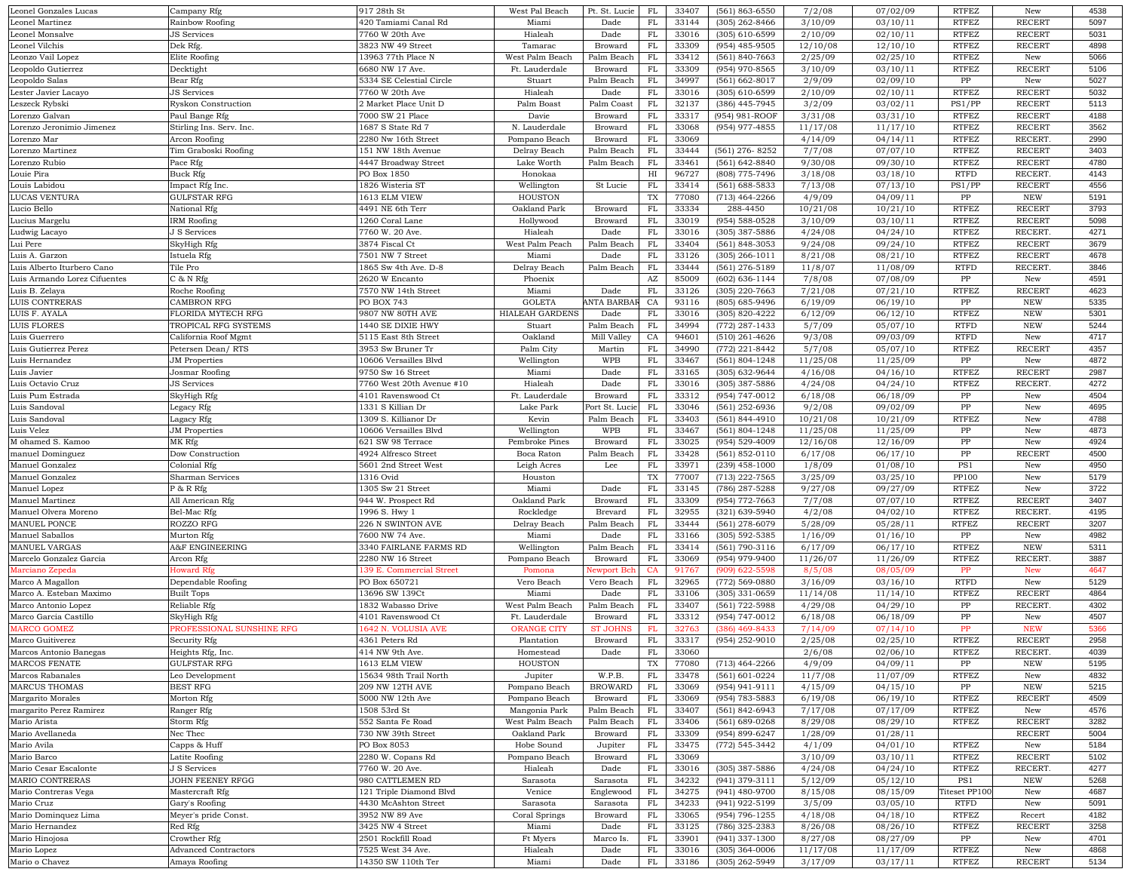| Leonel Gonzales Lucas         | Campany Rfg                     | 917 28th St               | West Pal Beach         | Pt. St. Lucie  | FL                     | 33407 | (561) 863-6550   | 7/2/08               | 07/02/09                      | RTFEZ        | New           | 4538 |
|-------------------------------|---------------------------------|---------------------------|------------------------|----------------|------------------------|-------|------------------|----------------------|-------------------------------|--------------|---------------|------|
| Leonel Martinez               | Rainbow Roofing                 | 420 Tamiami Canal Rd      | Miami                  | Dade           | FL                     | 33144 | $(305)$ 262-8466 | 3/10/09              | 03/10/11                      | <b>RTFEZ</b> | <b>RECERT</b> | 5097 |
| Leonel Monsalve               | JS Services                     | 7760 W 20th Ave           | Hialeah                | Dade           | $\rm FL$               | 33016 | (305) 610-6599   | 2/10/09              | 02/10/11                      | <b>RTFEZ</b> | <b>RECERT</b> | 5031 |
| Leonel Vilchis                | Dek Rfg.                        | 3823 NW 49 Street         | Tamarac                | Broward        | ${\rm FL}$             | 33309 | (954) 485-9505   | 12/10/08             | 12/10/10                      | <b>RTFEZ</b> | <b>RECERT</b> | 4898 |
| Leonzo Vail Lopez             | Elite Roofing                   | 13963 77th Place N        | West Palm Beach        | Palm Beach     | FL                     | 33412 | (561) 840-7663   | 2/25/09              | 02/25/10                      | <b>RTFEZ</b> | New           | 5066 |
| Leopoldo Gutierrez            |                                 | 6680 NW 17 Ave.           | Ft. Lauderdale         | Broward        | FL                     | 33309 | (954) 970-8565   | 3/10/09              | 03/10/11                      | <b>RTFEZ</b> | <b>RECERT</b> | 5106 |
|                               | Decktight                       |                           |                        |                |                        |       |                  |                      |                               |              |               |      |
| Leopoldo Salas                | Bear Rfg                        | 5334 SE Celestial Circle  | Stuart                 | Palm Beach     | FL                     | 34997 | (561) 662-8017   | 2/9/09               | 02/09/10                      | PP           | New           | 5027 |
| Lester Javier Lacayo          | JS Services                     | 7760 W 20th Ave           | Hialeah                | Dade           | FL                     | 33016 | (305) 610-6599   | 2/10/09              | 02/10/11                      | <b>RTFEZ</b> | <b>RECERT</b> | 5032 |
| Leszeck Rybski                | Ryskon Construction             | 2 Market Place Unit D     | Palm Boast             | Palm Coast     | FL                     | 32137 | (386) 445-7945   | 3/2/09               | 03/02/11                      | PS1/PP       | <b>RECERT</b> | 5113 |
| Lorenzo Galvan                | Paul Bange Rfg                  | 7000 SW 21 Place          | Davie                  | Broward        | FL                     | 33317 | (954) 981-ROOF   | 3/31/08              | 03/31/10                      | <b>RTFEZ</b> | <b>RECERT</b> | 4188 |
| Lorenzo Jeronimio Jimenez     | Stirling Ins. Serv. Inc.        | 1687 S State Rd 7         | N. Lauderdale          | Broward        | ${\rm FL}$             | 33068 | (954) 977-4855   | 11/17/08             | 11/17/10                      | <b>RTFEZ</b> | <b>RECERT</b> | 3562 |
| Lorenzo Mar                   | Arcon Roofing                   | 2280 Nw 16th Street       | Pompano Beach          | Broward        | FL                     | 33069 |                  | $\frac{1}{4}$ /14/09 | $\sqrt{04}/14/11$             | <b>RTFEZ</b> | <b>RECERT</b> | 2990 |
|                               |                                 |                           |                        |                |                        |       |                  |                      |                               |              |               |      |
| Lorenzo Martinez              | Tim Graboski Roofing            | 151 NW 18th Avenue        | Delray Beach           | Palm Beach     | FL                     | 33444 | (561) 276-8252   | 7/7/08               | 07/07/10                      | <b>RTFEZ</b> | <b>RECERT</b> | 3403 |
| Lorenzo Rubio                 | Pace Rfg                        | 4447 Broadway Street      | Lake Worth             | Palm Beach     | FL                     | 33461 | (561) 642-8840   | 9/30/08              | 09/30/10                      | <b>RTFEZ</b> | <b>RECERT</b> | 4780 |
| Louie Pira                    | <b>Buck Rfg</b>                 | PO Box 1850               | Honokaa                |                | HI                     | 96727 | (808) 775-7496   | 3/18/08              | 03/18/10                      | <b>RTFD</b>  | RECERT.       | 4143 |
| Louis Labidou                 | Impact Rfg Inc.                 | 1826 Wisteria ST          | Wellington             | St Lucie       | FL                     | 33414 | (561) 688-5833   | 7/13/08              | 07/13/10                      | PS1/PP       | <b>RECERT</b> | 4556 |
| LUCAS VENTURA                 | <b>GULFSTAR RFG</b>             | 1613 ELM VIEW             | <b>HOUSTON</b>         |                | TX                     | 77080 | (713) 464-2266   | 4/9/09               | 04/09/11                      | PP           | <b>NEW</b>    | 5191 |
| Lucio Bello                   | National Rfg                    | 4491 NE 6th Terr          | Oakland Park           | Broward        | ${\rm FL}$             | 33334 | 288-4450         | 10/21/08             | 10/21/10                      | <b>RTFEZ</b> | <b>RECERT</b> | 3793 |
|                               | RM Roofing                      | 1260 Coral Lane           | Hollywood              |                | ${\rm FL}$             | 33019 | (954) 588-0528   |                      | 03/10/11                      | <b>RTFEZ</b> | <b>RECERT</b> | 5098 |
| Lucius Margelu                |                                 |                           |                        | Broward        |                        |       |                  | 3/10/09              |                               |              |               |      |
| Ludwig Lacayo                 | J S Services                    | 7760 W. 20 Ave.           | Hialeah                | Dade           | FL                     | 33016 | (305) 387-5886   | 4/24/08              | 04/24/10                      | <b>RTFEZ</b> | RECERT.       | 4271 |
| Lui Pere                      | SkyHigh Rfg                     | 3874 Fiscal Ct            | West Palm Peach        | Palm Beach     | ${\rm FL}$             | 33404 | (561) 848-3053   | 9/24/08              | 09/24/10                      | <b>RTFEZ</b> | <b>RECERT</b> | 3679 |
| Luis A. Garzon                | Istuela Rfg                     | 7501 NW 7 Street          | Miami                  | Dade           | FL                     | 33126 | $(305)$ 266-1011 | 8/21/08              | 08/21/10                      | <b>RTFEZ</b> | <b>RECERT</b> | 4678 |
| Luis Alberto Iturbero Cano    | Tile Pro                        | 1865 Sw 4th Ave. D-8      | Delray Beach           | Palm Beach     | FL                     | 33444 | (561) 276-5189   | 11/8/07              | $\frac{11}{11}$ /08/09        | <b>RTFD</b>  | <b>RECERT</b> | 3846 |
| Luis Armando Lorez Cifuentes  | C & N Rfg                       | 2620 W Encanto            | Phoenix                |                | $\mathbf{A}\mathbf{Z}$ | 85009 | (602) 636-1144   | 7/8/08               | 07/08/09                      | PP           | New           | 4591 |
| Luis B. Zelava                | Roche Roofing                   | 7570 NW 14th Street       | Miami                  | Dade           | FL                     | 33126 | (305) 220-7663   | 7/21/08              | 07/21/10                      | <b>RTFEZ</b> | <b>RECERT</b> | 4623 |
|                               |                                 |                           |                        |                |                        |       |                  |                      |                               |              |               |      |
| <b>LUIS CONTRERAS</b>         | CAMBRON RFG                     | PO BOX 743                | <b>GOLETA</b>          | NTA BARBA      | CA                     | 93116 | (805) 685-9496   | 6/19/09              | 06/19/10                      | ${\rm PP}$   | <b>NEW</b>    | 5335 |
| LUIS F. AYALA                 | FLORIDA MYTECH RFG              | 9807 NW 80TH AVE          | <b>HIALEAH GARDENS</b> | Dade           | ${\rm FL}$             | 33016 | (305) 820-4222   | 6/12/09              | 06/12/10                      | <b>RTFEZ</b> | <b>NEW</b>    | 5301 |
| <b>LUIS FLORES</b>            | TROPICAL RFG SYSTEMS            | 1440 SE DIXIE HWY         | Stuart                 | Palm Beach     | FL                     | 34994 | (772) 287-1433   | 5/7/09               | 05/07/10                      | <b>RTFD</b>  | <b>NEW</b>    | 5244 |
| Luis Guerrero                 | California Roof Mgmt            | 5115 East 8th Street      | Oakland                | Mill Valley    | CA                     | 94601 | $(510)$ 261-4626 | 9/3/08               | 09/03/09                      | <b>RTFD</b>  | New           | 4717 |
| Luis Gutierrez Perez          | Petersen Dean/RTS               | 3953 Sw Bruner Tr         | Palm City              | Martin         | FL                     | 34990 | (772) 221-8442   | 5/7/08               | 05/07/10                      | <b>RTFEZ</b> | <b>RECERT</b> | 4357 |
| Luis Hernandez                | <b>JM</b> Properties            | 10606 Versailles Blvd     | Wellington             | <b>WPB</b>     | FL                     | 33467 | (561) 804-1248   | 11/25/08             | 11/25/09                      | PP           | New           | 4872 |
|                               |                                 | 9750 Sw 16 Street         | Miami                  |                |                        |       |                  |                      |                               |              |               | 2987 |
| Luis Javier                   | Josmar Roofing                  |                           |                        | Dade           | FL                     | 33165 | (305) 632-9644   | 4/16/08              | 04/16/10                      | <b>RTFEZ</b> | <b>RECERT</b> |      |
| Luis Octavio Cruz             | JS Services                     | 7760 West 20th Avenue #10 | Hialeah                | Dade           | FL                     | 33016 | (305) 387-5886   | 4/24/08              | 04/24/10                      | <b>RTFEZ</b> | <b>RECERT</b> | 4272 |
| Luis Pum Estrada              | SkyHigh Rfg                     | 4101 Ravenswood Ct        | Ft. Lauderdale         | Broward        | FL                     | 33312 | (954) 747-0012   | 6/18/08              | 06/18/09                      | PP           | New           | 4504 |
| Luis Sandoval                 | Legacy Rfg                      | 1331 S Killian Dr         | Lake Park              | Port St. Lucie | FL                     | 33046 | (561) 252-6936   | 9/2/08               | 09/02/09                      | PP           | New           | 4695 |
| Luis Sandoval                 | Lagacy Rfg                      | 1309 S. Killianor Dr      | Kevin                  | Palm Beach     | ${\rm FL}$             | 33403 | (561) 844-4910   | 10/21/08             | 10/21/09                      | <b>RTFEZ</b> | New           | 4788 |
| Luis Velez                    | <b>JM</b> Properties            | 10606 Versailles Blvd     | Wellington             | <b>WPB</b>     | FL                     | 33467 | (561) 804-1248   | 11/25/08             | 11/25/09                      | ${\rm PP}$   | New           | 4873 |
| M ohamed S. Kamoo             | MK Rfg                          | 621 SW 98 Terrace         | Pembroke Pines         | Broward        | FL                     | 33025 | (954) 529-4009   | 12/16/08             | 12/16/09                      | PP           | New           | 4924 |
|                               |                                 |                           |                        |                |                        |       |                  |                      |                               |              |               |      |
| manuel Dominguez              | Dow Construction                | 4924 Alfresco Street      | Boca Raton             | Palm Beach     | FL                     | 33428 | (561) 852-0110   | 6/17/08              | 06/17/10                      | PP           | <b>RECERT</b> | 4500 |
| Manuel Gonzalez               | Colonial Rfg                    | 5601 2nd Street West      | Leigh Acres            | Lee            | $\rm FL$               | 33971 | $(239)$ 458-1000 | 1/8/09               | 01/08/10                      | PS1          | New           | 4950 |
| Manuel Gonzalez               | Sharman Services                | 1316 Ovid                 | Houston                |                | TX                     | 77007 | (713) 222-7565   | $\frac{1}{3}/25/09$  | 03/25/10                      | PP100        | New           | 5179 |
| Manuel Lopez                  | P & R Rfg                       | 1305 Sw 21 Street         | Miami                  | Dade           | FL                     | 33145 | (786) 287-5288   | 9/27/08              | 09/27/09                      | <b>RTFEZ</b> | New           | 3722 |
| Manuel Martinez               | All American Rfg                | 944 W. Prospect Rd        | Oakland Park           | Broward        | ${\rm FL}$             | 33309 | (954) 772-7663   | 7/7/08               | 07/07/10                      | <b>RTFEZ</b> | <b>RECERT</b> | 3407 |
| Manuel Olvera Moreno          | Bel-Mac Rfg                     | 1996 S. Hwy 1             | Rockledge              | Brevard        | $\rm FL$               | 32955 | (321) 639-5940   | 4/2/08               | 04/02/10                      | <b>RTFEZ</b> | RECERT.       | 4195 |
|                               |                                 |                           |                        |                |                        | 33444 |                  | 5/28/09              |                               |              |               |      |
| MANUEL PONCE                  | <b>ROZZO RFG</b>                | 226 N SWINTON AVE         | Delray Beach           | Palm Beach     | FL                     |       |                  |                      |                               |              |               |      |
| Manuel Saballos               |                                 |                           |                        |                |                        |       | (561) 278-6079   |                      | 05/28/11                      | <b>RTFEZ</b> | <b>RECERT</b> | 3207 |
| MANUEL VARGAS                 | Murton Rfg                      | 7600 NW 74 Ave.           | Miami                  | Dade           | FL                     | 33166 | (305) 592-5385   | 1/16/09              | 01/16/10                      | PP           | New           | 4982 |
|                               | A&F ENGINEERING                 | 3340 FAIRLANE FARMS RD    | Wellington             | Palm Beach     | FL                     | 33414 | (561) 790-3116   | 6/17/09              | 06/17/10                      | <b>RTFEZ</b> | <b>NEW</b>    | 5311 |
| Marcelo Gonzalez Garcia       | Arcon Rfg                       | 2280 NW 16 Street         | Pompano Beach          | Broward        | FL                     | 33069 | (954) 979-9400   | 11/26/07             | 11/26/09                      | <b>RTFEZ</b> | <b>RECERT</b> | 3887 |
|                               |                                 |                           |                        |                |                        |       |                  |                      |                               |              |               |      |
| Marciano Zepeda               | <b>Joward Rfg</b>               | 39 E. Commercial Street   | Pomona                 | Newport Bcl    | CA                     | 91767 | (909) 622-5598   | 8/5/08               | 08/05/09                      | PP           | <b>New</b>    | 4647 |
| Marco A Magallon              | Dependable Roofing              | PO Box 650721             | Vero Beach             | Vero Beach     | FL                     | 32965 | (772) 569-0880   | 3/16/09              | 03/16/10                      | <b>RTFD</b>  | New           | 5129 |
| Marco A. Esteban Maximo       | <b>Built Tops</b>               | 13696 SW 139Ct            | Miami                  | Dade           | FL                     | 33106 | (305) 331-0659   | 11/14/08             | 11/14/10                      | <b>RTFEZ</b> | <b>RECERT</b> | 4864 |
| Marco Antonio Lopez           | Reliable Rfg                    | 1832 Wabasso Drive        | West Palm Beach        | Palm Beach     | $\rm FL$               | 33407 | (561) 722-5988   | 4/29/08              | 04/29/10                      | PP           | <b>RECERT</b> | 4302 |
| Marco Garcia Castillo         | SkyHigh Rfg                     | 4101 Ravenswood Ct        | Ft. Lauderdale         | Broward        | FL                     | 33312 | (954) 747-0012   | 6/18/08              | 06/18/09                      | PP           | New           | 4507 |
| <b>MARCO GOMEZ</b>            | <b>ROFESSIONAL SUNSHINE RFG</b> | 1642 N. VOLUSIA AVE       | <b>ORANGE CITY</b>     | <b>ST JOHN</b> | FL                     | 32763 | (386) 469-8433   | 7/14/09              | 07/14/10                      | PP           | <b>NEW</b>    | 5366 |
| Marco Guitiverez              | Security Rfg                    | 4361 Peters Rd            | Plantation             | Broward        | FL                     | 33317 | (954) 252-9010   | 2/25/08              | 02/25/10                      | <b>RTFEZ</b> | <b>RECERT</b> | 2958 |
|                               |                                 | 414 NW 9th Ave.           |                        |                |                        |       |                  |                      |                               |              |               |      |
| Marcos Antonio Banegas        | Heights Rfg, Inc.               |                           | Homestead              | Dade           | FL.                    | 33060 |                  | 2/6/08               | 02/06/10                      | RTFEZ        | RECERT.       | 4039 |
| MARCOS FENATE                 | GULFSTAR RFG                    | 1613 ELM VIEW             | <b>HOUSTON</b>         |                | TX                     | 77080 | $(713)$ 464-2266 | 4/9/09               | 04/09/11                      | PP           | <b>NEW</b>    | 5195 |
| Marcos Rabanales              | Leo Development                 | 15634 98th Trail North    | Jupiter                | W.P.B.         | $\rm FL$               | 33478 | (561) 601-0224   | 11/7/08              | 11/07/09                      | <b>RTFEZ</b> | New           | 4832 |
| MARCUS THOMAS                 | <b>BEST RFG</b>                 | 209 NW 12TH AVE           | Pompano Beach          | <b>BROWARD</b> | ${\rm FL}$             | 33069 | (954) 941-9111   | 4/15/09              | 04/15/10                      | PP           | <b>NEW</b>    | 5215 |
| Margarito Morales             | Morton Rfg                      | 5000 NW 12th Ave          | Pompano Beach          | Broward        | $\rm FL$               | 33069 | (954) 783-5883   | 6/19/08              | 06/19/10                      | <b>RTFEZ</b> | <b>RECERT</b> | 4509 |
| margarito Perez Ramirez       | Ranger Rfg                      | 1508 53rd St              | Mangonia Park          | Palm Beach     | $\rm FL$               | 33407 | (561) 842-6943   | 7/17/08              | 07/17/09                      | <b>RTFEZ</b> | New           | 4576 |
|                               |                                 |                           |                        |                | FL                     | 33406 |                  |                      |                               |              | <b>RECERT</b> | 3282 |
| Mario Arista                  | Storm Rfg                       | 552 Santa Fe Road         | West Palm Beach        | Palm Beach     |                        |       | (561) 689-0268   | 8/29/08              | $\frac{0.8}{29}$ /10          | <b>RTFEZ</b> |               |      |
| Mario Avellaneda              | Nec Thec                        | 730 NW 39th Street        | Oakland Park           | Broward        | $\rm FL$               | 33309 | (954) 899-6247   | 1/28/09              | 01/28/11                      |              | <b>RECERT</b> | 5004 |
| Mario Avila                   | Capps & Huff                    | PO Box 8053               | Hobe Sound             | Jupiter        | $\rm FL$               | 33475 | (772) 545-3442   | 4/1/09               | 04/01/10                      | <b>RTFEZ</b> | New           | 5184 |
| Mario Barco                   | Latite Roofing                  | 2280 W. Copans Rd         | Pompano Beach          | Broward        | $\rm FL$               | 33069 |                  | 3/10/09              | 03/10/11                      | <b>RTFEZ</b> | <b>RECERT</b> | 5102 |
| Mario Cesar Escalonte         | J S Services                    | 7760 W. 20 Ave.           | Hialeah                | Dade           | $\rm FL$               | 33016 | (305) 387-5886   | 4/24/08              | 04/24/10                      | <b>RTFEZ</b> | RECERT.       | 4277 |
| MARIO CONTRERAS               | JOHN FEENEY RFGG                | 980 CATTLEMEN RD          | Sarasota               | Sarasota       | $\rm FL$               | 34232 | (941) 379-3111   | 5/12/09              | 05/12/10                      | PS1          | <b>NEW</b>    | 5268 |
| Mario Contreras Vega          | Mastercraft Rfg                 | 121 Triple Diamond Blvd   | Venice                 | Englewood      | ${\rm FL}$             | 34275 | (941) 480-9700   | 8/15/08              | $\frac{0.8}{15}$ /09          | Titeset PP10 | New           | 4687 |
|                               |                                 |                           |                        |                |                        |       |                  |                      |                               |              |               |      |
| Mario Cruz                    | Gary's Roofing                  | 4430 McAshton Street      | Sarasota               | Sarasota       | FL                     | 34233 | (941) 922-5199   | 3/5/09               | $\frac{0.3}{0.3}$ / 0.5 / 1.0 | <b>RTFD</b>  | New           | 5091 |
| Mario Dominquez Lima          | Meyer's pride Const.            | 3952 NW 89 Ave            | Coral Springs          | Broward        | FL                     | 33065 | (954) 796-1255   | 4/18/08              | 04/18/10                      | <b>RTFEZ</b> | Recert        | 4182 |
| Mario Hernandez               | Red Rfg                         | 3425 NW 4 Street          | Miami                  | Dade           | FL                     | 33125 | (786) 325-2383   | 8/26/08              | 08/26/10                      | <b>RTFEZ</b> | <b>RECERT</b> | 3258 |
| Mario Hinojosa                | Crowther Rfg                    | 2501 Rockfill Road        | Ft Myers               | Marco Is       | FL                     | 33901 | (941) 337-1300   | 8/27/08              | 08/27/09                      | PP           | New           | 4701 |
| Mario Lopez<br>Mario o Chavez | <b>Advanced Contractors</b>     | 7525 West 34 Ave.         | Hialeah                | Dade           | FL                     | 33016 | (305) 364-0006   | 11/17/08             | 11/17/09                      | <b>RTFEZ</b> | New           | 4868 |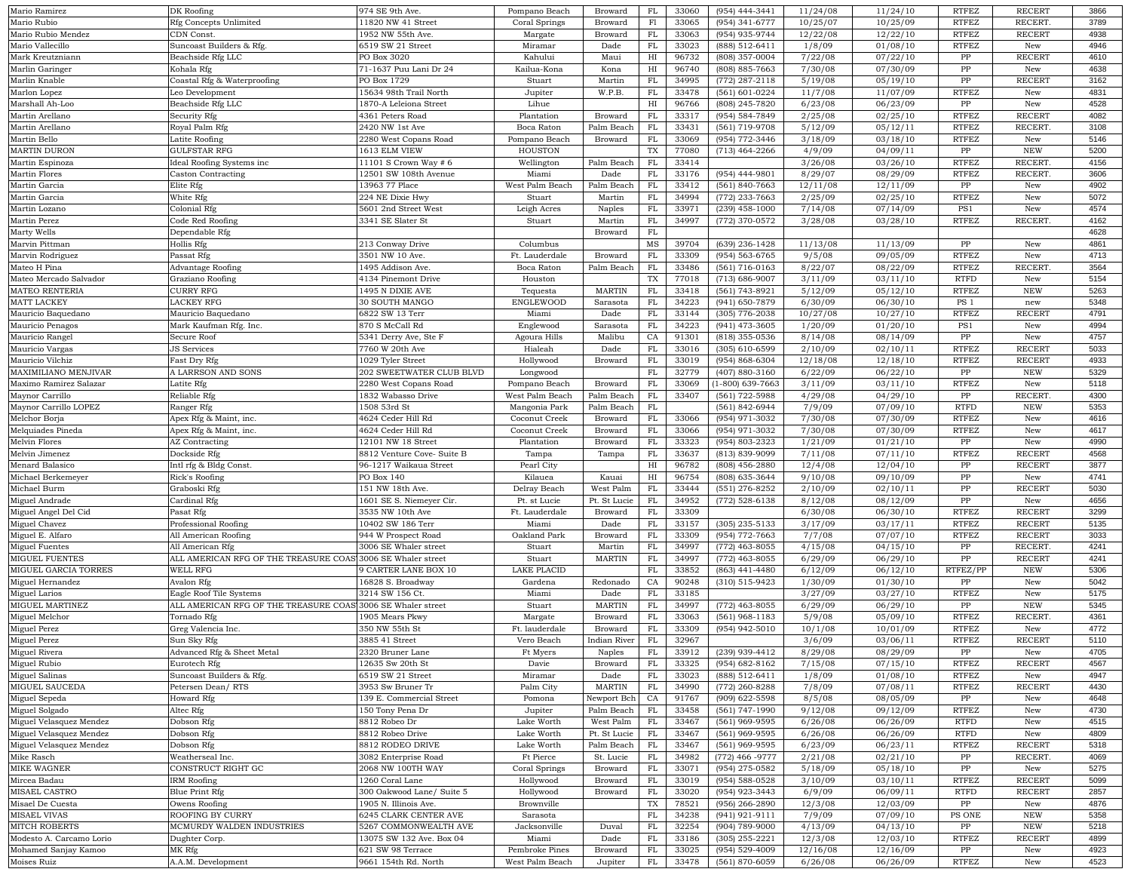| Mario Ramirez                       | DK Roofing                                                  | 974 SE 9th Ave.                           | Pompano Beach                     | Broward             | FL             | 33060          | (954) 444-3441                   | 11/24/08            | 11/24/10               | RTFEZ           | <b>RECERT</b>  | 3866         |
|-------------------------------------|-------------------------------------------------------------|-------------------------------------------|-----------------------------------|---------------------|----------------|----------------|----------------------------------|---------------------|------------------------|-----------------|----------------|--------------|
| Mario Rubio                         | Rfg Concepts Unlimited                                      | 11820 NW 41 Street                        | Coral Springs                     | Broward             | F1             | 33065          | (954) 341-6777                   | 10/25/07            | 10/25/09               | <b>RTFEZ</b>    | RECERT.        | 3789         |
| Mario Rubio Mendez                  | CDN Const.                                                  | 1952 NW 55th Ave.                         | Margate                           | Broward             | FL             | 33063          | (954) 935-9744                   | 12/22/08            | 12/22/10               | <b>RTFEZ</b>    | <b>RECERT</b>  | 4938         |
| Mario Vallecillo                    | Suncoast Builders & Rfg                                     | 5519 SW 21 Street                         | Miramar                           | Dade                | FL             | 33023          | (888) 512-6411                   | 1/8/09              | 01/08/10               | <b>RTFEZ</b>    | New            | 4946         |
| Mark Kreutzniann                    | Beachside Rfg LLC                                           | PO Box 3020                               | Kahului                           | Maui                | HI             | 96732          | (808) 357-0004                   | 7/22/08             | 07/22/10               | PP              | <b>RECERT</b>  | 4610         |
| Marlin Garinger                     | Kohala Rfg                                                  | 71-1637 Puu Lani Dr 24                    | Kailua-Kona                       | Kona                | HI             | 96740          | (808) 885-7663                   | 7/30/08             | 07/30/09               | PP              | New            | 4638         |
| Marlin Knable                       |                                                             | PO Box 1729                               | Stuart                            | Martin              | FL             | 34995          | (772) 287-2118                   | 5/19/08             | 05/19/10               | ${\rm PP}$      | <b>RECERT</b>  | 3162         |
|                                     | Coastal Rfg & Waterproofing                                 |                                           |                                   |                     |                |                |                                  |                     |                        |                 |                |              |
| Marlon Lopez                        | eo Development                                              | 15634 98th Trail North                    | Jupiter                           | W.P.B               | FL             | 33478          | (561) 601-0224                   | 11/7/08             | 11/07/09               | <b>RTFEZ</b>    | New            | 4831         |
| Marshall Ah-Loo                     | Beachside Rfg LLC                                           | 1870-A Leleiona Street                    | Lihue                             |                     | HI             | 96766          | (808) 245-7820                   | 6/23/08             | 06/23/09               | PP              | New            | 4528         |
| Martin Arellano                     | Security Rfg                                                | 4361 Peters Road                          | Plantation                        | Broward             | FL             | 33317          | (954) 584-7849                   | 2/25/08             | 02/25/10               | <b>RTFEZ</b>    | <b>RECERT</b>  | 4082         |
| Martin Arellano                     | Royal Palm Rfg                                              | 2420 NW 1st Ave                           | Boca Raton                        | Palm Beach          | FL             | 33431          | (561) 719-9708                   | 5/12/09             | 05/12/11               | <b>RTFEZ</b>    | <b>RECERT</b>  | 3108         |
| Martin Bello                        | Latite Roofing                                              | 2280 West Copans Road                     | Pompano Beach                     | Broward             | FL             | 33069          | (954) 772-3446                   | 3/18/09             | 03/18/10               | <b>RTFEZ</b>    | New            | 5146         |
| <b>MARTIN DURON</b>                 | GULFSTAR RFG                                                | 1613 ELM VIEW                             | <b>HOUSTON</b>                    |                     | TX             | 77080          | $(713)$ 464-2266                 | 4/9/09              | 04/09/11               | ${\rm PP}$      | <b>NEW</b>     | 5200         |
|                                     |                                                             | 11101 S Crown Way # 6                     |                                   | Palm Beach          | FL             | 33414          |                                  |                     |                        | <b>RTFEZ</b>    | <b>RECERT</b>  | 4156         |
| Martin Espinoza                     | deal Roofing Systems inc                                    |                                           | Wellington                        |                     |                |                |                                  | 3/26/08             | 03/26/10               |                 |                |              |
| Martin Flores                       | <b>Caston Contracting</b>                                   | 12501 SW 108th Avenue                     | Miami                             | Dade                | FL             | 33176          | (954) 444-9801                   | 8/29/07             | 08/29/09               | <b>RTFEZ</b>    | <b>RECERT</b>  | 3606         |
| Martin Garcia                       | Elite Rfg                                                   | 13963 77 Place                            | West Palm Beach                   | Palm Beach          | FL             | 33412          | (561) 840-7663                   | 12/11/08            | 12/11/09               | PP              | New            | 4902         |
| Martin Garcia                       | White Rfg                                                   | 224 NE Dixie Hwy                          | Stuart                            | Martin              | ${\rm FL}$     | 34994          | (772) 233-7663                   | 2/25/09             | 02/25/10               | <b>RTFEZ</b>    | New            | 5072         |
| Martin Lozano                       | Colonial Rfg                                                | 5601 2nd Street West                      | Leigh Acres                       | Naples              | FL             | 33971          | $(239)$ 458-1000                 | 7/14/08             | 07/14/09               | PS1             | New            | 4574         |
| Martin Perez                        | Code Red Roofing                                            | 3341 SE Slater St                         | Stuart                            | Martin              | FL             | 34997          | (772) 370-0572                   | 3/28/08             | 03/28/10               | <b>RTFEZ</b>    | <b>RECERT</b>  | 4162         |
| Marty Wells                         | Dependable Rfg                                              |                                           |                                   | Broward             | FL             |                |                                  |                     |                        |                 |                | 4628         |
|                                     |                                                             |                                           |                                   |                     |                | 39704          |                                  |                     |                        |                 |                | 4861         |
| Marvin Pittman                      | Hollis Rfg                                                  | 213 Conway Drive                          | Columbus                          |                     | $_{\rm MS}$    |                | (639) 236-1428                   | 11/13/08            | 11/13/09               | PP              | New            |              |
| Marvin Rodriguez                    | Passat Rfg                                                  | 3501 NW 10 Ave.                           | Ft. Lauderdale                    | Broward             | FL             | 33309          | (954) 563-6765                   | 9/5/08              | $\frac{09}{09}$ /05/09 | <b>RTFEZ</b>    | New            | 4713         |
| Mateo H Pina                        | Advantage Roofing                                           | 1495 Addison Ave.                         | Boca Raton                        | Palm Beach          | FL             | 33486          | (561) 716-0163                   | 8/22/07             | 08/22/09               | <b>RTFEZ</b>    | <b>RECERT</b>  | 3564         |
| Mateo Mercado Salvador              | Graziano Roofing                                            | 4134 Pinemont Drive                       | Houston                           |                     | TX             | 77018          | (713) 686-9007                   | 3/11/09             | 03/11/10               | <b>RTFD</b>     | New            | 5154         |
| <b>MATEO RENTERIA</b>               | CURRY RFG                                                   | 1495 N DIXIE AVE                          | Tequesta                          | <b>MARTIN</b>       | FL             | 33418          | (561) 743-8921                   | 5/12/09             | 05/12/10               | <b>RTFEZ</b>    | <b>NEW</b>     | 5263         |
| <b>MATT LACKEY</b>                  | LACKEY RFG                                                  | 30 SOUTH MANGO                            | ENGLEWOOD                         | Sarasota            | FL             | 34223          | (941) 650-7879                   | 6/30/09             | 06/30/10               | PS <sub>1</sub> | new            | 5348         |
| Mauricio Baquedano                  | Mauricio Baquedano                                          | 6822 SW 13 Terr                           | Miami                             | Dade                | ${\rm FL}$     | 33144          | (305) 776-2038                   | 10/27/08            | 10/27/10               | <b>RTFEZ</b>    | <b>RECERT</b>  | 4791         |
|                                     |                                                             |                                           |                                   |                     |                |                |                                  |                     |                        |                 |                |              |
| Mauricio Penagos                    | Mark Kaufman Rfg. Inc.                                      | 370 S McCall Rd                           | Englewood                         | Sarasota            | ${\rm FL}$     | 34223          | (941) 473-3605                   | 1/20/09             | 01/20/10               | PS1             | New            | 4994         |
| Mauricio Rangel                     | Secure Roof                                                 | 5341 Derry Ave, Ste F                     | Agoura Hills                      | Malibu              | CA             | 91301          | (818) 355-0536                   | 8/14/08             | 08/14/09               | ${\rm PP}$      | New            | 4757         |
| Mauricio Vargas                     | <b>JS Services</b>                                          | 7760 W 20th Ave                           | Hialeah                           | Dade                | FL             | 33016          | (305) 610-6599                   | 2/10/09             | 02/10/11               | <b>RTFEZ</b>    | <b>RECERT</b>  | 5033         |
| Mauricio Vilchiz                    | Fast Dry Rfg                                                | 1029 Tyler Street                         | Hollywood                         | Broward             | FL             | 33019          | (954) 868-6304                   | 12/18/08            | 12/18/10               | <b>RTFEZ</b>    | <b>RECERT</b>  | 4933         |
| MAXIMILIANO MENJIVAR                | <b>A LARRSON AND SONS</b>                                   | 202 SWEETWATER CLUB BLVD                  | Longwood                          |                     | FL             | 32779          | (407) 880-3160                   | 6/22/09             | 06/22/10               | PP              | <b>NEW</b>     | 5329         |
| Maximo Ramirez Salazar              | Latite Rfg                                                  | 2280 West Copans Road                     | Pompano Beach                     | Broward             | FL             | 33069          | (1-800) 639-7663                 | 3/11/09             | 03/11/10               | <b>RTFEZ</b>    | New            | 5118         |
|                                     |                                                             |                                           |                                   |                     |                |                |                                  |                     |                        |                 |                |              |
| Maynor Carrillo                     | Reliable Rfg                                                | 1832 Wabasso Drive                        | West Palm Beach                   | Palm Beach          | FL             | 33407          | (561) 722-5988                   | 4/29/08             | 04/29/10               | PP              | <b>RECERT</b>  | 4300         |
| Maynor Carrillo LOPEZ               | Ranger Rfg                                                  | 1508 53rd St                              | Mangonia Park                     | Palm Beach          | $\rm FL$       |                | (561) 842-6944                   | 7/9/09              | 07/09/10               | <b>RTFD</b>     | <b>NEW</b>     | 5353         |
| Melchor Borja                       | Apex Rfg & Maint, inc.                                      | 4624 Ceder Hill Rd                        | Coconut Creek                     | Broward             | FL             | 33066          | (954) 971-3032                   | 7/30/08             | 07/30/09               | <b>RTFEZ</b>    | New            | 4616         |
| Melquiades Pineda                   | Apex Rfg & Maint, inc                                       | 4624 Ceder Hill Rd                        | Coconut Creek                     | Broward             | FL             | 33066          | (954) 971-3032                   | 7/30/08             | 07/30/09               | <b>RTFEZ</b>    | New            | 4617         |
| Melvin Flores                       | AZ Contracting                                              | 12101 NW 18 Street                        | Plantation                        | Broward             | FL             | 33323          | (954) 803-2323                   | 1/21/09             | 01/21/10               | ${\rm PP}$      | ${\hbox{New}}$ | 4990         |
| Melvin Jimenez                      | Dockside Rfg                                                | 3812 Venture Cove- Suite B                | Tampa                             | Tampa               | ${\rm FL}$     | 33637          | (813) 839-9099                   | 7/11/08             | 07/11/10               | <b>RTFEZ</b>    | <b>RECERT</b>  | 4568         |
| Menard Balasico                     | Intl rfg & Bldg Const                                       | 96-1217 Waikaua Street                    | Pearl City                        |                     | HI             | 96782          | (808) 456-2880                   | 12/4/08             | 12/04/10               | PP              | <b>RECERT</b>  | 3877         |
|                                     |                                                             |                                           |                                   |                     |                |                |                                  |                     |                        |                 |                |              |
| Michael Berkemeyer                  | Rick's Roofing                                              | PO Box 140                                | Kilauea                           | Kauai               | HI             | 96754          | (808) 635-3644                   | 9/10/08             | 09/10/09               | ${\rm PP}$      | New            | 4741         |
| Michael Burm                        | Graboski Rfg                                                | 151 NW 18th Ave.                          | Delray Beach                      | West Palm           | ${\rm FL}$     | 33444          | (551) 276-8252                   | 2/10/09             | 02/10/11               | PP              | <b>RECERT</b>  | 5030         |
| Miguel Andrade                      | Cardinal Rfg                                                | 1601 SE S. Niemeyer Cir.                  | Pt. st Lucie                      | Pt. St Lucie        | FL             | 34952          | (772) 528-6138                   | 8/12/08             | 08/12/09               | ${\rm PP}$      | New            | 4656         |
| Miguel Angel Del Cid                | Pasat Rfg                                                   | 3535 NW 10th Ave                          | Ft. Lauderdale                    | Broward             | FL             | 33309          |                                  | 6/30/08             | 06/30/10               | <b>RTFEZ</b>    | <b>RECERT</b>  | 3299         |
| Miguel Chavez                       | Professional Roofing                                        | 10402 SW 186 Terr                         | Miami                             | Dade                | FL             | 33157          | (305) 235-5133                   | 3/17/09             | 03/17/11               | <b>RTFEZ</b>    | <b>RECERT</b>  | 5135         |
| Miguel E. Alfaro                    | All American Roofing                                        | 944 W Prospect Road                       | Oakland Park                      | Broward             | FL             | 33309          | (954) 772-7663                   | 7/7/08              | 07/07/10               | <b>RTFEZ</b>    | <b>RECERT</b>  | 3033         |
| Miguel Fuentes                      | All American Rfg                                            | 3006 SE Whaler street                     | Stuart                            | Martin              | FL             | 34997          | (772) 463-8055                   | 4/15/08             | 04/15/10               | PP              | <b>RECERT</b>  | 4241         |
|                                     |                                                             |                                           |                                   |                     |                |                |                                  |                     |                        |                 |                | 4241         |
| <b>MIGUEL FUENTES</b>               | ALL AMERICAN RFG OF THE TREASURE COAS                       | 3006 SE Whaler street                     | Stuart                            | <b>MARTIN</b>       | FL             | 34997          | (772) 463-8055                   | 6/29/09             | 06/29/10               | ${\rm PP}$      | <b>RECERT</b>  |              |
| MIGUEL GARCIA TORRES                | WELL RFG                                                    | <b>9 CARTER LANE BOX 10</b>               | LAKE PLACID                       |                     | FL             | 33852          | (863) 441-4480                   | 6/12/09             | 06/12/10               | RTFEZ/PP        | <b>NEW</b>     | 5306         |
| Miguel Hernandez                    | Avalon Rfg                                                  | 16828 S. Broadway                         | Gardena                           | Redonado            | CA             | 90248          | (310) 515-9423                   | 1/30/09             | 01/30/10               | PP              | New            | 5042         |
| <b>Miguel Larios</b>                | Eagle Roof Tile Systems                                     | 3214 SW 156 Ct                            | Miami                             | Dade                | FL             | 33185          |                                  | 3/27/09             | 03/27/10               | <b>RTFEZ</b>    | New            | 5175         |
| MIGUEL MARTINEZ                     | ALL AMERICAN RFG OF THE TREASURE COAS 3006 SE Whaler street |                                           | Stuart                            | <b>MARTIN</b>       | FL             | 34997          | $(772)$ 463-8055                 | 6/29/09             | 06/29/10               | ${\rm PP}$      | <b>NEW</b>     | 5345         |
| Miguel Melchor                      | Tornado Rfg                                                 | 1905 Mears Pkwy                           | Margate                           | Broward             | FL             | 33063          | $(561)$ 968-1183                 | 5/9/08              | 05/09/10               | <b>RTFEZ</b>    | <b>RECERT</b>  | 4361         |
| Miguel Perez                        | Greg Valencia Inc.                                          | 350 NW 55th St                            | Ft. lauderdale                    | Broward             | FL             | 33309          | (954) 942-5010                   | 10/1/08             | 10/01/09               | <b>RTFEZ</b>    | New            | 4772         |
|                                     |                                                             |                                           |                                   |                     |                |                |                                  |                     |                        |                 |                |              |
| <b>Miguel Perez</b>                 | Sun Sky Rfg                                                 | 3885 41 Street                            | Vero Beach                        | <b>Indian River</b> | FL             | 32967          |                                  | 3/6/09              | 03/06/11               | <b>RTFEZ</b>    | <b>RECERT</b>  | 5110         |
| Miguel Rivera                       | Advanced Rig & Sheet Metal                                  | 2320 Bruner Lane                          | Ft Myers                          | Naples              | F.F            | 33912          | (239) 939-4412                   | 8/29/08             | 08/29/09               | ₽P              | New            | 4705         |
| Miguel Rubio                        | Eurotech Rfg                                                | 12635 Sw 20th St                          | Davie                             | Broward             | ${\rm FL}$     | 33325          | (954) 682-8162                   | 7/15/08             | 07/15/10               | RTFEZ           | <b>RECERT</b>  | 4567         |
| <b>Miguel Salinas</b>               | Suncoast Builders & Rfg.                                    | 5519 SW 21 Street                         | Miramar                           | Dade                | ${\rm FL}$     | 33023          | $(888) 512 - 6411$               | 1/8/09              | 01/08/10               | <b>RTFEZ</b>    | New            | 4947         |
| MIGUEL SAUCEDA                      | Petersen Dean/RTS                                           | 3953 Sw Bruner Tr                         | Palm City                         | <b>MARTIN</b>       | FL             | 34990          | (772) 260-8288                   | 7/8/09              | 07/08/11               | <b>RTFEZ</b>    | <b>RECERT</b>  | 4430         |
| Miguel Sepeda                       | Howard Rfg                                                  | 139 E. Commercial Street                  | Pomona                            | Newport Bch         | CA             | 91767          | (909) 622-5598                   | 8/5/08              | 08/05/09               | PP              | New            | 4648         |
| Miguel Solgado                      |                                                             | 150 Tony Pena Dr                          |                                   | Palm Beach          |                |                |                                  |                     |                        |                 |                | 4730         |
|                                     | Altec Rfg                                                   |                                           | Jupiter                           |                     | ${\rm FL}$     | 33458          | (561) 747-1990                   | 9/12/08             | 09/12/09               | <b>RTFEZ</b>    | New            |              |
| Miguel Velasquez Mendez             | Dobson Rfg                                                  | 8812 Robeo Dr                             | Lake Worth                        | West Palm           | FL             | 33467          | (561) 969-9595                   | 6/26/08             | 06/26/09               | <b>RTFD</b>     | New            | 4515         |
| Miguel Velasquez Mendez             | Dobson Rfg                                                  | 8812 Robeo Drive                          | Lake Worth                        | Pt. St Lucie        | ${\rm FL}$     | 33467          | (561) 969-9595                   | 6/26/08             | 06/26/09               | <b>RTFD</b>     | New            | 4809         |
| Miguel Velasquez Mendez             | Dobson Rfg                                                  | 8812 RODEO DRIVE                          | Lake Worth                        | Palm Beach          | ${\rm FL}$     | 33467          | (561) 969-9595                   | 6/23/09             | 06/23/11               | <b>RTFEZ</b>    | <b>RECERT</b>  | 5318         |
| Mike Rasch                          | Weatherseal Inc.                                            | 3082 Enterprise Road                      | Ft Pierce                         | St. Lucie           | ${\rm FL}$     | 34982          | (772) 466 - 9777                 | 2/21/08             | 02/21/10               | PP              | <b>RECERT</b>  | 4069         |
| <b>MIKE WAGNER</b>                  | CONSTRUCT RIGHT GC                                          | 2068 NW 100TH WAY                         | Coral Springs                     | Broward             | ${\rm FL}$     | 33071          | (954) 275-0582                   | 5/18/09             | 05/18/10               | PP              | New            | 5275         |
| Mircea Badau                        | RM Roofing                                                  | 1260 Coral Lane                           | Hollywood                         | Broward             | FL             | 33019          | (954) 588-0528                   | 3/10/09             | 03/10/11               | <b>RTFEZ</b>    | <b>RECERT</b>  | 5099         |
|                                     |                                                             |                                           |                                   |                     |                |                |                                  |                     |                        |                 |                |              |
| <b>MISAEL CASTRO</b>                | <b>Blue Print Rfg</b>                                       | 300 Oakwood Lane/ Suite 5                 | Hollywood                         | Broward             | ${\rm FL}$     | 33020          | (954) 923-3443                   | 6/9/09              | 06/09/11               | <b>RTFD</b>     | <b>RECERT</b>  | 2857         |
|                                     |                                                             |                                           |                                   |                     | TX             | 78521          | (956) 266-2890                   | 12/3/08             | 12/03/09               | PP              |                | 4876         |
| Misael De Cuesta                    | Owens Roofing                                               | 1905 N. Illinois Ave.                     | Brownville                        |                     |                |                |                                  |                     |                        |                 | New            |              |
| MISAEL VIVAS                        | ROOFING BY CURRY                                            | 6245 CLARK CENTER AVE                     | Sarasota                          |                     | FL             | 34238          | (941) 921-9111                   | 7/9/09              | 07/09/10               | PS ONE          | <b>NEW</b>     | 5358         |
| <b>MITCH ROBERTS</b>                | MCMURDY WALDEN INDUSTRIES                                   | 5267 COMMONWEALTH AVE                     | Jacksonville                      | Duval               | ${\rm FL}$     | 32254          | (904) 789-9000                   | 4/13/09             | 04/13/10               | PP              | <b>NEW</b>     | 5218         |
|                                     |                                                             |                                           |                                   |                     |                |                |                                  |                     |                        |                 |                |              |
| Modesto A. Carcamo Lorio            | Dughter Corp.                                               | 13075 SW 132 Ave. Box 04                  | Miami                             | Dade                | ${\rm FL}$     | 33186          | (305) 255-2221                   | 12/3/08             | 12/03/10               | <b>RTFEZ</b>    | <b>RECERT</b>  | 4899         |
| Mohamed Sanjay Kamoo<br>Moises Ruiz | MK Rfg<br>A.A.M. Development                                | 621 SW 98 Terrace<br>9661 154th Rd. North | Pembroke Pines<br>West Palm Beach | Broward<br>Jupiter  | FL<br>$\rm FL$ | 33025<br>33478 | (954) 529-4009<br>(561) 870-6059 | 12/16/08<br>6/26/08 | 12/16/09<br>06/26/09   | PP<br>RTFEZ     | New<br>New     | 4923<br>4523 |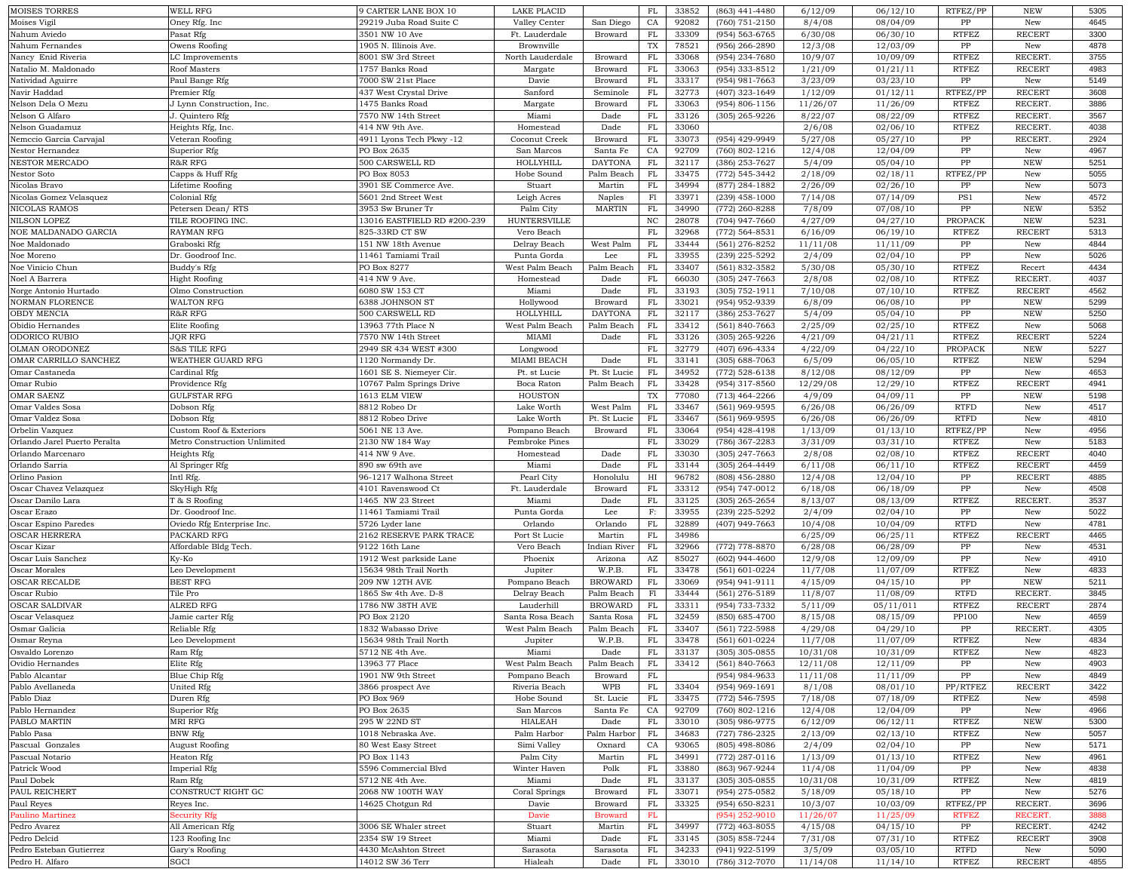| MOISES TORRES                | WELL RFG                     | 9 CARTER LANE BOX 10        | LAKE PLACID         |                | FL               | 33852 | (863) 441-4480   | 6/12/09           | 06/12/10               | RTFEZ/PP     | <b>NEW</b>     | 5305         |
|------------------------------|------------------------------|-----------------------------|---------------------|----------------|------------------|-------|------------------|-------------------|------------------------|--------------|----------------|--------------|
| Moises Vigil                 | Oney Rfg. Inc                | 29219 Juba Road Suite C     | Valley Center       | San Diego      | CA               | 92082 | (760) 751-2150   | 8/4/08            | 08/04/09               | PP           | New            | 4645         |
| Nahum Aviedo                 | Pasat Rfg                    | 3501 NW 10 Ave              | Ft. Lauderdale      | Broward        | FL               | 33309 | (954) 563-6765   | 6/30/08           | 06/30/10               | <b>RTFEZ</b> | <b>RECERT</b>  | 3300         |
| Nahum Fernandes              | Owens Roofing                | 1905 N. Illinois Ave.       | Brownville          |                | TX               | 78521 | (956) 266-2890   | 12/3/08           | 12/03/09               | PP           | New            | 4878         |
| Nancy Enid Riveria           | LC Improvements              | 8001 SW 3rd Street          | North Lauderdale    | Broward        | FL               | 33068 | (954) 234-7680   | 10/9/07           | 10/09/09               | <b>RTFEZ</b> | <b>RECERT</b>  | 3755         |
| Natalio M. Maldonado         | Roof Masters                 | 1757 Banks Road             | Margate             | Broward        | FL               | 33063 | (954) 333-8512   | 1/21/09           | 01/21/11               | <b>RTFEZ</b> | <b>RECERT</b>  | 4983         |
|                              |                              |                             |                     |                |                  |       |                  |                   |                        |              |                |              |
| Natividad Aguirre            | Paul Bange Rfg               | 7000 SW 21st Place          | Davie               | Broward        | FL               | 33317 | (954) 981-7663   | 3/23/09           | 03/23/10               | ${\rm PP}$   | New            | 5149         |
| Navir Haddad                 | Premier Rfg                  | 437 West Crystal Drive      | Sanford             | Seminole       | FL               | 32773 | (407) 323-1649   | 1/12/09           | 01/12/11               | RTFEZ/PP     | <b>RECERT</b>  | 3608         |
| Nelson Dela O Mezu           | J Lynn Construction, Inc.    | 1475 Banks Road             | Margate             | Broward        | FL               | 33063 | (954) 806-1156   | 11/26/07          | 11/26/09               | <b>RTFEZ</b> | <b>RECERT</b>  | 3886         |
| Nelson G Alfaro              | J. Quintero Rfg              | 7570 NW 14th Street         | Miami               | Dade           | FL               | 33126 | (305) 265-9226   | 8/22/07           | 08/22/09               | <b>RTFEZ</b> | RECERT.        | 3567         |
| Nelson Guadamuz              | Heights Rfg, Inc.            | 414 NW 9th Ave.             | Homestead           | Dade           | ${\rm FL}$       | 33060 |                  | 2/6/08            | 02/06/10               | <b>RTFEZ</b> | RECERT.        | 4038         |
| Nemecio Garcia Carvajal      | Veteran Roofing              | 4911 Lyons Tech Pkwy -12    | Coconut Creek       | Broward        | FL               | 33073 | (954) 429-9949   | 5/27/08           | 05/27/10               | ${\rm PP}$   | <b>RECERT</b>  | 2924         |
| Nestor Hernandez             | Superior Rfg                 | PO Box 2635                 | San Marcos          | Santa Fe       | CA               | 92709 | (760) 802-1216   | 12/4/08           | 12/04/09               | ${\rm PP}$   | New            | 4967         |
| NESTOR MERCADO               | R&R RFG                      | 500 CARSWELL RD             | HOLLYHILL           | <b>DAYTONA</b> | FL               | 32117 | (386) 253-7627   |                   | 05/04/10               | ${\rm PP}$   | <b>NEW</b>     | 5251         |
|                              |                              |                             |                     |                |                  |       |                  | 5/4/09            |                        |              |                |              |
| Nestor Soto                  | Capps & Huff Rfg             | PO Box 8053                 | Hobe Sound          | Palm Beach     | FL               | 33475 | (772) 545-3442   | 2/18/09           | 02/18/11               | RTFEZ/PP     | New            | 5055         |
| Nicolas Bravo                | Lifetime Roofing             | 3901 SE Commerce Ave.       | Stuart              | Martin         | FL               | 34994 | (877) 284-1882   | 2/26/09           | 02/26/10               | ${\rm PP}$   | New            | 5073         |
| Nicolas Gomez Velasquez      | Colonial Rfg                 | 5601 2nd Street West        | Leigh Acres         | Naples         | F1               | 33971 | $(239)$ 458-1000 | 7/14/08           | 07/14/09               | PS1          | New            | 4572         |
| <b>NICOLAS RAMOS</b>         | Petersen Dean/RTS            | 3953 Sw Bruner Tr           | Palm City           | <b>MARTIN</b>  | ${\rm FL}$       | 34990 | (772) 260-8288   | 7/8/09            | 07/08/10               | ${\rm PP}$   | <b>NEW</b>     | 5352         |
| NILSON LOPEZ                 | TILE ROOFING INC.            | 13016 EASTFIELD RD #200-239 | <b>HUNTERSVILLE</b> |                | $_{\mathrm{NC}}$ | 28078 | (704) 947-7660   | 4/27/09           | 04/27/10               | PROPACK      | <b>NEW</b>     | 5231         |
| NOE MALDANADO GARCIA         | RAYMAN RFG                   | 825-33RD CT SW              | Vero Beach          |                | FL               | 32968 | (772) 564-8531   | 6/16/09           | 06/19/10               | <b>RTFEZ</b> | <b>RECERT</b>  | 5313         |
| Noe Maldonado                | Graboski Rfg                 | 151 NW 18th Avenue          | Delray Beach        | West Palm      | ${\rm FL}$       | 33444 | (561) 276-8252   | 11/11/08          | 11/11/09               | ${\rm PP}$   | New            | 4844         |
|                              |                              |                             |                     |                |                  |       |                  |                   |                        |              |                |              |
| Noe Moreno                   | Dr. Goodroof Inc.            | 11461 Tamiami Trail         | Punta Gorda         | Lee            | ${\rm FL}$       | 33955 | (239) 225-5292   | 2/4/09            | 02/04/10               | PP           | New            | 5026         |
| Noe Vinicio Chun             | Buddy's Rfg                  | PO Box 8277                 | West Palm Beach     | Palm Beach     | FL               | 33407 | (561) 832-3582   | 5/30/08           | 05/30/10               | <b>RTFEZ</b> | Recert         | 4434         |
| Noel A Barrera               | <b>Hight Roofing</b>         | 414 NW 9 Ave.               | Homestead           | Dade           | $\rm FL$         | 66030 | (305) 247-7663   | 2/8/08            | 02/08/10               | <b>RTFEZ</b> | RECERT.        | 4037         |
| Norge Antonio Hurtado        | Olmo Construction            | 6080 SW 153 CT              | Miami               | Dade           | ${\rm FL}$       | 33193 | (305) 752-1911   | 7/10/08           | 07/10/10               | <b>RTFEZ</b> | <b>RECERT</b>  | 4562         |
| <b>NORMAN FLORENCE</b>       | <b>WALTON RFG</b>            | 6388 JOHNSON ST             | Hollywood           | Broward        | ${\rm FL}$       | 33021 | (954) 952-9339   | 6/8/09            | 06/08/10               | ${\rm PP}$   | <b>NEW</b>     | 5299         |
| OBDY MENCIA                  | R&R RFG                      | 500 CARSWELL RD             | HOLLYHILL           | <b>DAYTONA</b> | $\rm FL$         | 32117 | (386) 253-7627   | 5/4/09            | 05/04/10               | ${\rm PP}$   | ${\tt NEW}$    | 5250         |
| Obidio Hernandes             |                              |                             |                     |                |                  |       | (561) 840-7663   |                   |                        |              |                |              |
|                              | Elite Roofing                | 13963 77th Place N          | West Palm Beach     | Palm Beach     | FL               | 33412 |                  | 2/25/09           | 02/25/10               | <b>RTFEZ</b> | New            | 5068         |
| ODORICO RUBIO                | <b>JQR RFG</b>               | 7570 NW 14th Street         | MIAMI               | Dade           | $\rm FL$         | 33126 | (305) 265-9226   | 4/21/09           | 04/21/11               | <b>RTFEZ</b> | <b>RECERT</b>  | 5224         |
| OLMAN ORODONEZ               | <b>S&amp;S TILE RFG</b>      | 2949 SR 434 WEST #300       | Longwood            |                | ${\rm FL}$       | 32779 | (407) 696-4334   | 4/22/09           | 04/22/10               | PROPACK      | <b>NEW</b>     | 5227         |
| OMAR CARRILLO SANCHEZ        | WEATHER GUARD RFG            | 1120 Normandy Dr.           | <b>MIAMI BEACH</b>  | Dade           | FL               | 33141 | (305) 688-7063   | 6/5/09            | 06/05/10               | <b>RTFEZ</b> | <b>NEW</b>     | 5294         |
| Omar Castaneda               | Cardinal Rfg                 | 1601 SE S. Niemeyer Cir.    | Pt. st Lucie        | Pt. St Lucie   | FL               | 34952 | (772) 528-6138   | 8/12/08           | 08/12/09               | ${\rm PP}$   | New            | 4653         |
| Omar Rubio                   | Providence Rfg               | 10767 Palm Springs Drive    | Boca Raton          | Palm Beach     | ${\rm FL}$       | 33428 | (954) 317-8560   | 12/29/08          | 12/29/10               | <b>RTFEZ</b> | <b>RECERT</b>  | 4941         |
| OMAR SAENZ                   | <b>GULFSTAR RFG</b>          | 1613 ELM VIEW               | HOUSTON             |                | TX               | 77080 | (713) 464-2266   |                   | 04/09/11               | PP           | ${\tt NEW}$    | 5198         |
|                              |                              |                             |                     |                |                  |       |                  | 4/9/09            |                        |              |                |              |
| Omar Valdes Sosa             | Dobson Rfg                   | 8812 Robeo Dr               | Lake Worth          | West Palm      | FL               | 33467 | (561) 969-9595   | 6/26/08           | 06/26/09               | <b>RTFD</b>  | New            | 4517         |
| Omar Valdez Sosa             | Dobson Rfg                   | 8812 Robeo Drive            | Lake Worth          | Pt. St Lucie   | ${\rm FL}$       | 33467 | (561) 969-9595   | 6/26/08           | 06/26/09               | <b>RTFD</b>  | New            | 4810         |
| Orbelin Vazquez              | Custom Roof & Exteriors      | 5061 NE 13 Ave              | Pompano Beach       | Broward        | FL               | 33064 | (954) 428-4198   | 1/13/09           | 01/13/10               | RTFEZ/PP     | New            | 4956         |
| Orlando Jarel Puerto Peralta | Metro Construction Unlimited | 2130 NW 184 Way             | Pembroke Pines      |                | ${\rm FL}$       | 33029 | (786) 367-2283   | 3/31/09           | 03/31/10               | <b>RTFEZ</b> | New            | 5183         |
| Orlando Marcenaro            | Heights Rfg                  | 414 NW 9 Ave.               | Homestead           | Dade           | FL               | 33030 | (305) 247-7663   | 2/8/08            | 02/08/10               | <b>RTFEZ</b> | <b>RECERT</b>  | 4040         |
| Orlando Sarria               | Al Springer Rfg              | 890 sw 69th ave             | Miami               | Dade           | FL               | 33144 | (305) 264-4449   | 6/11/08           | 06/11/10               | <b>RTFEZ</b> | <b>RECERT</b>  | 4459         |
| Orlino Pasion                | Intl Rfg.                    | 96-1217 Walhona Street      | Pearl City          | Honolulu       | HI               | 96782 | (808) 456-2880   | 12/4/08           | 12/04/10               | PP           | <b>RECERT</b>  | 4885         |
|                              |                              |                             |                     |                |                  |       |                  |                   |                        |              |                |              |
| Oscar Chavez Velazquez       | SkyHigh Rfg                  | 4101 Ravenswood Ct          | Ft. Lauderdale      | Broward        | FL               | 33312 | (954) 747-0012   | 6/18/08           | 06/18/09               | ${\rm PP}$   | New            | 4508<br>3537 |
|                              |                              |                             |                     |                |                  |       |                  | 8/13/07           |                        |              |                |              |
| Oscar Danilo Lara            | T & S Roofing                | 1465 NW 23 Street           | Miami               | Dade           | ${\rm FL}$       | 33125 | (305) 265-2654   |                   | 08/13/09               | <b>RTFEZ</b> | RECERT.        |              |
| Oscar Erazo                  | Dr. Goodroof Inc.            | 11461 Tamiami Trail         | Punta Gorda         | Lee            | $F$ :            | 33955 | (239) 225-5292   | 2/4/09            | 02/04/10               | PP           | New            | 5022         |
| Oscar Espino Paredes         | Oviedo Rfg Enterprise Inc.   | 5726 Lyder lane             | Orlando             | Orlando        | FL               | 32889 | (407) 949-7663   | 10/4/08           | 10/04/09               | <b>RTFD</b>  | New            | 4781         |
|                              |                              |                             |                     |                | FL               | 34986 |                  |                   |                        |              |                | 4465         |
| <b>OSCAR HERRERA</b>         | PACKARD RFG                  | 2162 RESERVE PARK TRACE     | Port St Lucie       | Martin         |                  |       |                  | 6/25/09           | 06/25/11               | <b>RTFEZ</b> | <b>RECERT</b>  |              |
| Oscar Kizar                  | Affordable Bldg Tech         | 9122 16th Lane              | Vero Beach          | Indian River   | ${\rm FL}$       | 32966 | (772) 778-8870   | 6/28/08           | 06/28/09               | PP           | New            | 4531         |
| Oscar Luis Sanchez           | Ky-Ko                        | 1912 West parkside Lane     | Phoenix             | Arizona        | AZ               | 85027 | (602) 944-4600   | 12/9/08           | 12/09/09               | ${\rm PP}$   | New            | 4910         |
| Oscar Morales                | Leo Development              | 15634 98th Trail North      | Jupiter             | W.P.B.         | FL               | 33478 | (561) 601-0224   | $\frac{11}{7/08}$ | 11/07/09               | <b>RTFEZ</b> | New            | 4833         |
| <b>OSCAR RECALDE</b>         | BEST RFG                     | 209 NW 12TH AVE             | Pompano Beach       | <b>BROWARD</b> | $\rm FL$         | 33069 | (954) 941-9111   | 4/15/09           | 04/15/10               | PP           | <b>NEW</b>     | 5211         |
| Oscar Rubio                  | Tile Pro                     | 1865 Sw 4th Ave. D-8        | Delray Beach        | Palm Beach     | F1               | 33444 | (561) 276-5189   | 11/8/07           | $\frac{11}{11}$ /08/09 | <b>RTFD</b>  | <b>RECERT</b>  | 3845         |
| <b>OSCAR SALDIVAR</b>        | ALRED RFG                    | 1786 NW 38TH AVE            | Lauderhill          | <b>BROWARD</b> | $\rm FL$         | 33311 | (954) 733-7332   | 5/11/09           | 05/11/011              | <b>RTFEZ</b> | <b>RECERT</b>  | 2874         |
|                              | Jamie carter Rfg             | PO Box 2120                 | Santa Rosa Beach    | Santa Rosa     | FL               | 32459 |                  |                   |                        | PP100        | New            | 4659         |
| Oscar Velasquez              |                              |                             |                     |                |                  |       | (850) 685-4700   | 8/15/08           | 08/15/09               |              |                |              |
| Osmar Galicia                | Reliable Rfg                 | 1832 Wabasso Drive          | West Palm Beach     | Palm Beach     | FL               | 33407 | (561) 722-5988   | 4/29/08           | 04/29/10               | PP           | <b>RECERT</b>  | 4305         |
| Osmar Reyna                  | Leo Development              | 15634 98th Trail North      | Jupiter             | W.P.B.         | FL               | 33478 | (561) 601-0224   | 11/7/08           | 11/07/09               | <b>RTFEZ</b> | New            | 4834         |
| Osvaldo Lorenzo              | Ram Rfg                      | 5712 NE 4th Ave.            | Miami               | Dade           | FL               | 33137 | (305) 305-0855   | 10/31/08          | 10/31/09               | RTFEZ        | New            | 4823         |
| Ovidio Hernandes             | Elite Rfg                    | 13963 77 Place              | West Palm Beach     | Palm Beach     | FL               | 33412 | (561) 840-7663   | 12/11/08          | 12/11/09               | PP           | New            | 4903         |
| Pablo Alcantar               | Blue Chip Rfg                | 1901 NW 9th Street          | Pompano Beach       | Broward        | FL               |       | (954) 984-9633   | 11/11/08          | 11/11/09               | PP           | New            | 4849         |
| Pablo Avellaneda             | United Rfg                   | 3866 prospect Ave           | Riveria Beach       | WPB            | FL               | 33404 | (954) 969-1691   | 8/1/08            | 08/01/10               | PP/RTFEZ     | <b>RECERT</b>  | 3422         |
|                              |                              | PO Box 969                  |                     |                | ${\rm FL}$       | 33475 | (772) 546-7595   |                   |                        |              | New            | 4598         |
| Pablo Diaz                   | Duren Rfg                    |                             | Hobe Sound          | St. Lucie      |                  |       |                  | 7/18/08           | 07/18/09               | <b>RTFEZ</b> |                |              |
| Pablo Hernandez              | Superior Rfg                 | PO Box 2635                 | San Marcos          | Santa Fe       | CA               | 92709 | (760) 802-1216   | 12/4/08           | 12/04/09               | PP           | New            | 4966         |
| PABLO MARTIN                 | <b>MRI RFG</b>               | 295 W 22ND ST               | HIALEAH             | Dade           | FL               | 33010 | (305) 986-9775   | 6/12/09           | 06/12/11               | <b>RTFEZ</b> | <b>NEW</b>     | 5300         |
| Pablo Pasa                   | <b>BNW Rfg</b>               | 1018 Nebraska Ave.          | Palm Harbor         | Palm Harbor    | FL               | 34683 | (727) 786-2325   | 2/13/09           | 02/13/10               | <b>RTFEZ</b> | New            | 5057         |
| Pascual Gonzales             | August Roofing               | 80 West Easy Street         | Simi Valley         | Oxnard         | CA               | 93065 | (805) 498-8086   | 2/4/09            | 02/04/10               | PP           | New            | 5171         |
| Pascual Notario              | Heaton Rfg                   | PO Box 1143                 | Palm City           | Martin         | FL               | 34991 | (772) 287-0116   | 1/13/09           | 01/13/10               | <b>RTFEZ</b> | New            | 4961         |
| Patrick Wood                 | <b>Imperial Rfg</b>          | 5596 Commercial Blvd        | Winter Haven        | Polk           | FL               | 33880 | (863) 967-9244   | 11/4/08           | 11/04/09               | PP           | New            | 4838         |
| Paul Dobek                   | Ram Rfg                      | 5712 NE 4th Ave.            | Miami               | Dade           | FL               | 33137 | (305) 305-0855   |                   |                        | <b>RTFEZ</b> | New            | 4819         |
|                              |                              | 2068 NW 100TH WAY           |                     | Broward        |                  | 33071 |                  | 10/31/08          | 10/31/09               | PP           | ${\hbox{New}}$ | 5276         |
| PAUL REICHERT                | CONSTRUCT RIGHT GC           |                             | Coral Springs       |                | FL               |       | (954) 275-0582   | 5/18/09           | 05/18/10               |              |                |              |
| Paul Reyes                   | Reyes Inc.                   | 14625 Chotgun Rd            | Davie               | Broward        | FL               | 33325 | (954) 650-8231   | 10/3/07           | 10/03/09               | RTFEZ/PP     | <b>RECERT</b>  | 3696         |
| <b>Paulino Martinez</b>      | <b>Security Rfg</b>          |                             | Davie               | <b>Broward</b> | FL               |       | (954) 252-9010   | 11/26/07          | 11/25/09               | <b>RTFEZ</b> | <b>RECERT</b>  | 3888         |
| Pedro Avarez                 | All American Rfg             | 3006 SE Whaler street       | Stuart              | Martin         | FL               | 34997 | $(772)$ 463-8055 | 4/15/08           | 04/15/10               | PP           | RECERT.        | 4242         |
| Pedro Delcid                 | 123 Roofing Inc              | 2354 SW 19 Street           | Miami               | Dade           | FL               | 33145 | (305) 858-7244   | 7/31/08           | 07/31/10               | <b>RTFEZ</b> | <b>RECERT</b>  | 3908         |
| Pedro Esteban Gutierrez      | Gary's Roofing               | 4430 McAshton Street        | Sarasota            | Sarasota       | ${\rm FL}$       | 34233 | (941) 922-5199   | 3/5/09            | $\frac{03}{03}$ /05/10 | <b>RTFD</b>  | New            | 5090         |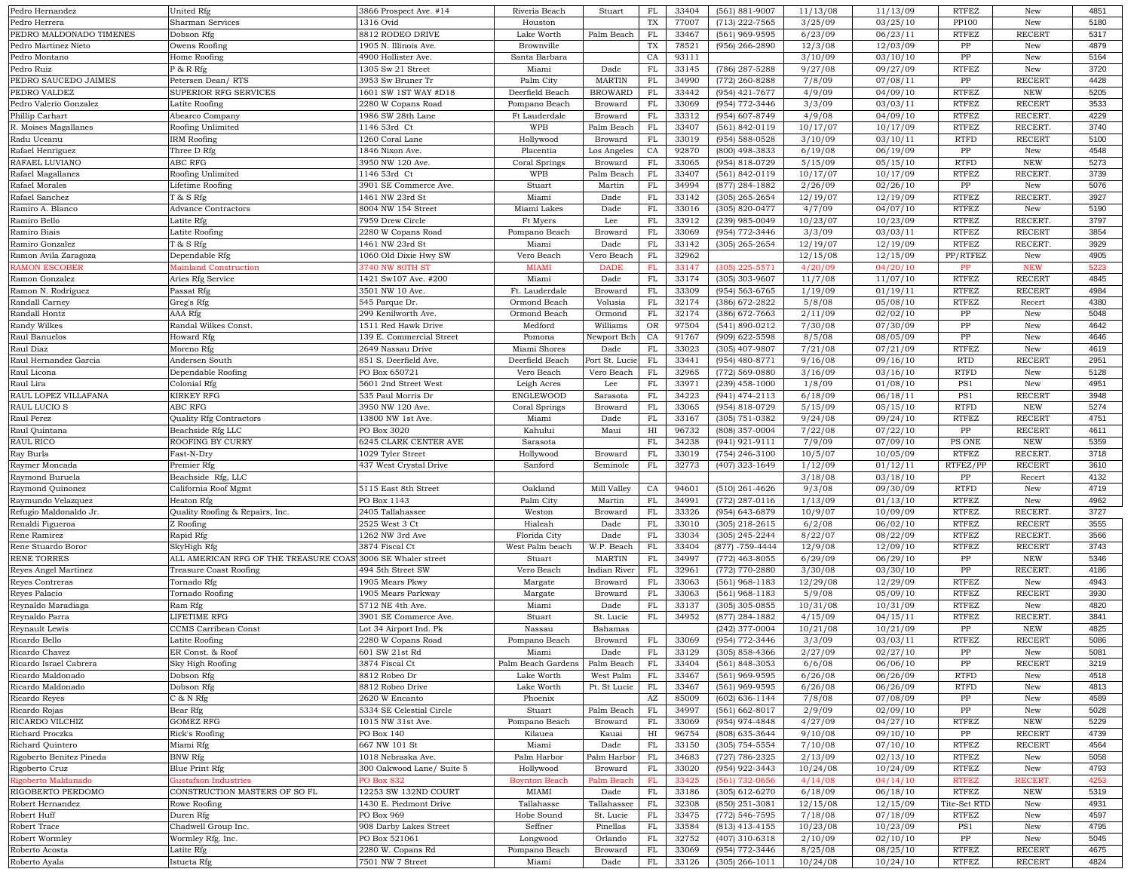| Pedro Hernandez                                                                                                                                                                                               | United Rfg                                                   | 3866 Prospect Ave. #14                | Riveria Beach          | Stuart          | FL         | 33404          | (561) 881-9007                   | 11/13/08            | 11/13/09             | RTFEZ                        | New                            | 4851         |
|---------------------------------------------------------------------------------------------------------------------------------------------------------------------------------------------------------------|--------------------------------------------------------------|---------------------------------------|------------------------|-----------------|------------|----------------|----------------------------------|---------------------|----------------------|------------------------------|--------------------------------|--------------|
| Pedro Herrera                                                                                                                                                                                                 | Sharman Services                                             | 1316 Ovid                             | Houston                |                 | TX         | 77007          | (713) 222-7565                   | 3/25/09             | 03/25/10             | PP100                        | New                            | 5180         |
| PEDRO MALDONADO TIMENES                                                                                                                                                                                       | Dobson Rfg                                                   | 8812 RODEO DRIVE                      | Lake Worth             | Palm Beach      | FL         | 33467          | (561) 969-9595                   | 6/23/09             | 06/23/11             | <b>RTFEZ</b>                 | <b>RECERT</b>                  | 5317         |
| Pedro Martinez Nieto                                                                                                                                                                                          | Owens Roofing                                                | 1905 N. Illinois Ave.                 | Brownville             |                 | TX         | 78521          | (956) 266-2890                   | 12/3/08             | 12/03/09             | PP                           | New                            | 4879         |
| Pedro Montano                                                                                                                                                                                                 | Home Roofing                                                 | 4900 Hollister Ave.                   | Santa Barbara          |                 | CA         | 93111          |                                  | 3/10/09             | 03/10/10             | ${\rm PP}$                   | New                            | 5164         |
| Pedro Ruiz                                                                                                                                                                                                    | P & R Rfg                                                    | 1305 Sw 21 Street                     | Miami                  | Dade            | FL         | 33145          | (786) 287-5288                   | 9/27/08             | 09/27/09             | <b>RTFEZ</b>                 | New                            | 3720         |
| PEDRO SAUCEDO JAIMES                                                                                                                                                                                          | Petersen Dean/RTS                                            | 3953 Sw Bruner Tr                     | Palm City              | <b>MARTIN</b>   | $\rm FL$   | 34990          | (772) 260-8288                   |                     | 07/08/11             | ${\rm PP}$                   | <b>RECERT</b>                  | 4428         |
|                                                                                                                                                                                                               |                                                              |                                       |                        |                 |            |                |                                  | 7/8/09              |                      |                              |                                |              |
| PEDRO VALDEZ                                                                                                                                                                                                  | SUPERIOR RFG SERVICES                                        | 1601 SW 1ST WAY #D18                  | Deerfield Beach        | <b>BROWARD</b>  | ${\rm FL}$ | 33442          | (954) 421-7677                   | 4/9/09              | 04/09/10             | <b>RTFEZ</b>                 | ${\tt NEW}$                    | 5205         |
| Pedro Valerio Gonzalez                                                                                                                                                                                        | Latite Roofing                                               | 2280 W Copans Road                    | Pompano Beach          | Broward         | FL         | 33069          | (954) 772-3446                   | 3/3/09              | 03/03/11             | <b>RTFEZ</b>                 | <b>RECERT</b>                  | 3533         |
| Phillip Carhart                                                                                                                                                                                               | Abearco Company                                              | 1986 SW 28th Lane                     | Ft Lauderdale          | Broward         | ${\rm FL}$ | 33312          | (954) 607-8749                   | 4/9/08              | 04/09/10             | <b>RTFEZ</b>                 | RECERT.                        | 4229         |
| R. Moises Magallanes                                                                                                                                                                                          | Roofing Unlimited                                            | 1146 53rd Ct                          | WPB                    | Palm Beach      | FL         | 33407          | (561) 842-0119                   | 10/17/07            | 10/17/09             | <b>RTFEZ</b>                 | RECERT.                        | 3740         |
| Radu Uceanu                                                                                                                                                                                                   | <b>IRM Roofing</b>                                           | 1260 Coral Lane                       | Hollywood              | Broward         | FL         | 33019          | (954) 588-0528                   | 3/10/09             | 03/10/11             | <b>RTFD</b>                  | <b>RECERT</b>                  | 5100         |
| Rafael Henriguez                                                                                                                                                                                              | Three D Rfg                                                  | 1846 Nixon Ave.                       | Placentia              | Los Angeles     | CA         | 92870          | (800) 498-3833                   | 6/19/08             | 06/19/09             | PP                           | New                            | 4548         |
| RAFAEL LUVIANO                                                                                                                                                                                                | ABC RFG                                                      | 3950 NW 120 Ave.                      | Coral Springs          | Broward         | FL         | 33065          | (954) 818-0729                   | 5/15/09             | 05/15/10             | <b>RTFD</b>                  | <b>NEW</b>                     | 5273         |
| Rafael Magallanes                                                                                                                                                                                             | Roofing Unlimited                                            | 1146 53rd Ct                          | <b>WPB</b>             | Palm Beach      | FL         | 33407          | (561) 842-0119                   | 10/17/07            | 10/17/09             | <b>RTFEZ</b>                 | <b>RECERT</b>                  | 3739         |
| Rafael Morales                                                                                                                                                                                                | Lifetime Roofing                                             | 3901 SE Commerce Ave.                 | Stuart                 | Martin          | FL         | 34994          | (877) 284-1882                   | 2/26/09             | 02/26/10             | PP                           | New                            | 5076         |
|                                                                                                                                                                                                               |                                                              |                                       |                        |                 |            |                |                                  |                     |                      |                              |                                |              |
| Rafael Sanchez                                                                                                                                                                                                | T & S Rfg                                                    | 1461 NW 23rd St                       | Miami                  | Dade            | FL         | 33142          | (305) 265-2654                   | 12/19/07            | 12/19/09             | <b>RTFEZ</b>                 | <b>RECERT</b>                  | 3927         |
| Ramiro A. Blanco                                                                                                                                                                                              | <b>Advance Contractors</b>                                   | 8004 NW 154 Street                    | Miami Lakes            | Dade            | FL         | 33016          | (305) 820-0477                   | 4/7/09              | 04/07/10             | <b>RTFEZ</b>                 | New                            | 5190         |
| Ramiro Bello                                                                                                                                                                                                  | Latite Rfg                                                   | 7959 Drew Circle                      | Ft Myers               | Lee             | ${\rm FL}$ | 33912          | (239) 985-0049                   | 10/23/07            | 10/23/09             | <b>RTFEZ</b>                 | <b>RECERT</b>                  | 3797         |
| Ramiro Biais                                                                                                                                                                                                  | Latite Roofing                                               | 2280 W Copans Road                    | Pompano Beach          | Broward         | FL         | 33069          | (954) 772-3446                   | 3/3/09              | 03/03/11             | <b>RTFEZ</b>                 | <b>RECERT</b>                  | 3854         |
| Ramiro Gonzalez                                                                                                                                                                                               | T & S Rfg                                                    | 1461 NW 23rd St                       | Miami                  | Dade            | ${\rm FL}$ | 33142          | (305) 265-2654                   | 12/19/07            | 12/19/09             | <b>RTFEZ</b>                 | RECERT.                        | 3929         |
| Ramon Avila Zaragoza                                                                                                                                                                                          | Dependable Rfg                                               | 1060 Old Dixie Hwy SW                 | Vero Beach             | Vero Beach      | ${\rm FL}$ | 32962          |                                  | 12/15/08            | 12/15/09             | PP/RTFEZ                     | New                            | 4905         |
| <b>RAMON ESCOBE</b>                                                                                                                                                                                           | <b>Mainland Construction</b>                                 | 3740 NW 80TH S.                       | <b>MIAM</b>            | <b>DADE</b>     | <b>FL</b>  | 33147          | (305) 225-557                    | 4/20/09             | 04/20/10             | PP                           | <b>NEW</b>                     | 5223         |
| Ramon Gonzalez                                                                                                                                                                                                | Aries Rfg Service                                            | 1421 Sw107 Ave. #200                  | Miami                  | Dade            | $\rm FL$   | 33174          | (305) 303-9607                   | 11/7/08             | 11/07/10             | <b>RTFEZ</b>                 | <b>RECERT</b>                  | 4845         |
| Ramon N. Rodriguez                                                                                                                                                                                            | Passat Rfg                                                   | 3501 NW 10 Ave.                       | Ft. Lauderdale         | Broward         | FL         | 33309          | (954) 563-6765                   | 1/19/09             | 01/19/11             | <b>RTFEZ</b>                 | <b>RECERT</b>                  | 4984         |
|                                                                                                                                                                                                               |                                                              |                                       |                        |                 |            |                |                                  |                     |                      |                              |                                |              |
| Randall Carney                                                                                                                                                                                                | Greg's Rfg                                                   | 545 Parque Dr.                        | Ormond Beach           | Volusia         | ${\rm FL}$ | 32174          | (386) 672-2822                   | 5/8/08              | 05/08/10             | <b>RTFEZ</b>                 | Recert                         | 4380         |
| Randall Hontz                                                                                                                                                                                                 | AAA Rfg                                                      | 299 Kenilworth Ave.                   | Ormond Beach           | Ormond          | FL         | 32174          | (386) 672-7663                   | $\frac{2}{11/09}$   | 02/02/10             | PP                           | New                            | 5048         |
| Randy Wilkes                                                                                                                                                                                                  | Randal Wilkes Const.                                         | 1511 Red Hawk Drive                   | Medford                | Williams        | OR         | 97504          | (541) 890-0212                   | 7/30/08             | 07/30/09             | ${\rm PP}$                   | New                            | 4642         |
| Raul Banuelos                                                                                                                                                                                                 | Howard Rfg                                                   | 139 E. Commercial Street              | Pomona                 | Newport Bch     | CA         | 91767          | (909) 622-5598                   | 8/5/08              | 08/05/09             | PP                           | New                            | 4646         |
| Raul Diaz                                                                                                                                                                                                     | Moreno Rfg                                                   | 2649 Nassau Drive                     | Miami Shores           | Dade            | FL         | 33023          | (305) 407-9807                   | 7/21/08             | 07/21/09             | <b>RTFEZ</b>                 | New                            | 4619         |
| Raul Hernandez Garcia                                                                                                                                                                                         | Andersen South                                               | 851 S. Deerfield Ave.                 | Deerfield Beach        | Port St. Lucie  | FL         | 33441          | (954) 480-8771                   | 9/16/08             | 09/16/10             | <b>RTD</b>                   | <b>RECERT</b>                  | 2951         |
| Raul Licona                                                                                                                                                                                                   | Dependable Roofing                                           | PO Box 650721                         | Vero Beach             | Vero Beach      | FL         | 32965          | (772) 569-0880                   | 3/16/09             | 03/16/10             | <b>RTFD</b>                  | New                            | 5128         |
| Raul Lira                                                                                                                                                                                                     | Colonial Rfg                                                 | 5601 2nd Street West                  | Leigh Acres            | Lee             | FL         | 33971          | $(239)$ 458-1000                 | 1/8/09              | 01/08/10             | PS1                          | New                            | 4951         |
| RAUL LOPEZ VILLAFANA                                                                                                                                                                                          | KIRKEY RFG                                                   | 535 Paul Morris Dr                    | ENGLEWOOD              | Sarasota        | FL         | 34223          | (941) 474-2113                   | 6/18/09             | 06/18/11             | PS1                          | <b>RECERT</b>                  | 3948         |
|                                                                                                                                                                                                               |                                                              |                                       |                        |                 |            |                |                                  |                     |                      |                              |                                | 5274         |
| RAUL LUCIO S                                                                                                                                                                                                  | ABC RFG                                                      | 3950 NW 120 Ave.                      | Coral Springs          | Broward         | FL         | 33065          | (954) 818-0729                   | 5/15/09             | 05/15/10             | <b>RTFD</b>                  | <b>NEW</b>                     |              |
| Raul Perez                                                                                                                                                                                                    | Quality Rfg Contractors                                      | 13800 NW 1st Ave.                     | Miami                  | Dade            | FL         | 33167          | (305) 751-0382                   | 9/24/08             | 09/24/10             | <b>RTFEZ</b>                 | <b>RECERT</b>                  | 4751         |
| Raul Quintana                                                                                                                                                                                                 | Beachside Rfg LLC                                            | PO Box 3020                           | Kahului                | Maui            | HI         | 96732          | (808) 357-0004                   | 7/22/08             | 07/22/10             | PP                           | <b>RECERT</b>                  | 4611         |
| RAUL RICO                                                                                                                                                                                                     | ROOFING BY CURRY                                             | 6245 CLARK CENTER AVE                 | Sarasota               |                 | FL         | 34238          | (941) 921-9111                   | 7/9/09              | 07/09/10             | PS ONE                       | <b>NEW</b>                     | 5359         |
| Ray Burla                                                                                                                                                                                                     | Fast-N-Dry                                                   | 1029 Tyler Street                     | Hollywood              | Broward         | FL         | 33019          | (754) 246-3100                   | 10/5/07             | 10/05/09             | <b>RTFEZ</b>                 | <b>RECERT</b>                  | 3718         |
| Raymer Moncada                                                                                                                                                                                                | Premier Rfg                                                  | 437 West Crystal Drive                | Sanford                | Seminole        | ${\rm FL}$ | 32773          | (407) 323-1649                   | 1/12/09             | 01/12/11             | RTFEZ/PP                     | <b>RECERT</b>                  | 3610         |
| Raymond Buruela                                                                                                                                                                                               | Beachside Rfg, LLC                                           |                                       |                        |                 |            |                |                                  | 3/18/08             | $\sqrt{03}/18/10$    | ${\rm PP}$                   | Recert                         | 4132         |
| Raymond Quinonez                                                                                                                                                                                              | California Roof Mgmt                                         | 5115 East 8th Street                  | Oakland                | Mill Valley     | CA         | 94601          | (510) 261-4626                   | 9/3/08              | 09/30/09             | <b>RTFD</b>                  | New                            | 4719         |
| Raymundo Velazquez                                                                                                                                                                                            | Heaton Rfg                                                   | PO Box 1143                           | Palm City              | Martin          | FL         | 34991          | (772) 287-0116                   | 1/13/09             | 01/13/10             | <b>RTFEZ</b>                 | New                            | 4962         |
| Refugio Maldonaldo Jr.                                                                                                                                                                                        |                                                              | 2405 Tallahassee                      | Weston                 | Broward         | FL         |                | (954) 643-6879                   | 10/9/07             |                      |                              |                                | 3727         |
|                                                                                                                                                                                                               | Quality Roofing & Repairs, Inc.                              |                                       |                        |                 |            |                |                                  |                     |                      |                              |                                |              |
| Renaldi Figueroa                                                                                                                                                                                              |                                                              |                                       |                        |                 |            | 33326          |                                  |                     | 10/09/09             | <b>RTFEZ</b>                 | <b>RECERT</b>                  |              |
|                                                                                                                                                                                                               | Z Roofing                                                    | 2525 West 3 Ct                        | Hialeah                | Dade            | FL         | 33010          | (305) 218-2615                   | 6/2/08              | 06/02/10             | <b>RTFEZ</b>                 | <b>RECERT</b>                  | 3555         |
| Rene Ramirez                                                                                                                                                                                                  | Rapid Rfg                                                    | 1262 NW 3rd Ave                       | Florida City           | Dade            | ${\rm FL}$ | 33034          | (305) 245-2244                   | 8/22/07             | 08/22/09             | <b>RTFEZ</b>                 | RECERT.                        | 3566         |
|                                                                                                                                                                                                               | SkyHigh Rfg                                                  | 3874 Fiscal Ct                        | West Palm beach        | W.P. Beach      | ${\rm FL}$ | 33404          | $(877) - 759 - 4444$             | 12/9/08             | 12/09/10             | <b>RTFEZ</b>                 | <b>RECERT</b>                  | 3743         |
| Rene Stuardo Boror<br><b>RENE TORRES</b>                                                                                                                                                                      | ALL AMERICAN RFG OF THE TREASURE COAS' 3006 SE Whaler street |                                       | Stuart                 | <b>MARTIN</b>   | FL         | 34997          | (772) 463-8055                   | 6/29/09             | 06/29/10             | ${\rm PP}$                   | <b>NEW</b>                     | 5346         |
| Reyes Angel Martinez                                                                                                                                                                                          | Treasure Coast Roofing                                       | 494 5th Street SW                     | Vero Beach             | Indian River    | FL         | 32961          | (772) 770-2880                   | 3/30/08             | 03/30/10             | ${\rm PP}$                   | <b>RECERT</b>                  | 4186         |
|                                                                                                                                                                                                               |                                                              | 1905 Mears Pkwy                       |                        |                 |            |                |                                  |                     |                      |                              |                                | 4943         |
| Reyes Contreras                                                                                                                                                                                               | Tornado Rfg                                                  |                                       | Margate                | Broward         | FL         | 33063          | $(561)$ 968-1183                 | 12/29/08            | 12/29/09             | <b>RTFEZ</b>                 | New                            |              |
| Reyes Palacio                                                                                                                                                                                                 | Tornado Roofing                                              | 1905 Mears Parkway                    | Margate                | Broward         | FL         | 33063          | $(561)$ 968-1183                 | 5/9/08              | 05/09/10             | <b>RTFEZ</b>                 | <b>RECERT</b>                  | 3930         |
| Reynaldo Maradiaga                                                                                                                                                                                            | Ram Rfg                                                      | 5712 NE 4th Ave.                      | Miami                  | Dade            | FL         | 33137          | (305) 305-0855                   | 10/31/08            | 10/31/09             | <b>RTFEZ</b>                 | New                            | 4820         |
| Reynaldo Parra                                                                                                                                                                                                | LIFETIME RFG                                                 | 3901 SE Commerce Ave.                 | Stuart                 | St. Lucie       | $\rm FL$   | 34952          | (877) 284-1882                   | 4/15/09             | 04/15/11             | <b>RTFEZ</b>                 | <b>RECERT</b>                  | 3841         |
| Reynault Lewis                                                                                                                                                                                                | <b>CCMS</b> Carribean Const                                  | Lot 34 Airport Ind. Pk                | Nassau                 | Bahamas         |            |                | (242) 377-0004                   | 10/21/08            | 10/21/09             | PP                           | ${\tt NEW}$                    | 4825         |
| Ricardo Bello                                                                                                                                                                                                 | Latite Roofing                                               | 2280 W Copans Road                    | Pompano Beach          | Broward         | FL         | 33069          | (954) 772-3446                   | 3/3/09              | 03/03/11             | <b>RTFEZ</b>                 | <b>RECERT</b>                  | 5086         |
|                                                                                                                                                                                                               | ER Const. & Roof                                             | 601 SW 21st Rd                        | Miami                  | Dade            | FL         | 33129          | (305) 858-4366                   | 2/27/09             | 02/27/10             | PP                           | New                            | 5081         |
|                                                                                                                                                                                                               | Sky High Roofing                                             | 3874 Fiscal Ct                        | Palm Beach Gardens     | Palm Beach      | FL         | 33404          | (561) 848-3053                   | 6/6/08              | 06/06/10             | ${\rm PP}$                   | <b>RECERT</b>                  | 3219         |
|                                                                                                                                                                                                               | Dobson Rfg                                                   | 8812 Robeo Dr                         | Lake Worth             | West Palm       | $\rm FL$   | 33467          | (561) 969-9595                   | 6/26/08             | 06/26/09             | <b>RTFD</b>                  | New                            | 4518         |
| Ricardo Maldonado                                                                                                                                                                                             | Dobson Rfg                                                   | 8812 Robeo Drive                      | Lake Worth             | Pt. St Lucie    | $\rm FL$   | 33467          | (561) 969-9595                   | 6/26/08             | 06/26/09             | <b>RTFD</b>                  | New                            | 4813         |
|                                                                                                                                                                                                               | C & N Rfg                                                    | 2620 W Encanto                        | Phoenix                |                 | AZ         | 85009          | $(602) 636 - 1144$               | 7/8/08              | 07/08/09             | PP                           | ${\hbox{New}}$                 | 4589         |
|                                                                                                                                                                                                               |                                                              |                                       |                        |                 |            |                |                                  |                     |                      |                              |                                |              |
| Ricardo Rojas                                                                                                                                                                                                 | Bear Rfg                                                     | 5334 SE Celestial Circle              | Stuart                 | Palm Beach      | $\rm FL$   | 34997          | $(561) 662 - 8017$               | 2/9/09              | 02/09/10             | ${\rm PP}$                   | New                            | 5028         |
| RICARDO VILCHIZ                                                                                                                                                                                               | <b>GOMEZ RFG</b>                                             | 1015 NW 31st Ave                      | Pompano Beach          | Broward         | $\rm FL$   | 33069          | (954) 974-4848                   | 4/27/09             | 04/27/10             | <b>RTFEZ</b>                 | <b>NEW</b>                     | 5229         |
|                                                                                                                                                                                                               | Rick's Roofing                                               | PO Box 140                            | Kilauea                | Kauai           | HI         | 96754          | (808) 635-3644                   | 9/10/08             | 09/10/10             | ${\rm PP}$                   | <b>RECERT</b>                  | 4739         |
| Richard Quintero                                                                                                                                                                                              | Miami Rfg                                                    | 667 NW 101 St                         | Miami                  | Dade            | $\rm FL$   | 33150          | (305) 754-5554                   | 7/10/08             | 07/10/10             | <b>RTFEZ</b>                 | <b>RECERT</b>                  | 4564         |
|                                                                                                                                                                                                               | <b>BNW Rfg</b>                                               | 1018 Nebraska Ave.                    | Palm Harbor            | Palm Harbor     | ${\rm FL}$ | 34683          | (727) 786-2325                   | 2/13/09             | 02/13/10             | <b>RTFEZ</b>                 | New                            | 5058         |
| Rigoberto Cruz                                                                                                                                                                                                | <b>Blue Print Rfg</b>                                        | 300 Oakwood Lane/ Suite 5             | Hollywood              | Broward         | FL         | 33020          | (954) 922-3443                   | 10/24/08            | 10/24/09             | <b>RTFEZ</b>                 | New                            | 4793         |
|                                                                                                                                                                                                               | Gustafson Industries                                         | PO Box 832                            | <b>Boynton Beacl</b>   | Palm Beac       | FL         | 33425          | (561) 732-0656                   | 4/14/08             | 04/14/10             | <b>RTFEZ</b>                 | <b>RECERT</b>                  | 4253         |
|                                                                                                                                                                                                               | CONSTRUCTION MASTERS OF SO FL                                | 12253 SW 132ND COURT                  | MIAMI                  | Dade            | $\rm FL$   | 33186          | (305) 612-6270                   | 6/18/09             | 06/18/10             | <b>RTFEZ</b>                 | <b>NEW</b>                     | 5319         |
|                                                                                                                                                                                                               | Rowe Roofing                                                 | 1430 E. Piedmont Drive                | Tallahasse             | Tallahassee     | ${\rm FL}$ | 32308          | (850) 251-3081                   | 12/15/08            | 12/15/09             | Tite-Set RTD                 | New                            | 4931         |
|                                                                                                                                                                                                               |                                                              |                                       |                        |                 |            |                |                                  |                     |                      |                              |                                |              |
| Robert Huff                                                                                                                                                                                                   | Duren Rfg                                                    | PO Box 969                            | Hobe Sound             | St. Lucie       | $\rm FL$   | 33475          | (772) 546-7595                   | 7/18/08             | 07/18/09             | <b>RTFEZ</b>                 | New                            | 4597         |
| Ricardo Chavez<br>Ricardo Israel Cabrera<br>Ricardo Maldonado<br>Ricardo Reyes<br>Richard Proczka<br>Rigoberto Benitez Pineda<br>Rigoberto Maldanado<br>RIGOBERTO PERDOMO<br>Robert Hernandez<br>Robert Trace | Chadwell Group Inc.                                          | 908 Darby Lakes Street                | Seffner                | Pinellas        | $\rm FL$   | 33584          | (813) 413-4155                   | 10/23/08            | 10/23/09             | PS1                          | New                            | 4795         |
| Robert Wormley                                                                                                                                                                                                | Wormley Rfg. Inc.                                            | PO Box 521061                         | Longwood               | Orlando         | $\rm FL$   | 32752          | (407) 310-6318                   | 2/10/09             | 02/10/10             | PP                           | New                            | 5045         |
| Roberto Acosta<br>Roberto Ayala                                                                                                                                                                               | Latite Rfg<br>Istueta Rfg                                    | 2280 W. Copans Rd<br>7501 NW 7 Street | Pompano Beach<br>Miami | Broward<br>Dade | FL<br>FL   | 33069<br>33126 | (954) 772-3446<br>(305) 266-1011 | 8/25/08<br>10/24/08 | 08/25/10<br>10/24/10 | <b>RTFEZ</b><br><b>RTFEZ</b> | <b>RECERT</b><br><b>RECERT</b> | 4675<br>4824 |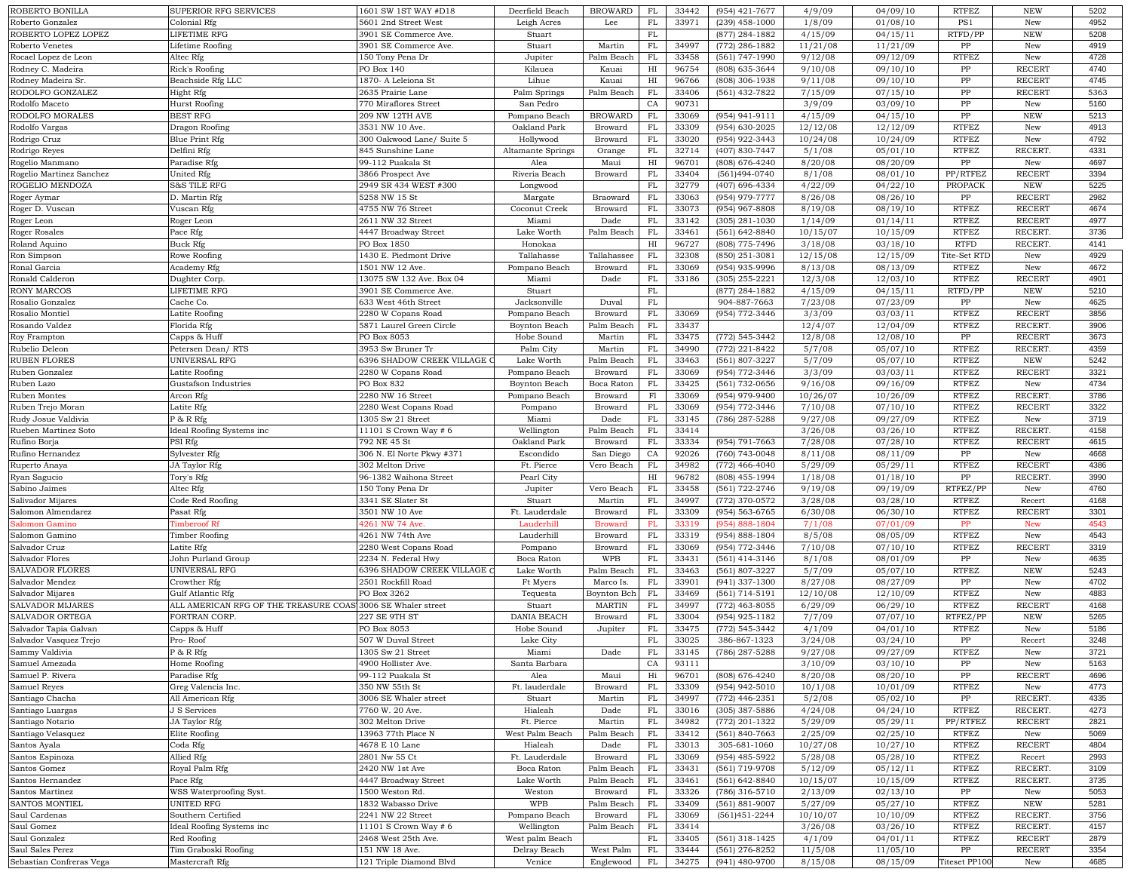| ROBERTO BONILLA                    | SUPERIOR RFG SERVICES                                       | 1601 SW 1ST WAY #D18               | Deerfield Beach   | BROWARD        | FL         | 33442 | (954) 421-7677     | 4/9/09              | 04/09/10 | RTFEZ        | <b>NEW</b>    | 5202 |
|------------------------------------|-------------------------------------------------------------|------------------------------------|-------------------|----------------|------------|-------|--------------------|---------------------|----------|--------------|---------------|------|
| Roberto Gonzalez                   | Colonial Rfg                                                | 5601 2nd Street West               | Leigh Acres       | Lee            | FL         | 33971 | $(239)$ 458-1000   | 1/8/09              | 01/08/10 | PS1          | New           | 4952 |
| ROBERTO LOPEZ LOPEZ                | LIFETIME RFG                                                | 3901 SE Commerce Ave.              | Stuart            |                | $\rm FL$   |       | (877) 284-1882     | 4/15/09             | 04/15/11 | RTFD/PP      | <b>NEW</b>    | 5208 |
| Roberto Venetes                    | Lifetime Roofing                                            | 3901 SE Commerce Ave.              | Stuart            | Martin         | ${\rm FL}$ | 34997 | (772) 286-1882     | 11/21/08            | 11/21/09 | PP           | New           | 4919 |
| Rocael Lopez de Leon               | Altec Rfg                                                   | 150 Tony Pena Dr                   | Jupiter           | Palm Beach     | ${\rm FL}$ | 33458 | (561) 747-1990     | 9/12/08             | 09/12/09 | <b>RTFEZ</b> | New           | 4728 |
| Rodney C. Madeira                  | Rick's Roofing                                              | PO Box 140                         | Kilauea           | Kauai          | HI         | 96754 | (808) 635-3644     | 9/10/08             | 09/10/10 | PP           | <b>RECERT</b> | 4740 |
|                                    |                                                             |                                    |                   |                |            |       |                    |                     |          |              |               |      |
| Rodney Madeira Sr                  | Beachside Rfg LLC                                           | 1870- A Leleiona St                | Lihue             | Kauai          | HI         | 96766 | (808) 306-1938     | 9/11/08             | 09/10/10 | ${\rm PP}$   | <b>RECERT</b> | 4745 |
| RODOLFO GONZALEZ                   | Hight Rfg                                                   | 2635 Prairie Lane                  | Palm Springs      | Palm Beach     | $\rm FL$   | 33406 | (561) 432-7822     | 7/15/09             | 07/15/10 | ${\rm PP}$   | <b>RECERT</b> | 5363 |
| Rodolfo Maceto                     | <b>Hurst Roofing</b>                                        | 770 Miraflores Street              | San Pedro         |                | CA         | 90731 |                    | 3/9/09              | 03/09/10 | ${\rm PP}$   | New           | 5160 |
| RODOLFO MORALES                    | <b>BEST RFG</b>                                             | 209 NW 12TH AVE                    | Pompano Beach     | <b>BROWARD</b> | ${\rm FL}$ | 33069 | (954) 941-9111     | 4/15/09             | 04/15/10 | ${\rm PP}$   | <b>NEW</b>    | 5213 |
| Rodolfo Vargas                     | Dragon Roofing                                              | 3531 NW 10 Ave.                    | Oakland Park      | Broward        | ${\rm FL}$ | 33309 | $(954) 630 - 2025$ | 12/12/08            | 12/12/09 | <b>RTFEZ</b> | New           | 4913 |
| Rodrigo Cruz                       | Blue Print Rfg                                              | 300 Oakwood Lane/ Suite 5          | Hollywood         | Broward        | FL         | 33020 | (954) 922-3443     | 10/24/08            | 10/24/09 | <b>RTFEZ</b> | New           | 4792 |
|                                    |                                                             |                                    |                   |                |            |       |                    |                     |          |              |               |      |
| Rodrigo Reyes                      | Delfini Rfg                                                 | 845 Sunshine Lane                  | Altamante Springs | Orange         | FL         | 32714 | (407) 830-7447     | 5/1/08              | 05/01/10 | <b>RTFEZ</b> | RECERT.       | 4331 |
| Rogelio Manmano                    | Paradise Rfg                                                | 99-112 Puakala St                  | Alea              | Maui           | HI         | 96701 | (808) 676-4240     | 8/20/08             | 08/20/09 | PP           | New           | 4697 |
| Rogelio Martinez Sanchez           | United Rfg                                                  | 3866 Prospect Ave                  | Riveria Beach     | Broward        | FL         | 33404 | (561)494-0740      | 8/1/08              | 08/01/10 | PP/RTFEZ     | <b>RECERT</b> | 3394 |
| ROGELIO MENDOZA                    | <b>S&amp;S TILE RFG</b>                                     | 2949 SR 434 WEST #300              | Longwood          |                | FL         | 32779 | (407) 696-4334     | 4/22/09             | 04/22/10 | PROPACK      | <b>NEW</b>    | 5225 |
| Roger Aymar                        | D. Martin Rfg                                               | 5258 NW 15 St                      | Margate           | Braoward       | FL         | 33063 | (954) 979-7777     | 8/26/08             | 08/26/10 | PP           | <b>RECERT</b> | 2982 |
| Roger D. Vuscan                    | Vuscan Rfg                                                  | 4755 NW 76 Street                  | Coconut Creek     | Broward        | ${\rm FL}$ | 33073 | (954) 967-8808     | 8/19/08             | 08/19/10 | <b>RTFEZ</b> | <b>RECERT</b> | 4674 |
|                                    |                                                             | 2611 NW 32 Street                  | Miami             | Dade           | ${\rm FL}$ | 33142 | (305) 281-1030     |                     | 01/14/11 | <b>RTFEZ</b> | <b>RECERT</b> | 4977 |
| Roger Leon                         | Roger Leon                                                  |                                    |                   |                |            |       |                    | 1/14/09             |          |              |               |      |
| Roger Rosales                      | Pace Rfg                                                    | 4447 Broadway Street               | Lake Worth        | Palm Beach     | FL         | 33461 | (561) 642-8840     | 10/15/07            | 10/15/09 | <b>RTFEZ</b> | RECERT.       | 3736 |
| Roland Aquino                      | <b>Buck Rfg</b>                                             | PO Box 1850                        | Honokaa           |                | HI         | 96727 | (808) 775-7496     | 3/18/08             | 03/18/10 | <b>RTFD</b>  | RECERT.       | 4141 |
| Ron Simpson                        | Rowe Roofing                                                | 1430 E. Piedmont Drive             | Tallahasse        | Tallahassee    | ${\rm FL}$ | 32308 | (850) 251-3081     | 12/15/08            | 12/15/09 | Tite-Set RTL | New           | 4929 |
| Ronal Garcia                       | Academy Rfg                                                 | 1501 NW 12 Ave.                    | Pompano Beach     | Broward        | FL         | 33069 | (954) 935-9996     | 8/13/08             | 08/13/09 | <b>RTFEZ</b> | New           | 4672 |
| Ronald Calderon                    | Dughter Corp.                                               | 13075 SW 132 Ave. Box 04           | Miami             | Dade           | ${\rm FL}$ | 33186 | (305) 255-2221     | 12/3/08             | 12/03/10 | <b>RTFEZ</b> | <b>RECERT</b> | 4901 |
| <b>RONY MARCOS</b>                 | LIFETIME RFG                                                | 3901 SE Commerce Ave.              | Stuart            |                | ${\rm FL}$ |       | (877) 284-1882     |                     | 04/15/11 | RTFD/PP      | ${\rm NEW}$   | 5210 |
|                                    |                                                             |                                    |                   |                |            |       |                    | 4/15/09             |          |              |               |      |
| Rosalio Gonzalez                   | Cache Co.                                                   | 633 West 46th Street               | Jacksonville      | Duval          | ${\rm FL}$ |       | 904-887-7663       | 7/23/08             | 07/23/09 | ${\rm PP}$   | New           | 4625 |
| Rosalio Montiel                    | Latite Roofing                                              | 2280 W Copans Road                 | Pompano Beach     | Broward        | ${\rm FL}$ | 33069 | (954) 772-3446     | 3/3/09              | 03/03/11 | <b>RTFEZ</b> | <b>RECERT</b> | 3856 |
| Rosando Valdez                     | Florida Rfg                                                 | 5871 Laurel Green Circle           | Boynton Beach     | Palm Beach     | $\rm FL$   | 33437 |                    | 12/4/07             | 12/04/09 | <b>RTFEZ</b> | RECERT.       | 3906 |
| Roy Frampton                       | Capps & Huff                                                | PO Box 8053                        | Hobe Sound        | Martin         | ${\rm FL}$ | 33475 | (772) 545-3442     | 12/8/08             | 12/08/10 | ${\rm PP}$   | <b>RECERT</b> | 3673 |
| Rubelio Deleon                     | Petersen Dean/RTS                                           | 3953 Sw Bruner Tr                  | Palm City         | Martin         | ${\rm FL}$ | 34990 | (772) 221-8422     | 5/7/08              | 05/07/10 | <b>RTFEZ</b> | RECERT.       | 4359 |
| <b>RUBEN FLORES</b>                | UNIVERSAL RFG                                               | 6396 SHADOW CREEK VILLAGE          | Lake Worth        | Palm Beach     | FL         | 33463 | (561) 807-3227     | 5/7/09              | 05/07/10 | <b>RTFEZ</b> | <b>NEW</b>    | 5242 |
|                                    |                                                             |                                    |                   |                |            |       |                    |                     |          |              |               |      |
| Ruben Gonzalez                     | Latite Roofing                                              | 2280 W Copans Road                 | Pompano Beach     | Broward        | FL         | 33069 | $(954) 772 - 3446$ | 3/3/09              | 03/03/11 | <b>RTFEZ</b> | <b>RECERT</b> | 3321 |
| Ruben Lazo                         | Gustafson Industries                                        | PO Box 832                         | Boynton Beach     | Boca Raton     | ${\rm FL}$ | 33425 | (561) 732-0656     | 9/16/08             | 09/16/09 | <b>RTFEZ</b> | New           | 4734 |
| Ruben Montes                       | Arcon Rfg                                                   | 2280 NW 16 Street                  | Pompano Beach     | Broward        | F1         | 33069 | (954) 979-9400     | 10/26/07            | 10/26/09 | <b>RTFEZ</b> | <b>RECERT</b> | 3786 |
| Ruben Trejo Moran                  | Latite Rfg                                                  | 2280 West Copans Road              | Pompano           | Broward        | FL         | 33069 | (954) 772-3446     | 7/10/08             | 07/10/10 | <b>RTFEZ</b> | <b>RECERT</b> | 3322 |
| Rudy Josue Valdivia                | P & R Rfg                                                   | 1305 Sw 21 Street                  | Miami             | Dade           | ${\rm FL}$ | 33145 | (786) 287-5288     | 9/27/08             | 09/27/09 | <b>RTFEZ</b> | New           | 3719 |
|                                    | deal Roofing Systems inc                                    | 11101 S Crown Way # 6              | Wellington        | Palm Beach     |            |       |                    |                     | 03/26/10 |              |               |      |
|                                    |                                                             |                                    |                   |                |            |       |                    |                     |          |              |               |      |
| Rueben Martinez Soto               |                                                             |                                    |                   |                | FL         | 33414 |                    | 3/26/08             |          | <b>RTFEZ</b> | <b>RECERT</b> | 4158 |
| Rufino Borja                       | PSI Rfg                                                     | 792 NE 45 St                       | Oakland Park      | Broward        | ${\rm FL}$ | 33334 | (954) 791-7663     | 7/28/08             | 07/28/10 | <b>RTFEZ</b> | <b>RECERT</b> | 4615 |
| Rufino Hernandez                   | Sylvester Rfg                                               | 306 N. El Norte Pkwy #371          | Escondido         | San Diego      | CA         | 92026 | (760) 743-0048     | 8/11/08             | 08/11/09 | PP           | New           | 4668 |
| Ruperto Anaya                      | JA Taylor Rfg                                               | 302 Melton Drive                   | Ft. Pierce        | Vero Beach     | $\rm FL$   | 34982 | (772) 466-4040     | 5/29/09             | 05/29/11 | <b>RTFEZ</b> | <b>RECERT</b> | 4386 |
| Ryan Sagucio                       | Tory's Rfg                                                  | 96-1382 Waihona Street             | Pearl City        |                | HI         | 96782 | (808) 455-1994     | 1/18/08             | 01/18/10 | PP           | RECERT.       | 3990 |
|                                    |                                                             |                                    |                   |                |            |       |                    |                     |          |              |               |      |
| Sabino Jaimes                      | Altec Rfg                                                   | 150 Tony Pena Dr                   | Jupiter           | Vero Beach     | ${\rm FL}$ | 33458 | (561) 722-2746     | 9/19/08             | 09/19/09 | RTFEZ/PP     | New           | 4760 |
| Salivador Mijares                  | Code Red Roofing                                            | 3341 SE Slater St                  | Stuart            | Martin         | ${\rm FL}$ | 34997 | (772) 370-0572     | $\frac{1}{3}/28/08$ | 03/28/10 | <b>RTFEZ</b> | Recert        | 4168 |
| Salomon Almendarez                 | Pasat Rfg                                                   | 3501 NW 10 Ave                     | Ft. Lauderdale    | Broward        | ${\rm FL}$ | 33309 | (954) 563-6765     | 6/30/08             | 06/30/10 | <b>RTFEZ</b> | <b>RECERT</b> | 3301 |
| Salomon Gamino                     | l'imberoof R                                                | 261 NW 74 Ave.                     | Lauderhil         | Broward        | FL         | 33319 | (954) 888-1804     | 7/1/08              | 07/01/09 | $\rm PP$     | New           | 4543 |
| Salomon Gamino                     | Timber Roofing                                              | 4261 NW 74th Ave                   | Lauderhill        | Broward        | ${\rm FL}$ | 33319 | (954) 888-1804     | 8/5/08              | 08/05/09 | <b>RTFEZ</b> | New           | 4543 |
| Salvador Cruz                      | Latite Rfg                                                  | 2280 West Copans Road              | Pompano           | Broward        | ${\rm FL}$ | 33069 | (954) 772-3446     | 7/10/08             | 07/10/10 | <b>RTFEZ</b> | <b>RECERT</b> | 3319 |
| Salvador Flores                    | John Purland Group                                          | 2234 N. Federal Hwy                | Boca Raton        | <b>WPB</b>     | FL         | 33431 | (561) 414-3146     |                     |          | PP           | New           | 4635 |
|                                    |                                                             |                                    |                   |                |            |       |                    | 8/1/08              | 08/01/09 |              |               |      |
| SALVADOR FLORES                    | UNIVERSAL RFG                                               | 6396 SHADOW CREEK VILLAGE          | Lake Worth        | Palm Beach     | $\rm FL$   | 33463 | (561) 807-3227     | 5/7/09              | 05/07/10 | <b>RTFEZ</b> | <b>NEW</b>    | 5243 |
| Salvador Mendez                    | Crowther Rfg                                                | 2501 Rockfill Road                 | Ft Myers          | Marco Is.      | $\rm FL$   | 33901 | (941) 337-1300     | 8/27/08             | 08/27/09 | PP           | New           | 4702 |
| Salvador Mijares                   | Gulf Atlantic Rfg                                           | PO Box 3262                        | Tequesta          | Boynton Bch    | ${\rm FL}$ | 33469 | (561) 714-5191     | 12/10/08            | 12/10/09 | <b>RTFEZ</b> | New           | 4883 |
| SALVADOR MIJARES                   | ALL AMERICAN RFG OF THE TREASURE COAS 3006 SE Whaler street |                                    | Stuart            | <b>MARTIN</b>  | FL         | 34997 | (772) 463-8055     | 6/29/09             | 06/29/10 | <b>RTFEZ</b> | <b>RECERT</b> | 4168 |
| SALVADOR ORTEGA                    | FORTRAN CORP.                                               | 227 SE 9TH ST                      | DANIA BEACH       | Broward        | FL         | 33004 | (954) 925-1182     | 7/7/09              | 07/07/10 | RTFEZ/PP     | <b>NEW</b>    | 5265 |
| Salvador Tapia Galvan              | Capps & Huff                                                | PO Box 8053                        | Hobe Sound        | Jupiter        | ${\rm FL}$ | 33475 | (772) 545-3442     | 4/1/09              | 04/01/10 | <b>RTFEZ</b> | New           | 5186 |
| Salvador Vasquez Trejo             | Pro-Roof                                                    | 507 W Duval Street                 | Lake City         |                | $\rm FL$   | 33025 | 386-867-1323       |                     |          | PP           | Recert        | 3248 |
|                                    |                                                             |                                    |                   |                |            |       |                    | 3/24/08             | 03/24/10 |              |               |      |
| Sammy Valdivia                     | P & R Rfg                                                   | 1305 Sw 21 Street                  | Miami             | Dade           | FL         | 33145 | (786) 287-5288     | 9/27/08             | 09/27/09 | RTFEZ        | New           | 3721 |
|                                    | Home Roofing                                                | 4900 Hollister Ave.                | Santa Barbara     |                | CA         | 93111 |                    | 3/10/09             | 03/10/10 | PP           | New           | 5163 |
| Samuel Amezada<br>Samuel P. Rivera | Paradise Rfg                                                | 99-112 Puakala St                  | Alea              | Maui           | Hi         | 96701 | (808) 676-4240     | 8/20/08             | 08/20/10 | PP           | <b>RECERT</b> | 4696 |
| Samuel Reyes                       | Greg Valencia Inc.                                          | 350 NW 55th St                     | Ft. lauderdale    | Broward        | ${\rm FL}$ | 33309 | (954) 942-5010     | 10/1/08             | 10/01/09 | <b>RTFEZ</b> | New           | 4773 |
| Santiago Chacha                    | All American Rfg                                            | 3006 SE Whaler street              | Stuart            | Martin         | $\rm FL$   | 34997 | (772) 446-2351     | 5/2/08              | 05/02/10 | PP           | RECERT.       | 4335 |
| Santiago Luargas                   | J S Services                                                | 7760 W. 20 Ave.                    | Hialeah           | Dade           | $\rm FL$   | 33016 | (305) 387-5886     | 4/24/08             | 04/24/10 | <b>RTFEZ</b> | RECERT.       | 4273 |
|                                    |                                                             |                                    |                   |                |            |       |                    |                     |          |              |               |      |
| Santiago Notario                   | JA Taylor Rfg                                               | 302 Melton Drive                   | Ft. Pierce        | Martin         | FL         | 34982 | (772) 201-1322     | 5/29/09             | 05/29/11 | PP/RTFEZ     | <b>RECERT</b> | 2821 |
| Santiago Velasquez                 | Elite Roofing                                               | 13963 77th Place N                 | West Palm Beach   | Palm Beach     | $\rm FL$   | 33412 | (561) 840-7663     | 2/25/09             | 02/25/10 | <b>RTFEZ</b> | New           | 5069 |
| Santos Ayala                       | Coda Rfg                                                    | 4678 E 10 Lane                     | Hialeah           | Dade           | $\rm FL$   | 33013 | 305-681-1060       | 10/27/08            | 10/27/10 | <b>RTFEZ</b> | <b>RECERT</b> | 4804 |
| Santos Espinoza                    | Allied Rfg                                                  | 2801 Nw 55 Ct                      | Ft. Lauderdale    | Broward        | FL         | 33069 | (954) 485-5922     | 5/28/08             | 05/28/10 | <b>RTFEZ</b> | Recert        | 2993 |
| Santos Gomez                       | Royal Palm Rfg                                              | 2420 NW 1st Ave                    | Boca Raton        | Palm Beach     | $\rm FL$   | 33431 | (561) 719-9708     | 5/12/09             | 05/12/11 | <b>RTFEZ</b> | RECERT.       | 3109 |
| Santos Hernandez                   | Pace Rfg                                                    | 4447 Broadway Street               | Lake Worth        | Palm Beach     | FL         | 33461 | (561) 642-8840     | 10/15/07            | 10/15/09 | <b>RTFEZ</b> | RECERT.       | 3735 |
| Santos Martinez                    | WSS Waterproofing Syst.                                     | 1500 Weston Rd.                    | Weston            | Broward        | FL         | 33326 | (786) 316-5710     |                     |          | PP           | New           | 5053 |
|                                    |                                                             |                                    |                   |                |            |       |                    | 2/13/09             | 02/13/10 |              |               |      |
| SANTOS MONTIEL                     | UNITED RFG                                                  | 1832 Wabasso Drive                 | WPB               | Palm Beach     | $\rm FL$   | 33409 | (561) 881-9007     | 5/27/09             | 05/27/10 | <b>RTFEZ</b> | <b>NEW</b>    | 5281 |
| Saul Cardenas                      | Southern Certified                                          | 2241 NW 22 Street                  | Pompano Beach     | Broward        | FL         | 33069 | (561)451-2244      | 10/10/07            | 10/10/09 | <b>RTFEZ</b> | RECERT.       | 3756 |
| Saul Gomez                         | Ideal Roofing Systems inc                                   | $\overline{11101}$ S Crown Way # 6 | Wellington        | Palm Beach     | FL         | 33414 |                    | 3/26/08             | 03/26/10 | <b>RTFEZ</b> | RECERT.       | 4157 |
| Saul Gonzalez                      | Red Roofing                                                 | 2468 West 25th Ave.                | West palm Beach   |                | FL         | 33405 | (561) 318-1425     | 4/1/09              | 04/01/11 | <b>RTFEZ</b> | <b>RECERT</b> | 2879 |
| Saul Sales Perez                   | Tim Graboski Roofing                                        | 151 NW 18 Ave.                     | Delray Beach      | West Palm      | FL         | 33444 | (561) 276-8252     | 11/5/08             | 11/05/10 | PP           | <b>RECERT</b> | 3354 |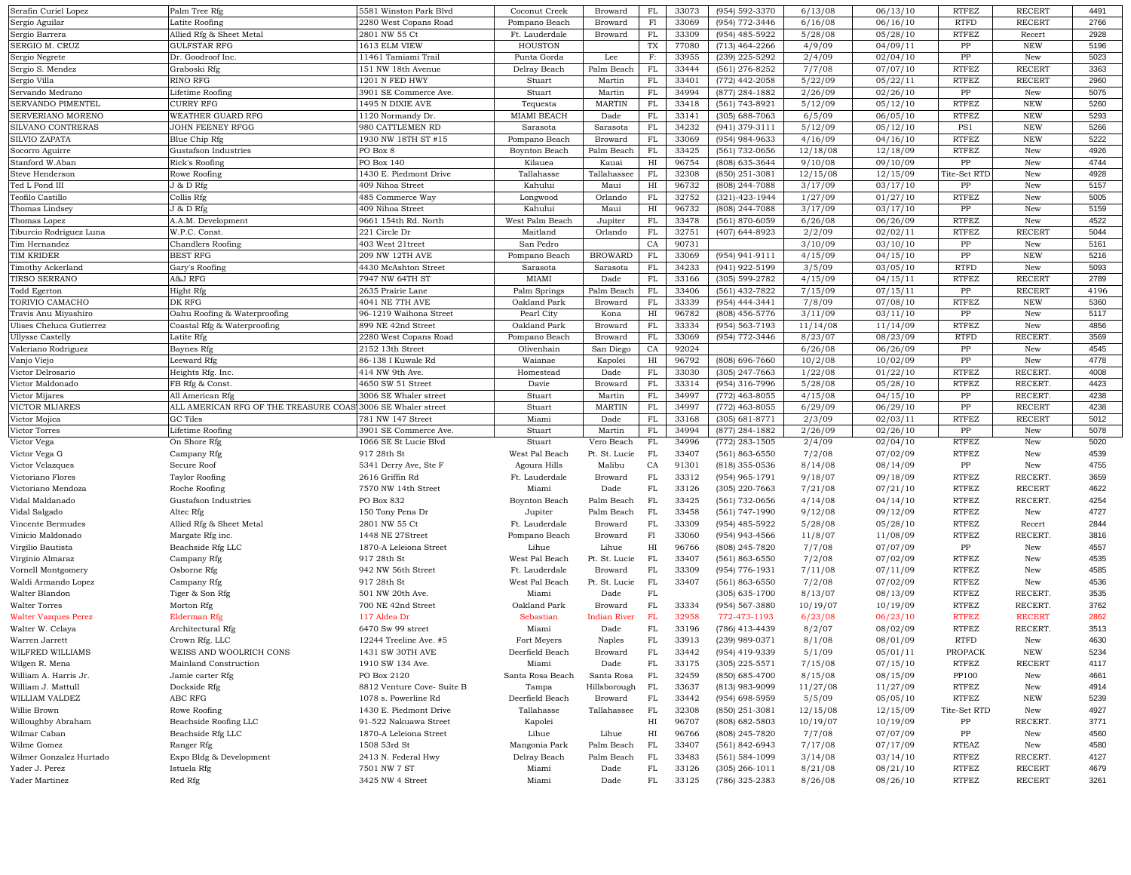| Serafin Curiel Lopez        | Palm Tree Rfg                                               | 5581 Winston Park Blvd     | Coconut Creek    | Broward             | ${\rm FL}$                 | 33073 | (954) 592-3370       | 6/13/08            | 06/13/10 | <b>RTFEZ</b> | <b>RECERT</b> | 4491 |
|-----------------------------|-------------------------------------------------------------|----------------------------|------------------|---------------------|----------------------------|-------|----------------------|--------------------|----------|--------------|---------------|------|
| Sergio Aguilar              | Latite Roofing                                              | 2280 West Copans Road      | Pompano Beach    | Broward             | F1                         | 33069 | (954) 772-3446       | 6/16/08            | 06/16/10 | <b>RTFD</b>  | <b>RECERT</b> | 2766 |
| Sergio Barrera              | Allied Rfg & Sheet Metal                                    | 2801 NW 55 Ct              | Ft. Lauderdale   | Broward             | $\rm FL$                   | 33309 | (954) 485-5922       | 5/28/08            | 05/28/10 | <b>RTFEZ</b> | Recert        | 2928 |
| SERGIO M. CRUZ              | <b>GULFSTAR RFG</b>                                         | 1613 ELM VIEW              | <b>HOUSTON</b>   |                     | TX                         | 77080 | (713) 464-2266       | 4/9/09             | 04/09/11 | PP           | <b>NEW</b>    | 5196 |
| Sergio Negrete              | Dr. Goodroof Inc.                                           | 11461 Tamiami Trail        | Punta Gorda      | Lee                 | F:                         | 33955 | (239) 225-5292       | 2/4/09             | 02/04/10 | PP           | New           | 5023 |
| Sergio S. Mendez            | Graboski Rfg                                                | 151 NW 18th Avenue         | Delray Beach     | Palm Beach          | ${\rm FL}$                 | 33444 | (561) 276-8252       | 7/7/08             | 07/07/10 | <b>RTFEZ</b> | <b>RECERT</b> | 3363 |
| Sergio Villa                | RINO RFG                                                    | 1201 N FED HWY             | Stuart           | Martin              | FL                         | 33401 | (772) 442-2058       | 5/22/09            | 05/22/11 | <b>RTFEZ</b> | <b>RECERT</b> | 2960 |
| Servando Medrano            | Lifetime Roofing                                            | 3901 SE Commerce Ave.      | Stuart           | Martin              | FL                         | 34994 | (877) 284-1882       | 2/26/09            | 02/26/10 | PP           | New           | 5075 |
| SERVANDO PIMENTEL           | <b>CURRY RFG</b>                                            | 1495 N DIXIE AVE           | Tequesta         | <b>MARTIN</b>       | ${\rm FL}$                 | 33418 | (561) 743-8921       | 5/12/09            | 05/12/10 | <b>RTFEZ</b> | <b>NEW</b>    | 5260 |
| SERVERIANO MORENO           | WEATHER GUARD RFG                                           | 1120 Normandy Dr           | MIAMI BEACH      | Dade                | FL                         | 33141 | (305) 688-7063       | 6/5/09             | 06/05/10 | <b>RTFEZ</b> | <b>NEW</b>    | 5293 |
| SILVANO CONTRERAS           | JOHN FEENEY RFGG                                            | 980 CATTLEMEN RD           | Sarasota         | Sarasota            | FL                         | 34232 | (941) 379-3111       | 5/12/09            | 05/12/10 | PS1          | <b>NEW</b>    | 5266 |
| SILVIO ZAPATA               | Blue Chip Rfg                                               | 1930 NW 18TH ST #15        | Pompano Beach    | Broward             | ${\rm FL}$                 | 33069 | (954) 984-9633       | 4/16/09            | 04/16/10 | <b>RTFEZ</b> | <b>NEW</b>    | 5222 |
| Socorro Aguirre             | Gustafson Industries                                        | PO Box 8                   | Boynton Beach    | Palm Beach          | ${\rm FL}$                 | 33425 | (561) 732-0656       | 12/18/08           | 12/18/09 | <b>RTFEZ</b> | New           | 4926 |
| Stanford W.Aban             | Rick's Roofing                                              | PO Box 140                 | Kilauea          | Kauai               | HI                         | 96754 | (808) 635-3644       | 9/10/08            | 09/10/09 | PP           | New           | 4744 |
| Steve Henderson             | Rowe Roofing                                                | 1430 E. Piedmont Drive     | Tallahasse       | Tallahassee         | ${\rm FL}$                 | 32308 | (850) 251-3081       | $\frac{12}{15/08}$ | 12/15/09 | Tite-Set RTD | New           | 4928 |
| Ted L Pond III              | J & D Rfg                                                   | 409 Nihoa Street           | Kahului          | Maui                | HI                         | 96732 | (808) 244-7088       | 3/17/09            | 03/17/10 | PP           | New           | 5157 |
| Teofilo Castillo            | Collis Rfg                                                  | 485 Commerce Way           | Longwood         | Orlando             | ${\rm FL}$                 | 32752 | $(321) - 423 - 1944$ | 1/27/09            | 01/27/10 | <b>RTFEZ</b> | New           | 5005 |
| Thomas Lindsey              | J & D Rfg                                                   | 409 Nihoa Street           | Kahului          | Maui                | HI                         | 96732 | (808) 244-7088       | 3/17/09            | 03/17/10 | PP           | New           | 5159 |
| Thomas Lopez                | A.A.M. Development                                          | 9661 154th Rd. North       | West Palm Beach  | Jupiter             | $\rm FL$                   | 33478 | (561) 870-6059       | 6/26/08            | 06/26/09 | <b>RTFEZ</b> | New           | 4522 |
| Tiburcio Rodriguez Luna     | W.P.C. Const                                                | 221 Circle Dr              | Maitland         | Orlando             | ${\rm FL}$                 | 32751 | (407) 644-8923       | 2/2/09             | 02/02/11 | <b>RTFEZ</b> | <b>RECERT</b> | 5044 |
| Tim Hernandez               | <b>Chandlers Roofing</b>                                    | 403 West 21treet           | San Pedro        |                     | CA                         | 90731 |                      | 3/10/09            | 03/10/10 | ${\rm PP}$   | New           | 5161 |
| <b>TIM KRIDER</b>           | BEST RFG                                                    | 209 NW 12TH AVE            | Pompano Beach    | <b>BROWARD</b>      | FL                         | 33069 | (954) 941-9111       | 4/15/09            | 04/15/10 | ${\rm PP}$   | <b>NEW</b>    | 5216 |
| Timothy Ackerland           | Gary's Roofing                                              | 4430 McAshton Street       | Sarasota         | Sarasota            | ${\rm FL}$                 | 34233 | (941) 922-5199       | 3/5/09             | 03/05/10 | <b>RTFD</b>  | New           | 5093 |
| <b>TIRSO SERRANO</b>        | A&J RFG                                                     | 7947 NW 64TH ST            | MIAMI            | Dade                | ${\rm FL}$                 | 33166 | (305) 599-2782       | 4/15/09            | 04/15/11 | <b>RTFEZ</b> | <b>RECERT</b> | 2789 |
| <b>Todd Egerton</b>         | Hight Rfg                                                   | 2635 Prairie Lane          | Palm Springs     | Palm Beach          | $\rm FL$                   | 33406 | (561) 432-7822       | 7/15/09            | 07/15/11 | PP           | <b>RECERT</b> | 4196 |
| TORIVIO CAMACHO             | DK RFG                                                      | 4041 NE 7TH AVE            | Oakland Park     | Broward             | $\rm FL$                   | 33339 | (954) 444-3441       | 7/8/09             | 07/08/10 | <b>RTFEZ</b> | ${\tt NEW}$   | 5360 |
| Travis Anu Miyashiro        | Oahu Roofing & Waterproofing                                | 96-1219 Waihona Street     | Pearl City       | Kona                | HI                         | 96782 | (808) 456-5776       | 3/11/09            | 03/11/10 | PP           | New           | 5117 |
| Ulises Cheluca Gutierrez    | Coastal Rfg & Waterproofing                                 | 899 NE 42nd Street         | Oakland Park     | Broward             | $\rm FL$                   | 33334 | (954) 563-7193       | 11/14/08           | 11/14/09 | <b>RTFEZ</b> | New           | 4856 |
| <b>Ullysse Castelly</b>     | Latite Rfg                                                  | 2280 West Copans Road      | Pompano Beach    | Broward             | FL                         | 33069 | (954) 772-3446       | 8/23/07            | 08/23/09 | <b>RTFD</b>  | <b>RECERT</b> | 3569 |
| Valeriano Rodriguez         | Baynes Rfg                                                  | 2152 13th Street           | Olivenhain       | San Diego           | CA                         | 92024 |                      | 6/26/08            | 06/26/09 | PP           | New           | 4545 |
| Vanjo Viejo                 | Leeward Rfg                                                 | 86-138 I Kuwale Rd         | Waianae          | Kapolei             | HI                         | 96792 | (808) 696-7660       | 10/2/08            | 10/02/09 | ${\rm PP}$   | New           | 4778 |
| Victor Delrosario           | Heights Rfg. Inc.                                           | 414 NW 9th Ave.            | Homestead        | Dade                | ${\rm FL}$                 | 33030 | (305) 247-7663       | 1/22/08            | 01/22/10 | <b>RTFEZ</b> | <b>RECERT</b> | 4008 |
| Victor Maldonado            | FB Rfg & Const.                                             | 4650 SW 51 Street          | Davie            | Broward             | $\rm FL$                   | 33314 | (954) 316-7996       | 5/28/08            | 05/28/10 | <b>RTFEZ</b> | RECERT.       | 4423 |
|                             |                                                             |                            |                  |                     |                            |       |                      |                    |          |              |               |      |
|                             |                                                             |                            |                  |                     |                            |       |                      |                    |          |              |               |      |
| Victor Mijares              | All American Rfg                                            | 3006 SE Whaler street      | Stuart           | Martin              | ${\rm FL}$                 | 34997 | (772) 463-8055       | 4/15/08            | 04/15/10 | PP           | RECERT.       | 4238 |
| VICTOR MIJARES              | ALL AMERICAN RFG OF THE TREASURE COAS 3006 SE Whaler street |                            | Stuart           | <b>MARTIN</b>       | $\rm FL$                   | 34997 | (772) 463-8055       | 6/29/09            | 06/29/10 | PP           | <b>RECERT</b> | 4238 |
| Victor Mojica               | GC Tiles                                                    | 781 NW 147 Street          | Miami            | Dade                | FL                         | 33168 | $(305) 681 - 8771$   | 2/3/09             | 02/03/11 | <b>RTFEZ</b> | <b>RECERT</b> | 5012 |
| Victor Torres               | Lifetime Roofing                                            | 3901 SE Commerce Ave.      | Stuart           | Martin              | $\rm FL$                   | 34994 | (877) 284-1882       | 2/26/09            | 02/26/10 | ${\rm PP}$   | New           | 5078 |
| Victor Vega                 | On Shore Rfg                                                | 1066 SE St Lucie Blvd      | Stuart           | Vero Beach          | ${\rm FL}$                 | 34996 | (772) 283-1505       | 2/4/09             | 02/04/10 | <b>RTFEZ</b> | New           | 5020 |
| Victor Vega G               | Campany Rfg                                                 | 917 28th St                | West Pal Beach   | Pt. St. Lucie       | ${\rm FL}$                 | 33407 | (561) 863-6550       | 7/2/08             | 07/02/09 | <b>RTFEZ</b> | New           | 4539 |
| Victor Velazques            | Secure Roof                                                 | 5341 Derry Ave, Ste F      | Agoura Hills     | Malibu              | CA                         | 91301 | (818) 355-0536       | 8/14/08            | 08/14/09 | PP           | New           | 4755 |
| Victoriano Flores           | <b>Taylor Roofing</b>                                       | 2616 Griffin Rd            | Ft. Lauderdale   | Broward             | ${\rm FL}$                 | 33312 | (954) 965-1791       | 9/18/07            | 09/18/09 | <b>RTFEZ</b> | RECERT.       | 3659 |
| Victoriano Mendoza          | Roche Roofing                                               | 7570 NW 14th Street        | Miami            | Dade                | ${\rm FL}$                 | 33126 | (305) 220-7663       | 7/21/08            | 07/21/10 | <b>RTFEZ</b> | <b>RECERT</b> | 4622 |
| Vidal Maldanado             | Gustafson Industries                                        | PO Box 832                 | Boynton Beach    | Palm Beach          | ${\rm FL}$                 | 33425 | (561) 732-0656       | 4/14/08            | 04/14/10 | <b>RTFEZ</b> | RECERT.       | 4254 |
| Vidal Salgado               | Altec Rfg                                                   | 150 Tony Pena Dr           | Jupiter          | Palm Beach          | $\rm FL$                   | 33458 | (561) 747-1990       | 9/12/08            | 09/12/09 | <b>RTFEZ</b> | New           | 4727 |
| Vincente Bermudes           | Allied Rfg & Sheet Metal                                    | 2801 NW 55 Ct              | Ft. Lauderdale   | Broward             | ${\rm FL}$                 | 33309 | (954) 485-5922       | 5/28/08            | 05/28/10 | <b>RTFEZ</b> | Recert        | 2844 |
| Vinicio Maldonado           | Margate Rfg inc.                                            | 1448 NE 27Street           | Pompano Beach    | Broward             | F1                         | 33060 | (954) 943-4566       | 11/8/07            | 11/08/09 | <b>RTFEZ</b> | <b>RECERT</b> | 3816 |
| Virgilio Bautista           | Beachside Rfg LLC                                           | 1870-A Leleiona Street     | Lihue            | Lihue               | $\mathop{\rm HI}\nolimits$ | 96766 | (808) 245-7820       | 7/7/08             | 07/07/09 | PP           | New           | 4557 |
| Virginio Almaraz            | Campany Rfg                                                 | 917 28th St                | West Pal Beach   | Pt. St. Lucie       | ${\rm FL}$                 | 33407 | (561) 863-6550       | 7/2/08             | 07/02/09 | <b>RTFEZ</b> | New           | 4535 |
| Vornell Montgomery          | Osborne Rfg                                                 | 942 NW 56th Street         | Ft. Lauderdale   | Broward             | $\rm FL$                   | 33309 | (954) 776-1931       | 7/11/08            | 07/11/09 | <b>RTFEZ</b> | New           | 4585 |
| Waldi Armando Lopez         | Campany Rfg                                                 | 917 28th St                | West Pal Beach   | Pt. St. Lucie       | $\rm FL$                   | 33407 | (561) 863-6550       | 7/2/08             | 07/02/09 | <b>RTFEZ</b> | New           | 4536 |
| Walter Blandon              | Tiger & Son Rfg                                             | 501 NW 20th Ave.           | Miami            | Dade                | ${\rm FL}$                 |       | (305) 635-1700       | 8/13/07            | 08/13/09 | <b>RTFEZ</b> | RECERT.       | 3535 |
| Walter Torres               | Morton Rfg                                                  | 700 NE 42nd Street         | Oakland Park     | Broward             | ${\rm FL}$                 | 33334 | (954) 567-3880       | 10/19/07           | 10/19/09 | <b>RTFEZ</b> | RECERT.       | 3762 |
| <b>Walter Vazques Perez</b> | <b>Elderman Rfg</b>                                         | 117 Aldea Dr               | Sebastian        | <b>Indian River</b> | FL                         | 32958 | 772-473-1193         | 6/23/08            | 06/23/10 | <b>RTFEZ</b> | <b>RECERT</b> | 2862 |
| Walter W. Celaya            | Architectural Rfg                                           | 6470 Sw 99 street          | Miami            | Dade                | ${\rm FL}$                 | 33196 | (786) 413-4439       | 8/2/07             | 08/02/09 | <b>RTFEZ</b> | RECERT.       | 3513 |
| Warren Jarrett              | Crown Rfg. LLC                                              | 12244 Treeline Ave. #5     | Fort Meyers      | Naples              | ${\rm FL}$                 | 33913 | (239) 989-0371       | 8/1/08             | 08/01/09 | <b>RTFD</b>  | New           | 4630 |
| WILFRED WILLIAMS            | WEISS AND WOOLRICH CONS                                     | 1431 SW 30TH AVE           | Deerfield Beach  | Broward             | FL                         | 33442 | (954) 419-9339       | 5/1/09             | 05/01/11 | PROPACK      | NEW           | 5234 |
| Wilgen R. Mena              | Mainland Construction                                       | 1910 SW 134 Ave.           | Miami            | Dade                | $\rm FL$                   | 33175 | (305) 225-5571       | 7/15/08            | 07/15/10 | RTFEZ        | <b>RECERT</b> | 4117 |
| William A. Harris Jr.       | Jamie carter Rfg                                            | PO Box 2120                | Santa Rosa Beach | Santa Rosa          | $\rm FL$                   | 32459 | (850) 685-4700       | 8/15/08            | 08/15/09 | PP100        | New           | 4661 |
| William J. Mattull          | Dockside Rfg                                                | 8812 Venture Cove- Suite B | Tampa            | Hillsborough        | $\rm FL$                   | 33637 | (813) 983-9099       | 11/27/08           | 11/27/09 | RTFEZ        | New           | 4914 |
| WILLIAM VALDEZ              | ABC RFG                                                     | 1078 s. Powerline Rd       | Deerfield Beach  | Broward             | $\rm FL$                   | 33442 | (954) 698-5959       | 5/5/09             | 05/05/10 | <b>RTFEZ</b> | ${\tt NEW}$   | 5239 |
| Willie Brown                | Rowe Roofing                                                | 1430 E. Piedmont Drive     | Tallahasse       | Tallahassee         | ${\rm FL}$                 | 32308 | (850) 251-3081       | 12/15/08           | 12/15/09 | Tite-Set RTD | New           | 4927 |
| Willoughby Abraham          | Beachside Roofing LLC                                       | 91-522 Nakuawa Street      | Kapolei          |                     | HI                         | 96707 | (808) 682-5803       | 10/19/07           | 10/19/09 | PP           | RECERT.       | 3771 |
| Wilmar Caban                | Beachside Rfg LLC                                           | 1870-A Leleiona Street     | Lihue            | Lihue               | $_{\rm HI}$                | 96766 | (808) 245-7820       | 7/7/08             | 07/07/09 | PP           | New           | 4560 |
| Wilme Gomez                 | Ranger Rfg                                                  | 1508 53rd St               | Mangonia Park    | Palm Beach          | $\rm FL$                   | 33407 | (561) 842-6943       | 7/17/08            | 07/17/09 | RTEAZ        | New           | 4580 |
| Wilmer Gonzalez Hurtado     | Expo Bldg & Development                                     | 2413 N. Federal Hwy        | Delray Beach     | Palm Beach          | $\rm FL$                   | 33483 | (561) 584-1099       | 3/14/08            | 03/14/10 | <b>RTFEZ</b> | RECERT.       | 4127 |
| Yader J. Perez              | Istuela Rfg                                                 | 7501 NW 7 ST               | Miami            | Dade                | $\rm FL$                   | 33126 | $(305)$ 266-1011     | 8/21/08            | 08/21/10 | RTFEZ        | <b>RECERT</b> | 4679 |
| Yader Martinez              | Red Rfg                                                     | 3425 NW 4 Street           | Miami            | Dade                | $\rm FL$                   | 33125 | (786) 325-2383       | 8/26/08            | 08/26/10 | <b>RTFEZ</b> | <b>RECERT</b> | 3261 |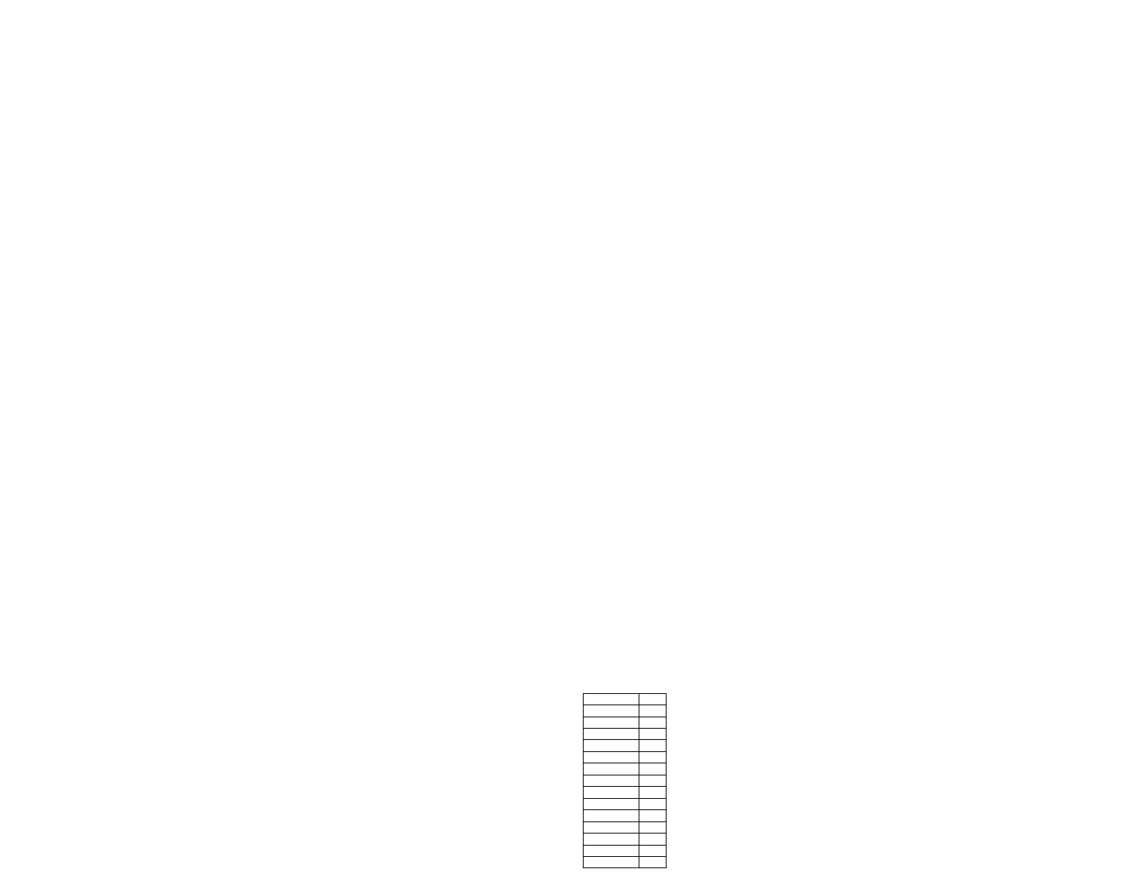